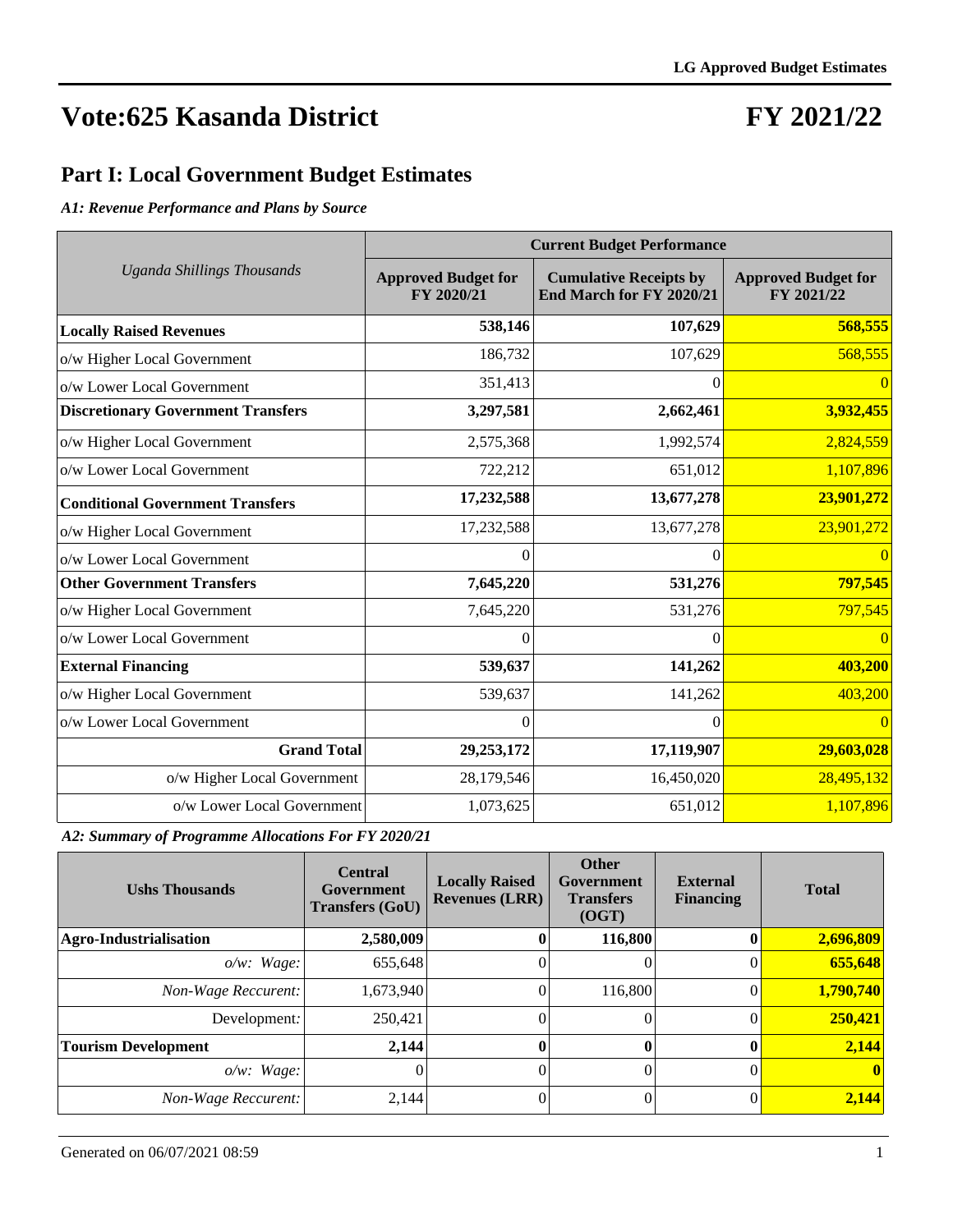### **FY 2021/22**

#### **Part I: Local Government Budget Estimates**

*A1: Revenue Performance and Plans by Source*

|                                           | <b>Current Budget Performance</b>        |                                                           |                                          |  |  |  |  |  |
|-------------------------------------------|------------------------------------------|-----------------------------------------------------------|------------------------------------------|--|--|--|--|--|
| <b>Uganda Shillings Thousands</b>         | <b>Approved Budget for</b><br>FY 2020/21 | <b>Cumulative Receipts by</b><br>End March for FY 2020/21 | <b>Approved Budget for</b><br>FY 2021/22 |  |  |  |  |  |
| <b>Locally Raised Revenues</b>            | 538,146                                  | 107,629                                                   | 568,555                                  |  |  |  |  |  |
| o/w Higher Local Government               | 186,732                                  | 107,629                                                   | 568,555                                  |  |  |  |  |  |
| o/w Lower Local Government                | 351,413                                  | 0                                                         | $\Omega$                                 |  |  |  |  |  |
| <b>Discretionary Government Transfers</b> | 3,297,581                                | 2,662,461                                                 | 3,932,455                                |  |  |  |  |  |
| o/w Higher Local Government               | 2,575,368                                | 1,992,574                                                 | 2,824,559                                |  |  |  |  |  |
| o/w Lower Local Government                | 722,212                                  | 651,012                                                   | 1,107,896                                |  |  |  |  |  |
| <b>Conditional Government Transfers</b>   | 17,232,588                               | 13,677,278                                                | 23,901,272                               |  |  |  |  |  |
| o/w Higher Local Government               | 17,232,588                               | 13,677,278                                                | 23,901,272                               |  |  |  |  |  |
| o/w Lower Local Government                | $\Omega$                                 | $_{0}$                                                    |                                          |  |  |  |  |  |
| <b>Other Government Transfers</b>         | 7,645,220                                | 531,276                                                   | <b>797,545</b>                           |  |  |  |  |  |
| o/w Higher Local Government               | 7,645,220                                | 531,276                                                   | 797,545                                  |  |  |  |  |  |
| o/w Lower Local Government                | 0                                        | $\theta$                                                  | $\overline{0}$                           |  |  |  |  |  |
| <b>External Financing</b>                 | 539,637                                  | 141,262                                                   | 403,200                                  |  |  |  |  |  |
| o/w Higher Local Government               | 539,637                                  | 141,262                                                   | 403,200                                  |  |  |  |  |  |
| o/w Lower Local Government                | 0                                        | 0                                                         | $\Omega$                                 |  |  |  |  |  |
| <b>Grand Total</b>                        | 29, 253, 172                             | 17,119,907                                                | 29,603,028                               |  |  |  |  |  |
| o/w Higher Local Government               | 28,179,546                               | 16,450,020                                                | 28,495,132                               |  |  |  |  |  |
| o/w Lower Local Government                | 1,073,625                                | 651,012                                                   | 1,107,896                                |  |  |  |  |  |

*A2: Summary of Programme Allocations For FY 2020/21*

| <b>Ushs Thousands</b>         | <b>Central</b><br>Government<br><b>Transfers (GoU)</b> | <b>Locally Raised</b><br><b>Revenues (LRR)</b> | <b>Other</b><br>Government<br><b>Transfers</b><br>(OGT) | <b>External</b><br><b>Financing</b> | <b>Total</b> |
|-------------------------------|--------------------------------------------------------|------------------------------------------------|---------------------------------------------------------|-------------------------------------|--------------|
| <b>Agro-Industrialisation</b> | 2,580,009                                              |                                                | 116,800                                                 |                                     | 2,696,809    |
| $o/w$ : Wage:                 | 655,648                                                |                                                |                                                         |                                     | 655,648      |
| Non-Wage Reccurent:           | 1,673,940                                              |                                                | 116,800                                                 |                                     | 1,790,740    |
| Development:                  | 250,421                                                |                                                | 0                                                       |                                     | 250,421      |
| <b>Tourism Development</b>    | 2,144                                                  |                                                | $\mathbf{0}$                                            |                                     | 2,144        |
| $o/w$ : Wage:                 | O                                                      |                                                | 0                                                       |                                     | $\bf{0}$     |
| Non-Wage Reccurent:           | 2.144                                                  | 0                                              | 0                                                       |                                     | 2,144        |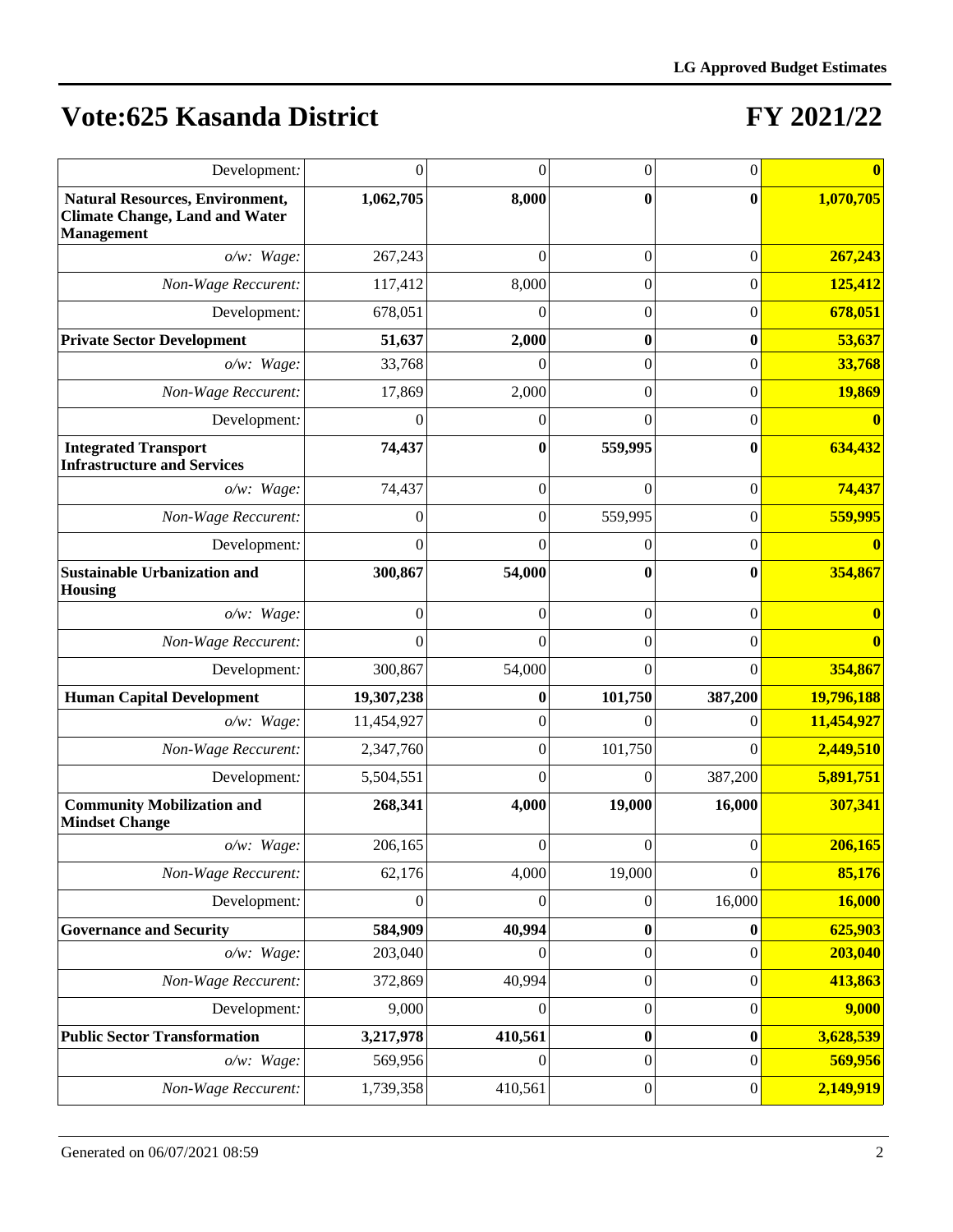| Development:                                                                                         | $\Omega$   | $\theta$         | 0                | 0                |               |
|------------------------------------------------------------------------------------------------------|------------|------------------|------------------|------------------|---------------|
| <b>Natural Resources, Environment,</b><br><b>Climate Change, Land and Water</b><br><b>Management</b> | 1,062,705  | 8,000            | $\bf{0}$         | 0                | 1,070,705     |
| o/w: Wage:                                                                                           | 267,243    | $\Omega$         | 0                | $\boldsymbol{0}$ | 267,243       |
| Non-Wage Reccurent:                                                                                  | 117,412    | 8,000            | $\overline{0}$   | $\overline{0}$   | 125,412       |
| Development:                                                                                         | 678,051    | 0                | $\overline{0}$   | $\overline{0}$   | 678,051       |
| <b>Private Sector Development</b>                                                                    | 51,637     | 2,000            | $\bf{0}$         | $\bf{0}$         | 53,637        |
| $o/w$ : Wage:                                                                                        | 33,768     | 0                | $\boldsymbol{0}$ | $\boldsymbol{0}$ | 33,768        |
| Non-Wage Reccurent:                                                                                  | 17,869     | 2,000            | $\boldsymbol{0}$ | $\boldsymbol{0}$ | 19,869        |
| Development:                                                                                         | 0          | $\overline{0}$   | $\theta$         | $\boldsymbol{0}$ |               |
| <b>Integrated Transport</b><br><b>Infrastructure and Services</b>                                    | 74,437     | $\bf{0}$         | 559,995          | $\bf{0}$         | 634,432       |
| o/w: Wage:                                                                                           | 74,437     | $\overline{0}$   | $\theta$         | $\overline{0}$   | 74,437        |
| Non-Wage Reccurent:                                                                                  | 0          | $\boldsymbol{0}$ | 559,995          | $\overline{0}$   | 559,995       |
| Development:                                                                                         | 0          | 0                | 0                | 0                |               |
| <b>Sustainable Urbanization and</b><br><b>Housing</b>                                                | 300,867    | 54,000           | $\bf{0}$         | 0                | 354,867       |
| $o/w$ : Wage:                                                                                        | $\Omega$   | $\theta$         | $\overline{0}$   | $\overline{0}$   |               |
| Non-Wage Reccurent:                                                                                  | $\Omega$   | $\Omega$         | $\theta$         | $\theta$         |               |
| Development:                                                                                         | 300,867    | 54,000           | $\theta$         | $\theta$         | 354,867       |
| <b>Human Capital Development</b>                                                                     | 19,307,238 | $\bf{0}$         | 101,750          | 387,200          | 19,796,188    |
| $o/w$ : Wage:                                                                                        | 11,454,927 | $\Omega$         | $\Omega$         | 0                | 11,454,927    |
| Non-Wage Reccurent:                                                                                  | 2,347,760  | $\theta$         | 101,750          | $\Omega$         | 2,449,510     |
| Development:                                                                                         | 5,504,551  | $\Omega$         | $\overline{0}$   | 387,200          | 5,891,751     |
| <b>Community Mobilization and</b><br><b>Mindset Change</b>                                           | 268,341    | 4,000            | 19,000           | 16,000           | 307,341       |
| o/w: Wage:                                                                                           | 206,165    | 0                | $\boldsymbol{0}$ | $\boldsymbol{0}$ | 206,165       |
| Non-Wage Reccurent:                                                                                  | 62,176     | 4,000            | 19,000           | $\boldsymbol{0}$ | 85,176        |
| Development:                                                                                         | $\theta$   | 0                | $\boldsymbol{0}$ | 16,000           | <b>16,000</b> |
| <b>Governance and Security</b>                                                                       | 584,909    | 40,994           | 0                | 0                | 625,903       |
| $o/w$ : Wage:                                                                                        | 203,040    | $\theta$         | $\boldsymbol{0}$ | $\boldsymbol{0}$ | 203,040       |
| Non-Wage Reccurent:                                                                                  | 372,869    | 40,994           | $\boldsymbol{0}$ | $\boldsymbol{0}$ | 413,863       |
| Development:                                                                                         | 9,000      | $\boldsymbol{0}$ | $\boldsymbol{0}$ | $\boldsymbol{0}$ | 9,000         |
| <b>Public Sector Transformation</b>                                                                  | 3,217,978  | 410,561          | $\boldsymbol{0}$ | $\boldsymbol{0}$ | 3,628,539     |
| o/w: Wage:                                                                                           | 569,956    | $\theta$         | $\boldsymbol{0}$ | $\boldsymbol{0}$ | 569,956       |
| Non-Wage Reccurent:                                                                                  | 1,739,358  | 410,561          | $\boldsymbol{0}$ | $\boldsymbol{0}$ | 2,149,919     |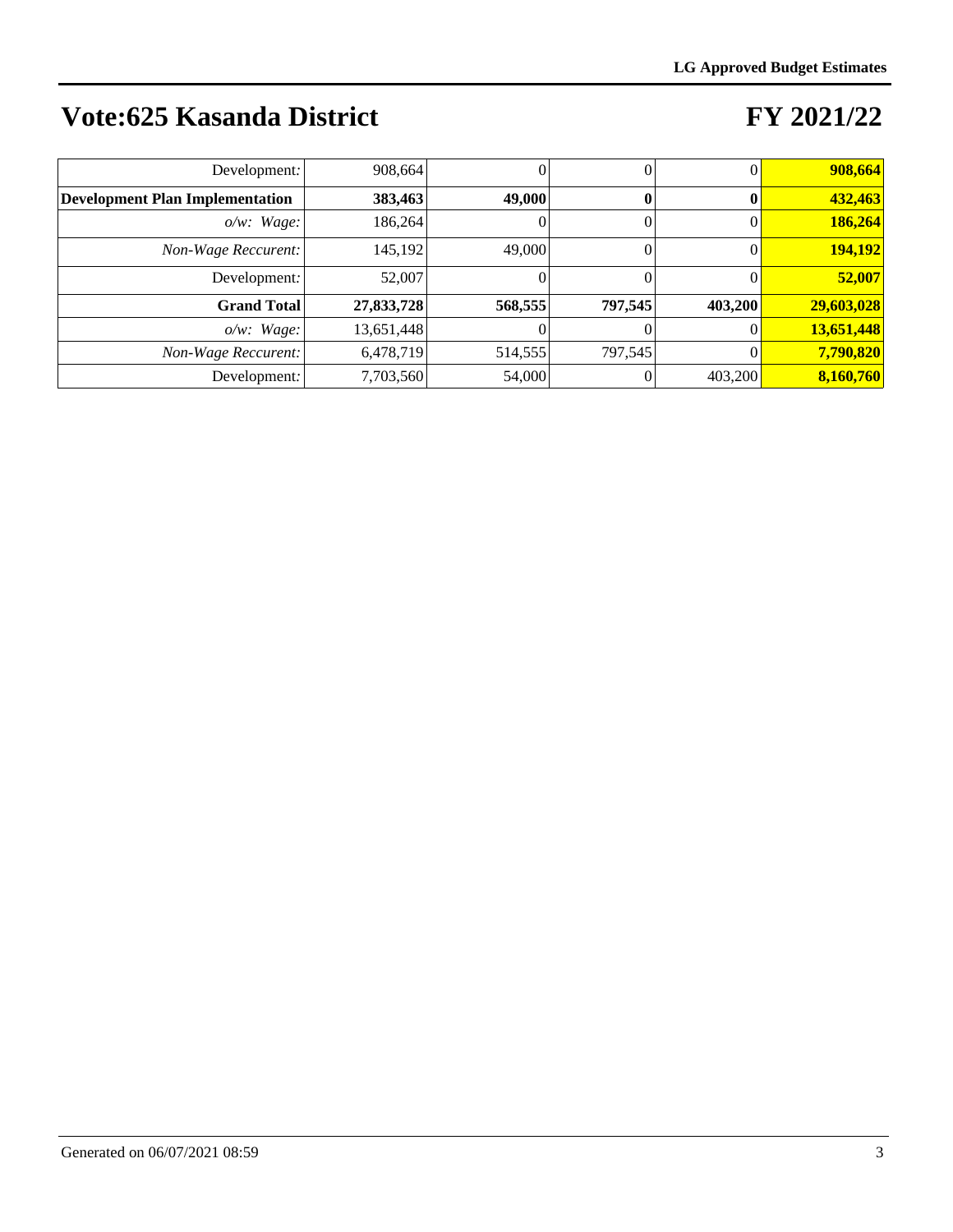| Development:                           | 908,664    |         |         |         | 908,664    |
|----------------------------------------|------------|---------|---------|---------|------------|
| <b>Development Plan Implementation</b> | 383,463    | 49,000  |         |         | 432,463    |
| $o/w$ : Wage:                          | 186,264    |         | 0       |         | 186,264    |
| Non-Wage Reccurent:                    | 145,192    | 49,000  |         |         | 194,192    |
| Development:                           | 52,007     |         |         |         | 52,007     |
| <b>Grand Total</b>                     | 27,833,728 | 568,555 | 797,545 | 403,200 | 29,603,028 |
| $o/w$ : Wage:                          | 13,651,448 |         |         |         | 13,651,448 |
| Non-Wage Reccurent:                    | 6,478,719  | 514,555 | 797.545 |         | 7,790,820  |
| Development:                           | 7,703,560  | 54,000  |         | 403,200 | 8,160,760  |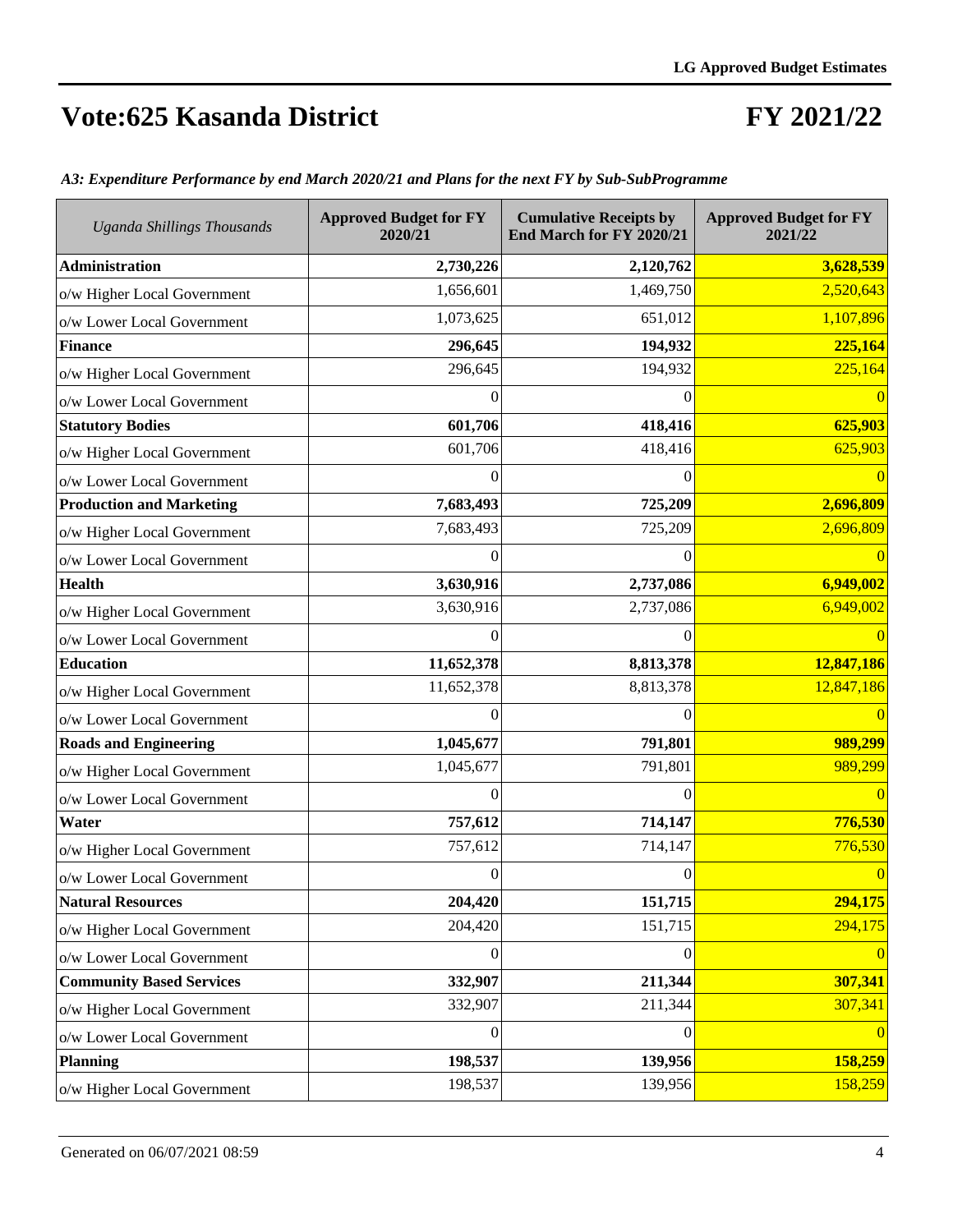### **FY 2021/22**

| <b>Uganda Shillings Thousands</b> | <b>Approved Budget for FY</b><br>2020/21 | <b>Cumulative Receipts by</b><br>End March for FY 2020/21 | <b>Approved Budget for FY</b><br>2021/22 |
|-----------------------------------|------------------------------------------|-----------------------------------------------------------|------------------------------------------|
| <b>Administration</b>             | 2,730,226                                | 2,120,762                                                 | 3,628,539                                |
| o/w Higher Local Government       | 1,656,601                                | 1,469,750                                                 | 2,520,643                                |
| o/w Lower Local Government        | 1,073,625                                | 651,012                                                   | 1,107,896                                |
| <b>Finance</b>                    | 296,645                                  | 194,932                                                   | 225,164                                  |
| o/w Higher Local Government       | 296,645                                  | 194,932                                                   | 225,164                                  |
| o/w Lower Local Government        | 0                                        | $\theta$                                                  |                                          |
| <b>Statutory Bodies</b>           | 601,706                                  | 418,416                                                   | 625,903                                  |
| o/w Higher Local Government       | 601,706                                  | 418,416                                                   | 625,903                                  |
| o/w Lower Local Government        | $\theta$                                 | $\Omega$                                                  |                                          |
| <b>Production and Marketing</b>   | 7,683,493                                | 725,209                                                   | 2,696,809                                |
| o/w Higher Local Government       | 7,683,493                                | 725,209                                                   | 2,696,809                                |
| o/w Lower Local Government        | 0                                        | 0                                                         |                                          |
| <b>Health</b>                     | 3,630,916                                | 2,737,086                                                 | 6,949,002                                |
| o/w Higher Local Government       | 3,630,916                                | 2,737,086                                                 | 6,949,002                                |
| o/w Lower Local Government        | $\Omega$                                 | 0                                                         |                                          |
| <b>Education</b>                  | 11,652,378                               | 8,813,378                                                 | 12,847,186                               |
| o/w Higher Local Government       | 11,652,378                               | 8,813,378                                                 | 12,847,186                               |
| o/w Lower Local Government        | 0                                        | 0                                                         |                                          |
| <b>Roads and Engineering</b>      | 1,045,677                                | 791,801                                                   | 989,299                                  |
| o/w Higher Local Government       | 1,045,677                                | 791,801                                                   | 989,299                                  |
| o/w Lower Local Government        | $\boldsymbol{0}$                         | $\theta$                                                  | $\Omega$                                 |
| Water                             | 757,612                                  | 714,147                                                   | 776,530                                  |
| o/w Higher Local Government       | 757,612                                  | 714,147                                                   | 776,530                                  |
| o/w Lower Local Government        | 0                                        | 0                                                         |                                          |
| <b>Natural Resources</b>          | 204,420                                  | 151,715                                                   | 294,175                                  |
| o/w Higher Local Government       | 204,420                                  | 151,715                                                   | 294,175                                  |
| o/w Lower Local Government        | $\overline{0}$                           | 0                                                         |                                          |
| <b>Community Based Services</b>   | 332,907                                  | 211,344                                                   | 307,341                                  |
| o/w Higher Local Government       | 332,907                                  | 211,344                                                   | 307,341                                  |
| o/w Lower Local Government        | $\overline{0}$                           | $\theta$                                                  | $\Omega$                                 |
| <b>Planning</b>                   | 198,537                                  | 139,956                                                   | 158,259                                  |
| o/w Higher Local Government       | 198,537                                  | 139,956                                                   | 158,259                                  |

*A3: Expenditure Performance by end March 2020/21 and Plans for the next FY by Sub-SubProgramme*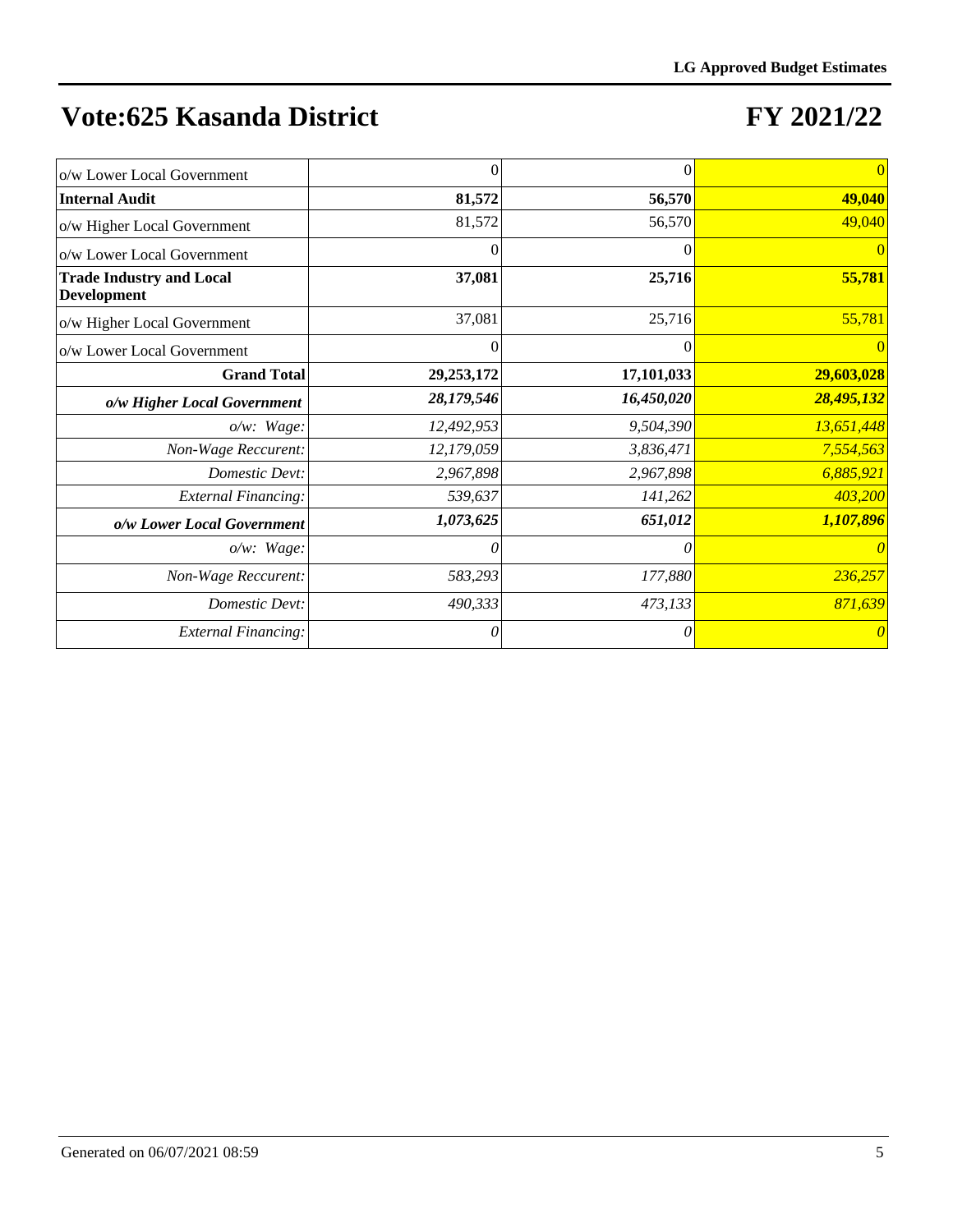| o/w Lower Local Government                            | 0            | $\overline{0}$ | $\vert 0 \vert$       |
|-------------------------------------------------------|--------------|----------------|-----------------------|
| <b>Internal Audit</b>                                 | 81,572       | 56,570         | 49,040                |
| o/w Higher Local Government                           | 81,572       | 56,570         | 49,040                |
| o/w Lower Local Government                            | $\theta$     | $\Omega$       | $\vert 0 \vert$       |
| <b>Trade Industry and Local</b><br><b>Development</b> | 37,081       | 25,716         | 55,781                |
| o/w Higher Local Government                           | 37,081       | 25,716         | 55,781                |
| o/w Lower Local Government                            | 0            | $\Omega$       | $\overline{0}$        |
| <b>Grand Total</b>                                    | 29, 253, 172 | 17,101,033     | 29,603,028            |
| o/w Higher Local Government                           | 28,179,546   | 16,450,020     | 28,495,132            |
| $o/w$ : Wage:                                         | 12,492,953   | 9,504,390      | 13,651,448            |
| Non-Wage Reccurent:                                   | 12,179,059   | 3,836,471      | 7,554,563             |
| Domestic Devt:                                        | 2,967,898    | 2,967,898      | 6,885,921             |
| <b>External Financing:</b>                            | 539,637      | 141,262        | 403,200               |
| o/w Lower Local Government                            | 1,073,625    | 651,012        | 1,107,896             |
| $o/w$ : Wage:                                         | 0            | $\theta$       | $\theta$              |
| Non-Wage Reccurent:                                   | 583,293      | 177,880        | 236,257               |
| Domestic Devt:                                        | 490,333      | 473,133        | 871,639               |
| <b>External Financing:</b>                            | 0            | 0              | $\boldsymbol{\theta}$ |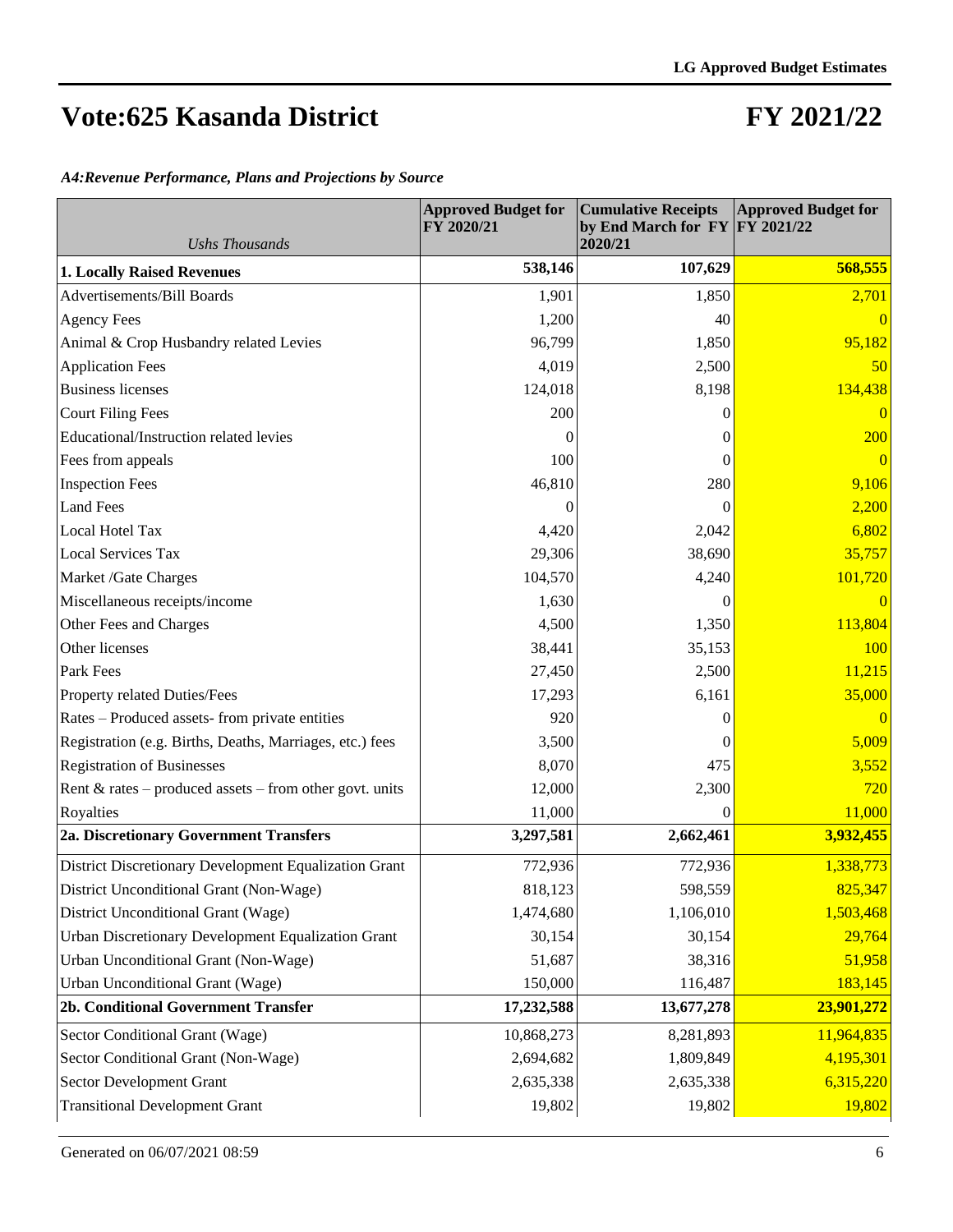#### **FY 2021/22**

*A4:Revenue Performance, Plans and Projections by Source*

| <b>Ushs Thousands</b>                                      | <b>Approved Budget for</b><br>FY 2020/21 | <b>Cumulative Receipts</b><br>by End March for $FY$ $FY$ 2021/22<br>2020/21 | <b>Approved Budget for</b> |
|------------------------------------------------------------|------------------------------------------|-----------------------------------------------------------------------------|----------------------------|
| <b>1. Locally Raised Revenues</b>                          | 538,146                                  | 107,629                                                                     | 568,555                    |
| <b>Advertisements/Bill Boards</b>                          | 1,901                                    | 1,850                                                                       | 2,701                      |
| <b>Agency Fees</b>                                         | 1,200                                    | 40                                                                          | $\Omega$                   |
| Animal & Crop Husbandry related Levies                     | 96,799                                   | 1,850                                                                       | 95,182                     |
| <b>Application Fees</b>                                    | 4,019                                    | 2,500                                                                       | 50                         |
| <b>Business licenses</b>                                   | 124,018                                  | 8,198                                                                       | 134,438                    |
| <b>Court Filing Fees</b>                                   | 200                                      | $\Omega$                                                                    | $\overline{0}$             |
| Educational/Instruction related levies                     | 0                                        | $\theta$                                                                    | 200                        |
| Fees from appeals                                          | 100                                      | $\theta$                                                                    | $\overline{0}$             |
| <b>Inspection Fees</b>                                     | 46,810                                   | 280                                                                         | 9,106                      |
| <b>Land Fees</b>                                           | 0                                        | $\Omega$                                                                    | 2,200                      |
| Local Hotel Tax                                            | 4,420                                    | 2,042                                                                       | 6,802                      |
| <b>Local Services Tax</b>                                  | 29,306                                   | 38,690                                                                      | 35,757                     |
| Market /Gate Charges                                       | 104,570                                  | 4,240                                                                       | 101,720                    |
| Miscellaneous receipts/income                              | 1,630                                    | $\Omega$                                                                    | $\overline{0}$             |
| Other Fees and Charges                                     | 4,500                                    | 1,350                                                                       | 113,804                    |
| Other licenses                                             | 38,441                                   | 35,153                                                                      | 100                        |
| Park Fees                                                  | 27,450                                   | 2,500                                                                       | 11,215                     |
| Property related Duties/Fees                               | 17,293                                   | 6,161                                                                       | 35,000                     |
| Rates – Produced assets-from private entities              | 920                                      | $\overline{0}$                                                              | $\overline{0}$             |
| Registration (e.g. Births, Deaths, Marriages, etc.) fees   | 3,500                                    | $\Omega$                                                                    | 5,009                      |
| <b>Registration of Businesses</b>                          | 8,070                                    | 475                                                                         | 3,552                      |
| Rent $\&$ rates – produced assets – from other govt. units | 12,000                                   | 2,300                                                                       | 720                        |
| Royalties                                                  | 11,000                                   | $\boldsymbol{0}$                                                            | 11,000                     |
| 2a. Discretionary Government Transfers                     | 3,297,581                                | 2,662,461                                                                   | 3,932,455                  |
| District Discretionary Development Equalization Grant      | 772,936                                  | 772,936                                                                     | 1,338,773                  |
| District Unconditional Grant (Non-Wage)                    | 818,123                                  | 598,559                                                                     | 825,347                    |
| District Unconditional Grant (Wage)                        | 1,474,680                                | 1,106,010                                                                   | 1,503,468                  |
| Urban Discretionary Development Equalization Grant         | 30,154                                   | 30,154                                                                      | 29,764                     |
| Urban Unconditional Grant (Non-Wage)                       | 51,687                                   | 38,316                                                                      | 51,958                     |
| Urban Unconditional Grant (Wage)                           | 150,000                                  | 116,487                                                                     | 183,145                    |
| 2b. Conditional Government Transfer                        | 17,232,588                               | 13,677,278                                                                  | 23,901,272                 |
| Sector Conditional Grant (Wage)                            | 10,868,273                               | 8,281,893                                                                   | 11,964,835                 |
| Sector Conditional Grant (Non-Wage)                        | 2,694,682                                | 1,809,849                                                                   | 4,195,301                  |
| <b>Sector Development Grant</b>                            | 2,635,338                                | 2,635,338                                                                   | 6,315,220                  |
| <b>Transitional Development Grant</b>                      | 19,802                                   | 19,802                                                                      | 19,802                     |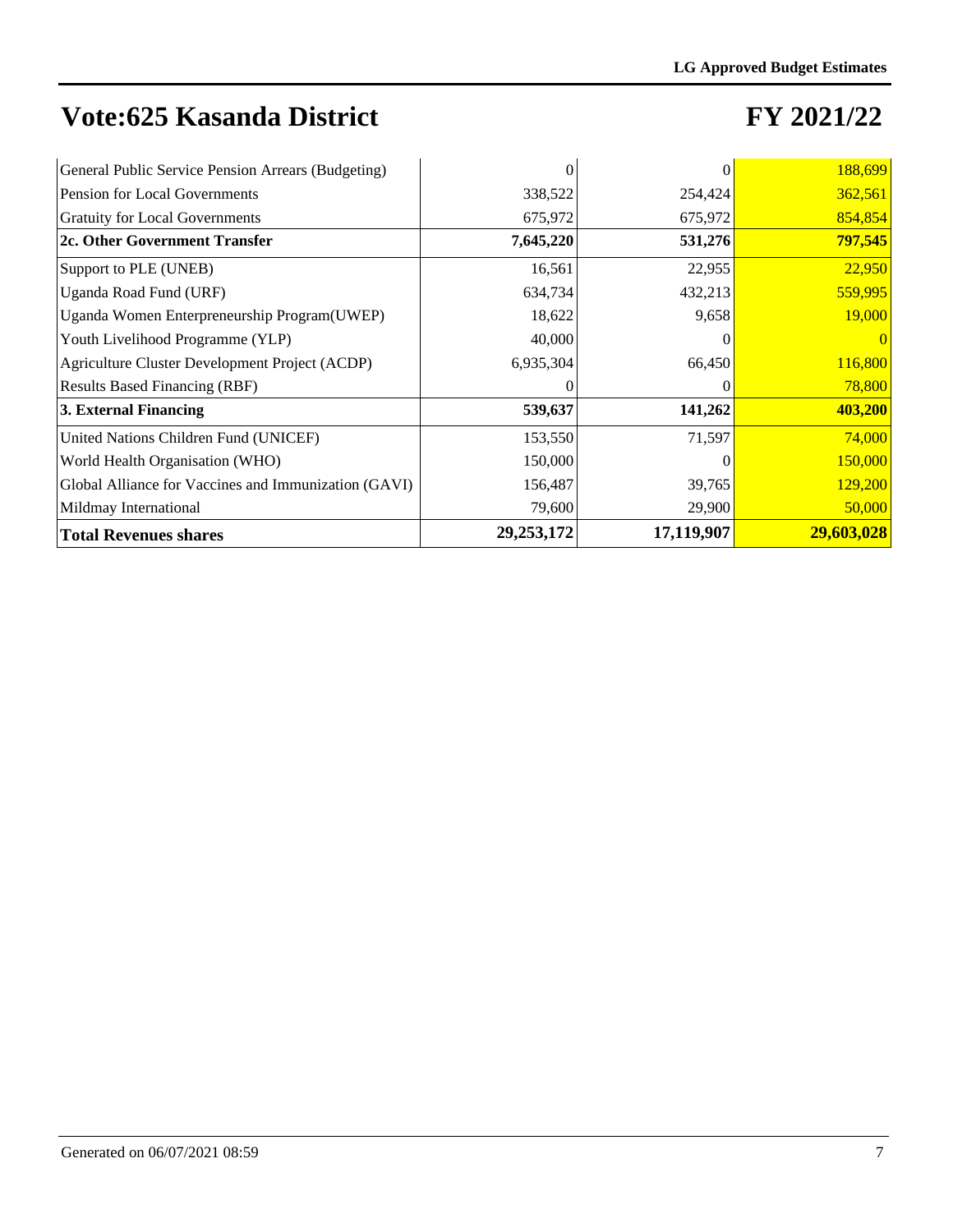| General Public Service Pension Arrears (Budgeting)   |              |            | 188,699    |
|------------------------------------------------------|--------------|------------|------------|
| Pension for Local Governments                        | 338,522      | 254,424    | 362,561    |
| <b>Gratuity for Local Governments</b>                | 675,972      | 675,972    | 854,854    |
| 2c. Other Government Transfer                        | 7,645,220    | 531,276    | 797,545    |
| Support to PLE (UNEB)                                | 16,561       | 22,955     | 22,950     |
| Uganda Road Fund (URF)                               | 634,734      | 432,213    | 559,995    |
| Uganda Women Enterpreneurship Program(UWEP)          | 18,622       | 9,658      | 19,000     |
| Youth Livelihood Programme (YLP)                     | 40,000       |            |            |
| Agriculture Cluster Development Project (ACDP)       | 6,935,304    | 66,450     | 116,800    |
| <b>Results Based Financing (RBF)</b>                 | $\theta$     |            | 78,800     |
| 3. External Financing                                | 539,637      | 141,262    | 403,200    |
| United Nations Children Fund (UNICEF)                | 153,550      | 71,597     | 74,000     |
| World Health Organisation (WHO)                      | 150,000      |            | 150,000    |
| Global Alliance for Vaccines and Immunization (GAVI) | 156,487      | 39,765     | 129,200    |
| Mildmay International                                | 79,600       | 29,900     | 50,000     |
| <b>Total Revenues shares</b>                         | 29, 253, 172 | 17,119,907 | 29,603,028 |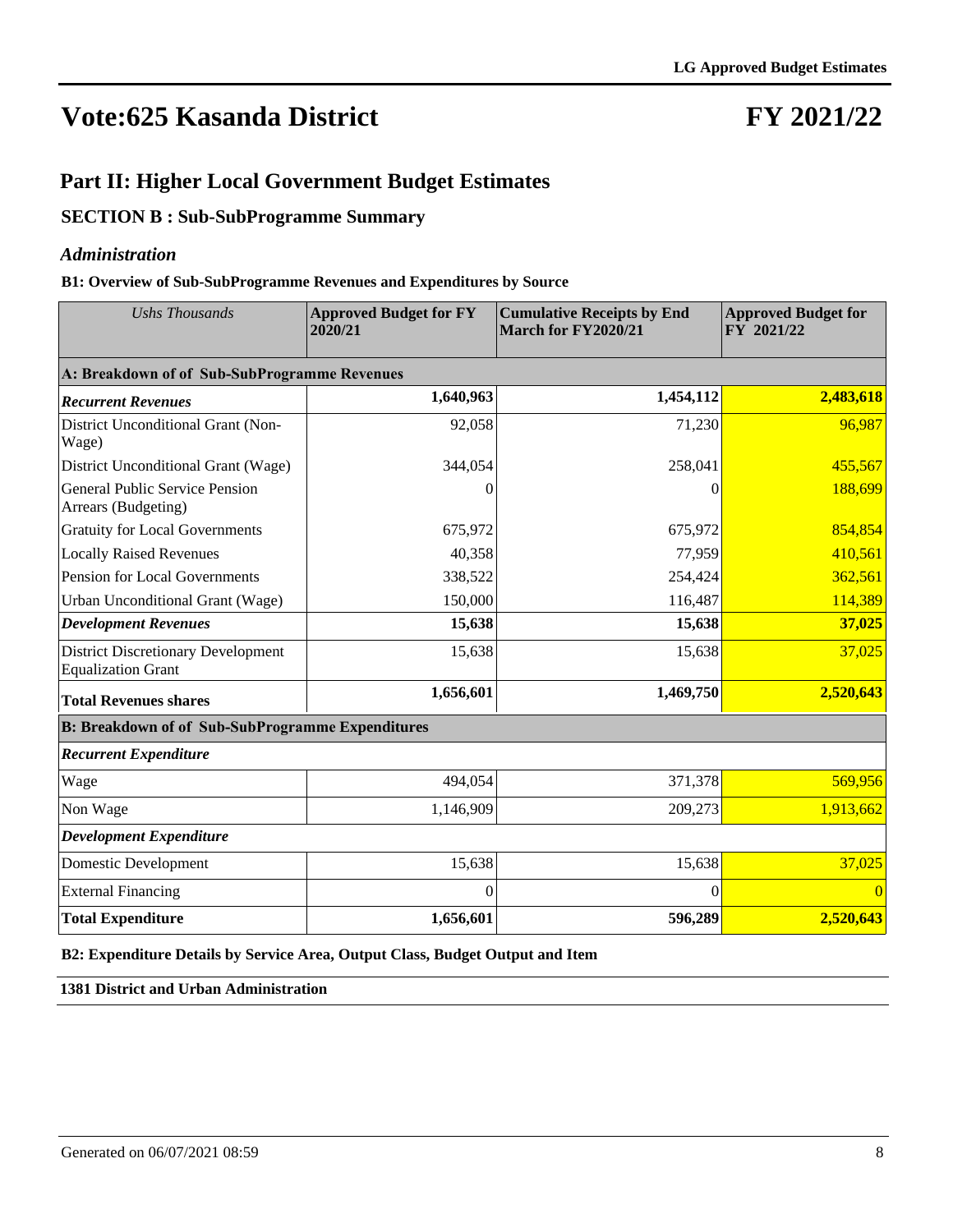## **FY 2021/22**

#### **Part II: Higher Local Government Budget Estimates**

#### **SECTION B : Sub-SubProgramme Summary**

#### *Administration*

#### **B1: Overview of Sub-SubProgramme Revenues and Expenditures by Source**

| <b>Ushs Thousands</b>                                                  | <b>Approved Budget for FY</b><br>2020/21 | <b>Cumulative Receipts by End</b><br>March for FY2020/21 | <b>Approved Budget for</b><br>$\overline{FY}$ 2021/22 |  |  |
|------------------------------------------------------------------------|------------------------------------------|----------------------------------------------------------|-------------------------------------------------------|--|--|
| A: Breakdown of of Sub-SubProgramme Revenues                           |                                          |                                                          |                                                       |  |  |
| <b>Recurrent Revenues</b>                                              | 1,640,963                                | 1,454,112                                                | 2,483,618                                             |  |  |
| District Unconditional Grant (Non-<br>Wage)                            | 92,058                                   | 71,230                                                   | 96,987                                                |  |  |
| District Unconditional Grant (Wage)                                    | 344,054                                  | 258,041                                                  | 455,567                                               |  |  |
| <b>General Public Service Pension</b><br>Arrears (Budgeting)           | 0                                        | 0                                                        | 188,699                                               |  |  |
| <b>Gratuity for Local Governments</b>                                  | 675,972                                  | 675,972                                                  | 854,854                                               |  |  |
| <b>Locally Raised Revenues</b>                                         | 40,358                                   | 77,959                                                   | 410,561                                               |  |  |
| Pension for Local Governments                                          | 338,522                                  | 254,424                                                  | 362,561                                               |  |  |
| Urban Unconditional Grant (Wage)                                       | 150,000                                  | 116,487                                                  | 114,389                                               |  |  |
| <b>Development Revenues</b>                                            | 15,638                                   | 15,638                                                   | 37,025                                                |  |  |
| <b>District Discretionary Development</b><br><b>Equalization Grant</b> | 15,638                                   | 15,638                                                   | 37,025                                                |  |  |
| <b>Total Revenues shares</b>                                           | 1,656,601                                | 1,469,750                                                | 2,520,643                                             |  |  |
| <b>B: Breakdown of of Sub-SubProgramme Expenditures</b>                |                                          |                                                          |                                                       |  |  |
| <b>Recurrent Expenditure</b>                                           |                                          |                                                          |                                                       |  |  |
| Wage                                                                   | 494,054                                  | 371,378                                                  | 569,956                                               |  |  |
| Non Wage                                                               | 1,146,909                                | 209,273                                                  | 1,913,662                                             |  |  |
| <b>Development Expenditure</b>                                         |                                          |                                                          |                                                       |  |  |
| <b>Domestic Development</b>                                            | 15,638                                   | 15,638                                                   | 37,025                                                |  |  |
| <b>External Financing</b>                                              | $\Omega$                                 | 0                                                        |                                                       |  |  |
| <b>Total Expenditure</b>                                               | 1,656,601                                | 596,289                                                  | 2,520,643                                             |  |  |

**B2: Expenditure Details by Service Area, Output Class, Budget Output and Item**

**1381 District and Urban Administration**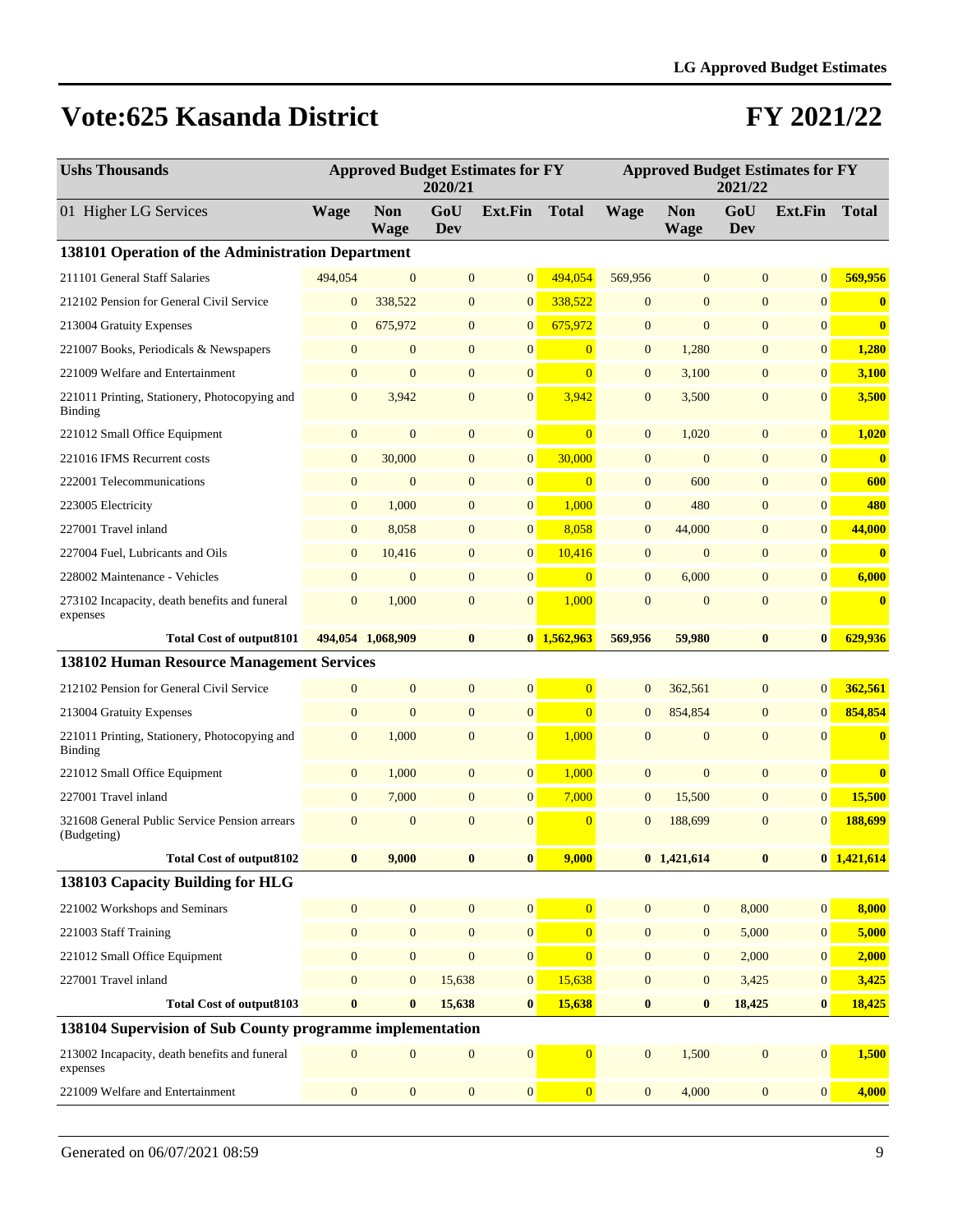| <b>Ushs Thousands</b>                                           | <b>Approved Budget Estimates for FY</b><br>2020/21 |                           |                  |                  | <b>Approved Budget Estimates for FY</b><br>2021/22 |                  |                           |                |                |               |
|-----------------------------------------------------------------|----------------------------------------------------|---------------------------|------------------|------------------|----------------------------------------------------|------------------|---------------------------|----------------|----------------|---------------|
| 01 Higher LG Services                                           | <b>Wage</b>                                        | <b>Non</b><br><b>Wage</b> | GoU<br>Dev       | <b>Ext.Fin</b>   | <b>Total</b>                                       | <b>Wage</b>      | <b>Non</b><br><b>Wage</b> | GoU<br>Dev     | Ext.Fin        | <b>Total</b>  |
| 138101 Operation of the Administration Department               |                                                    |                           |                  |                  |                                                    |                  |                           |                |                |               |
| 211101 General Staff Salaries                                   | 494,054                                            | $\mathbf{0}$              | $\mathbf{0}$     | $\boldsymbol{0}$ | 494.054                                            | 569,956          | $\mathbf{0}$              | $\overline{0}$ | $\overline{0}$ | 569,956       |
| 212102 Pension for General Civil Service                        | $\mathbf{0}$                                       | 338,522                   | $\mathbf{0}$     | $\mathbf{0}$     | 338,522                                            | $\boldsymbol{0}$ | $\mathbf{0}$              | $\mathbf{0}$   | $\overline{0}$ | $\bf{0}$      |
| 213004 Gratuity Expenses                                        | $\mathbf{0}$                                       | 675,972                   | $\mathbf{0}$     | $\mathbf{0}$     | 675,972                                            | $\mathbf{0}$     | $\mathbf{0}$              | $\mathbf{0}$   | $\mathbf{0}$   | $\bf{0}$      |
| 221007 Books, Periodicals & Newspapers                          | $\mathbf{0}$                                       | $\boldsymbol{0}$          | $\mathbf{0}$     | $\boldsymbol{0}$ | $\overline{0}$                                     | $\mathbf{0}$     | 1,280                     | $\mathbf{0}$   | $\mathbf{0}$   | 1,280         |
| 221009 Welfare and Entertainment                                | $\mathbf{0}$                                       | $\mathbf{0}$              | $\mathbf{0}$     | $\mathbf{0}$     | $\overline{0}$                                     | $\mathbf{0}$     | 3,100                     | $\mathbf{0}$   | $\mathbf{0}$   | 3,100         |
| 221011 Printing, Stationery, Photocopying and<br><b>Binding</b> | $\mathbf{0}$                                       | 3,942                     | $\mathbf{0}$     | $\mathbf{0}$     | 3,942                                              | $\mathbf{0}$     | 3,500                     | $\mathbf{0}$   | $\overline{0}$ | 3,500         |
| 221012 Small Office Equipment                                   | $\mathbf{0}$                                       | $\mathbf{0}$              | $\mathbf{0}$     | $\boldsymbol{0}$ | $\overline{0}$                                     | $\mathbf{0}$     | 1,020                     | $\overline{0}$ | 0              | 1,020         |
| 221016 IFMS Recurrent costs                                     | $\mathbf{0}$                                       | 30,000                    | $\mathbf{0}$     | $\mathbf{0}$     | 30,000                                             | $\mathbf{0}$     | $\mathbf{0}$              | $\overline{0}$ | $\overline{0}$ | $\bf{0}$      |
| 222001 Telecommunications                                       | $\boldsymbol{0}$                                   | $\mathbf{0}$              | $\mathbf{0}$     | $\boldsymbol{0}$ | $\overline{0}$                                     | $\mathbf{0}$     | 600                       | $\overline{0}$ | $\mathbf{0}$   | 600           |
| 223005 Electricity                                              | $\boldsymbol{0}$                                   | 1,000                     | $\mathbf{0}$     | $\boldsymbol{0}$ | 1,000                                              | $\mathbf{0}$     | 480                       | $\mathbf{0}$   | $\mathbf{0}$   | 480           |
| 227001 Travel inland                                            | $\boldsymbol{0}$                                   | 8,058                     | $\mathbf{0}$     | $\mathbf{0}$     | 8,058                                              | $\mathbf{0}$     | 44,000                    | $\overline{0}$ | $\overline{0}$ | 44,000        |
| 227004 Fuel, Lubricants and Oils                                | $\mathbf{0}$                                       | 10,416                    | $\mathbf{0}$     | $\boldsymbol{0}$ | 10,416                                             | $\boldsymbol{0}$ | $\boldsymbol{0}$          | $\mathbf{0}$   | $\mathbf{0}$   | $\bf{0}$      |
| 228002 Maintenance - Vehicles                                   | $\mathbf{0}$                                       | $\boldsymbol{0}$          | $\mathbf{0}$     | $\boldsymbol{0}$ | $\overline{0}$                                     | $\mathbf{0}$     | 6,000                     | $\mathbf{0}$   | $\mathbf{0}$   | 6,000         |
| 273102 Incapacity, death benefits and funeral<br>expenses       | $\mathbf{0}$                                       | 1,000                     | $\mathbf{0}$     | $\mathbf{0}$     | 1,000                                              | $\mathbf{0}$     | $\mathbf{0}$              | $\mathbf{0}$   | $\mathbf{0}$   | $\mathbf{0}$  |
| <b>Total Cost of output8101</b>                                 |                                                    | 494,054 1,068,909         | $\bf{0}$         |                  | $0$ 1,562,963                                      | 569,956          | 59,980                    | $\bf{0}$       | $\bf{0}$       | 629,936       |
| <b>138102 Human Resource Management Services</b>                |                                                    |                           |                  |                  |                                                    |                  |                           |                |                |               |
| 212102 Pension for General Civil Service                        | $\boldsymbol{0}$                                   | $\boldsymbol{0}$          | $\mathbf{0}$     | $\boldsymbol{0}$ | $\overline{0}$                                     | $\mathbf{0}$     | 362,561                   | $\mathbf{0}$   | $\mathbf{0}$   | 362,561       |
| 213004 Gratuity Expenses                                        | $\mathbf{0}$                                       | $\mathbf{0}$              | $\mathbf{0}$     | $\boldsymbol{0}$ | $\overline{0}$                                     | $\overline{0}$   | 854,854                   | $\mathbf{0}$   | $\overline{0}$ | 854,854       |
| 221011 Printing, Stationery, Photocopying and<br>Binding        | $\mathbf{0}$                                       | 1,000                     | $\mathbf{0}$     | $\mathbf{0}$     | 1,000                                              | $\mathbf{0}$     | $\mathbf{0}$              | $\overline{0}$ | $\mathbf{0}$   | $\bf{0}$      |
| 221012 Small Office Equipment                                   | $\boldsymbol{0}$                                   | 1,000                     | $\mathbf{0}$     | $\mathbf{0}$     | 1,000                                              | $\mathbf{0}$     | $\mathbf{0}$              | $\mathbf{0}$   | $\mathbf{0}$   | $\bf{0}$      |
| 227001 Travel inland                                            | $\mathbf{0}$                                       | 7,000                     | $\mathbf{0}$     | $\mathbf{0}$     | 7,000                                              | $\mathbf{0}$     | 15,500                    | $\mathbf{0}$   | $\overline{0}$ | 15,500        |
| 321608 General Public Service Pension arrears<br>(Budgeting)    | $\mathbf{0}$                                       | $\mathbf{0}$              | $\overline{0}$   | $\mathbf{0}$     | $\Omega$                                           | $\overline{0}$   | 188,699                   | $\overline{0}$ | $\overline{0}$ | 188,699       |
| <b>Total Cost of output8102</b>                                 |                                                    | 9,000                     |                  | $\boldsymbol{0}$ | 9,000                                              |                  | $0$ 1,421,614             | $\bf{0}$       |                | $0$ 1,421,614 |
| 138103 Capacity Building for HLG                                |                                                    |                           |                  |                  |                                                    |                  |                           |                |                |               |
| 221002 Workshops and Seminars                                   | $\mathbf{0}$                                       | $\boldsymbol{0}$          | $\boldsymbol{0}$ | $\boldsymbol{0}$ | $\overline{0}$                                     | $\boldsymbol{0}$ | $\mathbf{0}$              | 8,000          | $\mathbf{0}$   | 8,000         |
| 221003 Staff Training                                           | $\mathbf{0}$                                       | $\overline{0}$            | $\boldsymbol{0}$ | $\boldsymbol{0}$ | $\overline{0}$                                     | $\boldsymbol{0}$ | $\mathbf{0}$              | 5,000          | $\mathbf{0}$   | 5,000         |
| 221012 Small Office Equipment                                   | $\mathbf{0}$                                       | $\mathbf{0}$              | $\boldsymbol{0}$ | $\boldsymbol{0}$ | $\overline{0}$                                     | $\mathbf{0}$     | $\boldsymbol{0}$          | 2,000          | $\mathbf{0}$   | 2,000         |
| 227001 Travel inland                                            | $\boldsymbol{0}$                                   | $\mathbf{0}$              | 15,638           | $\boldsymbol{0}$ | 15,638                                             | $\mathbf{0}$     | $\mathbf{0}$              | 3,425          | $\mathbf{0}$   | 3,425         |
| <b>Total Cost of output8103</b>                                 | $\bf{0}$                                           | $\bf{0}$                  | 15,638           | $\bf{0}$         | 15,638                                             | $\bf{0}$         | $\bf{0}$                  | 18,425         | $\bf{0}$       | 18,425        |
| 138104 Supervision of Sub County programme implementation       |                                                    |                           |                  |                  |                                                    |                  |                           |                |                |               |
| 213002 Incapacity, death benefits and funeral<br>expenses       | $\overline{0}$                                     | $\boldsymbol{0}$          | $\boldsymbol{0}$ | $\boldsymbol{0}$ | $\overline{0}$                                     | $\boldsymbol{0}$ | 1,500                     | $\mathbf{0}$   | $\mathbf{0}$   | 1,500         |
| 221009 Welfare and Entertainment                                | $\boldsymbol{0}$                                   | $\mathbf{0}$              | $\boldsymbol{0}$ | $\boldsymbol{0}$ | $\vert 0 \vert$                                    | $\mathbf{0}$     | 4,000                     | $\mathbf{0}$   | $\mathbf{0}$   | 4,000         |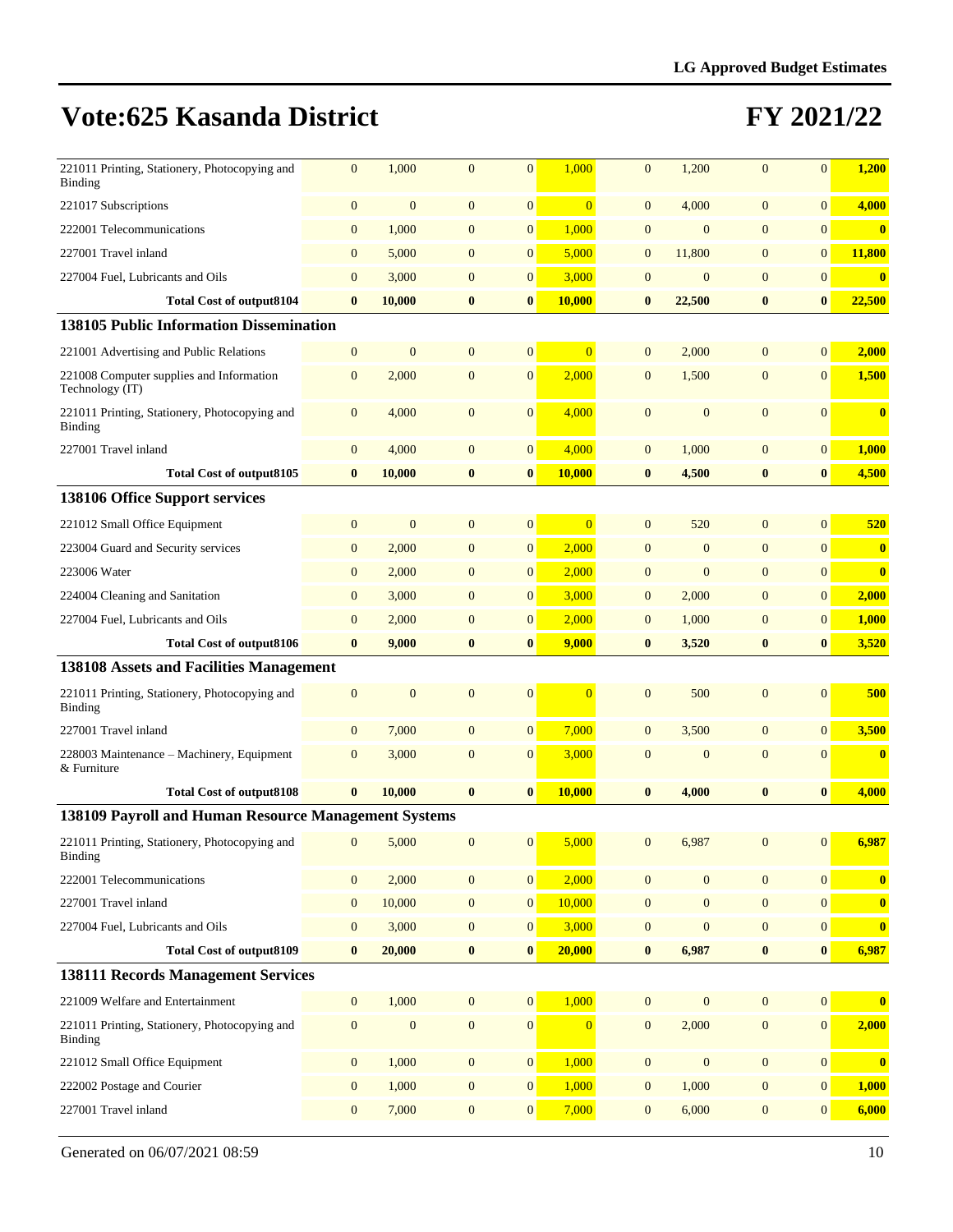| 221011 Printing, Stationery, Photocopying and<br>Binding    | $\mathbf{0}$     | 1,000            | $\mathbf{0}$     | $\mathbf{0}$     | 1,000          | $\mathbf{0}$     | 1,200            | $\mathbf{0}$     | $\overline{0}$   | 1,200                   |
|-------------------------------------------------------------|------------------|------------------|------------------|------------------|----------------|------------------|------------------|------------------|------------------|-------------------------|
| 221017 Subscriptions                                        | $\mathbf{0}$     | $\mathbf{0}$     | $\mathbf{0}$     | $\boldsymbol{0}$ | $\overline{0}$ | $\mathbf{0}$     | 4,000            | $\mathbf{0}$     | $\mathbf{0}$     | 4,000                   |
| 222001 Telecommunications                                   | $\boldsymbol{0}$ | 1,000            | $\mathbf{0}$     | $\mathbf{0}$     | 1,000          | $\mathbf{0}$     | $\mathbf{0}$     | $\mathbf{0}$     | $\mathbf{0}$     | $\overline{\mathbf{0}}$ |
| 227001 Travel inland                                        | $\boldsymbol{0}$ | 5,000            | $\mathbf{0}$     | $\boldsymbol{0}$ | 5,000          | $\mathbf{0}$     | 11,800           | $\mathbf{0}$     | $\mathbf{0}$     | 11,800                  |
| 227004 Fuel, Lubricants and Oils                            | $\mathbf{0}$     | 3,000            | $\mathbf{0}$     | $\boldsymbol{0}$ | 3,000          | $\boldsymbol{0}$ | $\mathbf{0}$     | $\mathbf{0}$     | $\boldsymbol{0}$ | $\bf{0}$                |
| <b>Total Cost of output8104</b>                             | $\bf{0}$         | 10,000           | $\bf{0}$         | $\bf{0}$         | 10,000         | $\bf{0}$         | 22,500           | $\bf{0}$         | $\bf{0}$         | 22,500                  |
| 138105 Public Information Dissemination                     |                  |                  |                  |                  |                |                  |                  |                  |                  |                         |
| 221001 Advertising and Public Relations                     | $\boldsymbol{0}$ | $\mathbf{0}$     | $\mathbf{0}$     | $\boldsymbol{0}$ | $\overline{0}$ | $\mathbf{0}$     | 2,000            | $\mathbf{0}$     | $\mathbf{0}$     | 2,000                   |
| 221008 Computer supplies and Information<br>Technology (IT) | $\mathbf{0}$     | 2,000            | $\mathbf{0}$     | $\boldsymbol{0}$ | 2,000          | $\mathbf{0}$     | 1,500            | $\mathbf{0}$     | $\mathbf{0}$     | 1,500                   |
| 221011 Printing, Stationery, Photocopying and<br>Binding    | $\mathbf{0}$     | 4,000            | $\mathbf{0}$     | $\overline{0}$   | 4,000          | $\mathbf{0}$     | $\mathbf{0}$     | $\mathbf{0}$     | $\mathbf{0}$     | $\bf{0}$                |
| 227001 Travel inland                                        | $\mathbf{0}$     | 4,000            | $\mathbf{0}$     | $\boldsymbol{0}$ | 4,000          | $\mathbf{0}$     | 1,000            | $\mathbf{0}$     | $\mathbf{0}$     | 1,000                   |
| <b>Total Cost of output8105</b>                             | $\bf{0}$         | 10,000           | $\bf{0}$         | $\bf{0}$         | 10,000         | $\bf{0}$         | 4,500            | $\bf{0}$         | $\bf{0}$         | 4,500                   |
| 138106 Office Support services                              |                  |                  |                  |                  |                |                  |                  |                  |                  |                         |
| 221012 Small Office Equipment                               | $\boldsymbol{0}$ | $\mathbf{0}$     | $\mathbf{0}$     | $\boldsymbol{0}$ | $\overline{0}$ | $\mathbf{0}$     | 520              | $\mathbf{0}$     | $\mathbf{0}$     | 520                     |
| 223004 Guard and Security services                          | $\boldsymbol{0}$ | 2,000            | $\mathbf{0}$     | $\mathbf{0}$     | 2,000          | $\overline{0}$   | $\mathbf{0}$     | $\mathbf{0}$     | $\overline{0}$   | $\boldsymbol{0}$        |
| 223006 Water                                                | $\mathbf{0}$     | 2,000            | $\mathbf{0}$     | $\boldsymbol{0}$ | 2,000          | $\mathbf{0}$     | $\boldsymbol{0}$ | $\mathbf{0}$     | $\mathbf{0}$     | $\bf{0}$                |
| 224004 Cleaning and Sanitation                              | $\mathbf{0}$     | 3,000            | $\mathbf{0}$     | $\overline{0}$   | 3,000          | $\mathbf{0}$     | 2,000            | $\mathbf{0}$     | $\mathbf{0}$     | 2,000                   |
| 227004 Fuel, Lubricants and Oils                            | $\mathbf{0}$     | 2,000            | $\mathbf{0}$     | $\mathbf{0}$     | 2,000          | $\mathbf{0}$     | 1,000            | $\mathbf{0}$     | $\mathbf{0}$     | 1,000                   |
| <b>Total Cost of output8106</b>                             | $\bf{0}$         | 9,000            | $\bf{0}$         | $\bf{0}$         | 9,000          | $\bf{0}$         | 3,520            | $\bf{0}$         | $\bf{0}$         | 3,520                   |
| 138108 Assets and Facilities Management                     |                  |                  |                  |                  |                |                  |                  |                  |                  |                         |
| 221011 Printing, Stationery, Photocopying and<br>Binding    | $\mathbf{0}$     | $\mathbf{0}$     | $\theta$         | $\mathbf{0}$     | $\Omega$       | $\mathbf{0}$     | 500              | $\overline{0}$   | $\mathbf{0}$     | 500                     |
| 227001 Travel inland                                        | $\mathbf{0}$     | 7,000            | $\mathbf{0}$     | $\mathbf{0}$     | 7,000          | $\mathbf{0}$     | 3,500            | $\overline{0}$   | $\mathbf{0}$     | 3,500                   |
| 228003 Maintenance - Machinery, Equipment<br>& Furniture    | $\mathbf{0}$     | 3,000            | $\mathbf{0}$     | $\mathbf{0}$     | 3,000          | $\mathbf{0}$     | $\mathbf{0}$     | $\mathbf{0}$     | $\mathbf{0}$     | $\bf{0}$                |
| <b>Total Cost of output8108</b>                             | $\bf{0}$         | 10,000           | $\bf{0}$         | $\bf{0}$         | 10,000         | $\bf{0}$         | 4,000            | $\bf{0}$         | $\bf{0}$         | 4,000                   |
| 138109 Payroll and Human Resource Management Systems        |                  |                  |                  |                  |                |                  |                  |                  |                  |                         |
| 221011 Printing, Stationery, Photocopying and<br>Binding    | $\mathbf{0}$     | 5,000            | $\mathbf{0}$     | $\mathbf{0}$     | 5,000          | $\mathbf{0}$     | 6,987            | $\Omega$         | $\overline{0}$   | 6,987                   |
| 222001 Telecommunications                                   | $\boldsymbol{0}$ | 2,000            | $\boldsymbol{0}$ | $\boldsymbol{0}$ | 2,000          | $\boldsymbol{0}$ | $\boldsymbol{0}$ | $\boldsymbol{0}$ | $\boldsymbol{0}$ | $\bf{0}$                |
| 227001 Travel inland                                        | $\boldsymbol{0}$ | 10,000           | $\boldsymbol{0}$ | $\mathbf{0}$     | 10,000         | $\boldsymbol{0}$ | $\boldsymbol{0}$ | $\boldsymbol{0}$ | $\boldsymbol{0}$ | $\bf{0}$                |
| 227004 Fuel, Lubricants and Oils                            | $\boldsymbol{0}$ | 3,000            | $\mathbf{0}$     | $\mathbf{0}$     | 3,000          | $\boldsymbol{0}$ | $\boldsymbol{0}$ | $\mathbf{0}$     | $\boldsymbol{0}$ | $\boldsymbol{0}$        |
| <b>Total Cost of output8109</b>                             | $\bf{0}$         | 20,000           | $\bf{0}$         | $\bf{0}$         | 20,000         | $\bf{0}$         | 6,987            | $\bf{0}$         | $\bf{0}$         | 6,987                   |
| <b>138111 Records Management Services</b>                   |                  |                  |                  |                  |                |                  |                  |                  |                  |                         |
| 221009 Welfare and Entertainment                            | $\mathbf{0}$     | 1,000            | $\mathbf{0}$     | $\boldsymbol{0}$ | 1,000          | $\boldsymbol{0}$ | $\mathbf{0}$     | $\mathbf{0}$     | $\boldsymbol{0}$ | $\boldsymbol{0}$        |
| 221011 Printing, Stationery, Photocopying and<br>Binding    | $\boldsymbol{0}$ | $\boldsymbol{0}$ | $\mathbf{0}$     | $\boldsymbol{0}$ | $\mathbf{0}$   | $\boldsymbol{0}$ | 2,000            | $\boldsymbol{0}$ | $\boldsymbol{0}$ | 2,000                   |
| 221012 Small Office Equipment                               | $\mathbf{0}$     | 1,000            | $\mathbf{0}$     | $\mathbf{0}$     | 1,000          | $\boldsymbol{0}$ | $\boldsymbol{0}$ | $\boldsymbol{0}$ | $\mathbf{0}$     | $\bf{0}$                |
| 222002 Postage and Courier                                  | $\boldsymbol{0}$ | 1,000            | $\mathbf{0}$     | $\mathbf{0}$     | 1,000          | $\boldsymbol{0}$ |                  | $\boldsymbol{0}$ | $\boldsymbol{0}$ | 1,000                   |
|                                                             |                  |                  |                  |                  |                |                  | 1,000            |                  |                  |                         |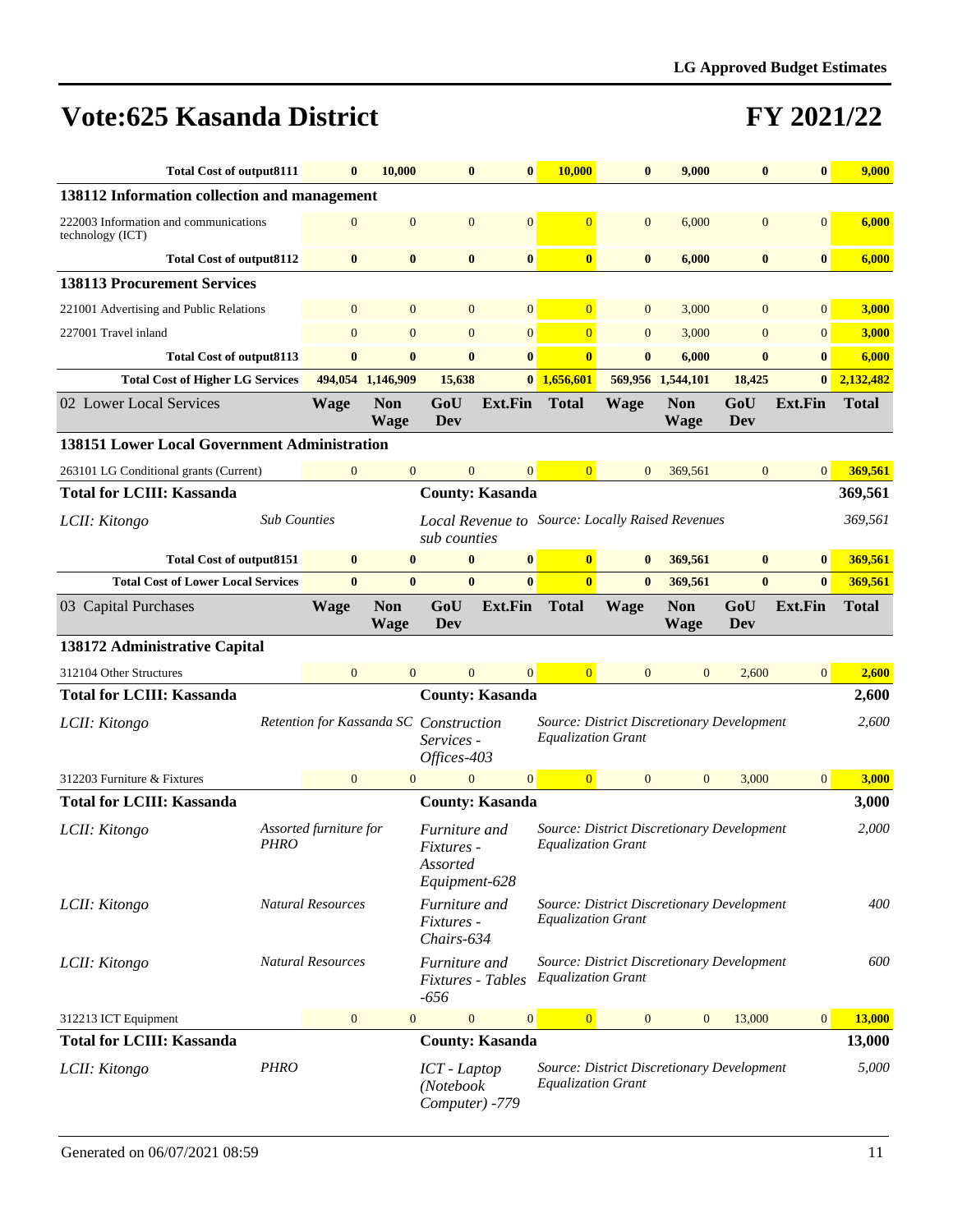| <b>Total Cost of output8111</b>                           |                     | $\bf{0}$                               | 10,000                    | $\bf{0}$                                                 | $\bf{0}$               | 10,000                    | $\bf{0}$       | 9,000                                            | $\bf{0}$          | $\bf{0}$       | 9,000        |
|-----------------------------------------------------------|---------------------|----------------------------------------|---------------------------|----------------------------------------------------------|------------------------|---------------------------|----------------|--------------------------------------------------|-------------------|----------------|--------------|
| 138112 Information collection and management              |                     |                                        |                           |                                                          |                        |                           |                |                                                  |                   |                |              |
| 222003 Information and communications<br>technology (ICT) |                     | $\overline{0}$                         | $\mathbf{0}$              | $\mathbf{0}$                                             | $\mathbf{0}$           | $\overline{0}$            | $\overline{0}$ | 6,000                                            | $\mathbf{0}$      | $\mathbf{0}$   | 6,000        |
| <b>Total Cost of output8112</b>                           |                     | $\bf{0}$                               | $\bf{0}$                  | $\bf{0}$                                                 | $\bf{0}$               | $\bf{0}$                  | $\bf{0}$       | 6,000                                            | $\bf{0}$          | $\bf{0}$       | 6,000        |
| <b>138113 Procurement Services</b>                        |                     |                                        |                           |                                                          |                        |                           |                |                                                  |                   |                |              |
| 221001 Advertising and Public Relations                   |                     | $\mathbf{0}$                           | $\mathbf{0}$              | $\mathbf{0}$                                             | $\mathbf{0}$           | $\overline{0}$            | $\mathbf{0}$   | 3,000                                            | $\mathbf{0}$      | $\mathbf{0}$   | 3,000        |
| 227001 Travel inland                                      |                     | $\mathbf{0}$                           | $\mathbf{0}$              | $\overline{0}$                                           | $\overline{0}$         | $\overline{0}$            | $\overline{0}$ | 3,000                                            | $\mathbf{0}$      | $\mathbf{0}$   | 3,000        |
| <b>Total Cost of output8113</b>                           |                     | $\bf{0}$                               | $\bf{0}$                  | $\bf{0}$                                                 | $\bf{0}$               | $\bf{0}$                  | $\bf{0}$       | 6,000                                            | $\bf{0}$          | $\bf{0}$       | 6,000        |
| <b>Total Cost of Higher LG Services</b>                   |                     |                                        | 494,054 1,146,909         | 15,638                                                   |                        | $0$ 1,656,601             |                | 569,956 1,544,101                                | 18,425            | $\bf{0}$       | 2,132,482    |
| 02 Lower Local Services                                   |                     | Wage                                   | <b>Non</b><br><b>Wage</b> | GoU<br>Dev                                               | <b>Ext.Fin</b>         | <b>Total</b>              | <b>Wage</b>    | <b>Non</b><br><b>Wage</b>                        | GoU<br>Dev        | <b>Ext.Fin</b> | <b>Total</b> |
| <b>138151 Lower Local Government Administration</b>       |                     |                                        |                           |                                                          |                        |                           |                |                                                  |                   |                |              |
| 263101 LG Conditional grants (Current)                    |                     | $\mathbf{0}$                           | $\mathbf{0}$              | $\mathbf{0}$                                             | $\overline{0}$         | $\overline{0}$            | $\overline{0}$ | 369,561                                          | $\mathbf{0}$      | 0              | 369,561      |
| <b>Total for LCIII: Kassanda</b>                          |                     |                                        |                           |                                                          | <b>County: Kasanda</b> |                           |                |                                                  |                   |                | 369,561      |
| LCII: Kitongo                                             | <b>Sub Counties</b> |                                        |                           | sub counties                                             |                        |                           |                | Local Revenue to Source: Locally Raised Revenues |                   |                | 369,561      |
| <b>Total Cost of output8151</b>                           |                     | $\bf{0}$                               | $\bf{0}$                  | $\bf{0}$                                                 | $\bf{0}$               | $\overline{\mathbf{0}}$   | $\bf{0}$       | 369,561                                          | $\bf{0}$          | $\bf{0}$       | 369,561      |
| <b>Total Cost of Lower Local Services</b>                 |                     | $\mathbf{0}$                           | $\bf{0}$                  | $\mathbf{0}$                                             | $\mathbf{0}$           | $\overline{0}$            | $\mathbf{0}$   | 369,561                                          | $\bf{0}$          | $\bf{0}$       | 369,561      |
| 03 Capital Purchases                                      |                     | <b>Wage</b>                            | <b>Non</b><br><b>Wage</b> | GoU<br>Dev                                               | <b>Ext.Fin</b>         | <b>Total</b>              | <b>Wage</b>    | <b>Non</b><br><b>Wage</b>                        | GoU<br><b>Dev</b> | Ext.Fin        | <b>Total</b> |
| 138172 Administrative Capital                             |                     |                                        |                           |                                                          |                        |                           |                |                                                  |                   |                |              |
| 312104 Other Structures                                   |                     | $\Omega$                               | $\overline{0}$            | $\overline{0}$                                           | $\overline{0}$         | $\Omega$                  | $\Omega$       | $\Omega$                                         | 2,600             | $\overline{0}$ | 2,600        |
| <b>Total for LCIII: Kassanda</b>                          |                     |                                        |                           |                                                          | <b>County: Kasanda</b> |                           |                |                                                  |                   |                | 2,600        |
| LCII: Kitongo                                             |                     | Retention for Kassanda SC Construction |                           | Services -<br>Offices-403                                |                        | <b>Equalization Grant</b> |                | Source: District Discretionary Development       |                   |                | 2,600        |
| 312203 Furniture & Fixtures                               |                     | $\mathbf{0}$                           | $\overline{0}$            | $\mathbf{0}$                                             | $\overline{0}$         | $\overline{0}$            | $\mathbf{0}$   | $\mathbf{0}$                                     | 3,000             | 0              | 3,000        |
| <b>Total for LCIII: Kassanda</b>                          |                     |                                        |                           |                                                          | <b>County: Kasanda</b> |                           |                |                                                  |                   |                | 3,000        |
| LCII: Kitongo                                             | <i>PHRO</i>         | Assorted furniture for                 |                           | Furniture and<br>Fixtures -<br>Assorted<br>Equipment-628 |                        | <b>Equalization Grant</b> |                | Source: District Discretionary Development       |                   |                | 2,000        |
| LCII: Kitongo                                             |                     | <b>Natural Resources</b>               |                           | Furniture and<br>Fixtures -<br>Chairs-634                |                        | <b>Equalization Grant</b> |                | Source: District Discretionary Development       |                   |                | 400          |
| LCII: Kitongo                                             |                     | <b>Natural Resources</b>               |                           | Furniture and<br>Fixtures - Tables<br>$-656$             |                        | <b>Equalization Grant</b> |                | Source: District Discretionary Development       |                   |                | 600          |
| 312213 ICT Equipment                                      |                     | $\mathbf{0}$                           | $\boldsymbol{0}$          | $\mathbf{0}$                                             | $\overline{0}$         | $\overline{0}$            | $\mathbf{0}$   | $\mathbf{0}$                                     | 13,000            | $\overline{0}$ | 13,000       |
| <b>Total for LCIII: Kassanda</b>                          |                     |                                        |                           |                                                          | <b>County: Kasanda</b> |                           |                |                                                  |                   |                | 13,000       |
| LCII: Kitongo                                             | <b>PHRO</b>         |                                        |                           | ICT - Laptop<br>(Notebook<br>Computer) -779              |                        | <b>Equalization Grant</b> |                | Source: District Discretionary Development       |                   |                | 5,000        |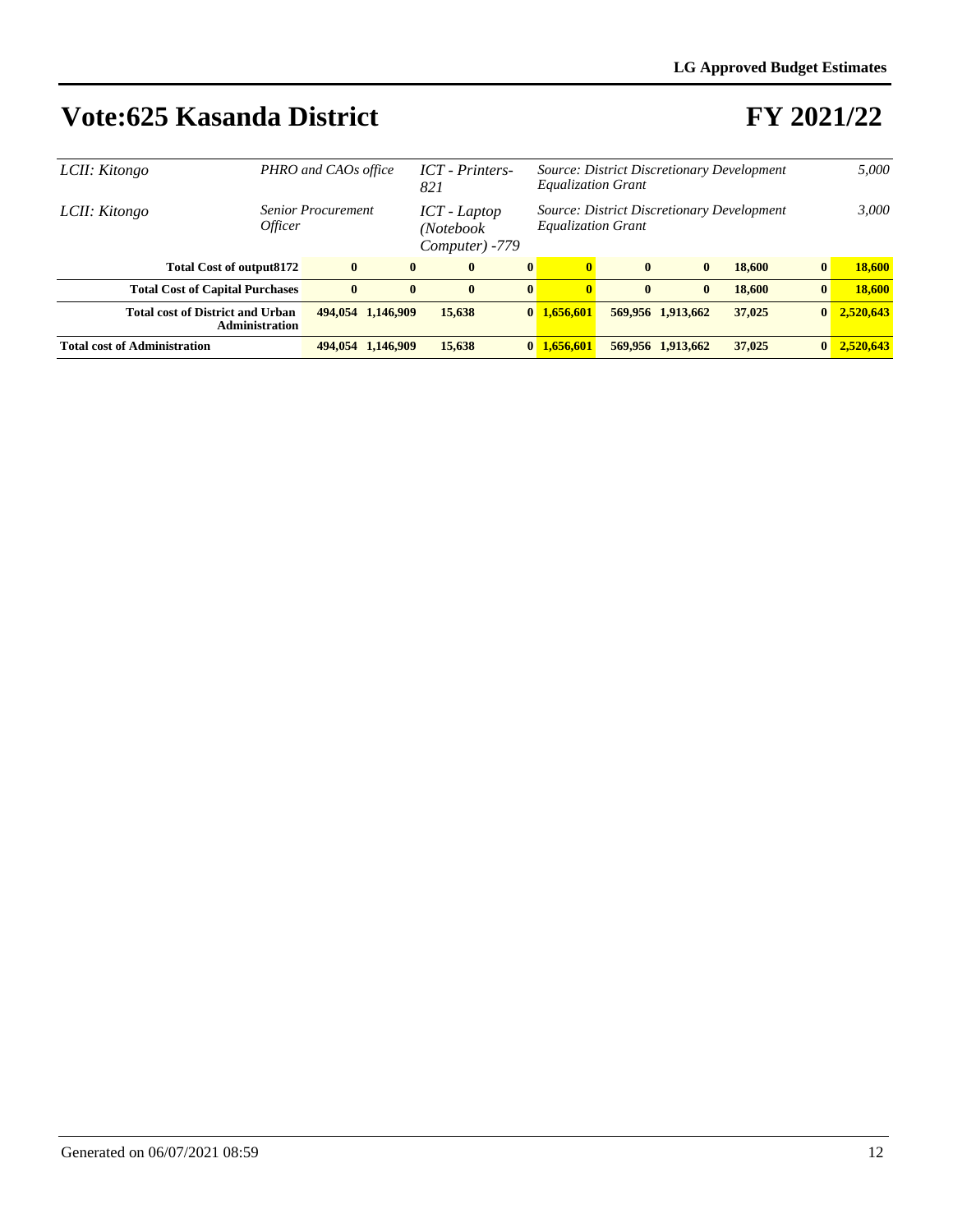| LCII: Kitongo | PHRO and CAOs office                                             |          |                   | <b>ICT</b> - Printers-<br>821                 |              | <b>Equalization Grant</b>                                               |              |                   | Source: District Discretionary Development |                 | 5,000     |
|---------------|------------------------------------------------------------------|----------|-------------------|-----------------------------------------------|--------------|-------------------------------------------------------------------------|--------------|-------------------|--------------------------------------------|-----------------|-----------|
| LCII: Kitongo | <b>Senior Procurement</b><br><i>Officer</i>                      |          |                   | $ICT - Laptop$<br>(Notebook<br>Computer) -779 |              | Source: District Discretionary Development<br><b>Equalization Grant</b> |              | 3,000             |                                            |                 |           |
|               | <b>Total Cost of output8172</b>                                  | $\bf{0}$ | $\mathbf{0}$      | $\mathbf{0}$                                  | $\bf{0}$     | $\mathbf{0}$                                                            | $\bf{0}$     | $\mathbf{0}$      | 18,600                                     | $\bf{0}$        | 18,600    |
|               | <b>Total Cost of Capital Purchases</b>                           | $\bf{0}$ | $\mathbf{0}$      | $\mathbf{0}$                                  | $\mathbf{0}$ | $\mathbf{0}$                                                            | $\mathbf{0}$ | $\mathbf{0}$      | 18,600                                     | $\bf{0}$        | 18,600    |
|               | <b>Total cost of District and Urban</b><br><b>Administration</b> |          | 494,054 1,146,909 | 15,638                                        |              | $0\ \ 1.656.601$                                                        |              | 569,956 1,913,662 | 37,025                                     | $\bf{0}$        | 2,520,643 |
|               | <b>Total cost of Administration</b>                              |          | 494,054 1,146,909 | 15.638                                        |              | $0 \; 1.656601$                                                         |              | 569,956 1,913,662 | 37,025                                     | $\vert 0 \vert$ | 2.520.643 |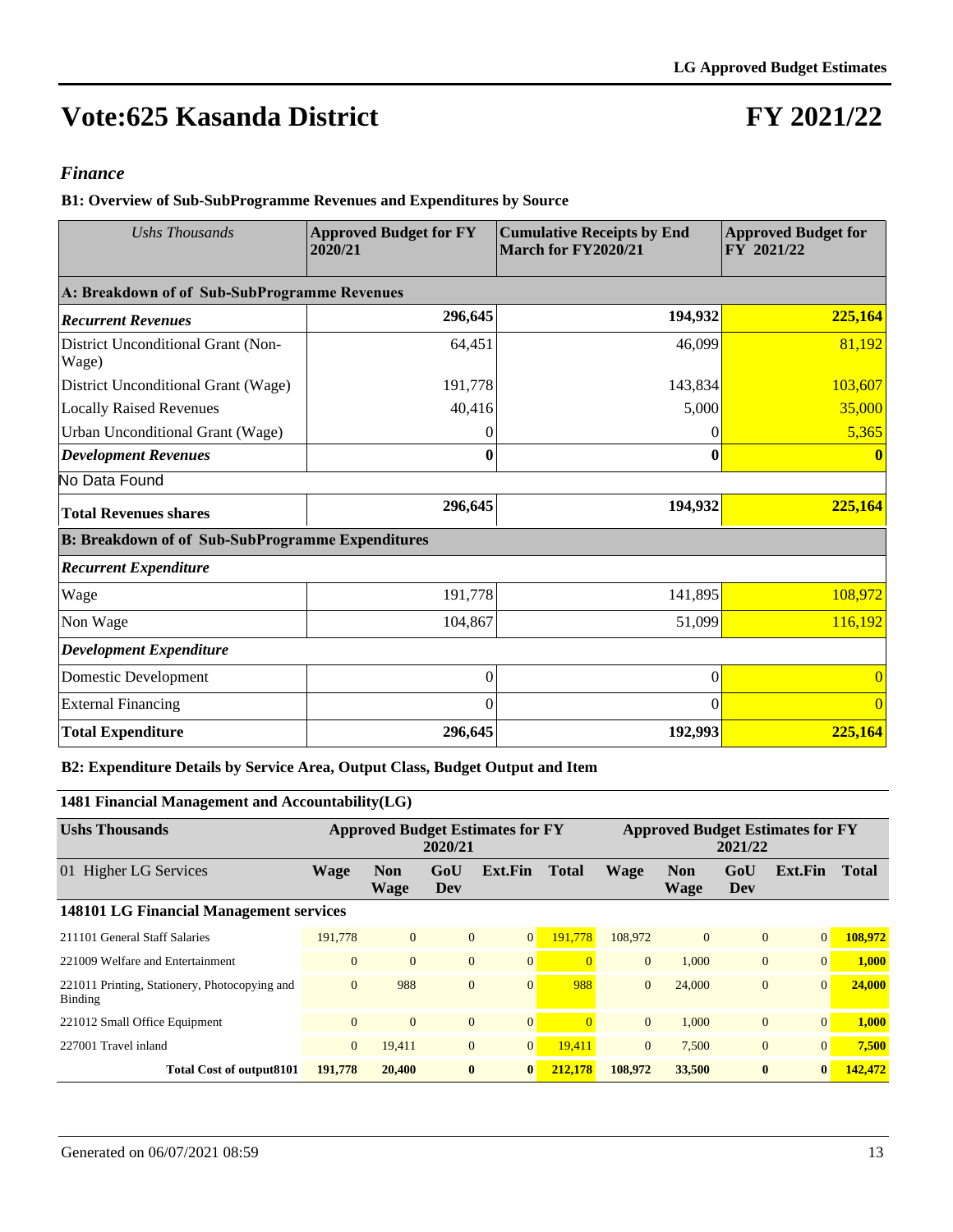## **FY 2021/22**

#### *Finance*

**B1: Overview of Sub-SubProgramme Revenues and Expenditures by Source**

| <b>Ushs Thousands</b>                                   | <b>Approved Budget for FY</b><br>2020/21 | <b>Cumulative Receipts by End</b><br>March for FY2020/21 | <b>Approved Budget for</b><br>FY 2021/22 |  |  |
|---------------------------------------------------------|------------------------------------------|----------------------------------------------------------|------------------------------------------|--|--|
| A: Breakdown of of Sub-SubProgramme Revenues            |                                          |                                                          |                                          |  |  |
| <b>Recurrent Revenues</b>                               | 296,645                                  | 194,932                                                  | 225,164                                  |  |  |
| District Unconditional Grant (Non-<br>Wage)             | 64,451                                   | 46,099                                                   | 81,192                                   |  |  |
| District Unconditional Grant (Wage)                     | 191,778                                  | 143,834                                                  | 103,607                                  |  |  |
| <b>Locally Raised Revenues</b>                          | 40,416                                   | 5,000                                                    | 35,000                                   |  |  |
| Urban Unconditional Grant (Wage)                        | 0                                        | 0                                                        | 5,365                                    |  |  |
| <b>Development Revenues</b>                             | 0                                        | 0                                                        |                                          |  |  |
| No Data Found                                           |                                          |                                                          |                                          |  |  |
| <b>Total Revenues shares</b>                            | 296,645                                  | 194,932                                                  | 225,164                                  |  |  |
| <b>B: Breakdown of of Sub-SubProgramme Expenditures</b> |                                          |                                                          |                                          |  |  |
| <b>Recurrent Expenditure</b>                            |                                          |                                                          |                                          |  |  |
| Wage                                                    | 191,778                                  | 141,895                                                  | 108,972                                  |  |  |
| Non Wage                                                | 104,867                                  | 51,099                                                   | 116,192                                  |  |  |
| <b>Development Expenditure</b>                          |                                          |                                                          |                                          |  |  |
| Domestic Development                                    | $\Omega$                                 | $\theta$                                                 |                                          |  |  |
| <b>External Financing</b>                               | $\Omega$                                 | $\Omega$                                                 | $\Omega$                                 |  |  |
| <b>Total Expenditure</b>                                | 296,645                                  | 192,993                                                  | 225,164                                  |  |  |

#### **B2: Expenditure Details by Service Area, Output Class, Budget Output and Item**

#### **1481 Financial Management and Accountability(LG)**

| <b>Ushs Thousands</b>                                    | <b>Approved Budget Estimates for FY</b><br>2020/21 |                    |                |                | <b>Approved Budget Estimates for FY</b><br>2021/22 |                |                    |                |                 |              |  |  |
|----------------------------------------------------------|----------------------------------------------------|--------------------|----------------|----------------|----------------------------------------------------|----------------|--------------------|----------------|-----------------|--------------|--|--|
| 01 Higher LG Services                                    | <b>Wage</b>                                        | <b>Non</b><br>Wage | GoU<br>Dev     | Ext.Fin        | <b>Total</b>                                       | <b>Wage</b>    | <b>Non</b><br>Wage | GoU<br>Dev     | Ext.Fin         | <b>Total</b> |  |  |
| <b>148101 LG Financial Management services</b>           |                                                    |                    |                |                |                                                    |                |                    |                |                 |              |  |  |
| 211101 General Staff Salaries                            | 191,778                                            | $\overline{0}$     | $\mathbf{0}$   | $\overline{0}$ | 191.778                                            | 108,972        | $\overline{0}$     | $\overline{0}$ | $\vert 0 \vert$ | 108.972      |  |  |
| 221009 Welfare and Entertainment                         | $\overline{0}$                                     | $\Omega$           | $\mathbf{0}$   | $\overline{0}$ |                                                    | $\overline{0}$ | 1.000              | $\overline{0}$ | $\Omega$        | 1,000        |  |  |
| 221011 Printing, Stationery, Photocopying and<br>Binding | $\overline{0}$                                     | 988                | $\overline{0}$ | $\mathbf{0}$   | 988                                                | $\Omega$       | 24,000             | $\overline{0}$ | $\overline{0}$  | 24,000       |  |  |
| 221012 Small Office Equipment                            | $\Omega$                                           | $\Omega$           | $\mathbf{0}$   | $\overline{0}$ |                                                    | $\Omega$       | 1.000              | $\overline{0}$ | 0               | 1.000        |  |  |
| 227001 Travel inland                                     | $\overline{0}$                                     | 19.411             | $\mathbf{0}$   | $\overline{0}$ | 19.411                                             | $\Omega$       | 7.500              | $\theta$       | $\Omega$        | 7,500        |  |  |
| <b>Total Cost of output8101</b>                          | 191,778                                            | 20,400             | $\bf{0}$       | $\bf{0}$       | 212,178                                            | 108,972        | 33,500             | $\bf{0}$       | $\bf{0}$        | 142,472      |  |  |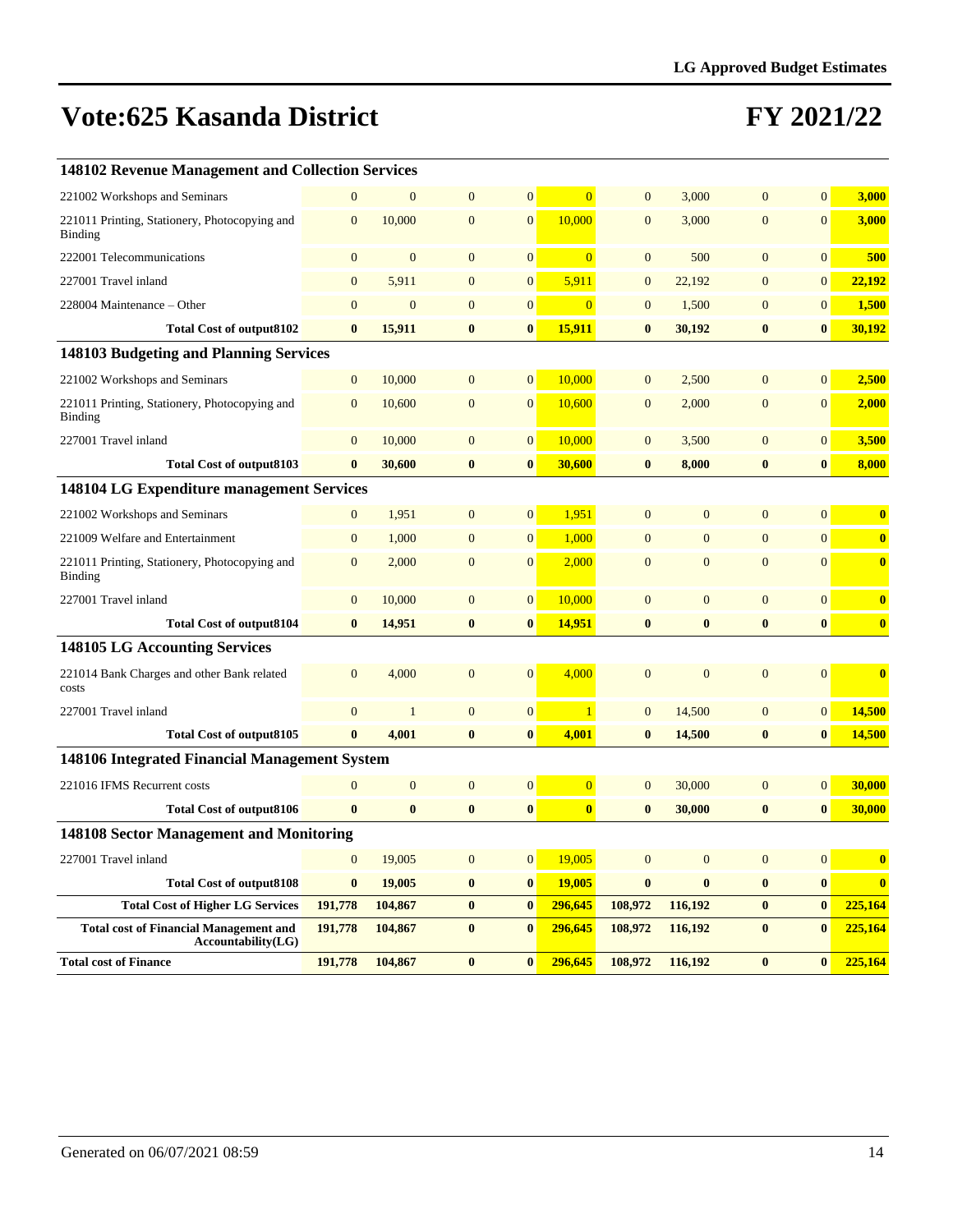| 148102 Revenue Management and Collection Services                   |                  |                  |                |                  |                         |                  |                  |                |                |                         |
|---------------------------------------------------------------------|------------------|------------------|----------------|------------------|-------------------------|------------------|------------------|----------------|----------------|-------------------------|
| 221002 Workshops and Seminars                                       | $\mathbf{0}$     | $\mathbf{0}$     | $\mathbf{0}$   | $\boldsymbol{0}$ | $\overline{0}$          | $\mathbf{0}$     | 3,000            | $\mathbf{0}$   | $\overline{0}$ | 3,000                   |
| 221011 Printing, Stationery, Photocopying and<br>Binding            | $\mathbf{0}$     | 10,000           | $\overline{0}$ | $\overline{0}$   | 10,000                  | $\overline{0}$   | 3,000            | $\overline{0}$ | $\overline{0}$ | 3,000                   |
| 222001 Telecommunications                                           | $\overline{0}$   | $\overline{0}$   | $\overline{0}$ | $\overline{0}$   | $\Omega$                | $\mathbf{0}$     | 500              | $\overline{0}$ | $\overline{0}$ | 500                     |
| 227001 Travel inland                                                | $\overline{0}$   | 5,911            | $\overline{0}$ | $\overline{0}$   | 5,911                   | $\mathbf{0}$     | 22,192           | $\overline{0}$ | $\overline{0}$ | 22,192                  |
| 228004 Maintenance - Other                                          | $\mathbf{0}$     | $\mathbf{0}$     | $\mathbf{0}$   | $\boldsymbol{0}$ | $\overline{0}$          | $\mathbf{0}$     | 1,500            | $\mathbf{0}$   | $\overline{0}$ | 1,500                   |
| <b>Total Cost of output8102</b>                                     | $\bf{0}$         | 15,911           | $\bf{0}$       | $\bf{0}$         | 15,911                  | $\bf{0}$         | 30,192           | $\bf{0}$       | $\bf{0}$       | 30,192                  |
| 148103 Budgeting and Planning Services                              |                  |                  |                |                  |                         |                  |                  |                |                |                         |
| 221002 Workshops and Seminars                                       | $\boldsymbol{0}$ | 10,000           | $\overline{0}$ | $\overline{0}$   | 10,000                  | $\overline{0}$   | 2,500            | $\overline{0}$ | $\overline{0}$ | 2,500                   |
| 221011 Printing, Stationery, Photocopying and<br>Binding            | $\mathbf{0}$     | 10,600           | $\overline{0}$ | $\mathbf{0}$     | 10,600                  | $\overline{0}$   | 2,000            | $\overline{0}$ | $\overline{0}$ | 2,000                   |
| 227001 Travel inland                                                | $\mathbf{0}$     | 10,000           | $\mathbf{0}$   | $\mathbf{0}$     | 10,000                  | $\mathbf{0}$     | 3,500            | $\mathbf{0}$   | $\mathbf{0}$   | 3,500                   |
| <b>Total Cost of output8103</b>                                     | $\bf{0}$         | 30,600           | $\bf{0}$       | $\bf{0}$         | 30,600                  | $\bf{0}$         | 8,000            | $\bf{0}$       | $\bf{0}$       | 8,000                   |
| <b>148104 LG Expenditure management Services</b>                    |                  |                  |                |                  |                         |                  |                  |                |                |                         |
| 221002 Workshops and Seminars                                       | $\boldsymbol{0}$ | 1,951            | $\mathbf{0}$   | $\boldsymbol{0}$ | 1,951                   | $\mathbf{0}$     | $\mathbf{0}$     | $\mathbf{0}$   | $\overline{0}$ | $\bf{0}$                |
| 221009 Welfare and Entertainment                                    | $\boldsymbol{0}$ | 1,000            | $\mathbf{0}$   | $\boldsymbol{0}$ | 1,000                   | $\boldsymbol{0}$ | $\mathbf{0}$     | $\overline{0}$ | $\overline{0}$ | $\bf{0}$                |
| 221011 Printing, Stationery, Photocopying and<br>Binding            | $\mathbf{0}$     | 2,000            | $\mathbf{0}$   | $\mathbf{0}$     | 2,000                   | $\overline{0}$   | $\overline{0}$   | $\overline{0}$ | $\Omega$       | $\bf{0}$                |
| 227001 Travel inland                                                | $\mathbf{0}$     | 10,000           | $\overline{0}$ | $\mathbf{0}$     | 10,000                  | $\mathbf{0}$     | $\overline{0}$   | $\overline{0}$ | $\overline{0}$ | $\bf{0}$                |
| <b>Total Cost of output8104</b>                                     | $\bf{0}$         | 14,951           | $\bf{0}$       | $\bf{0}$         | 14,951                  | $\bf{0}$         | $\bf{0}$         | $\bf{0}$       | $\bf{0}$       | $\bf{0}$                |
| 148105 LG Accounting Services                                       |                  |                  |                |                  |                         |                  |                  |                |                |                         |
| 221014 Bank Charges and other Bank related<br>costs                 | $\mathbf{0}$     | 4,000            | $\mathbf{0}$   | $\overline{0}$   | 4,000                   | $\mathbf{0}$     | $\overline{0}$   | $\overline{0}$ | $\overline{0}$ | $\overline{\mathbf{0}}$ |
| 227001 Travel inland                                                | $\boldsymbol{0}$ | $\mathbf{1}$     | $\mathbf{0}$   | $\boldsymbol{0}$ | $\mathbf{1}$            | $\boldsymbol{0}$ | 14,500           | $\mathbf{0}$   | $\overline{0}$ | 14,500                  |
| <b>Total Cost of output8105</b>                                     | $\mathbf{0}$     | 4,001            | $\bf{0}$       | $\bf{0}$         | 4,001                   | $\bf{0}$         | 14,500           | $\bf{0}$       | $\bf{0}$       | 14,500                  |
| 148106 Integrated Financial Management System                       |                  |                  |                |                  |                         |                  |                  |                |                |                         |
| 221016 IFMS Recurrent costs                                         | $\boldsymbol{0}$ | $\boldsymbol{0}$ | $\mathbf{0}$   | $\overline{0}$   | $\overline{0}$          | $\mathbf{0}$     | 30,000           | $\mathbf{0}$   | $\overline{0}$ | 30,000                  |
| <b>Total Cost of output8106</b>                                     | $\bf{0}$         | $\bf{0}$         | $\bf{0}$       | $\bf{0}$         | $\overline{\mathbf{0}}$ | $\bf{0}$         | 30,000           | $\bf{0}$       | $\bf{0}$       | 30,000                  |
| 148108 Sector Management and Monitoring                             |                  |                  |                |                  |                         |                  |                  |                |                |                         |
| 227001 Travel inland                                                | $\boldsymbol{0}$ | 19,005           | $\mathbf{0}$   | $\boldsymbol{0}$ | 19,005                  | $\boldsymbol{0}$ | $\boldsymbol{0}$ | $\overline{0}$ | $\overline{0}$ | $\bf{0}$                |
| <b>Total Cost of output8108</b>                                     | $\bf{0}$         | 19,005           | $\bf{0}$       | $\bf{0}$         | 19,005                  | $\bf{0}$         | $\bf{0}$         | $\bf{0}$       | $\bf{0}$       | $\bf{0}$                |
| <b>Total Cost of Higher LG Services</b>                             | 191,778          | 104,867          | $\bf{0}$       | $\bf{0}$         | 296,645                 | 108,972          | 116,192          | $\bf{0}$       | $\bf{0}$       | 225,164                 |
| <b>Total cost of Financial Management and</b><br>Accountability(LG) | 191,778          | 104,867          | $\bf{0}$       | $\bf{0}$         | 296,645                 | 108,972          | 116,192          | $\bf{0}$       | $\bf{0}$       | 225,164                 |
| <b>Total cost of Finance</b>                                        | 191,778          | 104,867          | $\bf{0}$       | $\bf{0}$         | 296,645                 | 108,972          | 116,192          | $\bf{0}$       | $\bf{0}$       | 225,164                 |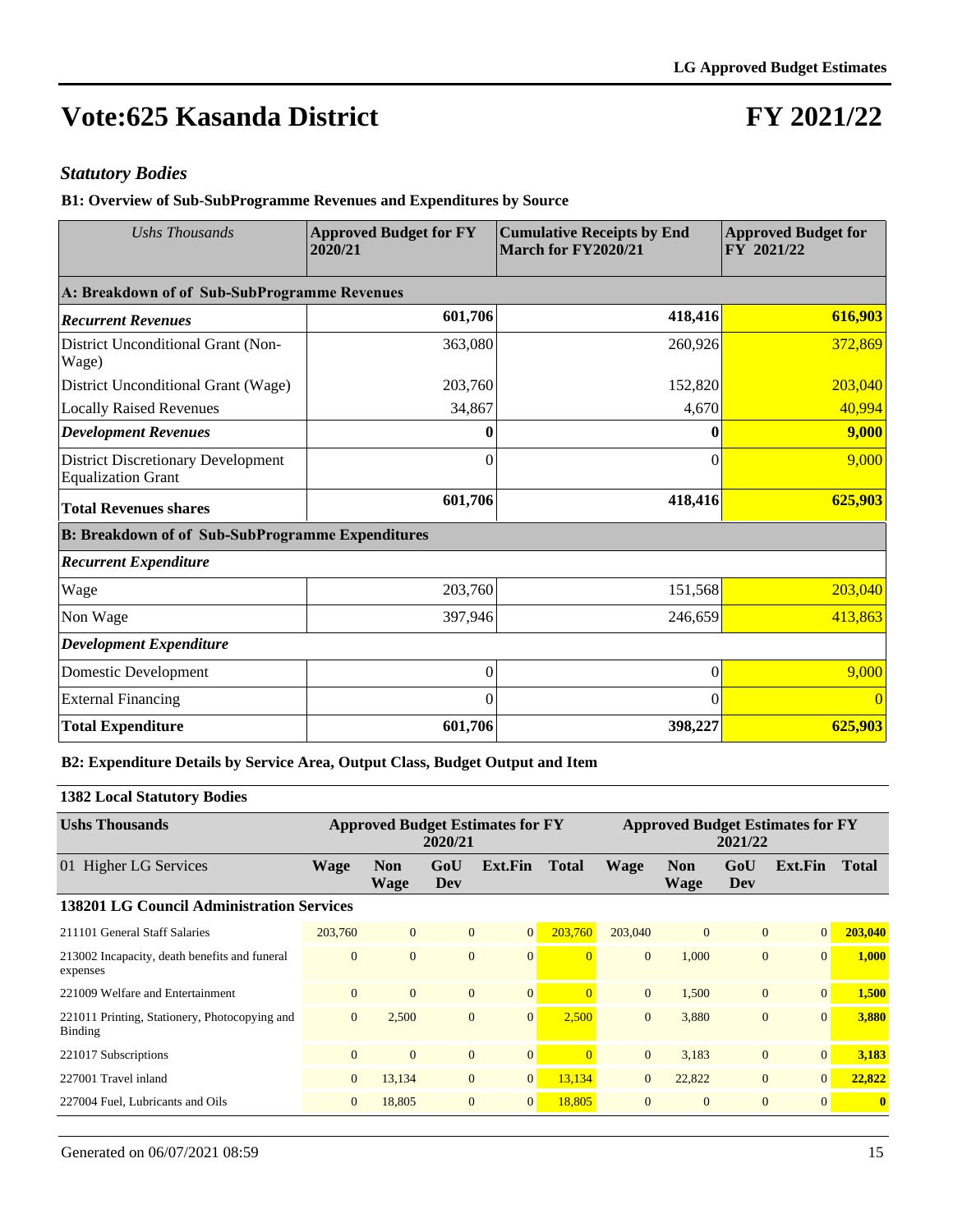## **FY 2021/22**

#### *Statutory Bodies*

**B1: Overview of Sub-SubProgramme Revenues and Expenditures by Source**

| <b>Ushs Thousands</b>                                                  | <b>Approved Budget for FY</b><br>2020/21 | <b>Cumulative Receipts by End</b><br>March for FY2020/21 | <b>Approved Budget for</b><br>FY 2021/22 |  |  |
|------------------------------------------------------------------------|------------------------------------------|----------------------------------------------------------|------------------------------------------|--|--|
| A: Breakdown of of Sub-SubProgramme Revenues                           |                                          |                                                          |                                          |  |  |
| <b>Recurrent Revenues</b>                                              | 601,706                                  | 418,416                                                  | 616,903                                  |  |  |
| District Unconditional Grant (Non-<br>Wage)                            | 363,080                                  | 260,926                                                  | 372,869                                  |  |  |
| District Unconditional Grant (Wage)                                    | 203,760                                  | 152,820                                                  | 203,040                                  |  |  |
| <b>Locally Raised Revenues</b>                                         | 34,867                                   | 4,670                                                    | 40,994                                   |  |  |
| <b>Development Revenues</b>                                            |                                          | 0                                                        | 9,000                                    |  |  |
| <b>District Discretionary Development</b><br><b>Equalization Grant</b> | $\theta$                                 | $\theta$                                                 | 9,000                                    |  |  |
| <b>Total Revenues shares</b>                                           | 601,706                                  | 418,416                                                  | 625,903                                  |  |  |
| <b>B: Breakdown of of Sub-SubProgramme Expenditures</b>                |                                          |                                                          |                                          |  |  |
| <b>Recurrent Expenditure</b>                                           |                                          |                                                          |                                          |  |  |
| Wage                                                                   | 203,760                                  | 151,568                                                  | 203,040                                  |  |  |
| Non Wage                                                               | 397,946                                  | 246,659                                                  | 413,863                                  |  |  |
| <b>Development Expenditure</b>                                         |                                          |                                                          |                                          |  |  |
| Domestic Development                                                   | $\theta$                                 | $\boldsymbol{0}$                                         | 9,000                                    |  |  |
| <b>External Financing</b>                                              | 0                                        | $\Omega$                                                 |                                          |  |  |
| <b>Total Expenditure</b>                                               | 601,706                                  | 398,227                                                  | 625,903                                  |  |  |

#### **B2: Expenditure Details by Service Area, Output Class, Budget Output and Item**

#### **1382 Local Statutory Bodies**

| <b>Ushs Thousands</b>                                     | <b>Approved Budget Estimates for FY</b><br>2020/21 |                           |                |                |              | <b>Approved Budget Estimates for FY</b><br>2021/22 |                    |                |                |              |  |
|-----------------------------------------------------------|----------------------------------------------------|---------------------------|----------------|----------------|--------------|----------------------------------------------------|--------------------|----------------|----------------|--------------|--|
| 01 Higher LG Services                                     | <b>Wage</b>                                        | <b>Non</b><br><b>Wage</b> | GoU<br>Dev     | Ext.Fin        | <b>Total</b> | <b>Wage</b>                                        | <b>Non</b><br>Wage | GoU<br>Dev     | Ext.Fin        | <b>Total</b> |  |
| <b>138201 LG Council Administration Services</b>          |                                                    |                           |                |                |              |                                                    |                    |                |                |              |  |
| 211101 General Staff Salaries                             | 203,760                                            | $\mathbf{0}$              | $\mathbf{0}$   | $\overline{0}$ | 203.760      | 203,040                                            | $\overline{0}$     | $\overline{0}$ | 0              | 203,040      |  |
| 213002 Incapacity, death benefits and funeral<br>expenses | $\overline{0}$                                     | $\Omega$                  | $\overline{0}$ | $\overline{0}$ |              | $\Omega$                                           | 1,000              | $\overline{0}$ | $\overline{0}$ | 1,000        |  |
| 221009 Welfare and Entertainment                          | $\overline{0}$                                     | $\Omega$                  | $\mathbf{0}$   | $\overline{0}$ |              | $\Omega$                                           | 1,500              | $\overline{0}$ | $\Omega$       | 1,500        |  |
| 221011 Printing, Stationery, Photocopying and<br>Binding  | $\mathbf{0}$                                       | 2,500                     | $\overline{0}$ | $\overline{0}$ | 2,500        | $\Omega$                                           | 3,880              | $\overline{0}$ | $\Omega$       | 3,880        |  |
| 221017 Subscriptions                                      | $\overline{0}$                                     | $\Omega$                  | $\overline{0}$ | $\overline{0}$ |              | $\Omega$                                           | 3,183              | $\overline{0}$ | $\overline{0}$ | 3,183        |  |
| 227001 Travel inland                                      | $\overline{0}$                                     | 13,134                    | $\mathbf{0}$   | $\overline{0}$ | 13,134       | $\overline{0}$                                     | 22,822             | $\overline{0}$ | 0              | 22,822       |  |
| 227004 Fuel, Lubricants and Oils                          | $\overline{0}$                                     | 18,805                    | $\mathbf{0}$   | $\overline{0}$ | 18,805       | $\mathbf{0}$                                       | $\overline{0}$     | $\theta$       | $\Omega$       | $\mathbf{0}$ |  |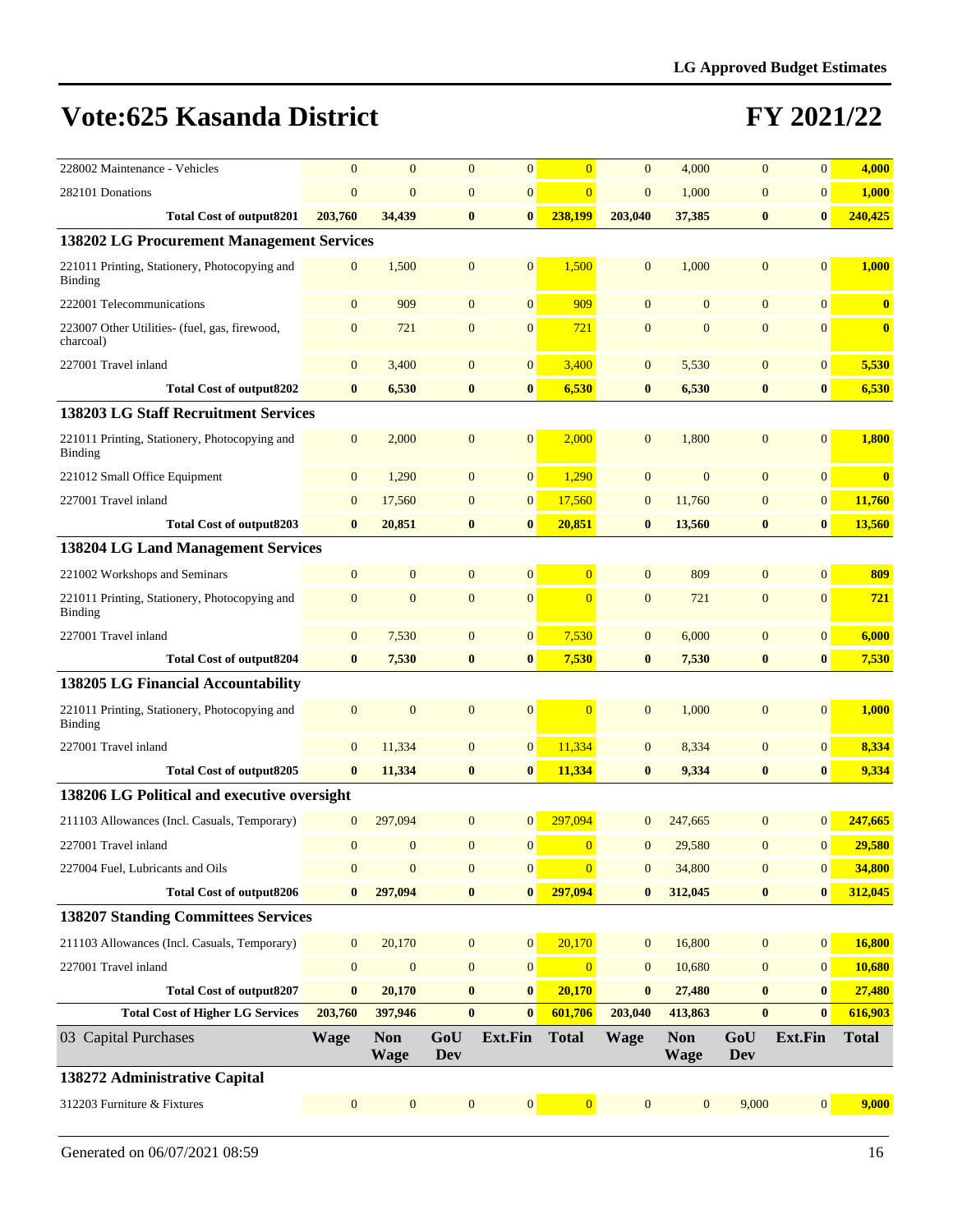| 228002 Maintenance - Vehicles                                   | $\overline{0}$   | $\overline{0}$            | $\overline{0}$    | $\mathbf{0}$     | $\overline{0}$ | $\overline{0}$ | 4,000                     | $\mathbf{0}$      | $\overline{0}$   | 4,000                   |
|-----------------------------------------------------------------|------------------|---------------------------|-------------------|------------------|----------------|----------------|---------------------------|-------------------|------------------|-------------------------|
| 282101 Donations                                                | $\overline{0}$   | $\overline{0}$            | $\overline{0}$    | $\mathbf{0}$     | $\overline{0}$ | $\overline{0}$ | 1,000                     | $\mathbf{0}$      | $\overline{0}$   | 1,000                   |
| <b>Total Cost of output8201</b>                                 | 203,760          | 34,439                    | $\bf{0}$          | $\bf{0}$         | 238,199        | 203,040        | 37,385                    | $\bf{0}$          | $\bf{0}$         | 240,425                 |
| 138202 LG Procurement Management Services                       |                  |                           |                   |                  |                |                |                           |                   |                  |                         |
| 221011 Printing, Stationery, Photocopying and<br><b>Binding</b> | $\mathbf{0}$     | 1,500                     | $\mathbf{0}$      | $\mathbf{0}$     | 1,500          | $\mathbf{0}$   | 1,000                     | $\overline{0}$    | $\overline{0}$   | 1,000                   |
| 222001 Telecommunications                                       | $\mathbf{0}$     | 909                       | $\overline{0}$    | $\mathbf{0}$     | 909            | $\mathbf{0}$   | $\mathbf{0}$              | $\mathbf{0}$      | $\overline{0}$   | $\mathbf{0}$            |
| 223007 Other Utilities- (fuel, gas, firewood,<br>charcoal)      | $\mathbf{0}$     | 721                       | $\mathbf{0}$      | $\mathbf{0}$     | 721            | $\overline{0}$ | $\mathbf{0}$              | $\mathbf{0}$      | $\overline{0}$   | $\overline{\mathbf{0}}$ |
| 227001 Travel inland                                            | $\mathbf{0}$     | 3,400                     | $\mathbf{0}$      | $\boldsymbol{0}$ | 3,400          | $\mathbf{0}$   | 5,530                     | $\mathbf{0}$      | $\mathbf{0}$     | 5,530                   |
| <b>Total Cost of output8202</b>                                 | $\bf{0}$         | 6,530                     | $\bf{0}$          | $\bf{0}$         | 6,530          | $\bf{0}$       | 6,530                     | $\bf{0}$          | $\bf{0}$         | 6,530                   |
| <b>138203 LG Staff Recruitment Services</b>                     |                  |                           |                   |                  |                |                |                           |                   |                  |                         |
| 221011 Printing, Stationery, Photocopying and<br><b>Binding</b> | $\mathbf{0}$     | 2,000                     | $\mathbf{0}$      | $\mathbf{0}$     | 2,000          | $\mathbf{0}$   | 1,800                     | $\mathbf{0}$      | $\overline{0}$   | 1,800                   |
| 221012 Small Office Equipment                                   | $\mathbf{0}$     | 1,290                     | $\mathbf{0}$      | $\mathbf{0}$     | 1,290          | $\mathbf{0}$   | $\mathbf{0}$              | $\mathbf{0}$      | $\mathbf{0}$     | $\bf{0}$                |
| 227001 Travel inland                                            | $\mathbf{0}$     | 17,560                    | $\mathbf{0}$      | $\mathbf{0}$     | 17,560         | $\mathbf{0}$   | 11,760                    | $\mathbf{0}$      | $\mathbf{0}$     | 11,760                  |
| <b>Total Cost of output8203</b>                                 | $\bf{0}$         | 20,851                    | $\bf{0}$          | $\bf{0}$         | 20,851         | $\bf{0}$       | 13,560                    | $\bf{0}$          | $\bf{0}$         | 13,560                  |
| 138204 LG Land Management Services                              |                  |                           |                   |                  |                |                |                           |                   |                  |                         |
| 221002 Workshops and Seminars                                   | $\mathbf{0}$     | $\mathbf{0}$              | $\mathbf{0}$      | $\mathbf{0}$     | $\overline{0}$ | $\mathbf{0}$   | 809                       | $\mathbf{0}$      | $\overline{0}$   | 809                     |
| 221011 Printing, Stationery, Photocopying and<br><b>Binding</b> | $\mathbf{0}$     | $\overline{0}$            | $\mathbf{0}$      | $\mathbf{0}$     | $\overline{0}$ | $\mathbf{0}$   | 721                       | $\mathbf{0}$      | $\overline{0}$   | 721                     |
| 227001 Travel inland                                            | $\mathbf{0}$     | 7,530                     | $\mathbf{0}$      | $\boldsymbol{0}$ | 7,530          | $\mathbf{0}$   | 6,000                     | $\mathbf{0}$      | $\mathbf{0}$     | 6,000                   |
| <b>Total Cost of output8204</b>                                 | $\bf{0}$         | 7,530                     | $\bf{0}$          | $\bf{0}$         | 7,530          | $\bf{0}$       | 7,530                     | $\bf{0}$          | $\bf{0}$         | 7,530                   |
| 138205 LG Financial Accountability                              |                  |                           |                   |                  |                |                |                           |                   |                  |                         |
| 221011 Printing, Stationery, Photocopying and<br><b>Binding</b> | $\mathbf{0}$     | $\mathbf{0}$              | $\mathbf{0}$      | $\mathbf{0}$     | $\Omega$       | $\mathbf{0}$   | 1,000                     | $\mathbf{0}$      | $\overline{0}$   | 1,000                   |
| 227001 Travel inland                                            | $\mathbf{0}$     | 11,334                    | $\mathbf{0}$      | $\boldsymbol{0}$ | 11,334         | $\mathbf{0}$   | 8,334                     | $\boldsymbol{0}$  | $\mathbf{0}$     | 8,334                   |
| <b>Total Cost of output8205</b>                                 | $\bf{0}$         | 11,334                    | $\bf{0}$          | $\bf{0}$         | 11,334         | $\bf{0}$       | 9,334                     | $\bf{0}$          | $\bf{0}$         | 9,334                   |
| 138206 LG Political and executive oversight                     |                  |                           |                   |                  |                |                |                           |                   |                  |                         |
| 211103 Allowances (Incl. Casuals, Temporary)                    | $\overline{0}$   | 297,094                   | $\mathbf{0}$      | $\mathbf{0}$     | 297.094        |                | 247,665                   | $\mathbf{0}$      | $\overline{0}$   | 247,665                 |
| 227001 Travel inland                                            | $\overline{0}$   | $\mathbf{0}$              | $\overline{0}$    | $\mathbf{0}$     | $\overline{0}$ | $\mathbf{0}$   | 29,580                    | $\mathbf{0}$      | $\overline{0}$   | 29,580                  |
| 227004 Fuel, Lubricants and Oils                                | $\mathbf{0}$     | $\mathbf{0}$              | $\boldsymbol{0}$  | $\boldsymbol{0}$ | $\overline{0}$ | $\mathbf{0}$   | 34,800                    | $\boldsymbol{0}$  | $\boldsymbol{0}$ | 34,800                  |
| <b>Total Cost of output8206</b>                                 | $\bf{0}$         | 297,094                   | $\bf{0}$          | $\bf{0}$         | 297,094        | $\bf{0}$       | 312,045                   | $\bf{0}$          | $\bf{0}$         | 312,045                 |
| <b>138207 Standing Committees Services</b>                      |                  |                           |                   |                  |                |                |                           |                   |                  |                         |
| 211103 Allowances (Incl. Casuals, Temporary)                    | $\boldsymbol{0}$ | 20,170                    | $\boldsymbol{0}$  | $\mathbf{0}$     | 20,170         | $\mathbf{0}$   | 16,800                    | $\boldsymbol{0}$  | 0                | 16,800                  |
| 227001 Travel inland                                            | $\boldsymbol{0}$ | $\boldsymbol{0}$          | $\boldsymbol{0}$  | $\boldsymbol{0}$ | $\overline{0}$ | $\mathbf{0}$   | 10,680                    | $\boldsymbol{0}$  | $\boldsymbol{0}$ | 10,680                  |
| <b>Total Cost of output8207</b>                                 | $\bf{0}$         | 20,170                    | $\bf{0}$          | $\bf{0}$         | 20,170         | $\bf{0}$       | 27,480                    | $\boldsymbol{0}$  | $\bf{0}$         | 27,480                  |
| <b>Total Cost of Higher LG Services</b>                         | 203,760          | 397,946                   | $\bf{0}$          | $\bf{0}$         | 601,706        | 203,040        | 413,863                   | $\bf{0}$          | $\bf{0}$         | 616,903                 |
| 03 Capital Purchases                                            | <b>Wage</b>      | <b>Non</b><br><b>Wage</b> | GoU<br><b>Dev</b> | Ext.Fin          | <b>Total</b>   | <b>Wage</b>    | <b>Non</b><br><b>Wage</b> | GoU<br><b>Dev</b> | <b>Ext.Fin</b>   | <b>Total</b>            |
| 138272 Administrative Capital                                   |                  |                           |                   |                  |                |                |                           |                   |                  |                         |
| 312203 Furniture & Fixtures                                     | $\mathbf{0}$     | $\mathbf{0}$              | $\boldsymbol{0}$  | $\mathbf{0}$     | $\overline{0}$ | $\mathbf{0}$   | $\boldsymbol{0}$          | 9,000             | 0                | 9,000                   |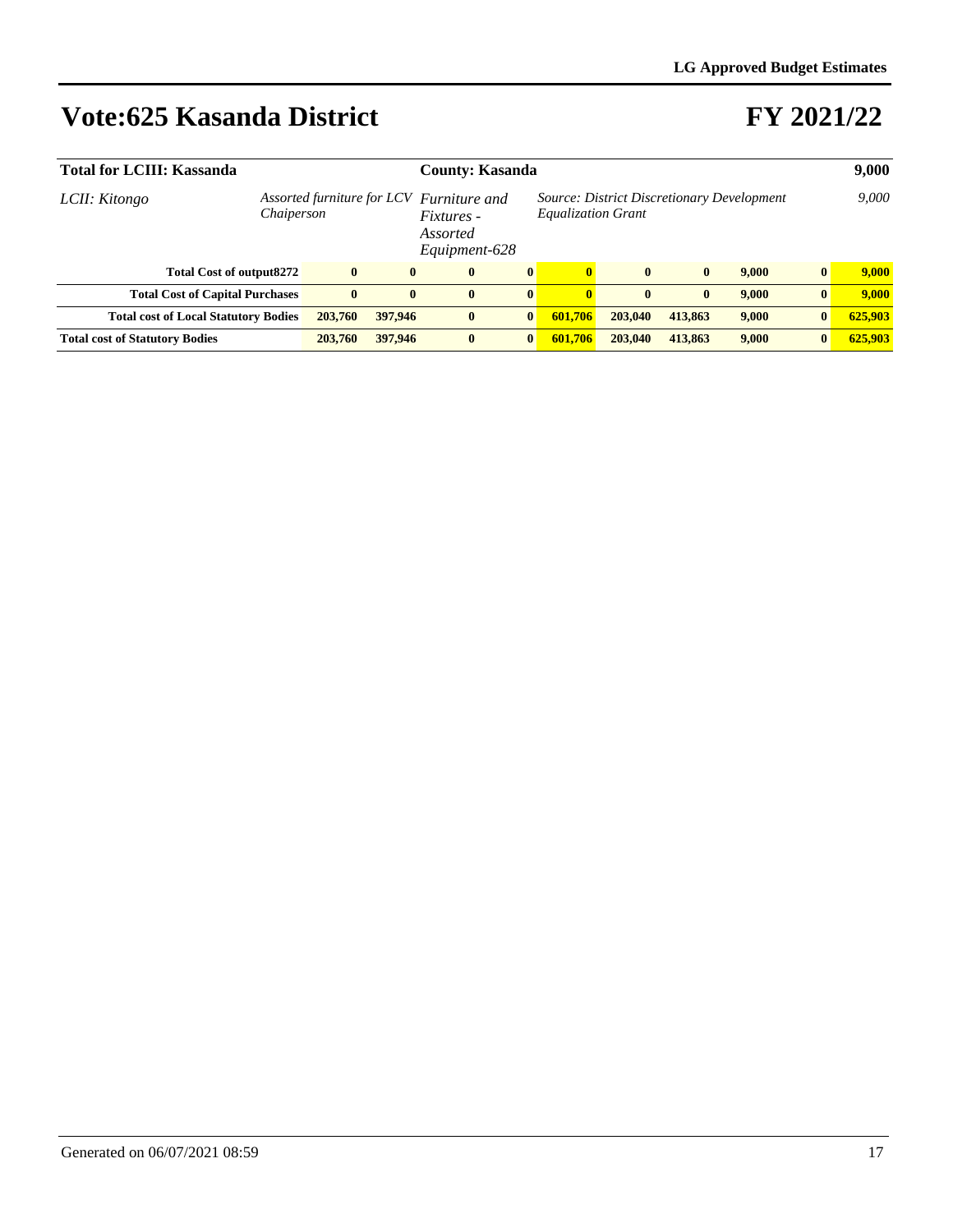| <b>Total for LCIII: Kassanda</b>                                        | <b>County: Kasanda</b> |          | 9,000                         |                                                                                          |              |              |              |              |       |          |         |
|-------------------------------------------------------------------------|------------------------|----------|-------------------------------|------------------------------------------------------------------------------------------|--------------|--------------|--------------|--------------|-------|----------|---------|
| Assorted furniture for LCV Furniture and<br>LCII: Kitongo<br>Chaiperson |                        |          | <i>Fixtures</i> -<br>Assorted | Source: District Discretionary Development<br><b>Equalization Grant</b><br>Equipment-628 |              |              |              |              |       | 9,000    |         |
| <b>Total Cost of output8272</b>                                         |                        | $\bf{0}$ | $\mathbf{0}$                  | $\mathbf{0}$                                                                             | $\bf{0}$     | $\mathbf{0}$ | $\bf{0}$     | $\mathbf{0}$ | 9.000 | $\bf{0}$ | 9.000   |
| <b>Total Cost of Capital Purchases</b>                                  |                        | $\bf{0}$ | $\mathbf{0}$                  | $\mathbf{0}$                                                                             | $\bf{0}$     | $\mathbf{0}$ | $\mathbf{0}$ | $\mathbf{0}$ | 9,000 | $\bf{0}$ | 9.000   |
| <b>Total cost of Local Statutory Bodies</b>                             |                        | 203,760  | 397,946                       | $\mathbf{0}$                                                                             | $\mathbf{0}$ | 601,706      | 203,040      | 413,863      | 9,000 | $\bf{0}$ | 625,903 |
| <b>Total cost of Statutory Bodies</b>                                   |                        | 203,760  | 397,946                       | $\mathbf{0}$                                                                             | $\bf{0}$     | 601,706      | 203,040      | 413.863      | 9.000 | $\bf{0}$ | 625,903 |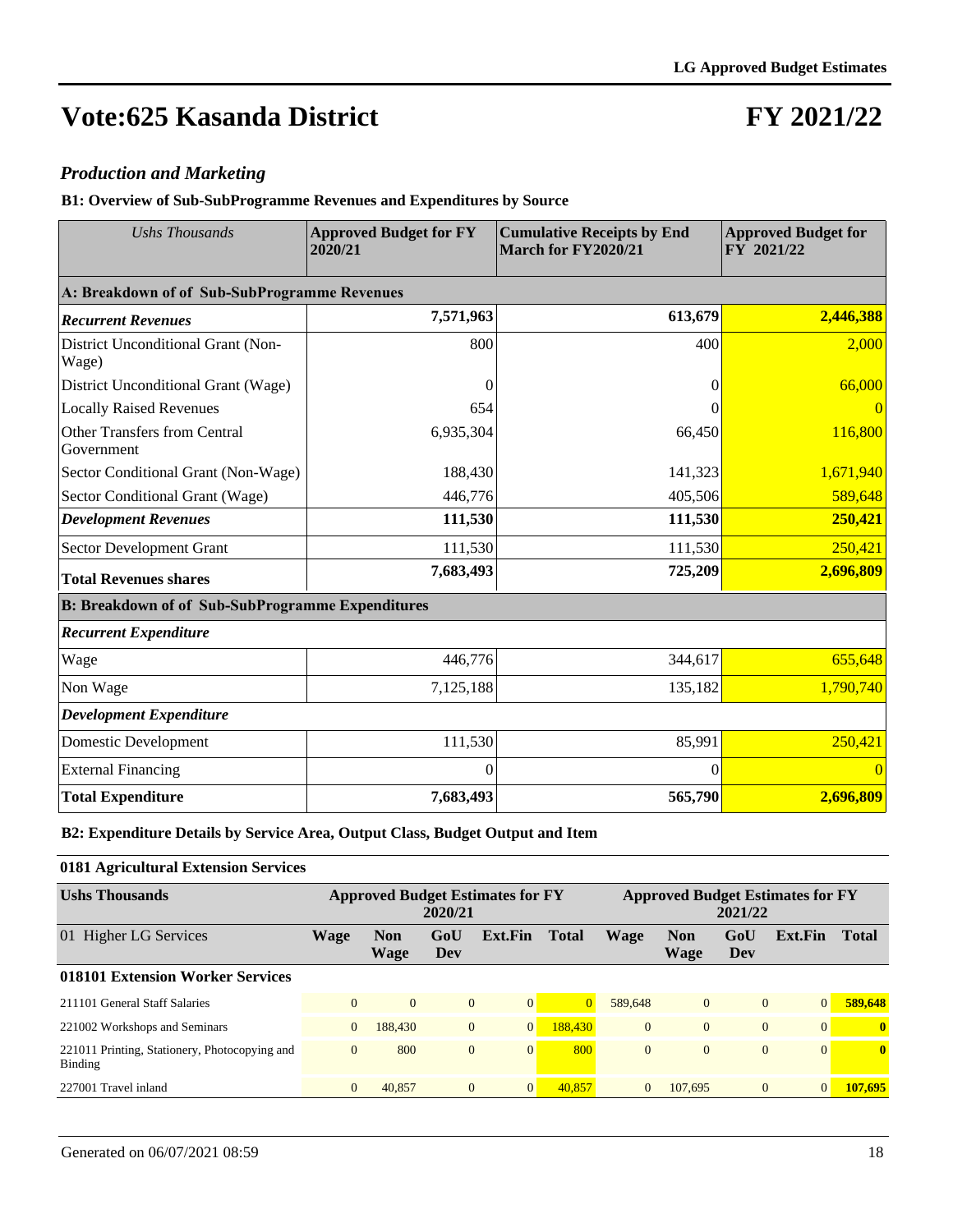### **FY 2021/22**

#### *Production and Marketing*

**B1: Overview of Sub-SubProgramme Revenues and Expenditures by Source**

| <b>Ushs Thousands</b>                                   | <b>Approved Budget for FY</b><br>2020/21 | <b>Cumulative Receipts by End</b><br>March for FY2020/21 | <b>Approved Budget for</b><br>FY 2021/22 |  |  |
|---------------------------------------------------------|------------------------------------------|----------------------------------------------------------|------------------------------------------|--|--|
| A: Breakdown of of Sub-SubProgramme Revenues            |                                          |                                                          |                                          |  |  |
| <b>Recurrent Revenues</b>                               | 7,571,963                                | 613,679                                                  | 2,446,388                                |  |  |
| District Unconditional Grant (Non-<br>Wage)             | 800                                      | 400                                                      | 2,000                                    |  |  |
| District Unconditional Grant (Wage)                     |                                          | 0                                                        | 66,000                                   |  |  |
| <b>Locally Raised Revenues</b>                          | 654                                      |                                                          |                                          |  |  |
| Other Transfers from Central<br>Government              | 6,935,304                                | 66,450                                                   | 116,800                                  |  |  |
| Sector Conditional Grant (Non-Wage)                     | 188,430                                  | 141,323                                                  | 1,671,940                                |  |  |
| Sector Conditional Grant (Wage)                         | 446,776                                  | 405,506                                                  | 589,648                                  |  |  |
| <b>Development Revenues</b>                             | 111,530                                  | 111,530                                                  | 250,421                                  |  |  |
| Sector Development Grant                                | 111,530                                  | 111,530                                                  | 250,421                                  |  |  |
| <b>Total Revenues shares</b>                            | 7,683,493                                | 725,209                                                  | 2,696,809                                |  |  |
| <b>B: Breakdown of of Sub-SubProgramme Expenditures</b> |                                          |                                                          |                                          |  |  |
| <b>Recurrent Expenditure</b>                            |                                          |                                                          |                                          |  |  |
| Wage                                                    | 446,776                                  | 344,617                                                  | 655,648                                  |  |  |
| Non Wage                                                | 7,125,188                                | 135,182                                                  | 1,790,740                                |  |  |
| <b>Development Expenditure</b>                          |                                          |                                                          |                                          |  |  |
| Domestic Development                                    | 111,530                                  | 85,991                                                   | 250,421                                  |  |  |
| <b>External Financing</b>                               | $\Omega$                                 | $\theta$                                                 | $\Omega$                                 |  |  |
| <b>Total Expenditure</b>                                | 7,683,493                                | 565,790                                                  | 2,696,809                                |  |  |

**B2: Expenditure Details by Service Area, Output Class, Budget Output and Item**

| 0181 Agricultural Extension Services                     |                |                    |                |                                         |              |                                                    |                    |              |                 |              |
|----------------------------------------------------------|----------------|--------------------|----------------|-----------------------------------------|--------------|----------------------------------------------------|--------------------|--------------|-----------------|--------------|
| <b>Ushs Thousands</b>                                    |                |                    | 2020/21        | <b>Approved Budget Estimates for FY</b> |              | <b>Approved Budget Estimates for FY</b><br>2021/22 |                    |              |                 |              |
| 01 Higher LG Services                                    | Wage           | <b>Non</b><br>Wage | GoU<br>Dev     | Ext.Fin                                 | <b>Total</b> | <b>Wage</b>                                        | <b>Non</b><br>Wage | GoU<br>Dev   | Ext.Fin         | <b>Total</b> |
| 018101 Extension Worker Services                         |                |                    |                |                                         |              |                                                    |                    |              |                 |              |
| 211101 General Staff Salaries                            | $\Omega$       | $\Omega$           | $\overline{0}$ | $\overline{0}$                          | $\Omega$     | 589,648                                            | $\mathbf{0}$       | $\theta$     | $\vert 0 \vert$ | 589,648      |
| 221002 Workshops and Seminars                            | $\overline{0}$ | 188,430            | $\overline{0}$ | 0                                       | 188,430      | $\overline{0}$                                     | $\mathbf{0}$       | $\mathbf{0}$ | $\Omega$        | $\mathbf{0}$ |
| 221011 Printing, Stationery, Photocopying and<br>Binding | $\mathbf{0}$   | 800                | $\mathbf{0}$   | $\overline{0}$                          | 800          | $\overline{0}$                                     | $\mathbf{0}$       | $\mathbf{0}$ | $\overline{0}$  | $\mathbf{0}$ |
| 227001 Travel inland                                     | $\mathbf{0}$   | 40,857             | $\overline{0}$ | 0                                       | 40.857       | $\Omega$                                           | 107,695            | $\theta$     | $\overline{0}$  | 107,695      |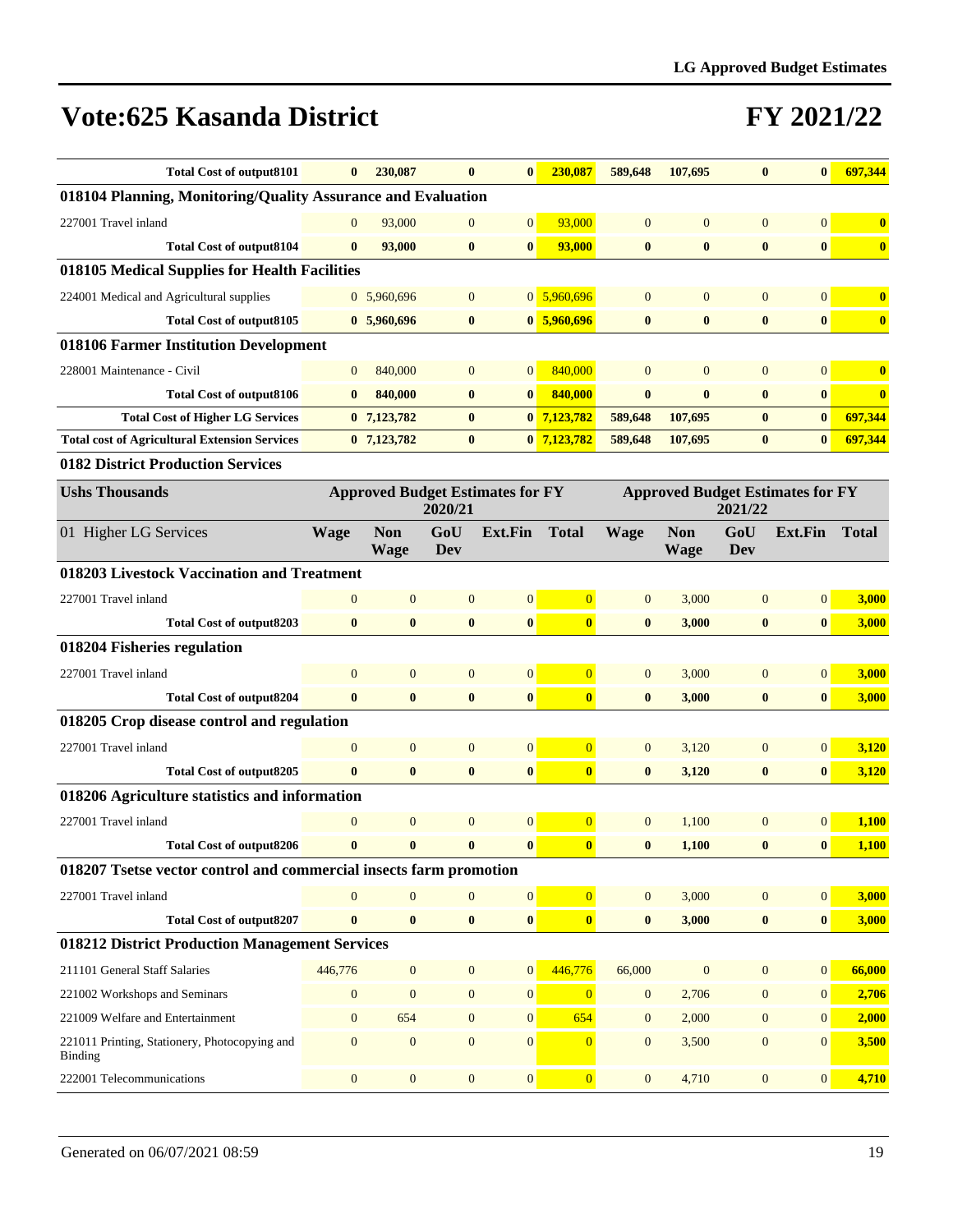| <b>Total Cost of output8101</b>                                    | $\bf{0}$         | 230,087                                                                                                  | $\mathbf{0}$     | $\bf{0}$         | 230.087                 | 589,648          | 107,695                   | $\bf{0}$         | $\bf{0}$         | 697,344      |  |
|--------------------------------------------------------------------|------------------|----------------------------------------------------------------------------------------------------------|------------------|------------------|-------------------------|------------------|---------------------------|------------------|------------------|--------------|--|
| 018104 Planning, Monitoring/Quality Assurance and Evaluation       |                  |                                                                                                          |                  |                  |                         |                  |                           |                  |                  |              |  |
| 227001 Travel inland                                               | $\mathbf{0}$     | 93,000                                                                                                   | $\mathbf{0}$     | $\mathbf{0}$     | 93,000                  | $\overline{0}$   | $\overline{0}$            | $\overline{0}$   | $\overline{0}$   | $\bf{0}$     |  |
| <b>Total Cost of output8104</b>                                    | $\bf{0}$         | 93,000                                                                                                   | $\bf{0}$         | $\bf{0}$         | 93,000                  | $\bf{0}$         | $\bf{0}$                  | $\bf{0}$         | $\boldsymbol{0}$ | $\bf{0}$     |  |
| 018105 Medical Supplies for Health Facilities                      |                  |                                                                                                          |                  |                  |                         |                  |                           |                  |                  |              |  |
| 224001 Medical and Agricultural supplies                           |                  | 0 5,960,696                                                                                              | $\mathbf{0}$     |                  | $0\overline{5,960,696}$ | $\overline{0}$   | $\overline{0}$            | $\overline{0}$   | $\overline{0}$   | $\bf{0}$     |  |
| <b>Total Cost of output8105</b>                                    |                  | 0, 5,960,696                                                                                             | $\bf{0}$         |                  | 0, 5, 960, 696          | $\bf{0}$         | $\bf{0}$                  | $\bf{0}$         | $\boldsymbol{0}$ | $\bf{0}$     |  |
| 018106 Farmer Institution Development                              |                  |                                                                                                          |                  |                  |                         |                  |                           |                  |                  |              |  |
| 228001 Maintenance - Civil                                         | $\mathbf{0}$     | 840,000                                                                                                  | $\mathbf{0}$     | $\overline{0}$   | 840,000                 | $\mathbf{0}$     | $\overline{0}$            | $\mathbf{0}$     | $\overline{0}$   | $\bf{0}$     |  |
| Total Cost of output8106                                           | $\bf{0}$         | 840,000                                                                                                  | $\bf{0}$         | $\bf{0}$         | 840,000                 | $\bf{0}$         | $\bf{0}$                  | $\bf{0}$         | $\bf{0}$         | $\bf{0}$     |  |
| <b>Total Cost of Higher LG Services</b>                            |                  | $0$ 7,123,782                                                                                            | $\bf{0}$         |                  | $0$ 7,123,782           | 589,648          | 107,695                   | $\bf{0}$         | $\bf{0}$         | 697,344      |  |
| <b>Total cost of Agricultural Extension Services</b>               |                  | $0$ 7,123,782                                                                                            | $\bf{0}$         |                  | $0$ 7,123,782           | 589,648          | 107,695                   | $\bf{0}$         | $\bf{0}$         | 697,344      |  |
| 0182 District Production Services                                  |                  |                                                                                                          |                  |                  |                         |                  |                           |                  |                  |              |  |
| <b>Ushs Thousands</b>                                              |                  | <b>Approved Budget Estimates for FY</b><br><b>Approved Budget Estimates for FY</b><br>2020/21<br>2021/22 |                  |                  |                         |                  |                           |                  |                  |              |  |
| 01 Higher LG Services                                              | <b>Wage</b>      | <b>Non</b><br><b>Wage</b>                                                                                | GoU<br>Dev       | <b>Ext.Fin</b>   | <b>Total</b>            | <b>Wage</b>      | <b>Non</b><br><b>Wage</b> | GoU<br>Dev       | <b>Ext.Fin</b>   | <b>Total</b> |  |
| 018203 Livestock Vaccination and Treatment                         |                  |                                                                                                          |                  |                  |                         |                  |                           |                  |                  |              |  |
| 227001 Travel inland                                               | $\overline{0}$   | $\mathbf{0}$                                                                                             | $\mathbf{0}$     | $\mathbf{0}$     | $\overline{0}$          | $\mathbf{0}$     | 3,000                     | $\mathbf{0}$     | 0                | 3,000        |  |
| <b>Total Cost of output8203</b>                                    | $\bf{0}$         | $\bf{0}$                                                                                                 | $\bf{0}$         | $\bf{0}$         | $\bf{0}$                | $\bf{0}$         | 3,000                     | $\bf{0}$         | $\boldsymbol{0}$ | 3,000        |  |
| 018204 Fisheries regulation                                        |                  |                                                                                                          |                  |                  |                         |                  |                           |                  |                  |              |  |
| 227001 Travel inland                                               | $\overline{0}$   | $\mathbf{0}$                                                                                             | $\mathbf{0}$     | $\mathbf{0}$     | $\overline{0}$          | $\mathbf{0}$     | 3,000                     | $\mathbf{0}$     | $\vert 0 \vert$  | 3,000        |  |
| <b>Total Cost of output8204</b>                                    | $\bf{0}$         | $\bf{0}$                                                                                                 | $\bf{0}$         | $\bf{0}$         | $\bf{0}$                | $\bf{0}$         | 3,000                     | $\bf{0}$         | $\boldsymbol{0}$ | 3,000        |  |
| 018205 Crop disease control and regulation                         |                  |                                                                                                          |                  |                  |                         |                  |                           |                  |                  |              |  |
| 227001 Travel inland                                               | $\mathbf{0}$     | $\mathbf{0}$                                                                                             | $\mathbf{0}$     | $\mathbf{0}$     | $\overline{0}$          | $\mathbf{0}$     | 3,120                     | $\mathbf{0}$     | 0                | 3,120        |  |
| Total Cost of output8205                                           | $\bf{0}$         | $\bf{0}$                                                                                                 | $\bf{0}$         | $\bf{0}$         | $\bf{0}$                | $\bf{0}$         | 3,120                     | $\bf{0}$         | $\bf{0}$         | 3,120        |  |
| 018206 Agriculture statistics and information                      |                  |                                                                                                          |                  |                  |                         |                  |                           |                  |                  |              |  |
| 227001 Travel inland                                               | $\mathbf{0}$     | $\mathbf{0}$                                                                                             | $\mathbf{0}$     | $\mathbf{0}$     | $\overline{0}$          | $\mathbf{0}$     | 1,100                     | $\mathbf{0}$     | $\vert 0 \vert$  | 1,100        |  |
| <b>Total Cost of output8206</b>                                    | $\bf{0}$         | $\bf{0}$                                                                                                 | $\bf{0}$         | $\bf{0}$         | $\bf{0}$                | $\bf{0}$         | 1,100                     | $\bf{0}$         | $\bf{0}$         | 1,100        |  |
| 018207 Tsetse vector control and commercial insects farm promotion |                  |                                                                                                          |                  |                  |                         |                  |                           |                  |                  |              |  |
| 227001 Travel inland                                               | $\overline{0}$   | $\overline{0}$                                                                                           | $\mathbf{0}$     | $\mathbf{0}$     | $\overline{0}$          | $\mathbf{0}$     | 3,000                     | $\boldsymbol{0}$ | 0                | 3,000        |  |
| <b>Total Cost of output8207</b>                                    | $\bf{0}$         | $\bf{0}$                                                                                                 | $\boldsymbol{0}$ | $\pmb{0}$        | $\bf{0}$                | $\bf{0}$         | 3,000                     | $\bf{0}$         | $\boldsymbol{0}$ | 3,000        |  |
| 018212 District Production Management Services                     |                  |                                                                                                          |                  |                  |                         |                  |                           |                  |                  |              |  |
| 211101 General Staff Salaries                                      | 446,776          | $\mathbf{0}$                                                                                             | $\boldsymbol{0}$ | 0                | 446,776                 | 66,000           | $\mathbf{0}$              | $\boldsymbol{0}$ | 0                | 66,000       |  |
| 221002 Workshops and Seminars                                      | $\boldsymbol{0}$ | $\boldsymbol{0}$                                                                                         | $\boldsymbol{0}$ | $\boldsymbol{0}$ | $\mathbf{0}$            | $\boldsymbol{0}$ | 2,706                     | $\boldsymbol{0}$ | $\boldsymbol{0}$ | 2,706        |  |
| 221009 Welfare and Entertainment                                   | $\mathbf{0}$     | 654                                                                                                      | $\boldsymbol{0}$ | $\mathbf{0}$     | 654                     | $\mathbf{0}$     | 2,000                     | $\mathbf{0}$     | 0                | 2,000        |  |
| 221011 Printing, Stationery, Photocopying and<br>Binding           | $\boldsymbol{0}$ | $\boldsymbol{0}$                                                                                         | $\boldsymbol{0}$ | $\boldsymbol{0}$ | $\overline{0}$          | $\mathbf{0}$     | 3,500                     | $\boldsymbol{0}$ | $\mathbf{0}$     | 3,500        |  |
| 222001 Telecommunications                                          | $\boldsymbol{0}$ | $\boldsymbol{0}$                                                                                         | $\boldsymbol{0}$ | $\boldsymbol{0}$ | $\overline{0}$          | $\boldsymbol{0}$ | 4,710                     | $\boldsymbol{0}$ | 0                | 4,710        |  |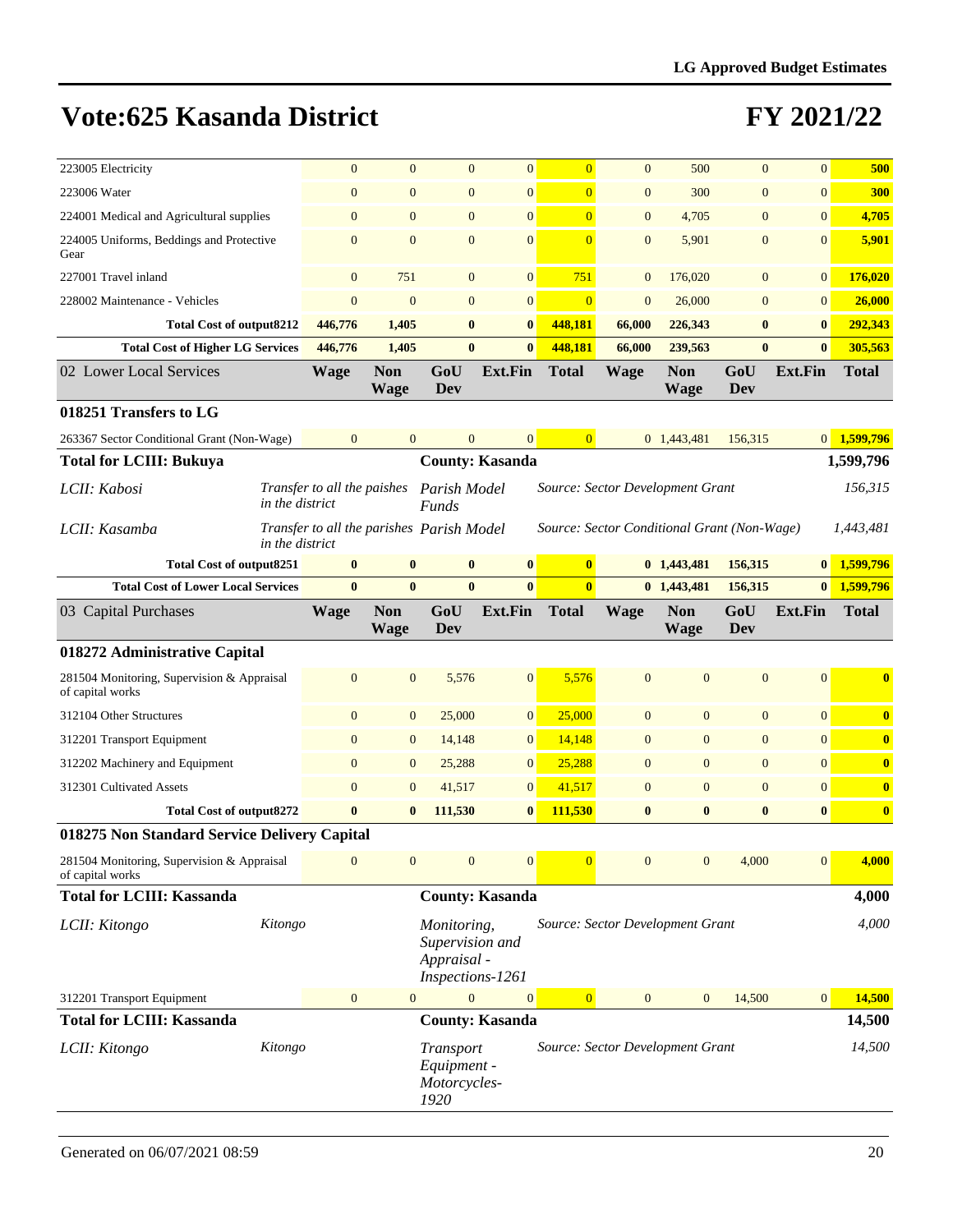| 223005 Electricity                                             |                                                              | $\mathbf{0}$<br>$\overline{0}$ | $\mathbf{0}$                                                      | $\mathbf{0}$           | $\overline{0}$ | $\mathbf{0}$     | 500                                         | $\overline{0}$   | $\overline{0}$  | 500          |
|----------------------------------------------------------------|--------------------------------------------------------------|--------------------------------|-------------------------------------------------------------------|------------------------|----------------|------------------|---------------------------------------------|------------------|-----------------|--------------|
| 223006 Water                                                   |                                                              | $\mathbf{0}$<br>$\mathbf{0}$   | $\mathbf{0}$                                                      | $\boldsymbol{0}$       | $\overline{0}$ | $\mathbf{0}$     | 300                                         | $\mathbf{0}$     | $\mathbf{0}$    | 300          |
| 224001 Medical and Agricultural supplies                       |                                                              | $\mathbf{0}$<br>$\mathbf{0}$   | $\mathbf{0}$                                                      | $\boldsymbol{0}$       | $\overline{0}$ | $\mathbf{0}$     | 4,705                                       | $\boldsymbol{0}$ | $\mathbf{0}$    | 4,705        |
| 224005 Uniforms, Beddings and Protective<br>Gear               | $\overline{0}$                                               | $\overline{0}$                 | $\mathbf{0}$                                                      | $\mathbf{0}$           | $\overline{0}$ | $\mathbf{0}$     | 5,901                                       | $\mathbf{0}$     | $\overline{0}$  | 5,901        |
| 227001 Travel inland                                           |                                                              | 751<br>$\mathbf{0}$            | $\mathbf{0}$                                                      | $\boldsymbol{0}$       | 751            | $\mathbf{0}$     | 176,020                                     | $\mathbf{0}$     | $\mathbf{0}$    | 176,020      |
| 228002 Maintenance - Vehicles                                  |                                                              | $\mathbf{0}$<br>$\mathbf{0}$   | $\mathbf{0}$                                                      | $\boldsymbol{0}$       | $\overline{0}$ | $\boldsymbol{0}$ | 26,000                                      | $\boldsymbol{0}$ | $\mathbf{0}$    | 26,000       |
| <b>Total Cost of output8212</b>                                | 446,776                                                      | 1,405                          | $\bf{0}$                                                          | $\bf{0}$               | 448,181        | 66,000           | 226,343                                     | $\bf{0}$         | $\bf{0}$        | 292,343      |
| <b>Total Cost of Higher LG Services</b>                        | 446,776                                                      | 1,405                          | $\bf{0}$                                                          | $\bf{0}$               | 448,181        | 66,000           | 239,563                                     | $\mathbf{0}$     | $\mathbf{0}$    | 305,563      |
| 02 Lower Local Services                                        | <b>Wage</b>                                                  | <b>Non</b><br>Wage             | GoU<br>Dev                                                        | <b>Ext.Fin</b>         | <b>Total</b>   | <b>Wage</b>      | <b>Non</b><br><b>Wage</b>                   | GoU<br>Dev       | <b>Ext.Fin</b>  | <b>Total</b> |
| 018251 Transfers to LG                                         |                                                              |                                |                                                                   |                        |                |                  |                                             |                  |                 |              |
| 263367 Sector Conditional Grant (Non-Wage)                     | $\overline{0}$                                               | $\overline{0}$                 | $\mathbf{0}$                                                      | $\overline{0}$         | $\overline{0}$ |                  | 0 1,443,481                                 | 156,315          | 0               | 1,599,796    |
| <b>Total for LCIII: Bukuya</b>                                 |                                                              |                                |                                                                   | <b>County: Kasanda</b> |                |                  |                                             |                  |                 | 1,599,796    |
| LCII: Kabosi                                                   | Transfer to all the paishes<br>in the district               |                                | Parish Model<br><b>Funds</b>                                      |                        |                |                  | Source: Sector Development Grant            |                  |                 | 156,315      |
| LCII: Kasamba                                                  | Transfer to all the parishes Parish Model<br>in the district |                                |                                                                   |                        |                |                  | Source: Sector Conditional Grant (Non-Wage) |                  |                 | 1.443.481    |
| <b>Total Cost of output8251</b>                                |                                                              | $\bf{0}$<br>$\bf{0}$           | $\bf{0}$                                                          | $\bf{0}$               | $\bf{0}$       |                  | 0 1,443,481                                 | 156,315          | $\vert 0 \vert$ | 1,599,796    |
| <b>Total Cost of Lower Local Services</b>                      |                                                              | $\mathbf{0}$<br>$\bf{0}$       | $\bf{0}$                                                          | $\bf{0}$               | $\bf{0}$       |                  | 0 1,443,481                                 | 156,315          | $\mathbf{0}$    | 1,599,796    |
| 03 Capital Purchases                                           | <b>Wage</b>                                                  | <b>Non</b><br><b>Wage</b>      | GoU<br>Dev                                                        | <b>Ext.Fin</b>         | <b>Total</b>   | <b>Wage</b>      | <b>Non</b><br><b>Wage</b>                   | GoU<br>Dev       | <b>Ext.Fin</b>  | <b>Total</b> |
| 018272 Administrative Capital                                  |                                                              |                                |                                                                   |                        |                |                  |                                             |                  |                 |              |
| 281504 Monitoring, Supervision & Appraisal<br>of capital works | $\mathbf{0}$                                                 | $\overline{0}$                 | 5,576                                                             | $\mathbf{0}$           | 5,576          | $\overline{0}$   | $\overline{0}$                              | $\mathbf{0}$     | $\mathbf{0}$    | $\bf{0}$     |
| 312104 Other Structures                                        |                                                              | $\mathbf{0}$<br>$\mathbf{0}$   | 25,000                                                            | $\boldsymbol{0}$       | 25,000         | $\mathbf{0}$     | $\mathbf{0}$                                | $\mathbf{0}$     | $\overline{0}$  | $\bf{0}$     |
| 312201 Transport Equipment                                     |                                                              | $\mathbf{0}$<br>$\mathbf{0}$   | 14,148                                                            | $\mathbf{0}$           | 14,148         | $\mathbf{0}$     | $\mathbf{0}$                                | $\boldsymbol{0}$ | $\mathbf{0}$    | $\bf{0}$     |
| 312202 Machinery and Equipment                                 |                                                              | $\mathbf{0}$<br>$\mathbf{0}$   | 25,288                                                            | $\boldsymbol{0}$       | 25,288         | $\mathbf{0}$     | $\boldsymbol{0}$                            | $\mathbf{0}$     | $\mathbf{0}$    | $\bf{0}$     |
| 312301 Cultivated Assets                                       |                                                              | $\mathbf{0}$<br>$\mathbf{0}$   | 41,517                                                            | $\boldsymbol{0}$       | 41,517         | $\mathbf{0}$     | $\boldsymbol{0}$                            | $\boldsymbol{0}$ | $\overline{0}$  | $\mathbf{0}$ |
| <b>Total Cost of output8272</b>                                |                                                              | $\bf{0}$<br>$\bf{0}$           | 111,530                                                           | $\bf{0}$               | 111,530        | $\bf{0}$         | $\bf{0}$                                    | $\bf{0}$         | $\bf{0}$        | $\bf{0}$     |
| 018275 Non Standard Service Delivery Capital                   |                                                              |                                |                                                                   |                        |                |                  |                                             |                  |                 |              |
| 281504 Monitoring, Supervision & Appraisal<br>of capital works | $\mathbf{0}$                                                 | $\mathbf{0}$                   | $\mathbf{0}$                                                      | $\mathbf{0}$           | $\overline{0}$ | $\mathbf{0}$     | $\boldsymbol{0}$                            | 4,000            | $\mathbf{0}$    | 4,000        |
| <b>Total for LCIII: Kassanda</b>                               |                                                              |                                |                                                                   | <b>County: Kasanda</b> |                |                  |                                             |                  |                 | 4,000        |
| LCII: Kitongo                                                  | Kitongo                                                      |                                | Monitoring,<br>Supervision and<br>Appraisal -<br>Inspections-1261 |                        |                |                  | Source: Sector Development Grant            |                  |                 | 4,000        |
| 312201 Transport Equipment                                     |                                                              | $\mathbf{0}$<br>$\mathbf{0}$   | $\overline{0}$                                                    | $\mathbf{0}$           | $\overline{0}$ | $\mathbf{0}$     | $\mathbf{0}$                                | 14,500           | 0               | 14,500       |
| <b>Total for LCIII: Kassanda</b>                               |                                                              |                                |                                                                   | <b>County: Kasanda</b> |                |                  |                                             |                  |                 | 14,500       |
| LCII: Kitongo                                                  | Kitongo                                                      |                                | Transport<br>Equipment -<br>Motorcycles-<br>1920                  |                        |                |                  | Source: Sector Development Grant            |                  |                 | 14,500       |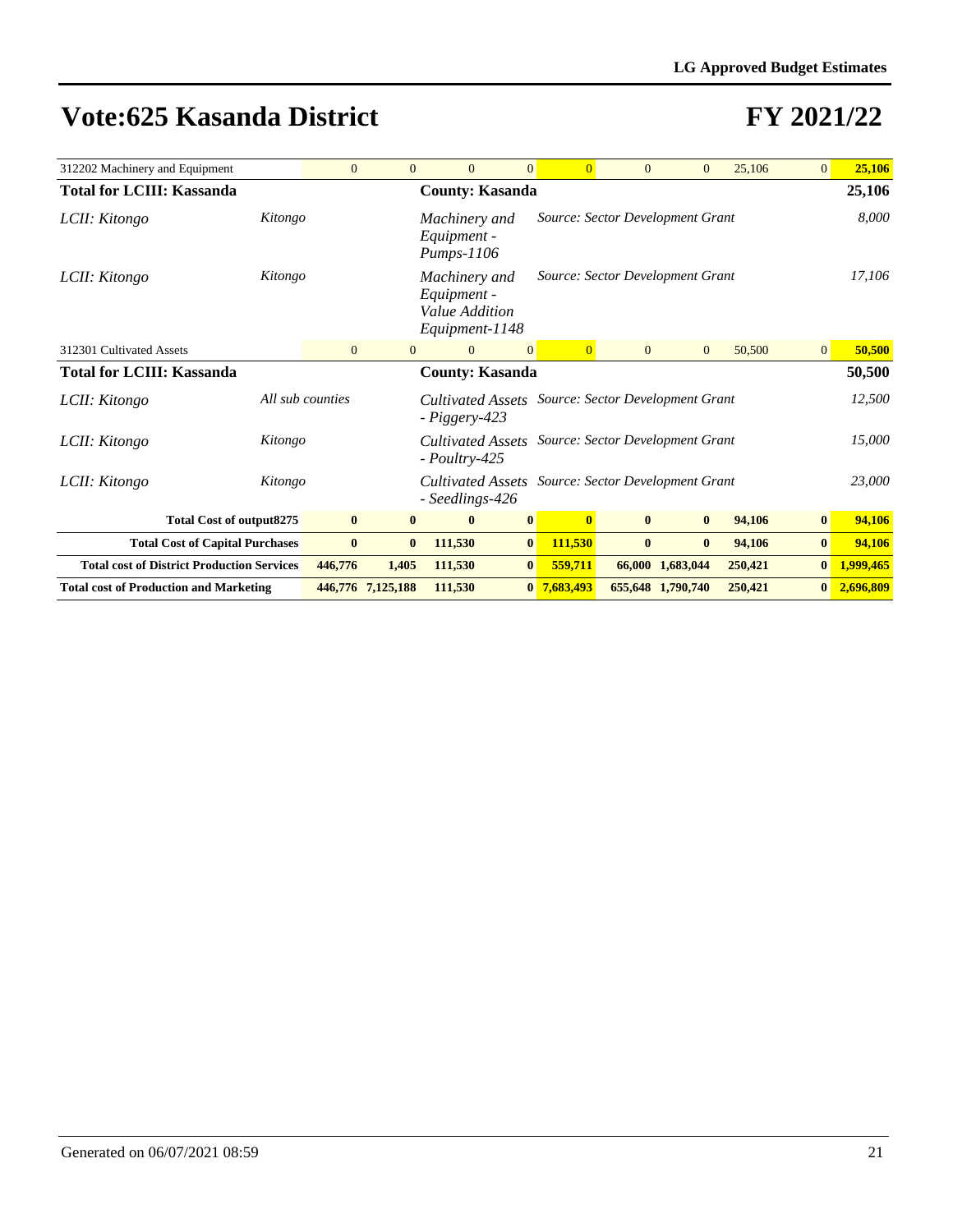| 312202 Machinery and Equipment                    |         | $\overline{0}$   | $\mathbf{0}$      | $\overline{0}$                                                   | $\overline{0}$ | $\overline{0}$ | $\overline{0}$ | $\mathbf{0}$                     | 25,106  | $\overline{0}$ | 25,106    |
|---------------------------------------------------|---------|------------------|-------------------|------------------------------------------------------------------|----------------|----------------|----------------|----------------------------------|---------|----------------|-----------|
| <b>Total for LCIII: Kassanda</b>                  |         |                  |                   | <b>County: Kasanda</b>                                           |                |                |                |                                  |         |                | 25,106    |
| LCII: Kitongo                                     | Kitongo |                  |                   | Machinery and<br>Equipment -<br>$Pumps-1106$                     |                |                |                | Source: Sector Development Grant |         |                | 8,000     |
| LCII: Kitongo                                     | Kitongo |                  |                   | Machinery and<br>Equipment -<br>Value Addition<br>Equipment-1148 |                |                |                | Source: Sector Development Grant |         |                | 17,106    |
| 312301 Cultivated Assets                          |         | $\mathbf{0}$     | $\overline{0}$    | $\overline{0}$                                                   | $\overline{0}$ | $\overline{0}$ | $\overline{0}$ | $\overline{0}$                   | 50,500  | $\mathbf{0}$   | 50,500    |
| <b>Total for LCIII: Kassanda</b>                  |         |                  |                   | <b>County: Kasanda</b>                                           |                |                |                |                                  |         |                | 50,500    |
| LCII: Kitongo                                     |         | All sub counties |                   | Cultivated Assets<br>- Piggery-423                               |                |                |                | Source: Sector Development Grant |         |                | 12,500    |
| LCII: Kitongo                                     | Kitongo |                  |                   | Cultivated Assets<br>$-$ Poultry-425                             |                |                |                | Source: Sector Development Grant |         |                | 15,000    |
| LCII: Kitongo                                     | Kitongo |                  |                   | Cultivated Assets<br>- Seedlings-426                             |                |                |                | Source: Sector Development Grant |         |                | 23,000    |
| <b>Total Cost of output8275</b>                   |         | $\bf{0}$         | $\bf{0}$          | $\bf{0}$                                                         | $\bf{0}$       | $\mathbf{0}$   | $\bf{0}$       | $\bf{0}$                         | 94,106  | $\bf{0}$       | 94,106    |
| <b>Total Cost of Capital Purchases</b>            |         | $\bf{0}$         | $\bf{0}$          | 111,530                                                          | $\bf{0}$       | 111,530        | $\bf{0}$       | $\bf{0}$                         | 94,106  | $\bf{0}$       | 94,106    |
| <b>Total cost of District Production Services</b> |         | 446,776          | 1,405             | 111,530                                                          | $\bf{0}$       | 559,711        |                | 66,000 1,683,044                 | 250,421 | $\bf{0}$       | 1,999,465 |
| <b>Total cost of Production and Marketing</b>     |         |                  | 446,776 7,125,188 | 111,530                                                          |                | 0 7,683,493    |                | 655,648 1,790,740                | 250,421 | $\bf{0}$       | 2,696,809 |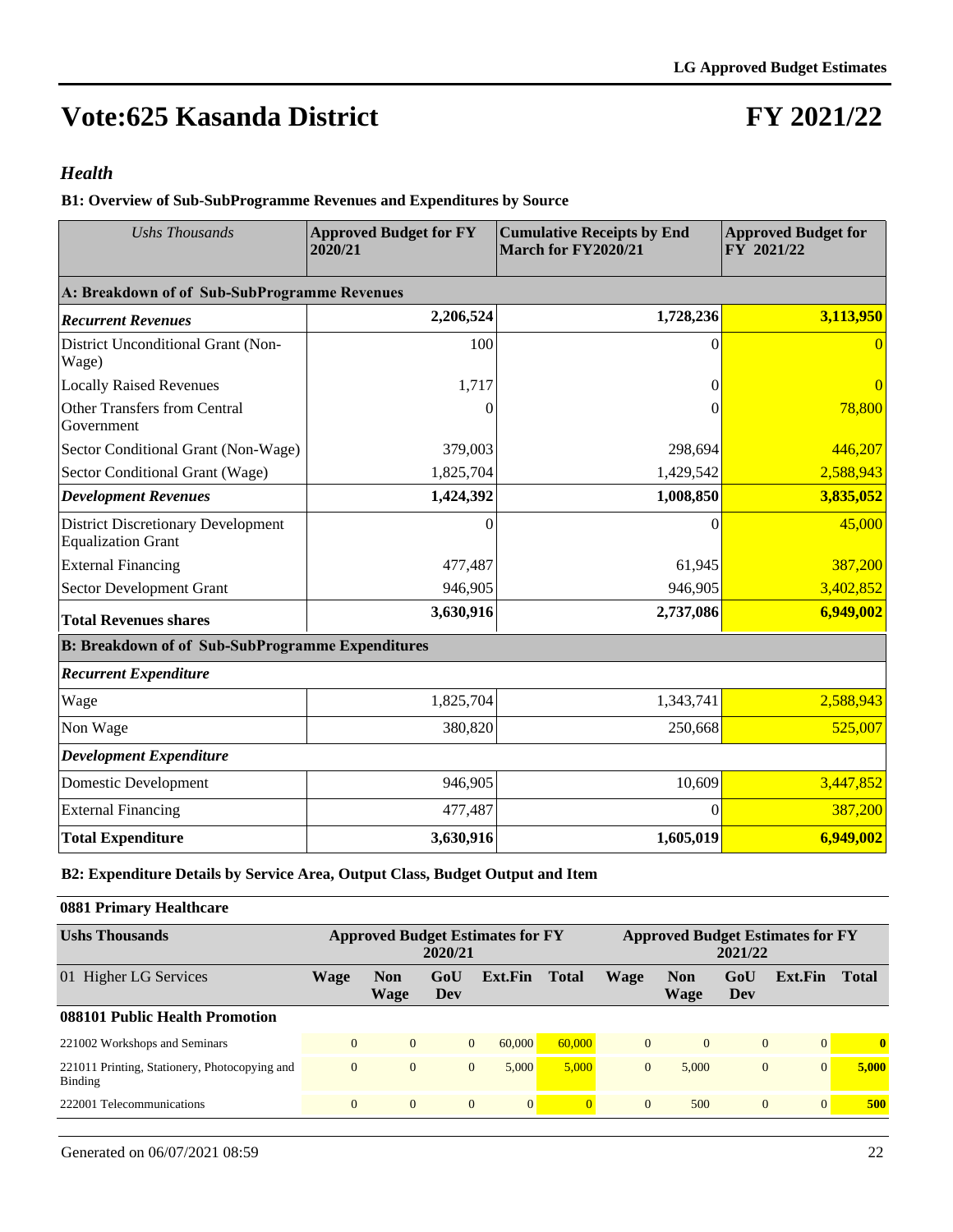### **FY 2021/22**

#### *Health*

**B1: Overview of Sub-SubProgramme Revenues and Expenditures by Source**

| <b>Ushs Thousands</b>                                                  | <b>Approved Budget for FY</b><br>2020/21 | <b>Cumulative Receipts by End</b><br>March for FY2020/21 | <b>Approved Budget for</b><br>FY 2021/22 |  |  |
|------------------------------------------------------------------------|------------------------------------------|----------------------------------------------------------|------------------------------------------|--|--|
| A: Breakdown of of Sub-SubProgramme Revenues                           |                                          |                                                          |                                          |  |  |
| <b>Recurrent Revenues</b>                                              | 2,206,524                                | 1,728,236                                                | 3,113,950                                |  |  |
| District Unconditional Grant (Non-<br>Wage)                            | 100                                      | $\theta$                                                 | $\left($                                 |  |  |
| <b>Locally Raised Revenues</b>                                         | 1,717                                    | 0                                                        |                                          |  |  |
| <b>Other Transfers from Central</b><br>Government                      |                                          | 0                                                        | 78,800                                   |  |  |
| Sector Conditional Grant (Non-Wage)                                    | 379,003                                  | 298,694                                                  | 446,207                                  |  |  |
| Sector Conditional Grant (Wage)                                        | 1,825,704                                | 1,429,542                                                | 2,588,943                                |  |  |
| <b>Development Revenues</b>                                            | 1,424,392                                | 1,008,850                                                | 3,835,052                                |  |  |
| <b>District Discretionary Development</b><br><b>Equalization Grant</b> | $\Omega$                                 | 0                                                        | 45,000                                   |  |  |
| <b>External Financing</b>                                              | 477,487                                  | 61,945                                                   | 387,200                                  |  |  |
| Sector Development Grant                                               | 946,905                                  | 946,905                                                  | 3,402,852                                |  |  |
| <b>Total Revenues shares</b>                                           | 3,630,916                                | 2,737,086                                                | 6,949,002                                |  |  |
| <b>B: Breakdown of of Sub-SubProgramme Expenditures</b>                |                                          |                                                          |                                          |  |  |
| <b>Recurrent Expenditure</b>                                           |                                          |                                                          |                                          |  |  |
| Wage                                                                   | 1,825,704                                | 1,343,741                                                | 2,588,943                                |  |  |
| Non Wage                                                               | 380,820                                  | 250,668                                                  | 525,007                                  |  |  |
| <b>Development Expenditure</b>                                         |                                          |                                                          |                                          |  |  |
| Domestic Development                                                   | 946,905                                  | 10,609                                                   | 3,447,852                                |  |  |
| <b>External Financing</b>                                              | 477,487                                  | $\theta$                                                 | 387,200                                  |  |  |
| <b>Total Expenditure</b>                                               | 3,630,916                                | 1,605,019                                                | 6,949,002                                |  |  |

**B2: Expenditure Details by Service Area, Output Class, Budget Output and Item**

#### **0881 Primary Healthcare**

| <b>Ushs Thousands</b>                                    | <b>Approved Budget Estimates for FY</b><br>2020/21 |                    |                |              |              | <b>Approved Budget Estimates for FY</b><br>2021/22 |                    |              |                |              |  |
|----------------------------------------------------------|----------------------------------------------------|--------------------|----------------|--------------|--------------|----------------------------------------------------|--------------------|--------------|----------------|--------------|--|
| 01 Higher LG Services                                    | Wage                                               | <b>Non</b><br>Wage | GoU<br>Dev     | Ext.Fin      | <b>Total</b> | Wage                                               | <b>Non</b><br>Wage | GoU<br>Dev   | Ext.Fin        | <b>Total</b> |  |
| 088101 Public Health Promotion                           |                                                    |                    |                |              |              |                                                    |                    |              |                |              |  |
| 221002 Workshops and Seminars                            | $\Omega$                                           | $\Omega$           | $\overline{0}$ | 60,000       | 60,000       | $\Omega$                                           | $\overline{0}$     | $\mathbf{0}$ | $\Omega$       | $\mathbf{0}$ |  |
| 221011 Printing, Stationery, Photocopying and<br>Binding | $\mathbf{0}$                                       | $\Omega$           | $\overline{0}$ | 5.000        | 5.000        | $\overline{0}$                                     | 5.000              | $\mathbf{0}$ | $\overline{0}$ | 5.000        |  |
| 222001 Telecommunications                                | $\overline{0}$                                     | $\Omega$           | $\mathbf{0}$   | $\mathbf{0}$ |              | $\Omega$                                           | 500                | $\Omega$     | $\Omega$       | 500          |  |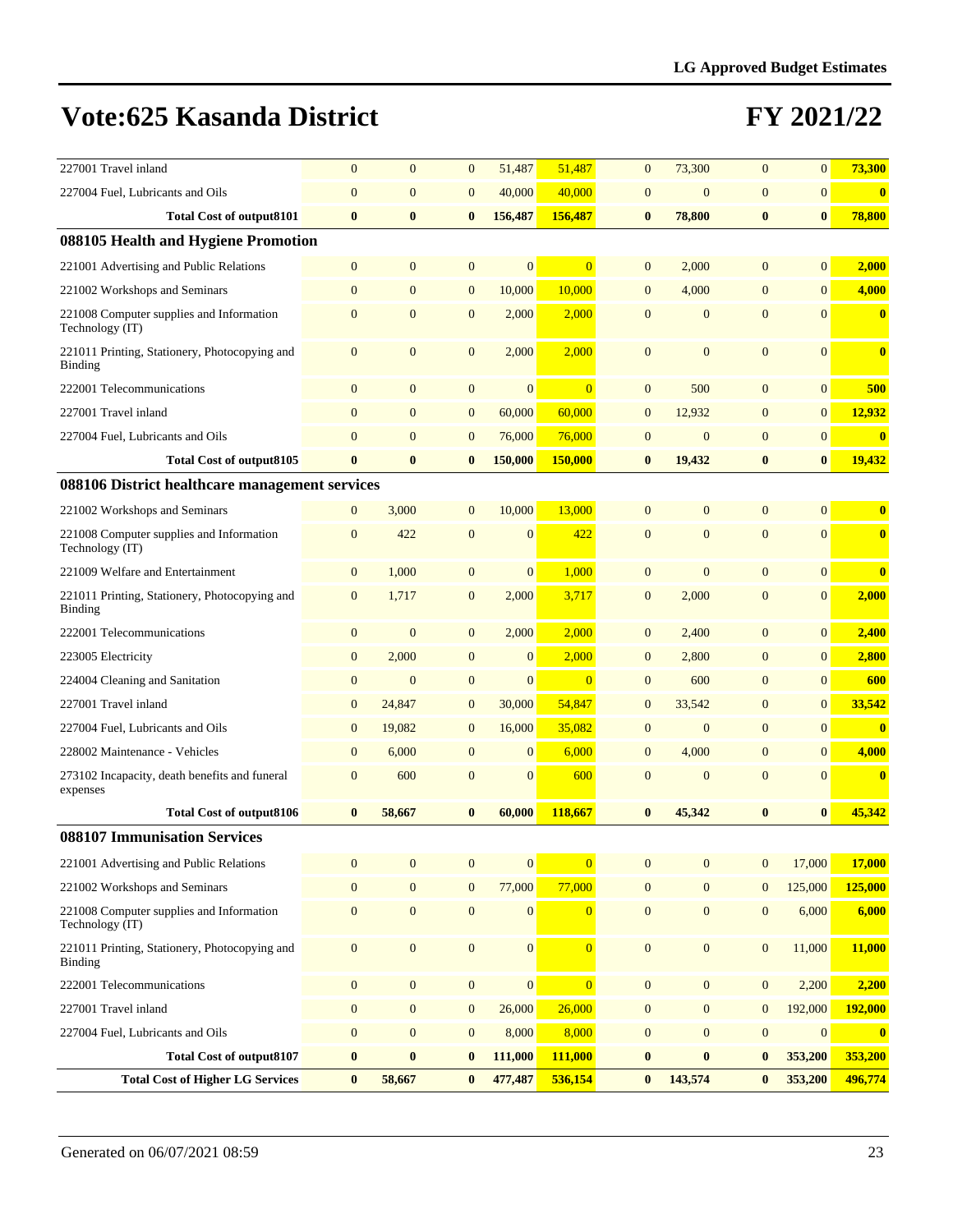| 227001 Travel inland                                        | $\mathbf{0}$     | $\overline{0}$   | $\mathbf{0}$     | 51,487           | 51,487         | $\mathbf{0}$     | 73,300           | $\overline{0}$   | $\overline{0}$ | 73,300   |
|-------------------------------------------------------------|------------------|------------------|------------------|------------------|----------------|------------------|------------------|------------------|----------------|----------|
| 227004 Fuel, Lubricants and Oils                            | $\mathbf{0}$     | $\mathbf{0}$     | $\mathbf{0}$     | 40,000           | 40,000         | $\mathbf{0}$     | $\boldsymbol{0}$ | $\mathbf{0}$     | $\overline{0}$ | $\bf{0}$ |
| <b>Total Cost of output8101</b>                             | $\bf{0}$         | $\bf{0}$         | $\bf{0}$         | 156,487          | 156,487        | $\bf{0}$         | 78,800           | $\bf{0}$         | $\bf{0}$       | 78,800   |
| 088105 Health and Hygiene Promotion                         |                  |                  |                  |                  |                |                  |                  |                  |                |          |
| 221001 Advertising and Public Relations                     | $\mathbf{0}$     | $\mathbf{0}$     | $\mathbf{0}$     | $\overline{0}$   | $\overline{0}$ | $\mathbf{0}$     | 2,000            | $\mathbf{0}$     | $\overline{0}$ | 2,000    |
| 221002 Workshops and Seminars                               | $\mathbf{0}$     | $\mathbf{0}$     | $\mathbf{0}$     | 10,000           | 10,000         | $\mathbf{0}$     | 4,000            | $\mathbf{0}$     | $\overline{0}$ | 4,000    |
| 221008 Computer supplies and Information<br>Technology (IT) | $\overline{0}$   | $\overline{0}$   | $\mathbf{0}$     | 2,000            | 2,000          | $\mathbf{0}$     | $\mathbf{0}$     | $\overline{0}$   | $\overline{0}$ | $\bf{0}$ |
| 221011 Printing, Stationery, Photocopying and<br>Binding    | $\mathbf{0}$     | $\overline{0}$   | $\mathbf{0}$     | 2,000            | 2,000          | $\mathbf{0}$     | $\mathbf{0}$     | $\overline{0}$   | $\overline{0}$ | $\bf{0}$ |
| 222001 Telecommunications                                   | $\mathbf{0}$     | $\mathbf{0}$     | $\boldsymbol{0}$ | $\boldsymbol{0}$ | $\overline{0}$ | $\boldsymbol{0}$ | 500              | $\mathbf{0}$     | $\overline{0}$ | 500      |
| 227001 Travel inland                                        | $\mathbf{0}$     | $\mathbf{0}$     | $\mathbf{0}$     | 60,000           | 60,000         | $\overline{0}$   | 12,932           | $\mathbf{0}$     | $\overline{0}$ | 12,932   |
| 227004 Fuel, Lubricants and Oils                            | $\mathbf{0}$     | $\mathbf{0}$     | $\mathbf{0}$     | 76,000           | 76,000         | $\mathbf{0}$     | $\mathbf{0}$     | $\mathbf{0}$     | $\overline{0}$ | $\bf{0}$ |
| <b>Total Cost of output8105</b>                             | $\bf{0}$         | $\bf{0}$         | $\bf{0}$         | 150,000          | 150,000        | $\bf{0}$         | 19,432           | $\bf{0}$         | $\bf{0}$       | 19,432   |
| 088106 District healthcare management services              |                  |                  |                  |                  |                |                  |                  |                  |                |          |
| 221002 Workshops and Seminars                               | $\mathbf{0}$     | 3,000            | $\mathbf{0}$     | 10,000           | 13,000         | $\mathbf{0}$     | $\mathbf{0}$     | $\mathbf{0}$     | $\overline{0}$ | $\bf{0}$ |
| 221008 Computer supplies and Information<br>Technology (IT) | $\mathbf{0}$     | 422              | $\mathbf{0}$     | $\mathbf{0}$     | 422            | $\mathbf{0}$     | $\mathbf{0}$     | $\overline{0}$   | $\overline{0}$ | $\bf{0}$ |
| 221009 Welfare and Entertainment                            | $\mathbf{0}$     | 1,000            | $\mathbf{0}$     | $\mathbf{0}$     | 1,000          | $\mathbf{0}$     | $\mathbf{0}$     | $\mathbf{0}$     | $\overline{0}$ | $\bf{0}$ |
| 221011 Printing, Stationery, Photocopying and<br>Binding    | $\mathbf{0}$     | 1,717            | $\mathbf{0}$     | 2,000            | 3,717          | $\mathbf{0}$     | 2,000            | $\mathbf{0}$     | $\overline{0}$ | 2,000    |
| 222001 Telecommunications                                   | $\mathbf{0}$     | $\overline{0}$   | $\mathbf{0}$     | 2,000            | 2,000          | $\mathbf{0}$     | 2,400            | $\overline{0}$   | $\overline{0}$ | 2,400    |
| 223005 Electricity                                          | $\mathbf{0}$     | 2,000            | $\mathbf{0}$     | $\mathbf{0}$     | 2,000          | $\mathbf{0}$     | 2,800            | $\mathbf{0}$     | $\overline{0}$ | 2,800    |
| 224004 Cleaning and Sanitation                              | $\boldsymbol{0}$ | $\mathbf{0}$     | $\mathbf{0}$     | $\mathbf{0}$     | $\overline{0}$ | $\overline{0}$   | 600              | $\overline{0}$   | $\overline{0}$ | 600      |
| 227001 Travel inland                                        | $\mathbf{0}$     | 24,847           | $\mathbf{0}$     | 30,000           | 54,847         | $\mathbf{0}$     | 33,542           | $\overline{0}$   | $\overline{0}$ | 33,542   |
| 227004 Fuel, Lubricants and Oils                            | $\boldsymbol{0}$ | 19,082           | $\mathbf{0}$     | 16,000           | 35,082         | $\mathbf{0}$     | $\mathbf{0}$     | $\overline{0}$   | $\overline{0}$ | $\bf{0}$ |
| 228002 Maintenance - Vehicles                               | $\boldsymbol{0}$ | 6,000            | $\mathbf{0}$     | $\mathbf{0}$     | 6,000          | $\mathbf{0}$     | 4,000            | $\mathbf{0}$     | $\overline{0}$ | 4,000    |
| 273102 Incapacity, death benefits and funeral<br>expenses   | $\mathbf{0}$     | 600              | $\mathbf{0}$     | $\mathbf{0}$     | 600            | $\mathbf{0}$     | $\mathbf{0}$     | $\overline{0}$   | $\overline{0}$ | $\bf{0}$ |
| Total Cost of output8106                                    | $\bf{0}$         | 58,667           | $\bf{0}$         | 60,000           | 118,667        | $\bf{0}$         | 45,342           | $\bf{0}$         | $\bf{0}$       | 45,342   |
| 088107 Immunisation Services                                |                  |                  |                  |                  |                |                  |                  |                  |                |          |
| 221001 Advertising and Public Relations                     | $\mathbf{0}$     | $\mathbf{0}$     | $\boldsymbol{0}$ | $\boldsymbol{0}$ | $\overline{0}$ | $\boldsymbol{0}$ | $\mathbf{0}$     | $\boldsymbol{0}$ | 17,000         | 17,000   |
| 221002 Workshops and Seminars                               | $\mathbf{0}$     | $\overline{0}$   | $\mathbf{0}$     | 77,000           | 77,000         | $\overline{0}$   | $\mathbf{0}$     | $\mathbf{0}$     | 125,000        | 125,000  |
| 221008 Computer supplies and Information<br>Technology (IT) | $\boldsymbol{0}$ | $\overline{0}$   | $\mathbf{0}$     | $\boldsymbol{0}$ | $\overline{0}$ | $\boldsymbol{0}$ | $\boldsymbol{0}$ | $\boldsymbol{0}$ | 6,000          | 6,000    |
| 221011 Printing, Stationery, Photocopying and<br>Binding    | $\boldsymbol{0}$ | $\mathbf{0}$     | $\boldsymbol{0}$ | $\boldsymbol{0}$ | $\overline{0}$ | $\boldsymbol{0}$ | $\mathbf{0}$     | $\boldsymbol{0}$ | 11,000         | 11,000   |
| 222001 Telecommunications                                   | $\boldsymbol{0}$ | $\boldsymbol{0}$ | $\mathbf{0}$     | $\boldsymbol{0}$ | $\overline{0}$ | $\mathbf{0}$     | $\mathbf{0}$     | $\boldsymbol{0}$ | 2,200          | 2,200    |
| 227001 Travel inland                                        | $\boldsymbol{0}$ | $\boldsymbol{0}$ | $\boldsymbol{0}$ | 26,000           | 26,000         | $\boldsymbol{0}$ | $\boldsymbol{0}$ | $\boldsymbol{0}$ | 192,000        | 192,000  |
| 227004 Fuel, Lubricants and Oils                            | $\boldsymbol{0}$ | $\boldsymbol{0}$ | $\mathbf{0}$     | 8,000            | 8,000          | $\boldsymbol{0}$ | $\boldsymbol{0}$ | $\boldsymbol{0}$ | $\mathbf{0}$   | $\bf{0}$ |
| <b>Total Cost of output8107</b>                             | $\bf{0}$         | $\bf{0}$         | $\bf{0}$         | 111,000          | 111,000        | $\bf{0}$         | $\boldsymbol{0}$ | $\bf{0}$         | 353,200        | 353,200  |
| <b>Total Cost of Higher LG Services</b>                     | $\bf{0}$         | 58,667           | $\bf{0}$         | 477,487          | 536,154        | $\bf{0}$         | 143,574          | $\bf{0}$         | 353,200        | 496,774  |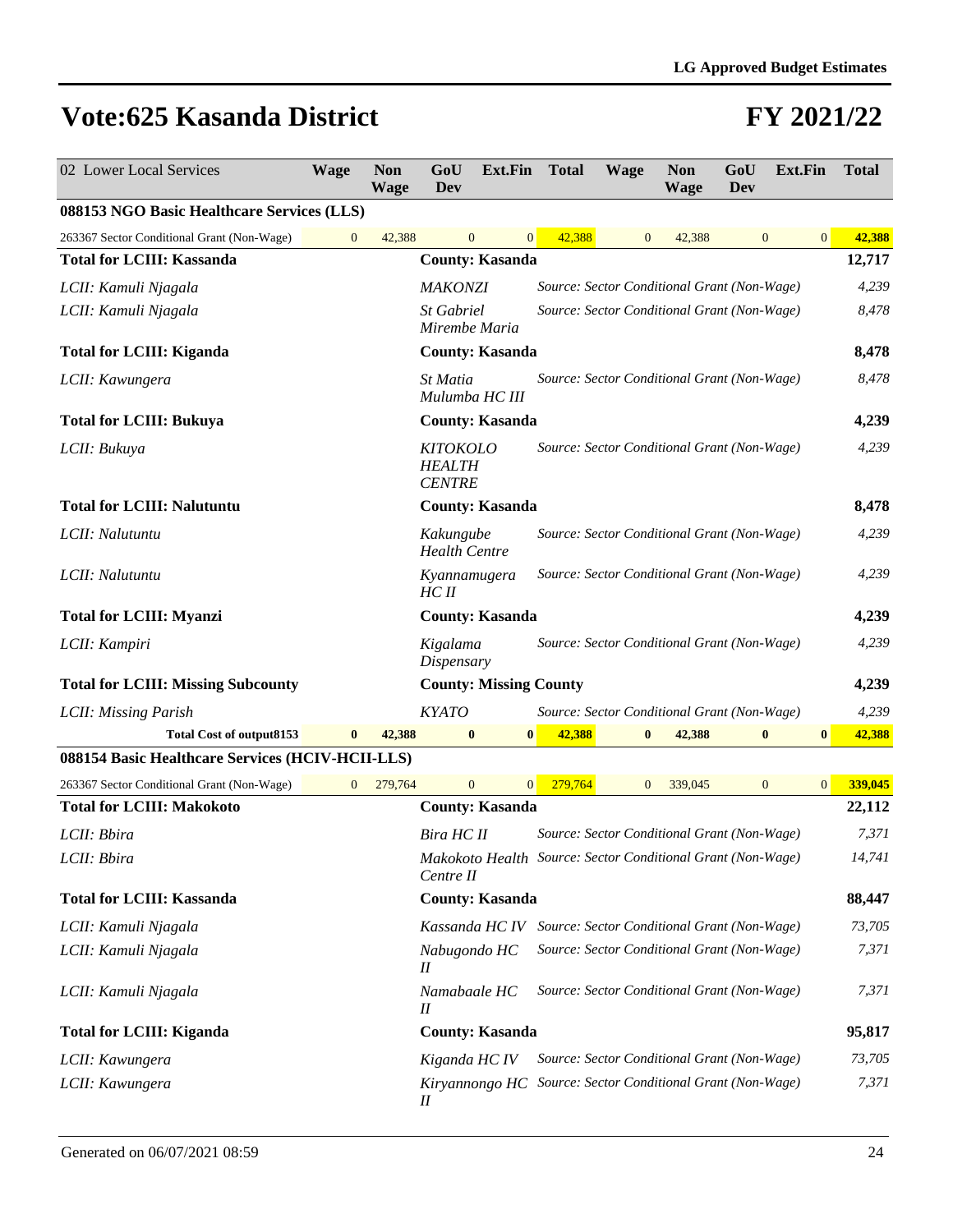| 02 Lower Local Services                          | <b>Wage</b>      | <b>Non</b><br><b>Wage</b> | GoU<br><b>Dev</b>                                 | <b>Ext.Fin</b>                | <b>Total</b>                                                | Wage           | <b>Non</b><br><b>Wage</b> | GoU<br>Dev     | Ext.Fin         | <b>Total</b>  |
|--------------------------------------------------|------------------|---------------------------|---------------------------------------------------|-------------------------------|-------------------------------------------------------------|----------------|---------------------------|----------------|-----------------|---------------|
| 088153 NGO Basic Healthcare Services (LLS)       |                  |                           |                                                   |                               |                                                             |                |                           |                |                 |               |
| 263367 Sector Conditional Grant (Non-Wage)       | $\boldsymbol{0}$ | 42,388                    | $\overline{0}$                                    | $\mathbf{0}$                  | 42,388                                                      | $\mathbf{0}$   | 42,388                    | $\overline{0}$ | $\vert 0 \vert$ | 42,388        |
| <b>Total for LCIII: Kassanda</b>                 |                  |                           |                                                   | <b>County: Kasanda</b>        |                                                             |                |                           |                |                 | 12,717        |
| LCII: Kamuli Njagala                             |                  |                           | <b>MAKONZI</b>                                    |                               | Source: Sector Conditional Grant (Non-Wage)                 |                |                           |                |                 | 4,239         |
| LCII: Kamuli Njagala                             |                  |                           | <b>St Gabriel</b><br>Mirembe Maria                |                               | Source: Sector Conditional Grant (Non-Wage)                 |                |                           |                |                 | 8,478         |
| <b>Total for LCIII: Kiganda</b>                  |                  |                           |                                                   | <b>County: Kasanda</b>        |                                                             |                |                           |                |                 | 8,478         |
| LCII: Kawungera                                  |                  |                           | St Matia<br>Mulumba HC III                        |                               | Source: Sector Conditional Grant (Non-Wage)                 |                |                           |                |                 | 8,478         |
| <b>Total for LCIII: Bukuya</b>                   |                  |                           |                                                   | <b>County: Kasanda</b>        |                                                             |                |                           |                |                 | 4,239         |
| LCII: Bukuya                                     |                  |                           | <b>KITOKOLO</b><br><b>HEALTH</b><br><b>CENTRE</b> |                               | Source: Sector Conditional Grant (Non-Wage)                 |                |                           |                |                 | 4,239         |
| <b>Total for LCIII: Nalutuntu</b>                |                  |                           |                                                   | <b>County: Kasanda</b>        |                                                             |                |                           |                |                 | 8,478         |
| LCII: Nalutuntu                                  |                  |                           | Kakungube<br><b>Health Centre</b>                 |                               | Source: Sector Conditional Grant (Non-Wage)                 |                |                           |                |                 | 4,239         |
| LCII: Nalutuntu                                  |                  |                           | Kyannamugera<br>HCII                              |                               | Source: Sector Conditional Grant (Non-Wage)                 |                |                           |                |                 | 4,239         |
| <b>Total for LCIII: Myanzi</b>                   |                  |                           |                                                   | <b>County: Kasanda</b>        |                                                             |                |                           |                |                 | 4,239         |
| LCII: Kampiri                                    |                  |                           | Kigalama<br>Dispensary                            |                               | Source: Sector Conditional Grant (Non-Wage)                 |                |                           |                |                 | 4,239         |
| <b>Total for LCIII: Missing Subcounty</b>        |                  |                           |                                                   | <b>County: Missing County</b> |                                                             |                |                           |                |                 | 4,239         |
| LCII: Missing Parish                             |                  |                           | <b>KYATO</b>                                      |                               | Source: Sector Conditional Grant (Non-Wage)                 |                |                           |                |                 | 4,239         |
| <b>Total Cost of output8153</b>                  | $\bf{0}$         | 42,388                    | $\bf{0}$                                          | $\bf{0}$                      | 42,388                                                      |                | 42,388                    | $\bf{0}$       | $\bf{0}$        | 42,388        |
| 088154 Basic Healthcare Services (HCIV-HCII-LLS) |                  |                           |                                                   |                               |                                                             |                |                           |                |                 |               |
| 263367 Sector Conditional Grant (Non-Wage)       | $\mathbf{0}$     | 279,764                   | $\overline{0}$                                    | $\overline{0}$                | 279,764                                                     | $\overline{0}$ | 339,045                   | $\mathbf{0}$   |                 | 339,045<br> 0 |
| <b>Total for LCIII: Makokoto</b>                 |                  |                           |                                                   | <b>County: Kasanda</b>        |                                                             |                |                           |                |                 | 22,112        |
| LCII: Bbira                                      |                  |                           | Bira HC II                                        |                               | Source: Sector Conditional Grant (Non-Wage)                 |                |                           |                |                 | 7,371         |
| LCII: Bbira                                      |                  |                           | Centre II                                         |                               | Makokoto Health Source: Sector Conditional Grant (Non-Wage) |                |                           |                |                 | 14,741        |
| <b>Total for LCIII: Kassanda</b>                 |                  |                           |                                                   | <b>County: Kasanda</b>        |                                                             |                |                           |                |                 | 88,447        |
| LCII: Kamuli Njagala                             |                  |                           |                                                   | Kassanda HC IV                | Source: Sector Conditional Grant (Non-Wage)                 |                |                           |                |                 | 73,705        |
| LCII: Kamuli Njagala                             |                  |                           | Nabugondo HC<br>П                                 |                               | Source: Sector Conditional Grant (Non-Wage)                 |                |                           |                |                 | 7,371         |
| LCII: Kamuli Njagala                             |                  |                           | Namabaale HC<br>П                                 |                               | Source: Sector Conditional Grant (Non-Wage)                 |                |                           |                |                 | 7,371         |
| <b>Total for LCIII: Kiganda</b>                  |                  |                           |                                                   | <b>County: Kasanda</b>        |                                                             |                |                           |                |                 | 95,817        |
| LCII: Kawungera                                  |                  |                           | Kiganda HC IV                                     |                               | Source: Sector Conditional Grant (Non-Wage)                 |                |                           |                |                 | 73,705        |
| LCII: Kawungera                                  |                  |                           | Н                                                 |                               | Kiryannongo HC Source: Sector Conditional Grant (Non-Wage)  |                |                           |                |                 | 7,371         |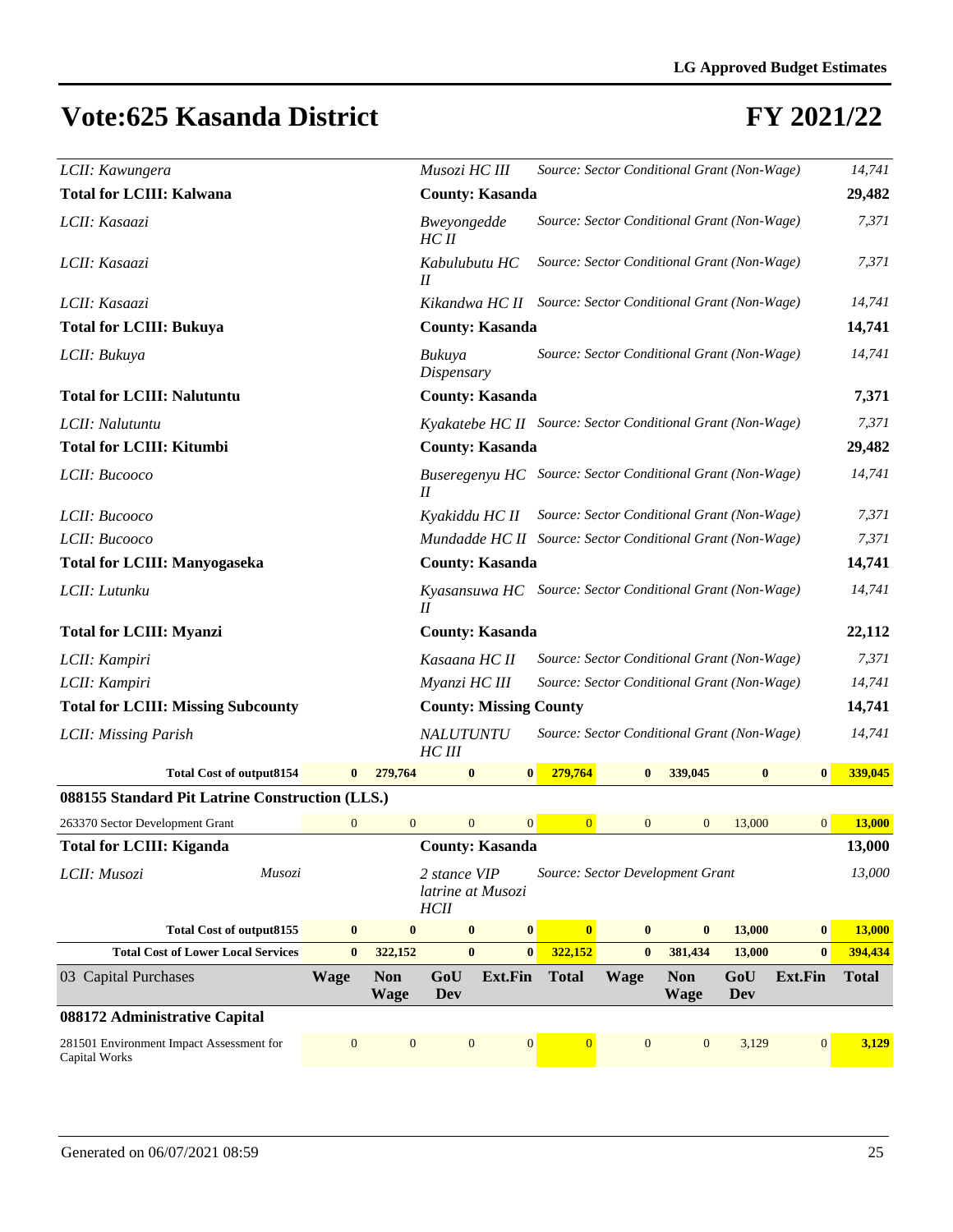| LCII: Kawungera                                           |                  |                           | Musozi HC III            |                                                             |                | Source: Sector Conditional Grant (Non-Wage) |                    |            |                  | 14,741        |
|-----------------------------------------------------------|------------------|---------------------------|--------------------------|-------------------------------------------------------------|----------------|---------------------------------------------|--------------------|------------|------------------|---------------|
| <b>Total for LCIII: Kalwana</b>                           |                  |                           |                          | <b>County: Kasanda</b>                                      |                |                                             |                    |            |                  | 29,482        |
| LCII: Kasaazi                                             |                  |                           | Bweyongedde<br>HCII      |                                                             |                | Source: Sector Conditional Grant (Non-Wage) |                    |            |                  | 7,371         |
| LCII: Kasaazi                                             |                  |                           | Kabulubutu HC<br>$_{II}$ |                                                             |                | Source: Sector Conditional Grant (Non-Wage) |                    |            |                  | 7,371         |
| LCII: Kasaazi                                             |                  |                           |                          | Kikandwa HC II Source: Sector Conditional Grant (Non-Wage)  |                |                                             |                    |            |                  | 14,741        |
| <b>Total for LCIII: Bukuya</b>                            |                  |                           |                          | <b>County: Kasanda</b>                                      |                |                                             |                    |            |                  | 14,741        |
| LCII: Bukuya                                              |                  |                           | Bukuya<br>Dispensary     |                                                             |                | Source: Sector Conditional Grant (Non-Wage) |                    |            |                  | 14,741        |
| <b>Total for LCIII: Nalutuntu</b>                         |                  |                           |                          | <b>County: Kasanda</b>                                      |                |                                             |                    |            |                  | 7,371         |
| LCII: Nalutuntu                                           |                  |                           |                          | Kyakatebe HC II Source: Sector Conditional Grant (Non-Wage) |                |                                             |                    |            |                  | 7,371         |
| <b>Total for LCIII: Kitumbi</b>                           |                  |                           |                          | <b>County: Kasanda</b>                                      |                |                                             |                    |            |                  | 29,482        |
| LCII: Bucooco                                             |                  |                           | П                        | Buseregenyu HC Source: Sector Conditional Grant (Non-Wage)  |                |                                             |                    |            |                  | 14,741        |
| LCII: Bucooco                                             |                  |                           | Kyakiddu HC II           |                                                             |                | Source: Sector Conditional Grant (Non-Wage) |                    |            |                  | 7,371         |
| LCII: Bucooco                                             |                  |                           |                          | Mundadde HC II Source: Sector Conditional Grant (Non-Wage)  |                |                                             |                    |            |                  | 7,371         |
| <b>Total for LCIII: Manyogaseka</b>                       |                  |                           |                          | <b>County: Kasanda</b>                                      |                |                                             |                    |            |                  | 14,741        |
| LCII: Lutunku                                             |                  |                           | II                       | Kyasansuwa HC                                               |                | Source: Sector Conditional Grant (Non-Wage) |                    |            |                  | 14,741        |
| <b>Total for LCIII: Myanzi</b>                            |                  |                           |                          | <b>County: Kasanda</b>                                      |                |                                             |                    |            |                  | 22,112        |
| LCII: Kampiri                                             |                  |                           | Kasaana HC II            |                                                             |                | Source: Sector Conditional Grant (Non-Wage) |                    |            |                  | 7,371         |
| LCII: Kampiri                                             |                  |                           | Myanzi HC III            |                                                             |                | Source: Sector Conditional Grant (Non-Wage) |                    |            |                  | 14,741        |
| <b>Total for LCIII: Missing Subcounty</b>                 |                  |                           |                          | <b>County: Missing County</b>                               |                |                                             |                    |            |                  | 14,741        |
| LCII: Missing Parish                                      |                  |                           | NALUTUNTU<br>HC III      |                                                             |                | Source: Sector Conditional Grant (Non-Wage) |                    |            |                  | 14,741        |
| <b>Total Cost of output8154</b>                           | $\bf{0}$         | 279,764                   | $\bf{0}$                 | $\bf{0}$                                                    | 279,764        | $\bf{0}$                                    | 339,045            | $\bf{0}$   | $\bf{0}$         | 339,045       |
| 088155 Standard Pit Latrine Construction (LLS.)           |                  |                           |                          |                                                             |                |                                             |                    |            |                  |               |
| 263370 Sector Development Grant                           | $\boldsymbol{0}$ | $\overline{0}$            |                          | $\overline{0}$<br>$\mathbf{0}$                              | $\mathbf{0}$   | $\mathbf{0}$                                | $\mathbf{0}$       | 13,000     | $\mathbf{0}$     | <b>13,000</b> |
| <b>Total for LCIII: Kiganda</b>                           |                  |                           |                          | <b>County: Kasanda</b>                                      |                |                                             |                    |            |                  | 13,000        |
| Musozi<br>LCII: Musozi                                    |                  |                           | 2 stance VIP<br>HClI     | latrine at Musozi                                           |                | Source: Sector Development Grant            |                    |            |                  | 13,000        |
| <b>Total Cost of output8155</b>                           | $\bf{0}$         | $\bf{0}$                  |                          | $\bf{0}$<br>$\bf{0}$                                        | $\bf{0}$       | $\bf{0}$                                    | $\bf{0}$           | 13,000     | $\boldsymbol{0}$ | 13,000        |
| <b>Total Cost of Lower Local Services</b>                 | $\bf{0}$         | 322,152                   |                          | $\bf{0}$<br>$\bf{0}$                                        | 322,152        | $\bf{0}$                                    | 381,434            | 13,000     | $\bf{0}$         | 394,434       |
| 03 Capital Purchases                                      | <b>Wage</b>      | <b>Non</b><br><b>Wage</b> | GoU<br>Dev               | Ext.Fin                                                     | <b>Total</b>   | Wage                                        | <b>Non</b><br>Wage | GoU<br>Dev | Ext.Fin          | <b>Total</b>  |
| 088172 Administrative Capital                             |                  |                           |                          |                                                             |                |                                             |                    |            |                  |               |
| 281501 Environment Impact Assessment for<br>Capital Works | $\boldsymbol{0}$ | $\mathbf{0}$              |                          | $\mathbf{0}$<br>$\boldsymbol{0}$                            | $\overline{0}$ | $\mathbf{0}$                                | $\mathbf{0}$       | 3,129      | $\boldsymbol{0}$ | 3,129         |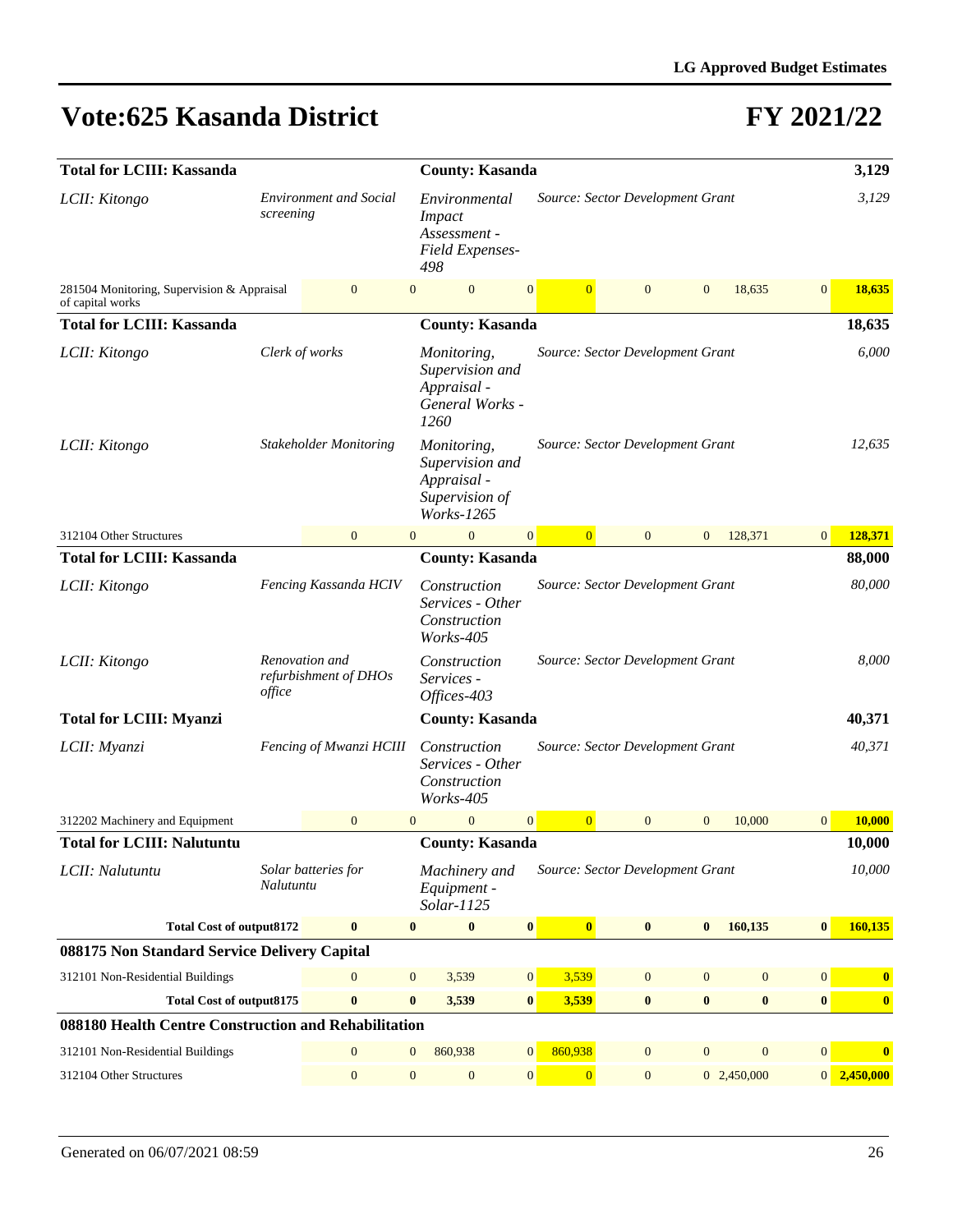| <b>Total for LCIII: Kassanda</b>                               | <b>County: Kasanda</b> |                                         |                                                                          |                                                                               |                  |                                  |              |              |                | 3,129            |                  |                         |
|----------------------------------------------------------------|------------------------|-----------------------------------------|--------------------------------------------------------------------------|-------------------------------------------------------------------------------|------------------|----------------------------------|--------------|--------------|----------------|------------------|------------------|-------------------------|
| LCII: Kitongo                                                  | screening              | <b>Environment and Social</b>           | Environmental<br><b>Impact</b><br>Assessment -<br>Field Expenses-<br>498 |                                                                               |                  | Source: Sector Development Grant |              |              |                |                  |                  | 3,129                   |
| 281504 Monitoring, Supervision & Appraisal<br>of capital works |                        | $\mathbf{0}$                            | $\overline{0}$                                                           | $\mathbf{0}$                                                                  | $\mathbf{0}$     | $\overline{0}$                   | $\mathbf{0}$ |              | $\overline{0}$ | 18,635           | $\overline{0}$   | 18,635                  |
| <b>Total for LCIII: Kassanda</b>                               |                        |                                         |                                                                          | <b>County: Kasanda</b>                                                        |                  |                                  |              |              |                |                  |                  | 18,635                  |
| LCII: Kitongo                                                  |                        | Clerk of works                          |                                                                          | Monitoring,<br>Supervision and<br>Appraisal -<br>General Works -<br>1260      |                  | Source: Sector Development Grant |              |              |                |                  |                  | 6,000                   |
| LCII: Kitongo                                                  |                        | <b>Stakeholder Monitoring</b>           |                                                                          | Monitoring,<br>Supervision and<br>Appraisal -<br>Supervision of<br>Works-1265 |                  | Source: Sector Development Grant |              |              |                |                  |                  | 12,635                  |
| 312104 Other Structures                                        |                        | $\mathbf{0}$                            | $\mathbf{0}$                                                             | $\mathbf{0}$                                                                  | $\mathbf{0}$     | $\vert 0 \vert$                  | $\mathbf{0}$ |              | $\overline{0}$ | 128,371          | $\overline{0}$   | 128,371                 |
| <b>Total for LCIII: Kassanda</b>                               |                        |                                         |                                                                          | <b>County: Kasanda</b>                                                        |                  |                                  |              |              |                |                  |                  | 88,000                  |
| LCII: Kitongo                                                  |                        | Fencing Kassanda HCIV                   |                                                                          | Construction<br>Services - Other<br>Construction<br>Works-405                 |                  | Source: Sector Development Grant |              |              |                |                  |                  | 80,000                  |
| LCII: Kitongo                                                  | office                 | Renovation and<br>refurbishment of DHOs |                                                                          | Construction<br>Services -<br>Offices-403                                     |                  | Source: Sector Development Grant |              |              |                |                  |                  | 8,000                   |
| <b>Total for LCIII: Myanzi</b>                                 |                        |                                         |                                                                          | <b>County: Kasanda</b>                                                        |                  |                                  |              |              |                |                  |                  | 40,371                  |
| LCII: Myanzi                                                   |                        | Fencing of Mwanzi HCIII                 |                                                                          | Construction<br>Services - Other<br>Construction<br>Works-405                 |                  | Source: Sector Development Grant |              |              |                |                  |                  | 40,371                  |
| 312202 Machinery and Equipment                                 |                        | $\overline{0}$                          | $\overline{0}$                                                           | $\overline{0}$                                                                | $\overline{0}$   | $\overline{0}$                   | $\mathbf{0}$ |              | $\mathbf{0}$   | 10,000           | $\overline{0}$   | 10,000                  |
| <b>Total for LCIII: Nalutuntu</b>                              |                        |                                         |                                                                          | <b>County: Kasanda</b>                                                        |                  |                                  |              |              |                |                  |                  | 10,000                  |
| LCII: Nalutuntu                                                | Nalutuntu              | Solar batteries for                     |                                                                          | Machinery and<br>Equipment -<br>Solar-1125                                    |                  | Source: Sector Development Grant |              |              |                |                  |                  | 10,000                  |
| <b>Total Cost of output8172</b>                                |                        | $\bf{0}$                                | $\bf{0}$                                                                 | $\boldsymbol{0}$                                                              | $\pmb{0}$        | $\bf{0}$                         | $\bf{0}$     |              | $\bf{0}$       | 160,135          | $\bf{0}$         | 160,135                 |
| 088175 Non Standard Service Delivery Capital                   |                        |                                         |                                                                          |                                                                               |                  |                                  |              |              |                |                  |                  |                         |
| 312101 Non-Residential Buildings                               |                        | $\mathbf{0}$                            | $\mathbf{0}$                                                             | 3,539                                                                         | 0                | 3,539                            | $\mathbf{0}$ |              | $\mathbf{0}$   | $\boldsymbol{0}$ | $\boldsymbol{0}$ | $\boldsymbol{0}$        |
| <b>Total Cost of output8175</b>                                |                        | $\bf{0}$                                | $\bf{0}$                                                                 | 3,539                                                                         | $\bf{0}$         | 3,539                            | $\bf{0}$     |              | $\bf{0}$       | $\bf{0}$         | $\bf{0}$         | $\bf{0}$                |
| 088180 Health Centre Construction and Rehabilitation           |                        |                                         |                                                                          |                                                                               |                  |                                  |              |              |                |                  |                  |                         |
| 312101 Non-Residential Buildings                               |                        | $\boldsymbol{0}$                        | 860,938                                                                  | $\mathbf{0}$                                                                  | 860,938          | $\mathbf{0}$                     |              | $\mathbf{0}$ | $\mathbf{0}$   | $\boldsymbol{0}$ | $\bf{0}$         |                         |
| 312104 Other Structures                                        |                        | $\boldsymbol{0}$                        | $\mathbf{0}$                                                             | $\boldsymbol{0}$                                                              | $\boldsymbol{0}$ | $\overline{0}$                   | $\mathbf{0}$ |              |                | 0 2,450,000      |                  | $0\overline{2,450,000}$ |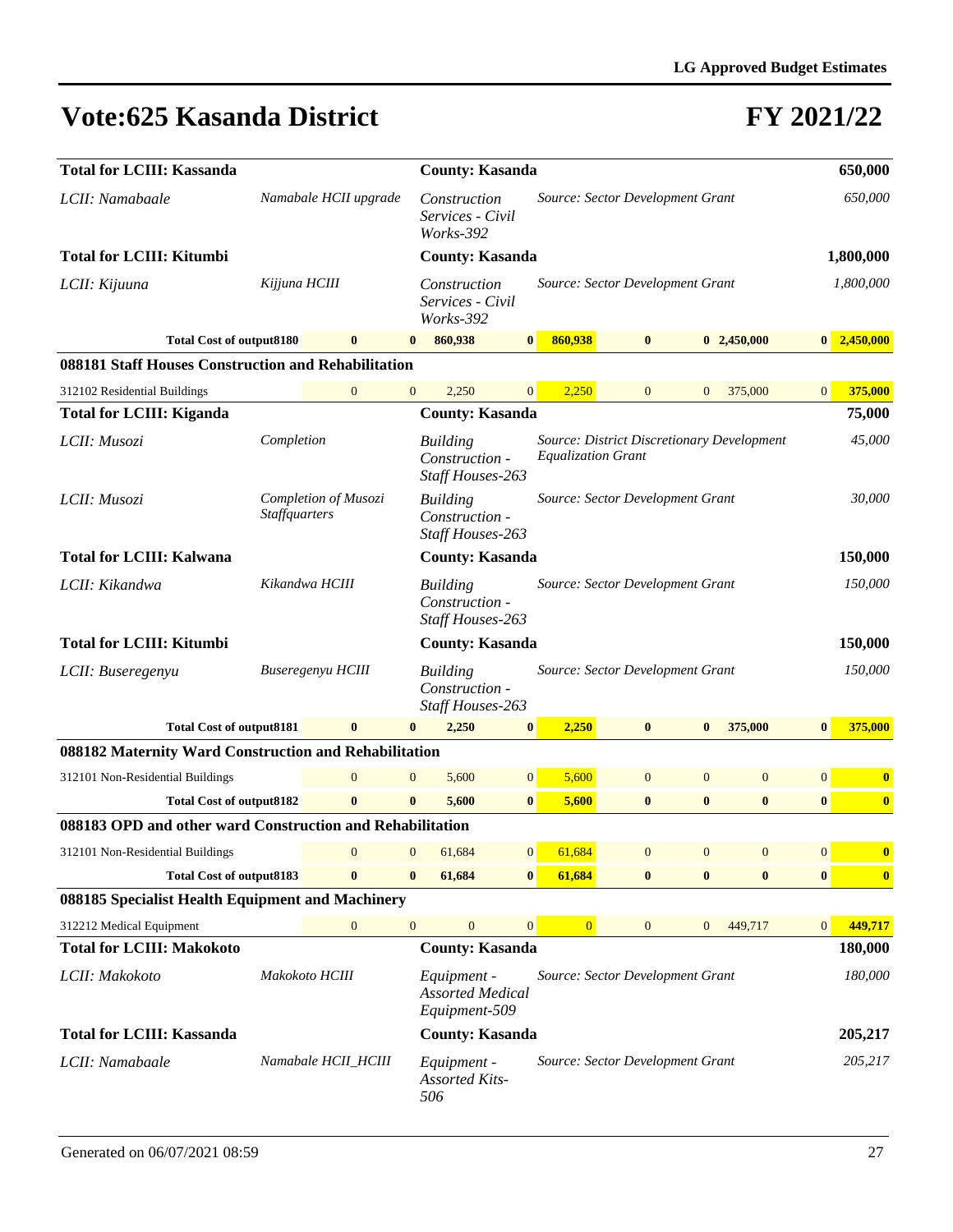| <b>Total for LCIII: Kassanda</b>                          |                      |                       |                  |                                                         |                | <b>County: Kasanda</b>                                                  |                |              |                  |                  |                  |  |  |
|-----------------------------------------------------------|----------------------|-----------------------|------------------|---------------------------------------------------------|----------------|-------------------------------------------------------------------------|----------------|--------------|------------------|------------------|------------------|--|--|
| LCII: Namabaale                                           |                      | Namabale HCII upgrade |                  | Construction<br>Services - Civil<br>Works-392           |                | Source: Sector Development Grant                                        |                |              |                  |                  | 650,000          |  |  |
| <b>Total for LCIII: Kitumbi</b>                           |                      |                       |                  | <b>County: Kasanda</b>                                  |                |                                                                         |                |              |                  |                  | 1,800,000        |  |  |
| LCII: Kijuuna                                             | Kijjuna HCIII        |                       |                  | Construction<br>Services - Civil<br>Works-392           |                | Source: Sector Development Grant                                        |                |              |                  |                  | 1,800,000        |  |  |
| <b>Total Cost of output8180</b>                           |                      | $\bf{0}$              |                  | 860,938                                                 | $\bf{0}$       | 860,938                                                                 | $\bf{0}$       |              | 02,450,000       | 0                | 2,450,000        |  |  |
| 088181 Staff Houses Construction and Rehabilitation       |                      |                       |                  |                                                         |                |                                                                         |                |              |                  |                  |                  |  |  |
| 312102 Residential Buildings                              |                      | $\mathbf{0}$          | $\mathbf{0}$     | 2,250                                                   | $\overline{0}$ | 2,250                                                                   | $\mathbf{0}$   | $\mathbf{0}$ | 375,000          | $\mathbf{0}$     | 375,000          |  |  |
| <b>Total for LCIII: Kiganda</b>                           |                      |                       |                  | <b>County: Kasanda</b>                                  |                |                                                                         |                |              |                  |                  | 75,000           |  |  |
| LCII: Musozi                                              | Completion           |                       |                  | <b>Building</b><br>Construction -<br>Staff Houses-263   |                | Source: District Discretionary Development<br><b>Equalization Grant</b> |                |              |                  |                  | 45,000           |  |  |
| LCII: Musozi                                              | <i>Staffquarters</i> | Completion of Musozi  |                  | <b>Building</b><br>Construction -<br>Staff Houses-263   |                | Source: Sector Development Grant                                        |                |              |                  |                  | 30,000           |  |  |
| <b>Total for LCIII: Kalwana</b>                           |                      |                       |                  | <b>County: Kasanda</b>                                  |                |                                                                         |                |              |                  |                  | 150,000          |  |  |
| LCII: Kikandwa                                            |                      | Kikandwa HCIII        |                  | <b>Building</b><br>Construction -<br>Staff Houses-263   |                | Source: Sector Development Grant                                        |                |              |                  |                  | 150,000          |  |  |
| <b>Total for LCIII: Kitumbi</b>                           |                      |                       |                  | <b>County: Kasanda</b>                                  |                |                                                                         |                |              |                  |                  | 150,000          |  |  |
| LCII: Buseregenyu                                         |                      | Buseregenyu HCIII     |                  | <b>Building</b><br>Construction -<br>Staff Houses-263   |                | Source: Sector Development Grant                                        |                |              |                  |                  | 150,000          |  |  |
| <b>Total Cost of output8181</b>                           |                      | $\bf{0}$              | $\bf{0}$         | 2,250                                                   | $\bf{0}$       | 2,250                                                                   | $\bf{0}$       | $\bf{0}$     | 375,000          | $\bf{0}$         | 375,000          |  |  |
| 088182 Maternity Ward Construction and Rehabilitation     |                      |                       |                  |                                                         |                |                                                                         |                |              |                  |                  |                  |  |  |
| 312101 Non-Residential Buildings                          |                      | $\boldsymbol{0}$      | $\mathbf{0}$     | 5,600                                                   | $\mathbf{0}$   | 5,600                                                                   | $\mathbf{0}$   | $\mathbf{0}$ | $\boldsymbol{0}$ | $\boldsymbol{0}$ | $\boldsymbol{0}$ |  |  |
| <b>Total Cost of output8182</b>                           |                      | $\bf{0}$              | $\bf{0}$         | 5,600                                                   | $\bf{0}$       | 5,600                                                                   | $\bf{0}$       | $\bf{0}$     | $\bf{0}$         | $\bf{0}$         | $\bf{0}$         |  |  |
| 088183 OPD and other ward Construction and Rehabilitation |                      |                       |                  |                                                         |                |                                                                         |                |              |                  |                  |                  |  |  |
| 312101 Non-Residential Buildings                          |                      | $\mathbf{0}$          | $\overline{0}$   | 61,684                                                  | 0              | 61,684                                                                  | $\overline{0}$ | $\mathbf{0}$ | $\mathbf{0}$     | $\mathbf{0}$     | $\bf{0}$         |  |  |
| <b>Total Cost of output8183</b>                           |                      | $\bf{0}$              | $\bf{0}$         | 61,684                                                  | $\bf{0}$       | 61,684                                                                  | $\bf{0}$       | $\bf{0}$     | $\bf{0}$         | $\bf{0}$         | $\bf{0}$         |  |  |
| 088185 Specialist Health Equipment and Machinery          |                      |                       |                  |                                                         |                |                                                                         |                |              |                  |                  |                  |  |  |
| 312212 Medical Equipment                                  |                      | $\boldsymbol{0}$      | $\boldsymbol{0}$ | $\mathbf{0}$                                            | $\mathbf{0}$   | $\overline{0}$                                                          | $\mathbf{0}$   | $\mathbf{0}$ | 449,717          | $\boldsymbol{0}$ | 449,717          |  |  |
| <b>Total for LCIII: Makokoto</b>                          |                      |                       |                  | <b>County: Kasanda</b>                                  |                |                                                                         |                |              |                  |                  | 180,000          |  |  |
| LCII: Makokoto                                            |                      | Makokoto HCIII        |                  | Equipment -<br><b>Assorted Medical</b><br>Equipment-509 |                | Source: Sector Development Grant                                        |                |              |                  |                  | 180,000          |  |  |
| <b>Total for LCIII: Kassanda</b>                          |                      |                       |                  | <b>County: Kasanda</b>                                  |                |                                                                         |                |              |                  |                  | 205,217          |  |  |
| LCII: Namabaale                                           |                      | Namabale HCII_HCIII   |                  | Equipment -<br><b>Assorted Kits-</b><br>506             |                | Source: Sector Development Grant                                        |                |              |                  |                  | 205,217          |  |  |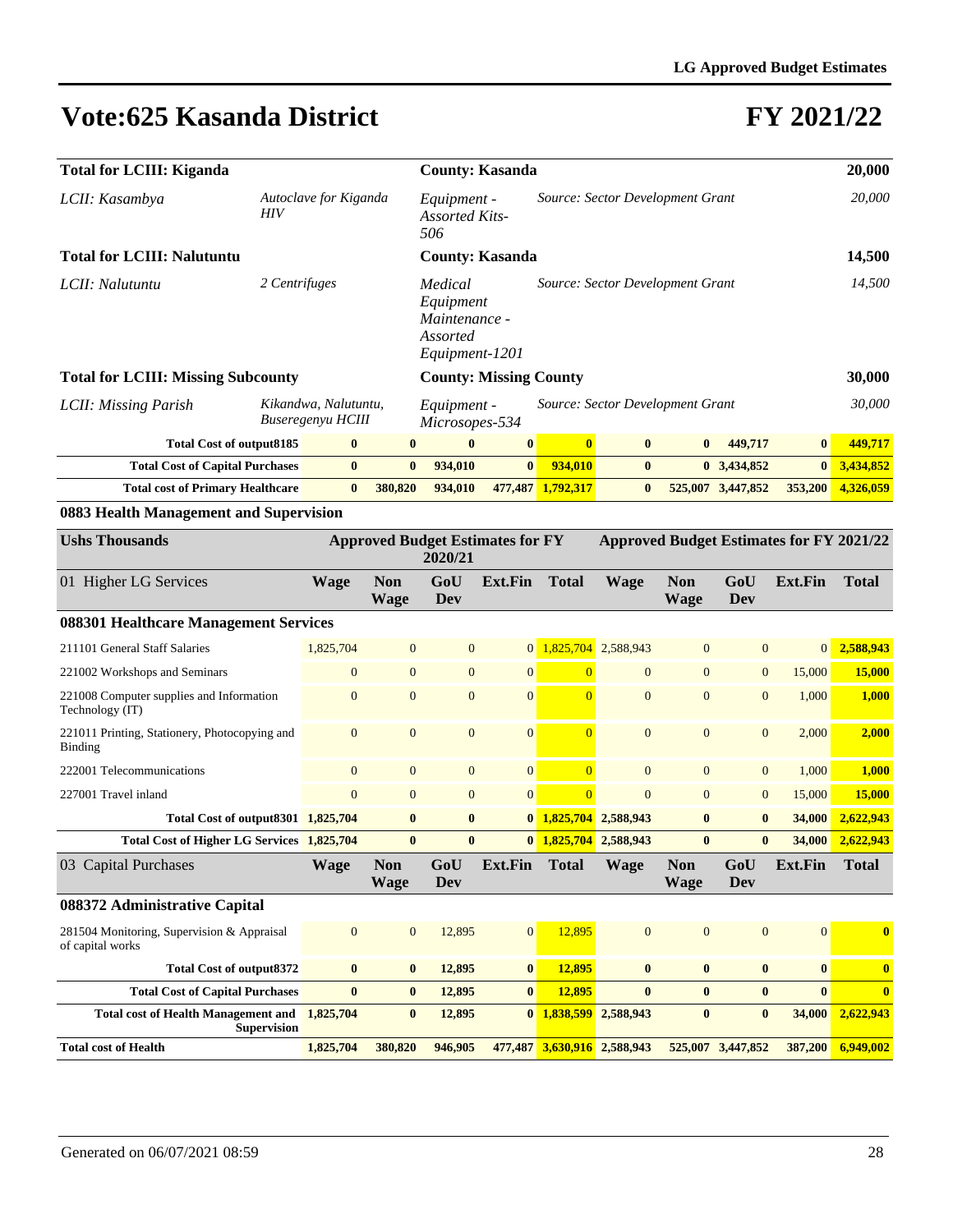| <b>Total for LCIII: Kiganda</b>                                                            |                                           |          |                                                                                                           | <b>County: Kasanda</b>                                              |                                  |                   | 20,000                           |              |                                                                                                                        |              |           |
|--------------------------------------------------------------------------------------------|-------------------------------------------|----------|-----------------------------------------------------------------------------------------------------------|---------------------------------------------------------------------|----------------------------------|-------------------|----------------------------------|--------------|------------------------------------------------------------------------------------------------------------------------|--------------|-----------|
| LCII: Kasambya                                                                             | Autoclave for Kiganda<br>HIV              |          | Source: Sector Development Grant<br>Equipment -<br><b>Assorted Kits-</b><br>506<br><b>County: Kasanda</b> |                                                                     |                                  |                   |                                  |              | 20,000                                                                                                                 |              |           |
| <b>Total for LCIII: Nalutuntu</b>                                                          |                                           |          |                                                                                                           |                                                                     |                                  |                   |                                  |              |                                                                                                                        |              | 14,500    |
| 2 Centrifuges<br>LCII: Nalutuntu                                                           |                                           |          |                                                                                                           | Medical<br>Equipment<br>Maintenance -<br>Assorted<br>Equipment-1201 | Source: Sector Development Grant |                   |                                  | 14,500       |                                                                                                                        |              |           |
| <b>Total for LCIII: Missing Subcounty</b>                                                  |                                           |          |                                                                                                           | <b>County: Missing County</b>                                       |                                  |                   |                                  |              |                                                                                                                        |              | 30,000    |
| LCII: Missing Parish                                                                       | Kikandwa, Nalutuntu,<br>Buseregenyu HCIII |          |                                                                                                           | Equipment -<br>Microsopes-534                                       |                                  |                   | Source: Sector Development Grant |              |                                                                                                                        |              | 30,000    |
| <b>Total Cost of output8185</b>                                                            |                                           | $\bf{0}$ | $\mathbf{0}$                                                                                              | $\mathbf{0}$                                                        | $\bf{0}$                         | $\mathbf{0}$      | $\mathbf{0}$                     | $\mathbf{0}$ | 449,717                                                                                                                | $\mathbf{0}$ | 449,717   |
| <b>Total Cost of Capital Purchases</b>                                                     |                                           | $\bf{0}$ | $\mathbf{0}$                                                                                              | 934,010                                                             | $\bf{0}$                         | 934,010           | $\mathbf{0}$                     |              | 0, 3,434,852                                                                                                           | $\bf{0}$     | 3,434,852 |
| <b>Total cost of Primary Healthcare</b><br>$\bf{0}$                                        |                                           |          | 380,820                                                                                                   | 934,010                                                             |                                  | 477,487 1,792,317 | $\bf{0}$                         |              | 525,007 3,447,852                                                                                                      | 353,200      | 4,326,059 |
| 0883 Health Management and Supervision                                                     |                                           |          |                                                                                                           |                                                                     |                                  |                   |                                  |              |                                                                                                                        |              |           |
| $\mathbf{r}$ $\mathbf{r}$ $\mathbf{r}$ $\mathbf{r}$ $\mathbf{r}$ $\mathbf{r}$ $\mathbf{r}$ |                                           |          |                                                                                                           | $\lambda$ in international control                                  |                                  |                   |                                  |              | $\mathbf{A}$ in the $\mathbf{B}$ is the set of $\mathbf{B}$ is $\mathbf{B}$ in $\mathbf{B}$ is the set of $\mathbf{B}$ |              |           |

| <b>Ushs Thousands</b>                                            |                |                           | 2020/21        | <b>Approved Budget Estimates for FY</b> |                             | <b>Approved Budget Estimates for FY 2021/22</b> |                           |                   |              |              |  |
|------------------------------------------------------------------|----------------|---------------------------|----------------|-----------------------------------------|-----------------------------|-------------------------------------------------|---------------------------|-------------------|--------------|--------------|--|
| 01 Higher LG Services                                            | <b>Wage</b>    | <b>Non</b><br><b>Wage</b> | GoU<br>Dev     | Ext.Fin                                 | <b>Total</b>                | <b>Wage</b>                                     | <b>Non</b><br><b>Wage</b> | GoU<br>Dev        | Ext.Fin      | <b>Total</b> |  |
| 088301 Healthcare Management Services                            |                |                           |                |                                         |                             |                                                 |                           |                   |              |              |  |
| 211101 General Staff Salaries                                    | 1,825,704      | $\overline{0}$            | $\overline{0}$ | 0 <sup>1</sup>                          |                             | 1.825.704 2.588.943                             | $\overline{0}$            | $\overline{0}$    | 0            | 2,588,943    |  |
| 221002 Workshops and Seminars                                    | $\overline{0}$ | $\Omega$                  | $\Omega$       | $\overline{0}$                          | $\Omega$                    | $\Omega$                                        | $\Omega$                  | $\overline{0}$    | 15,000       | 15,000       |  |
| 221008 Computer supplies and Information<br>Technology (IT)      | $\overline{0}$ | $\Omega$                  | $\overline{0}$ | $\overline{0}$                          | $\overline{0}$              | $\Omega$                                        | $\overline{0}$            | $\overline{0}$    | 1,000        | 1,000        |  |
| 221011 Printing, Stationery, Photocopying and<br>Binding         | $\overline{0}$ | $\Omega$                  | $\overline{0}$ | $\overline{0}$                          | $\overline{0}$              | $\Omega$                                        | $\overline{0}$            | $\overline{0}$    | 2,000        | 2,000        |  |
| 222001 Telecommunications                                        | $\Omega$       | $\Omega$                  | $\Omega$       | $\overline{0}$                          | $\Omega$                    | $\Omega$                                        | $\Omega$                  | $\overline{0}$    | 1.000        | 1,000        |  |
| 227001 Travel inland                                             | $\overline{0}$ | $\Omega$                  | $\overline{0}$ | $\overline{0}$                          | $\overline{0}$              | $\Omega$                                        | $\overline{0}$            | $\mathbf{0}$      | 15,000       | 15,000       |  |
| Total Cost of output 8301 1,825,704                              |                | $\mathbf{0}$              | $\bf{0}$       | $\mathbf{0}$                            | 1,825,704                   | 2,588,943                                       | $\bf{0}$                  | $\bf{0}$          | 34,000       | 2,622,943    |  |
| Total Cost of Higher LG Services 1,825,704                       |                | $\bf{0}$                  | $\bf{0}$       | $\mathbf{0}$                            | 1,825,704                   | 2,588,943                                       | $\bf{0}$                  | $\bf{0}$          | 34,000       | 2,622,943    |  |
| 03 Capital Purchases                                             | <b>Wage</b>    | <b>Non</b><br><b>Wage</b> | GoU<br>Dev     | Ext.Fin                                 | <b>Total</b>                | <b>Wage</b>                                     | <b>Non</b><br><b>Wage</b> | GoU<br>Dev        | Ext.Fin      | <b>Total</b> |  |
| 088372 Administrative Capital                                    |                |                           |                |                                         |                             |                                                 |                           |                   |              |              |  |
| 281504 Monitoring, Supervision & Appraisal<br>of capital works   | $\overline{0}$ | $\Omega$                  | 12.895         | $\overline{0}$                          | 12.895                      | $\Omega$                                        | $\Omega$                  | $\Omega$          | $\Omega$     | $\bf{0}$     |  |
| <b>Total Cost of output8372</b>                                  | $\bf{0}$       | $\bf{0}$                  | 12,895         | $\bf{0}$                                | 12,895                      | $\bf{0}$                                        | $\bf{0}$                  | $\bf{0}$          | $\bf{0}$     | $\bf{0}$     |  |
| <b>Total Cost of Capital Purchases</b>                           | $\bf{0}$       | $\bf{0}$                  | 12,895         | $\bf{0}$                                | 12,895                      | $\mathbf{0}$                                    | $\bf{0}$                  | $\bf{0}$          | $\mathbf{0}$ | $\bf{0}$     |  |
| <b>Total cost of Health Management and</b><br><b>Supervision</b> | 1,825,704      | $\mathbf{0}$              | 12,895         | $\mathbf{0}$                            | 1,838,599                   | 2,588,943                                       | $\bf{0}$                  | $\mathbf{0}$      | 34,000       | 2,622,943    |  |
| <b>Total cost of Health</b>                                      | 1,825,704      | 380,820                   | 946,905        |                                         | 477,487 3,630,916 2,588,943 |                                                 |                           | 525,007 3,447,852 | 387,200      | 6,949,002    |  |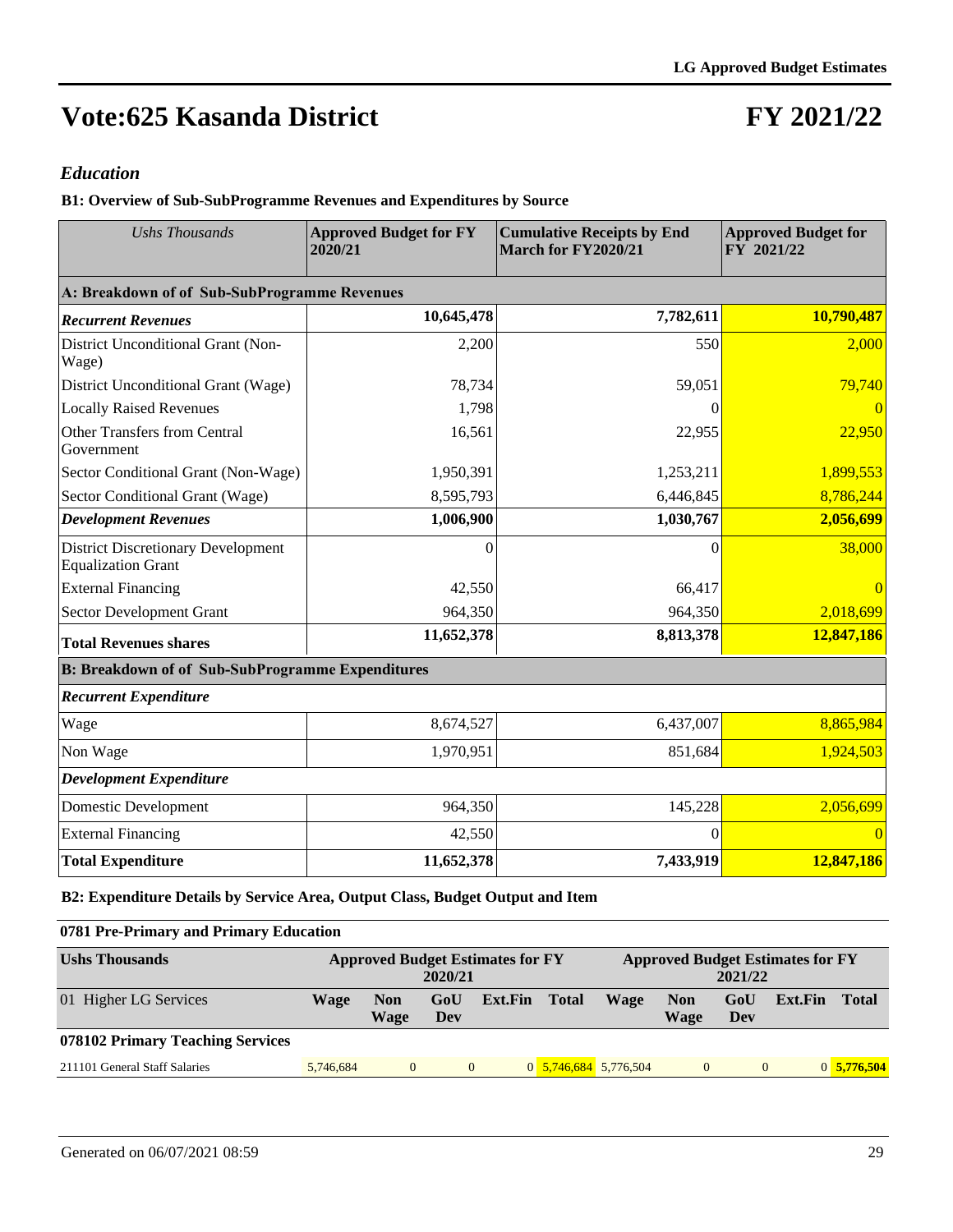## **FY 2021/22**

#### *Education*

**B1: Overview of Sub-SubProgramme Revenues and Expenditures by Source**

| <b>Ushs Thousands</b>                                                  | <b>Approved Budget for FY</b><br>2020/21 | <b>Cumulative Receipts by End</b><br>March for FY2020/21 | <b>Approved Budget for</b><br>FY 2021/22 |  |  |
|------------------------------------------------------------------------|------------------------------------------|----------------------------------------------------------|------------------------------------------|--|--|
| A: Breakdown of of Sub-SubProgramme Revenues                           |                                          |                                                          |                                          |  |  |
| <b>Recurrent Revenues</b>                                              | 10,645,478                               | 7,782,611                                                | 10,790,487                               |  |  |
| District Unconditional Grant (Non-<br>Wage)                            | 2,200                                    | 550                                                      | 2,000                                    |  |  |
| District Unconditional Grant (Wage)                                    | 78,734                                   | 59,051                                                   | 79,740                                   |  |  |
| <b>Locally Raised Revenues</b>                                         | 1,798                                    | 0                                                        |                                          |  |  |
| Other Transfers from Central<br>Government                             | 16,561                                   | 22,955                                                   | 22,950                                   |  |  |
| Sector Conditional Grant (Non-Wage)                                    | 1,950,391                                | 1,253,211                                                | 1,899,553                                |  |  |
| Sector Conditional Grant (Wage)                                        | 8,595,793                                | 6,446,845                                                | 8,786,244                                |  |  |
| <b>Development Revenues</b>                                            | 1,006,900                                | 1,030,767                                                | 2,056,699                                |  |  |
| <b>District Discretionary Development</b><br><b>Equalization Grant</b> | $\Omega$                                 | 0                                                        | 38,000                                   |  |  |
| <b>External Financing</b>                                              | 42,550                                   | 66,417                                                   |                                          |  |  |
| Sector Development Grant                                               | 964,350                                  | 964,350                                                  | 2,018,699                                |  |  |
| <b>Total Revenues shares</b>                                           | 11,652,378                               | 8,813,378                                                | 12,847,186                               |  |  |
| <b>B: Breakdown of of Sub-SubProgramme Expenditures</b>                |                                          |                                                          |                                          |  |  |
| <b>Recurrent Expenditure</b>                                           |                                          |                                                          |                                          |  |  |
| Wage                                                                   | 8,674,527                                | 6,437,007                                                | 8,865,984                                |  |  |
| Non Wage                                                               | 1,970,951                                | 851,684                                                  | 1,924,503                                |  |  |
| <b>Development Expenditure</b>                                         |                                          |                                                          |                                          |  |  |
| Domestic Development                                                   | 964,350                                  | 145,228                                                  | 2,056,699                                |  |  |
| <b>External Financing</b>                                              | 42,550                                   | $\theta$                                                 | $\Omega$                                 |  |  |
| <b>Total Expenditure</b>                                               | 11,652,378                               | 7,433,919                                                | 12,847,186                               |  |  |

**B2: Expenditure Details by Service Area, Output Class, Budget Output and Item**

#### **0781 Pre-Primary and Primary Education**

| <b>Ushs Thousands</b>            |           | <b>Approved Budget Estimates for FY</b><br>2020/21 |            |         |                       | <b>Approved Budget Estimates for FY</b><br>2021/22 |                    |            |         |              |  |
|----------------------------------|-----------|----------------------------------------------------|------------|---------|-----------------------|----------------------------------------------------|--------------------|------------|---------|--------------|--|
| 01 Higher LG Services            | Wage      | <b>Non</b><br>Wage                                 | GoU<br>Dev | Ext.Fin | <b>Total</b>          | Wage                                               | <b>Non</b><br>Wage | GoU<br>Dev | Ext.Fin | <b>Total</b> |  |
| 078102 Primary Teaching Services |           |                                                    |            |         |                       |                                                    |                    |            |         |              |  |
| 211101 General Staff Salaries    | 5.746.684 | $\theta$                                           | $\Omega$   |         | 0 5,746,684 5,776,504 |                                                    | $\mathbf{0}$       | $\Omega$   |         | 0 5,776,504  |  |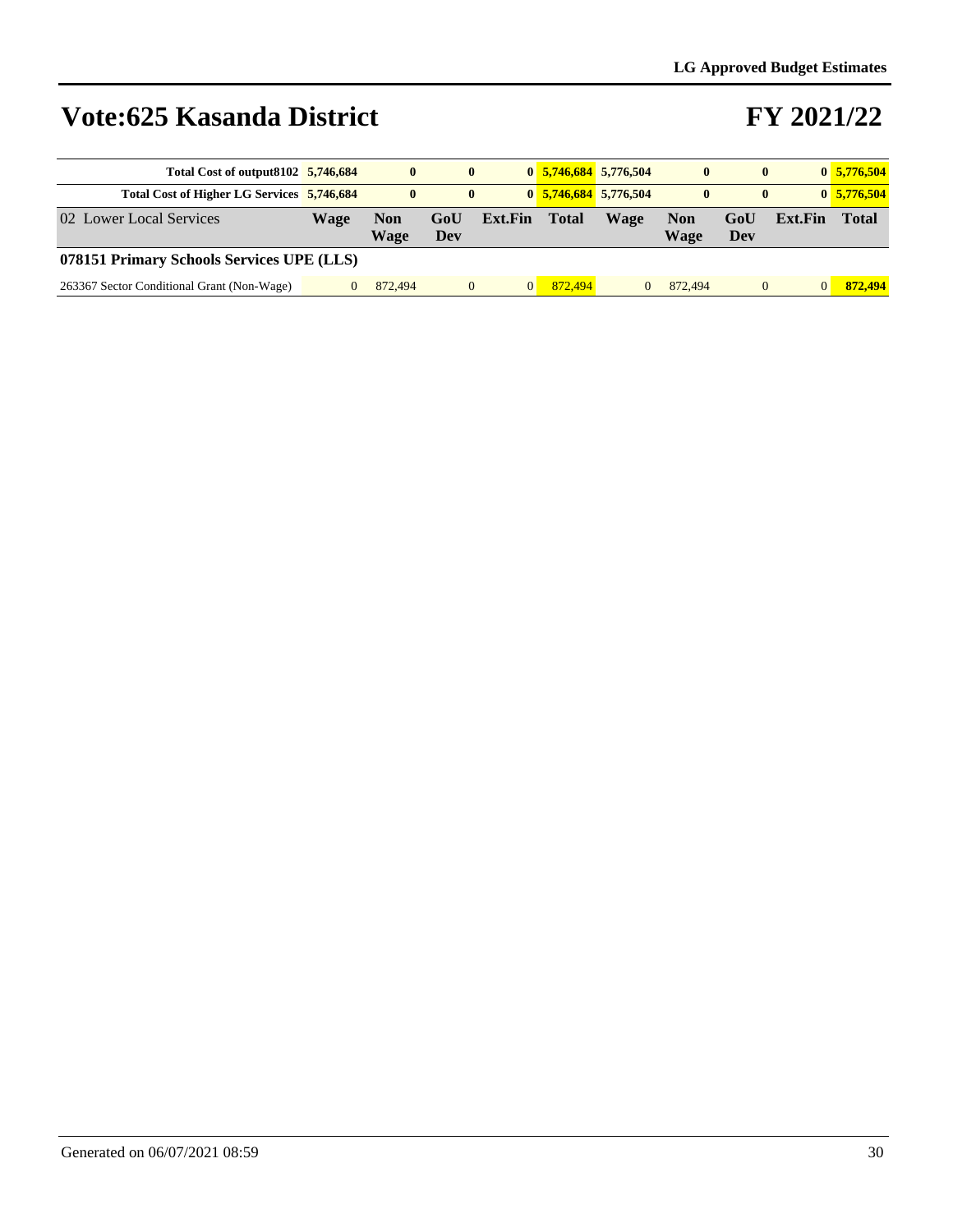| Total Cost of output 8102 5,746,684        |      | $\mathbf{0}$ | $\bf{0}$   |         |              | $0$ 5,746,684 5,776,504 | $\mathbf{0}$       | $\bf{0}$   |                | 0, 5, 776, 504 |  |
|--------------------------------------------|------|--------------|------------|---------|--------------|-------------------------|--------------------|------------|----------------|----------------|--|
| Total Cost of Higher LG Services 5,746,684 |      | $\mathbf{0}$ |            |         |              | $0$ 5,746,684 5,776,504 | $\bf{0}$           |            |                | 0, 5, 776, 504 |  |
| 02 Lower Local Services                    | Wage | Non<br>Wage  | GoU<br>Dev | Ext.Fin | <b>Total</b> | Wage                    | <b>Non</b><br>Wage | GoU<br>Dev | <b>Ext.Fin</b> | Total          |  |
| 078151 Primary Schools Services UPE (LLS)  |      |              |            |         |              |                         |                    |            |                |                |  |
|                                            |      |              |            |         |              |                         |                    |            |                |                |  |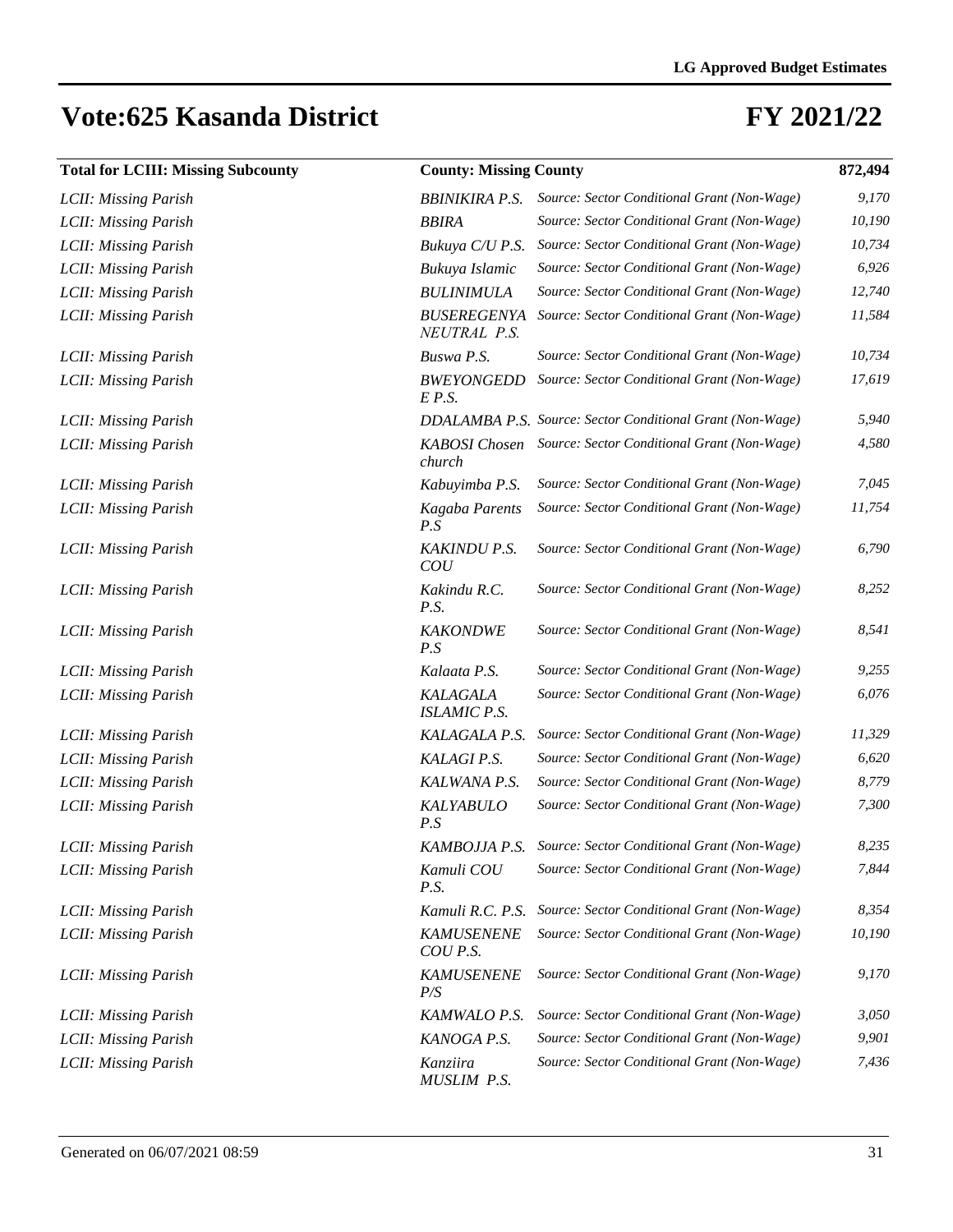| <b>Total for LCIII: Missing Subcounty</b> |                                    | <b>County: Missing County</b>                             |        |  |  |  |  |  |
|-------------------------------------------|------------------------------------|-----------------------------------------------------------|--------|--|--|--|--|--|
| LCII: Missing Parish                      | <b>BBINIKIRA P.S.</b>              | Source: Sector Conditional Grant (Non-Wage)               | 9,170  |  |  |  |  |  |
| LCII: Missing Parish                      | <b>BBIRA</b>                       | Source: Sector Conditional Grant (Non-Wage)               | 10,190 |  |  |  |  |  |
| LCII: Missing Parish                      | Bukuya C/U P.S.                    | Source: Sector Conditional Grant (Non-Wage)               | 10,734 |  |  |  |  |  |
| LCII: Missing Parish                      | Bukuya Islamic                     | Source: Sector Conditional Grant (Non-Wage)               | 6,926  |  |  |  |  |  |
| LCII: Missing Parish                      | <b>BULINIMULA</b>                  | Source: Sector Conditional Grant (Non-Wage)               | 12,740 |  |  |  |  |  |
| LCII: Missing Parish                      | <b>BUSEREGENYA</b><br>NEUTRAL P.S. | Source: Sector Conditional Grant (Non-Wage)               | 11,584 |  |  |  |  |  |
| LCII: Missing Parish                      | Buswa P.S.                         | Source: Sector Conditional Grant (Non-Wage)               | 10,734 |  |  |  |  |  |
| LCII: Missing Parish                      | <b>BWEYONGEDD</b><br>E P.S.        | Source: Sector Conditional Grant (Non-Wage)               | 17,619 |  |  |  |  |  |
| LCII: Missing Parish                      |                                    | DDALAMBA P.S. Source: Sector Conditional Grant (Non-Wage) | 5,940  |  |  |  |  |  |
| LCII: Missing Parish                      | <b>KABOSI</b> Chosen<br>church     | Source: Sector Conditional Grant (Non-Wage)               | 4,580  |  |  |  |  |  |
| LCII: Missing Parish                      | Kabuyimba P.S.                     | Source: Sector Conditional Grant (Non-Wage)               | 7,045  |  |  |  |  |  |
| LCII: Missing Parish                      | Kagaba Parents<br>P.S              | Source: Sector Conditional Grant (Non-Wage)               | 11,754 |  |  |  |  |  |
| LCII: Missing Parish                      | <b>KAKINDU P.S.</b><br>COU         | Source: Sector Conditional Grant (Non-Wage)               | 6,790  |  |  |  |  |  |
| LCII: Missing Parish                      | Kakindu R.C.<br>P.S.               | Source: Sector Conditional Grant (Non-Wage)               | 8,252  |  |  |  |  |  |
| LCII: Missing Parish                      | <b>KAKONDWE</b><br>P.S             | Source: Sector Conditional Grant (Non-Wage)               | 8,541  |  |  |  |  |  |
| LCII: Missing Parish                      | Kalaata P.S.                       | Source: Sector Conditional Grant (Non-Wage)               | 9,255  |  |  |  |  |  |
| LCII: Missing Parish                      | KALAGALA<br><b>ISLAMIC P.S.</b>    | Source: Sector Conditional Grant (Non-Wage)               | 6,076  |  |  |  |  |  |
| LCII: Missing Parish                      | KALAGALA P.S.                      | Source: Sector Conditional Grant (Non-Wage)               | 11,329 |  |  |  |  |  |
| LCII: Missing Parish                      | KALAGI P.S.                        | Source: Sector Conditional Grant (Non-Wage)               | 6,620  |  |  |  |  |  |
| LCII: Missing Parish                      | KALWANA P.S.                       | Source: Sector Conditional Grant (Non-Wage)               | 8,779  |  |  |  |  |  |
| LCII: Missing Parish                      | <b>KALYABULO</b><br>P.S            | Source: Sector Conditional Grant (Non-Wage)               | 7,300  |  |  |  |  |  |
| LCII: Missing Parish                      |                                    | KAMBOJJA P.S. Source: Sector Conditional Grant (Non-Wage) | 8,235  |  |  |  |  |  |
| LCII: Missing Parish                      | Kamuli COU<br>P.S.                 | Source: Sector Conditional Grant (Non-Wage)               | 7,844  |  |  |  |  |  |
| LCII: Missing Parish                      | Kamuli R.C. P.S.                   | Source: Sector Conditional Grant (Non-Wage)               | 8,354  |  |  |  |  |  |
| LCII: Missing Parish                      | <b>KAMUSENENE</b><br>COU P.S.      | Source: Sector Conditional Grant (Non-Wage)               | 10,190 |  |  |  |  |  |
| LCII: Missing Parish                      | <b>KAMUSENENE</b><br>P/S           | Source: Sector Conditional Grant (Non-Wage)               | 9,170  |  |  |  |  |  |
| LCII: Missing Parish                      | KAMWALO P.S.                       | Source: Sector Conditional Grant (Non-Wage)               | 3,050  |  |  |  |  |  |
| <b>LCII: Missing Parish</b>               | KANOGA P.S.                        | Source: Sector Conditional Grant (Non-Wage)               | 9,901  |  |  |  |  |  |
| LCII: Missing Parish                      | Kanziira<br>MUSLIM P.S.            | Source: Sector Conditional Grant (Non-Wage)               | 7,436  |  |  |  |  |  |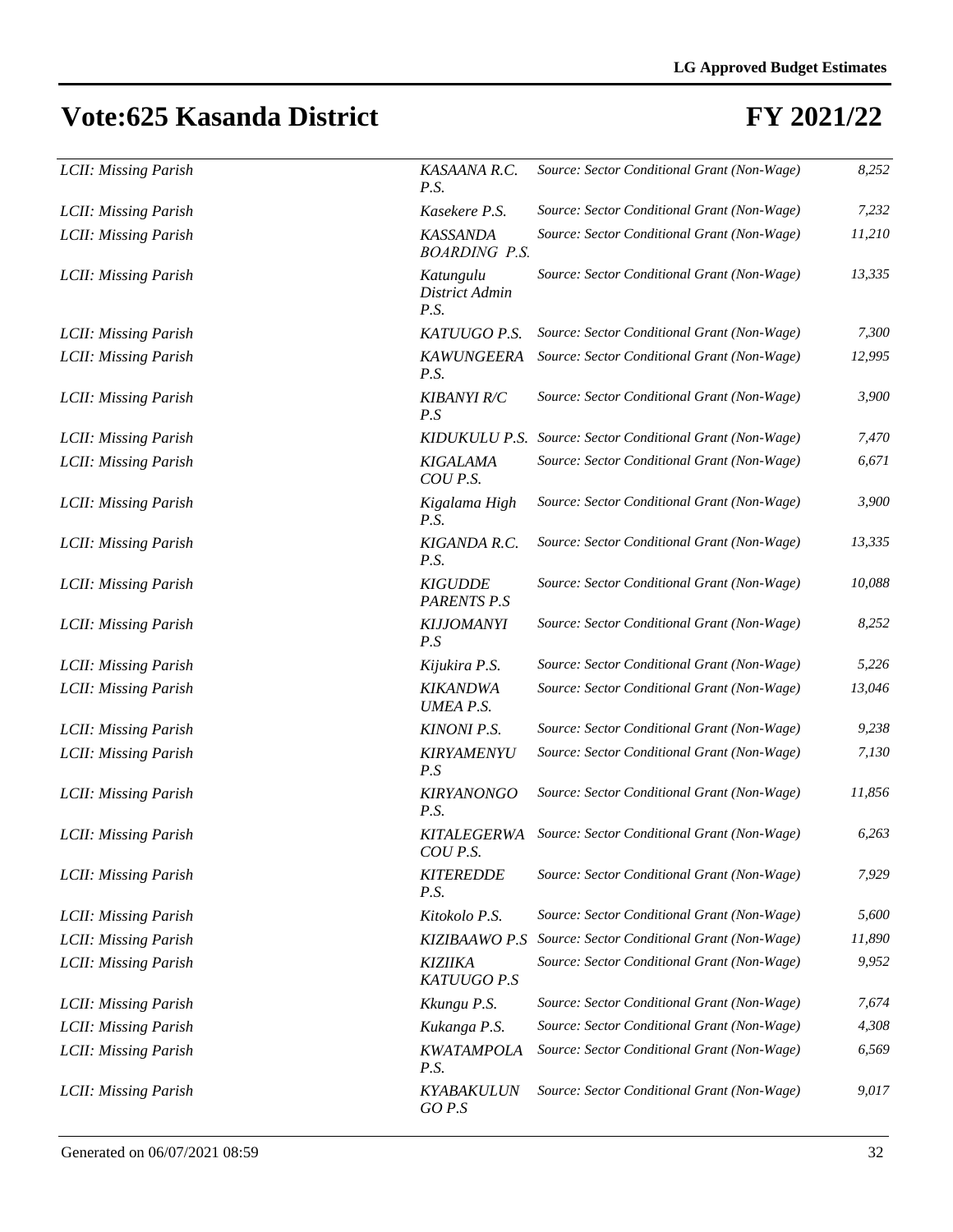| LCII: Missing Parish | KASAANA R.C.<br>P.S.                    | Source: Sector Conditional Grant (Non-Wage)               | 8,252  |
|----------------------|-----------------------------------------|-----------------------------------------------------------|--------|
| LCII: Missing Parish | Kasekere P.S.                           | Source: Sector Conditional Grant (Non-Wage)               | 7,232  |
| LCII: Missing Parish | <b>KASSANDA</b><br><b>BOARDING P.S.</b> | Source: Sector Conditional Grant (Non-Wage)               | 11,210 |
| LCII: Missing Parish | Katungulu<br>District Admin<br>P.S.     | Source: Sector Conditional Grant (Non-Wage)               | 13,335 |
| LCII: Missing Parish | KATUUGO P.S.                            | Source: Sector Conditional Grant (Non-Wage)               | 7,300  |
| LCII: Missing Parish | <b>KAWUNGEERA</b><br>P.S.               | Source: Sector Conditional Grant (Non-Wage)               | 12,995 |
| LCII: Missing Parish | <b>KIBANYI R/C</b><br>P.S               | Source: Sector Conditional Grant (Non-Wage)               | 3,900  |
| LCII: Missing Parish |                                         | KIDUKULU P.S. Source: Sector Conditional Grant (Non-Wage) | 7,470  |
| LCII: Missing Parish | <b>KIGALAMA</b><br>COU P.S.             | Source: Sector Conditional Grant (Non-Wage)               | 6,671  |
| LCII: Missing Parish | Kigalama High<br>P.S.                   | Source: Sector Conditional Grant (Non-Wage)               | 3,900  |
| LCII: Missing Parish | KIGANDA R.C.<br>P.S.                    | Source: Sector Conditional Grant (Non-Wage)               | 13,335 |
| LCII: Missing Parish | <b>KIGUDDE</b><br><b>PARENTS P.S</b>    | Source: Sector Conditional Grant (Non-Wage)               | 10,088 |
| LCII: Missing Parish | <b>KIJJOMANYI</b><br>P.S                | Source: Sector Conditional Grant (Non-Wage)               | 8,252  |
| LCII: Missing Parish | Kijukira P.S.                           | Source: Sector Conditional Grant (Non-Wage)               | 5,226  |
| LCII: Missing Parish | <b>KIKANDWA</b><br><b>UMEA P.S.</b>     | Source: Sector Conditional Grant (Non-Wage)               | 13,046 |
| LCII: Missing Parish | <b>KINONI P.S.</b>                      | Source: Sector Conditional Grant (Non-Wage)               | 9,238  |
| LCII: Missing Parish | <b>KIRYAMENYU</b><br>P.S                | Source: Sector Conditional Grant (Non-Wage)               | 7,130  |
| LCII: Missing Parish | <b>KIRYANONGO</b><br>P.S.               | Source: Sector Conditional Grant (Non-Wage)               | 11,856 |
| LCII: Missing Parish | <b>KITALEGERWA</b><br>COU P.S.          | Source: Sector Conditional Grant (Non-Wage)               | 6,263  |
| LCII: Missing Parish | <b>KITEREDDE</b><br>P.S.                | Source: Sector Conditional Grant (Non-Wage)               | 7,929  |
| LCII: Missing Parish | Kitokolo P.S.                           | Source: Sector Conditional Grant (Non-Wage)               | 5,600  |
| LCII: Missing Parish | <b>KIZIBAAWO P.S</b>                    | Source: Sector Conditional Grant (Non-Wage)               | 11,890 |
| LCII: Missing Parish | KIZIIKA<br>KATUUGO P.S                  | Source: Sector Conditional Grant (Non-Wage)               | 9,952  |
| LCII: Missing Parish | Kkungu P.S.                             | Source: Sector Conditional Grant (Non-Wage)               | 7,674  |
| LCII: Missing Parish | Kukanga P.S.                            | Source: Sector Conditional Grant (Non-Wage)               | 4,308  |
| LCII: Missing Parish | <b>KWATAMPOLA</b><br>P.S.               | Source: Sector Conditional Grant (Non-Wage)               | 6,569  |
| LCII: Missing Parish | <b>KYABAKULUN</b><br>GO P.S             | Source: Sector Conditional Grant (Non-Wage)               | 9,017  |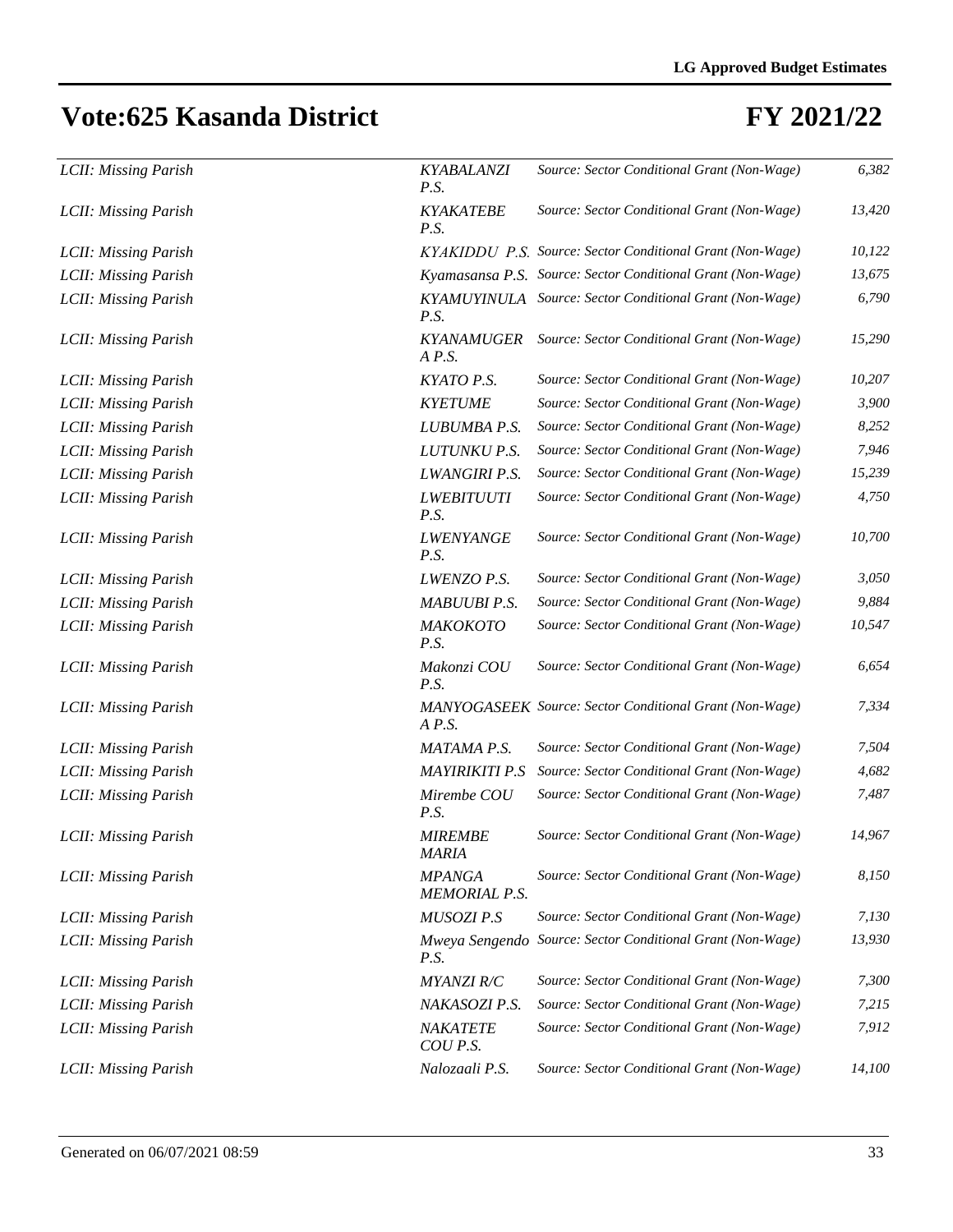| LCII: Missing Parish | KYABALANZI<br>P.S.                    | Source: Sector Conditional Grant (Non-Wage)                 | 6,382  |
|----------------------|---------------------------------------|-------------------------------------------------------------|--------|
| LCII: Missing Parish | <b>KYAKATEBE</b><br>P.S.              | Source: Sector Conditional Grant (Non-Wage)                 | 13,420 |
| LCII: Missing Parish |                                       | KYAKIDDU P.S. Source: Sector Conditional Grant (Non-Wage)   | 10,122 |
| LCII: Missing Parish |                                       | Kyamasansa P.S. Source: Sector Conditional Grant (Non-Wage) | 13,675 |
| LCII: Missing Parish | P.S.                                  | KYAMUYINULA Source: Sector Conditional Grant (Non-Wage)     | 6,790  |
| LCII: Missing Parish | <b>KYANAMUGER</b><br>$A$ $P.S.$       | Source: Sector Conditional Grant (Non-Wage)                 | 15,290 |
| LCII: Missing Parish | KYATO P.S.                            | Source: Sector Conditional Grant (Non-Wage)                 | 10,207 |
| LCII: Missing Parish | <b>KYETUME</b>                        | Source: Sector Conditional Grant (Non-Wage)                 | 3,900  |
| LCII: Missing Parish | LUBUMBA P.S.                          | Source: Sector Conditional Grant (Non-Wage)                 | 8,252  |
| LCII: Missing Parish | LUTUNKU P.S.                          | Source: Sector Conditional Grant (Non-Wage)                 | 7,946  |
| LCII: Missing Parish | <b>LWANGIRI P.S.</b>                  | Source: Sector Conditional Grant (Non-Wage)                 | 15,239 |
| LCII: Missing Parish | <b>LWEBITUUTI</b><br>P.S.             | Source: Sector Conditional Grant (Non-Wage)                 | 4,750  |
| LCII: Missing Parish | <b>LWENYANGE</b><br>P.S.              | Source: Sector Conditional Grant (Non-Wage)                 | 10,700 |
| LCII: Missing Parish | LWENZO P.S.                           | Source: Sector Conditional Grant (Non-Wage)                 | 3,050  |
| LCII: Missing Parish | MABUUBI P.S.                          | Source: Sector Conditional Grant (Non-Wage)                 | 9,884  |
| LCII: Missing Parish | МАКОКОТО<br>P.S.                      | Source: Sector Conditional Grant (Non-Wage)                 | 10,547 |
| LCII: Missing Parish | Makonzi COU<br>P.S.                   | Source: Sector Conditional Grant (Non-Wage)                 | 6,654  |
| LCII: Missing Parish | $A$ $P.S.$                            | MANYOGASEEK Source: Sector Conditional Grant (Non-Wage)     | 7,334  |
| LCII: Missing Parish | MATAMA P.S.                           | Source: Sector Conditional Grant (Non-Wage)                 | 7,504  |
| LCII: Missing Parish | <b>MAYIRIKITI P.S</b>                 | Source: Sector Conditional Grant (Non-Wage)                 | 4,682  |
| LCII: Missing Parish | Mirembe COU<br>P.S.                   | Source: Sector Conditional Grant (Non-Wage)                 | 7,487  |
| LCII: Missing Parish | <b>MIREMBE</b><br>MARIA               | Source: Sector Conditional Grant (Non-Wage)                 | 14,967 |
| LCII: Missing Parish | <b>MPANGA</b><br><b>MEMORIAL P.S.</b> | Source: Sector Conditional Grant (Non-Wage)                 | 8,150  |
| LCII: Missing Parish | MUSOZI P.S                            | Source: Sector Conditional Grant (Non-Wage)                 | 7,130  |
| LCII: Missing Parish | P.S.                                  | Mweya Sengendo Source: Sector Conditional Grant (Non-Wage)  | 13,930 |
| LCII: Missing Parish | <b>MYANZI R/C</b>                     | Source: Sector Conditional Grant (Non-Wage)                 | 7,300  |
| LCII: Missing Parish | NAKASOZI P.S.                         | Source: Sector Conditional Grant (Non-Wage)                 | 7,215  |
| LCII: Missing Parish | NAKATETE<br>COU P.S.                  | Source: Sector Conditional Grant (Non-Wage)                 | 7,912  |
| LCII: Missing Parish | Nalozaali P.S.                        | Source: Sector Conditional Grant (Non-Wage)                 | 14,100 |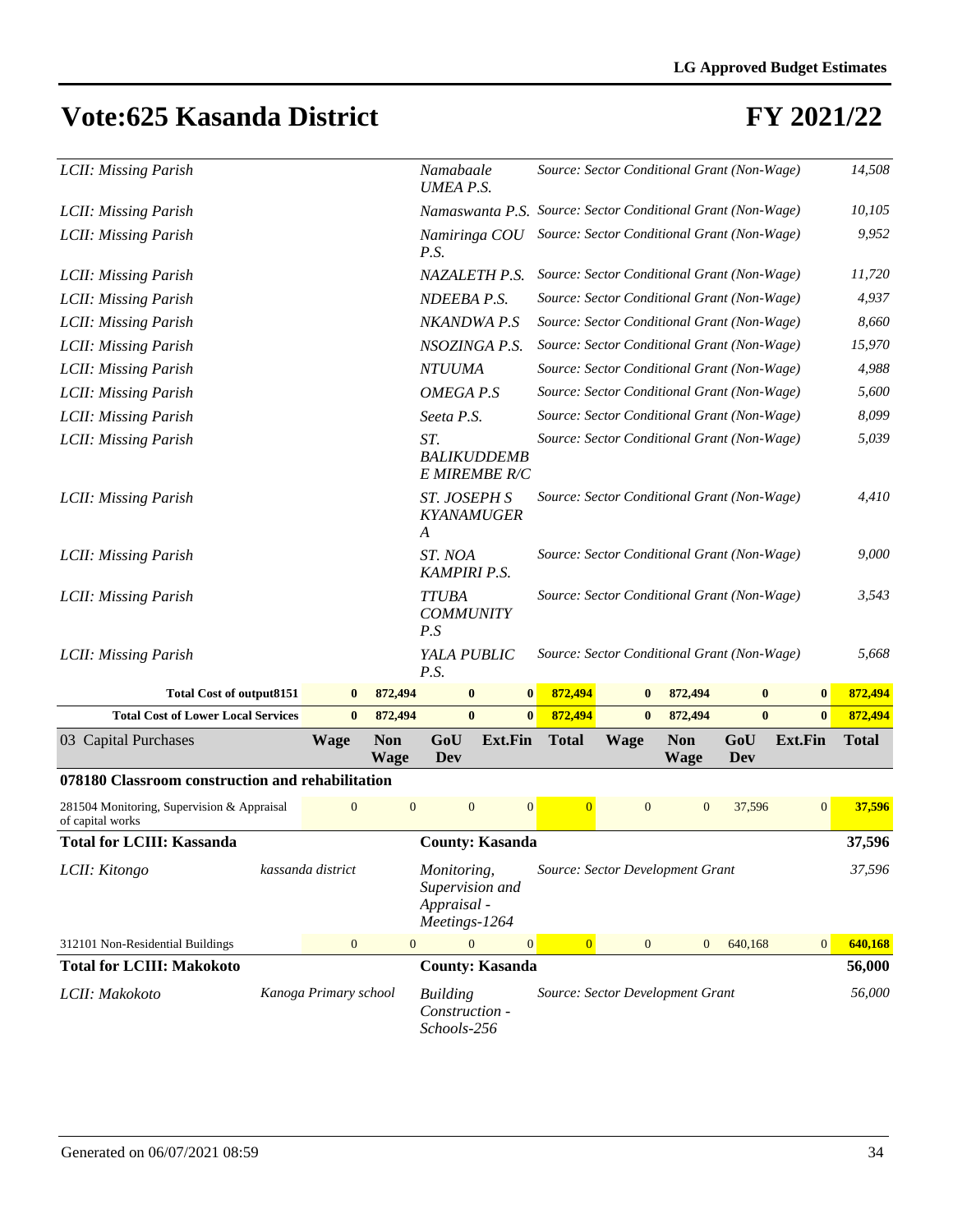#### **FY 2021/22**

| LCII: Missing Parish                                           |  |                       |                           |                                                                |                                                              | Source: Sector Conditional Grant (Non-Wage) |              |                           | 14,508     |                |              |
|----------------------------------------------------------------|--|-----------------------|---------------------------|----------------------------------------------------------------|--------------------------------------------------------------|---------------------------------------------|--------------|---------------------------|------------|----------------|--------------|
| LCII: Missing Parish                                           |  |                       |                           | Namaswanta P.S. Source: Sector Conditional Grant (Non-Wage)    |                                                              |                                             |              |                           |            |                | 10,105       |
| LCII: Missing Parish                                           |  |                       |                           | P.S.                                                           | Source: Sector Conditional Grant (Non-Wage)<br>Namiringa COU |                                             |              |                           |            |                | 9,952        |
| LCII: Missing Parish                                           |  |                       |                           | NAZALETH P.S.                                                  |                                                              | Source: Sector Conditional Grant (Non-Wage) |              |                           |            |                | 11,720       |
| LCII: Missing Parish                                           |  |                       |                           | NDEEBA P.S.                                                    |                                                              | Source: Sector Conditional Grant (Non-Wage) |              |                           |            |                | 4,937        |
| LCII: Missing Parish                                           |  |                       |                           | NKANDWA P.S                                                    |                                                              | Source: Sector Conditional Grant (Non-Wage) |              |                           |            |                | 8,660        |
| LCII: Missing Parish                                           |  |                       |                           | NSOZINGA P.S.                                                  |                                                              | Source: Sector Conditional Grant (Non-Wage) |              |                           |            |                | 15,970       |
| LCII: Missing Parish                                           |  |                       |                           | <b>NTUUMA</b>                                                  |                                                              | Source: Sector Conditional Grant (Non-Wage) |              |                           |            |                | 4,988        |
| LCII: Missing Parish                                           |  |                       |                           | OMEGA P.S                                                      |                                                              | Source: Sector Conditional Grant (Non-Wage) |              |                           |            |                | 5,600        |
| LCII: Missing Parish                                           |  |                       |                           | Seeta P.S.                                                     |                                                              | Source: Sector Conditional Grant (Non-Wage) |              |                           |            |                | 8,099        |
| LCII: Missing Parish                                           |  |                       |                           | ST.<br><b>BALIKUDDEMB</b><br>E MIREMBE R/C                     |                                                              | Source: Sector Conditional Grant (Non-Wage) |              |                           |            |                | 5,039        |
| LCII: Missing Parish                                           |  |                       |                           | ST. JOSEPH S<br><b>KYANAMUGER</b><br>A                         |                                                              | Source: Sector Conditional Grant (Non-Wage) |              |                           |            |                | 4,410        |
| LCII: Missing Parish                                           |  |                       |                           | ST. NOA<br><b>KAMPIRI P.S.</b>                                 |                                                              | Source: Sector Conditional Grant (Non-Wage) |              |                           |            |                | 9,000        |
| LCII: Missing Parish                                           |  |                       |                           | <b>TTUBA</b><br><b>COMMUNITY</b><br>P.S                        |                                                              | Source: Sector Conditional Grant (Non-Wage) |              |                           |            |                | 3,543        |
| LCII: Missing Parish                                           |  |                       |                           | YALA PUBLIC<br>P.S.                                            |                                                              | Source: Sector Conditional Grant (Non-Wage) |              |                           |            |                | 5,668        |
| <b>Total Cost of output8151</b>                                |  | $\bf{0}$              | 872,494                   | $\bf{0}$                                                       | $\bf{0}$                                                     | 872,494                                     | $\bf{0}$     | 872,494                   | $\bf{0}$   | $\bf{0}$       | 872,494      |
| <b>Total Cost of Lower Local Services</b>                      |  | $\bf{0}$              | 872,494                   | $\bf{0}$                                                       | $\bf{0}$                                                     | 872,494                                     | $\bf{0}$     | 872,494                   | $\bf{0}$   | $\bf{0}$       | 872,494      |
| 03 Capital Purchases                                           |  | <b>Wage</b>           | <b>Non</b><br><b>Wage</b> | GoU<br>Dev                                                     | <b>Ext.Fin</b>                                               | <b>Total</b>                                | <b>Wage</b>  | <b>Non</b><br><b>Wage</b> | GoU<br>Dev | <b>Ext.Fin</b> | <b>Total</b> |
| 078180 Classroom construction and rehabilitation               |  |                       |                           |                                                                |                                                              |                                             |              |                           |            |                |              |
| 281504 Monitoring, Supervision & Appraisal<br>of capital works |  | $\overline{0}$        | $\overline{0}$            | $\overline{0}$                                                 | $\overline{0}$                                               | $\overline{0}$                              | $\theta$     | $\mathbf{0}$              | 37,596     | $\mathbf{0}$   | 37,596       |
| <b>Total for LCIII: Kassanda</b>                               |  |                       |                           | <b>County: Kasanda</b>                                         |                                                              |                                             |              |                           |            |                | 37,596       |
| LCII: Kitongo                                                  |  | kassanda district     |                           | Monitoring,<br>Supervision and<br>Appraisal -<br>Meetings-1264 |                                                              | Source: Sector Development Grant            |              |                           |            |                | 37,596       |
| 312101 Non-Residential Buildings                               |  | $\overline{0}$        | $\mathbf{0}$              | $\mathbf{0}$                                                   | $\mathbf{0}$                                                 | $\vert 0 \vert$                             | $\mathbf{0}$ | $\mathbf{0}$              | 640,168    | $\mathbf{0}$   | 640,168      |
| <b>Total for LCIII: Makokoto</b>                               |  |                       |                           | <b>County: Kasanda</b>                                         |                                                              |                                             |              |                           |            |                | 56,000       |
| LCII: Makokoto                                                 |  | Kanoga Primary school |                           | <b>Building</b>                                                |                                                              | Source: Sector Development Grant            |              |                           |            |                | 56,000       |

*Construction - Schools-256*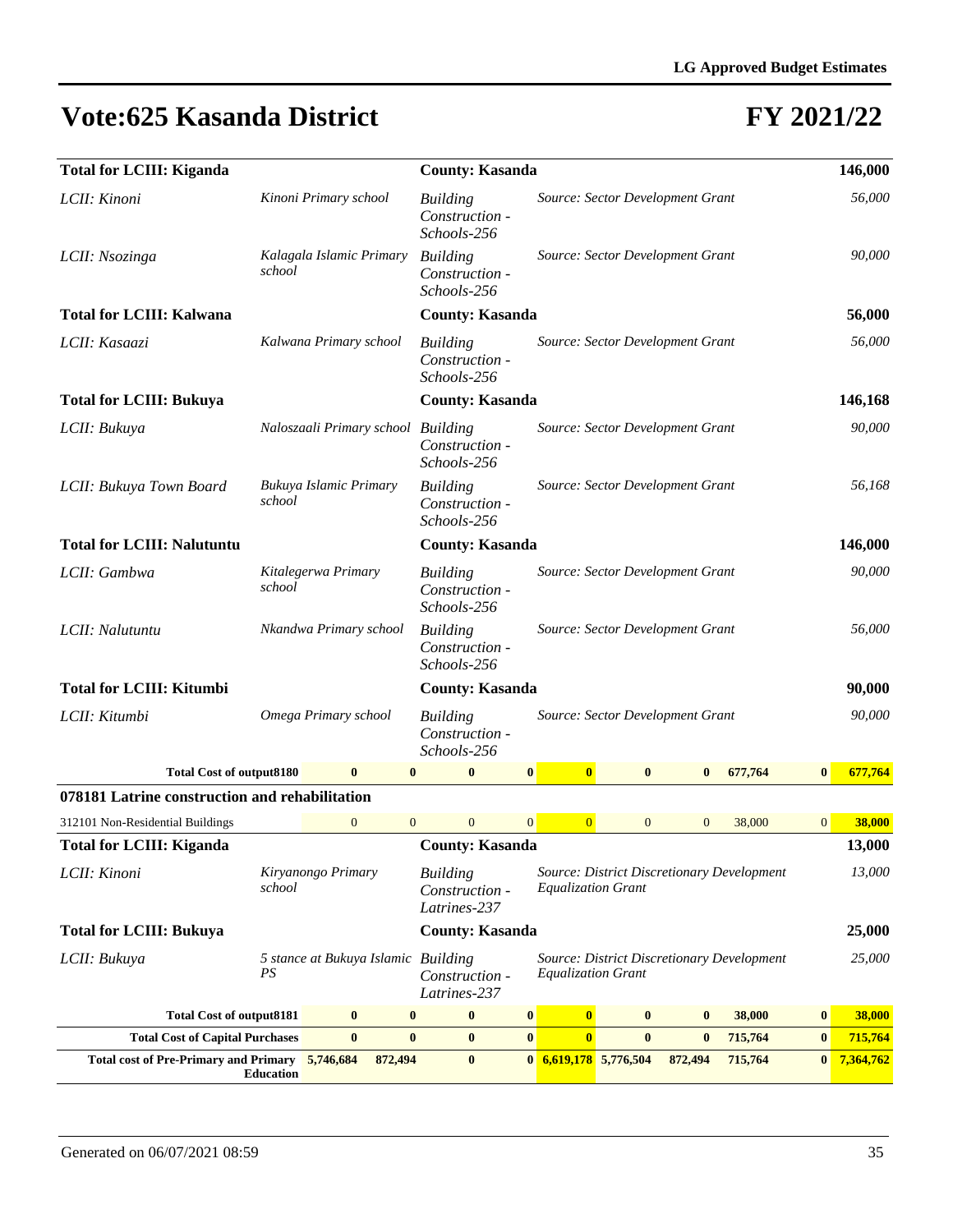| <b>Total for LCIII: Kiganda</b>                |                               |                          |              |                                | <b>County: Kasanda</b>                                                               |                                                                   |                  |                                                                         |                                  |         |                | 146,000                                    |              |           |
|------------------------------------------------|-------------------------------|--------------------------|--------------|--------------------------------|--------------------------------------------------------------------------------------|-------------------------------------------------------------------|------------------|-------------------------------------------------------------------------|----------------------------------|---------|----------------|--------------------------------------------|--------------|-----------|
| LCII: Kinoni                                   |                               | Kinoni Primary school    |              |                                | <b>Building</b><br>Schools-256                                                       | Construction -                                                    |                  | Source: Sector Development Grant                                        |                                  |         |                |                                            |              | 56,000    |
| LCII: Nsozinga                                 | school                        | Kalagala Islamic Primary |              |                                | <b>Building</b>                                                                      | Source: Sector Development Grant<br>Construction -<br>Schools-256 |                  |                                                                         |                                  |         |                |                                            |              | 90,000    |
| <b>Total for LCIII: Kalwana</b>                |                               |                          |              |                                |                                                                                      | <b>County: Kasanda</b>                                            |                  |                                                                         |                                  |         |                |                                            |              | 56,000    |
| LCII: Kasaazi                                  |                               | Kalwana Primary school   |              |                                | Source: Sector Development Grant<br><b>Building</b><br>Construction -<br>Schools-256 |                                                                   |                  |                                                                         |                                  |         |                |                                            |              | 56,000    |
| <b>Total for LCIII: Bukuya</b>                 |                               |                          |              |                                |                                                                                      | <b>County: Kasanda</b>                                            |                  |                                                                         |                                  |         |                |                                            |              | 146,168   |
| LCII: Bukuya                                   |                               |                          |              |                                | Naloszaali Primary school Building<br>Schools-256                                    | Construction -                                                    |                  |                                                                         | Source: Sector Development Grant |         |                |                                            |              | 90,000    |
| LCII: Bukuya Town Board                        | school                        | Bukuya Islamic Primary   |              |                                | <b>Building</b><br>Schools-256                                                       | Construction -                                                    |                  |                                                                         | Source: Sector Development Grant |         |                |                                            |              | 56,168    |
| <b>Total for LCIII: Nalutuntu</b>              |                               |                          |              |                                |                                                                                      | <b>County: Kasanda</b>                                            |                  |                                                                         | 146,000                          |         |                |                                            |              |           |
| LCII: Gambwa                                   | Kitalegerwa Primary<br>school |                          |              |                                | <b>Building</b><br>Source: Sector Development Grant<br>Construction -<br>Schools-256 |                                                                   |                  |                                                                         |                                  |         |                | 90,000                                     |              |           |
| LCII: Nalutuntu                                |                               | Nkandwa Primary school   |              | <b>Building</b><br>Schools-256 | Source: Sector Development Grant<br>Construction -                                   |                                                                   |                  |                                                                         |                                  |         |                | 56,000                                     |              |           |
| <b>Total for LCIII: Kitumbi</b>                |                               |                          |              |                                |                                                                                      | <b>County: Kasanda</b>                                            |                  |                                                                         |                                  |         |                |                                            |              | 90,000    |
| LCII: Kitumbi                                  |                               | Omega Primary school     |              |                                | <b>Building</b><br>Construction -<br>Schools-256                                     |                                                                   |                  |                                                                         | Source: Sector Development Grant |         |                |                                            |              | 90,000    |
| <b>Total Cost of output8180</b>                |                               |                          | $\bf{0}$     | $\bf{0}$                       |                                                                                      | $\bf{0}$                                                          | $\boldsymbol{0}$ | $\bf{0}$                                                                | $\bf{0}$                         |         | $\bf{0}$       | 677,764                                    | $\bf{0}$     | 677,764   |
| 078181 Latrine construction and rehabilitation |                               |                          |              |                                |                                                                                      |                                                                   |                  |                                                                         |                                  |         |                |                                            |              |           |
| 312101 Non-Residential Buildings               |                               |                          | $\mathbf{0}$ | $\overline{0}$                 |                                                                                      | $\overline{0}$                                                    | $\mathbf{0}$     | $\overline{0}$                                                          | $\overline{0}$                   |         | $\overline{0}$ | 38,000                                     | $\mathbf{0}$ | 38,000    |
| <b>Total for LCIII: Kiganda</b>                |                               |                          |              |                                |                                                                                      | <b>County: Kasanda</b>                                            |                  |                                                                         |                                  |         |                |                                            |              | 13,000    |
| LCII: Kinoni                                   | school                        | Kiryanongo Primary       |              |                                | <b>Building</b>                                                                      | Construction -<br>Latrines-237                                    |                  | <b>Equalization Grant</b>                                               |                                  |         |                | Source: District Discretionary Development |              | 13,000    |
| <b>Total for LCIII: Bukuya</b>                 |                               |                          |              |                                |                                                                                      | <b>County: Kasanda</b>                                            |                  |                                                                         |                                  |         |                |                                            |              | 25,000    |
| LCII: Bukuya                                   | PS                            |                          |              |                                | 5 stance at Bukuya Islamic Building<br>Construction -<br>Latrines-237                |                                                                   |                  | Source: District Discretionary Development<br><b>Equalization Grant</b> |                                  |         |                |                                            | 25,000       |           |
| <b>Total Cost of output8181</b>                |                               |                          | $\bf{0}$     | $\bf{0}$                       |                                                                                      | $\bf{0}$                                                          | $\bf{0}$         | $\bf{0}$                                                                | $\bf{0}$                         |         | $\bf{0}$       | 38,000                                     | $\bf{0}$     | 38,000    |
| <b>Total Cost of Capital Purchases</b>         |                               |                          | $\bf{0}$     | $\bf{0}$                       |                                                                                      | $\bf{0}$                                                          | $\boldsymbol{0}$ | $\mathbf{0}$                                                            | $\bf{0}$                         |         | $\bf{0}$       | 715,764                                    | $\bf{0}$     | 715,764   |
| <b>Total cost of Pre-Primary and Primary</b>   | <b>Education</b>              | 5,746,684                |              | 872,494                        |                                                                                      | $\bf{0}$                                                          |                  | $0\quad 6,619,178\quad 5,776,504$                                       |                                  | 872,494 |                | 715,764                                    | $\bf{0}$     | 7,364,762 |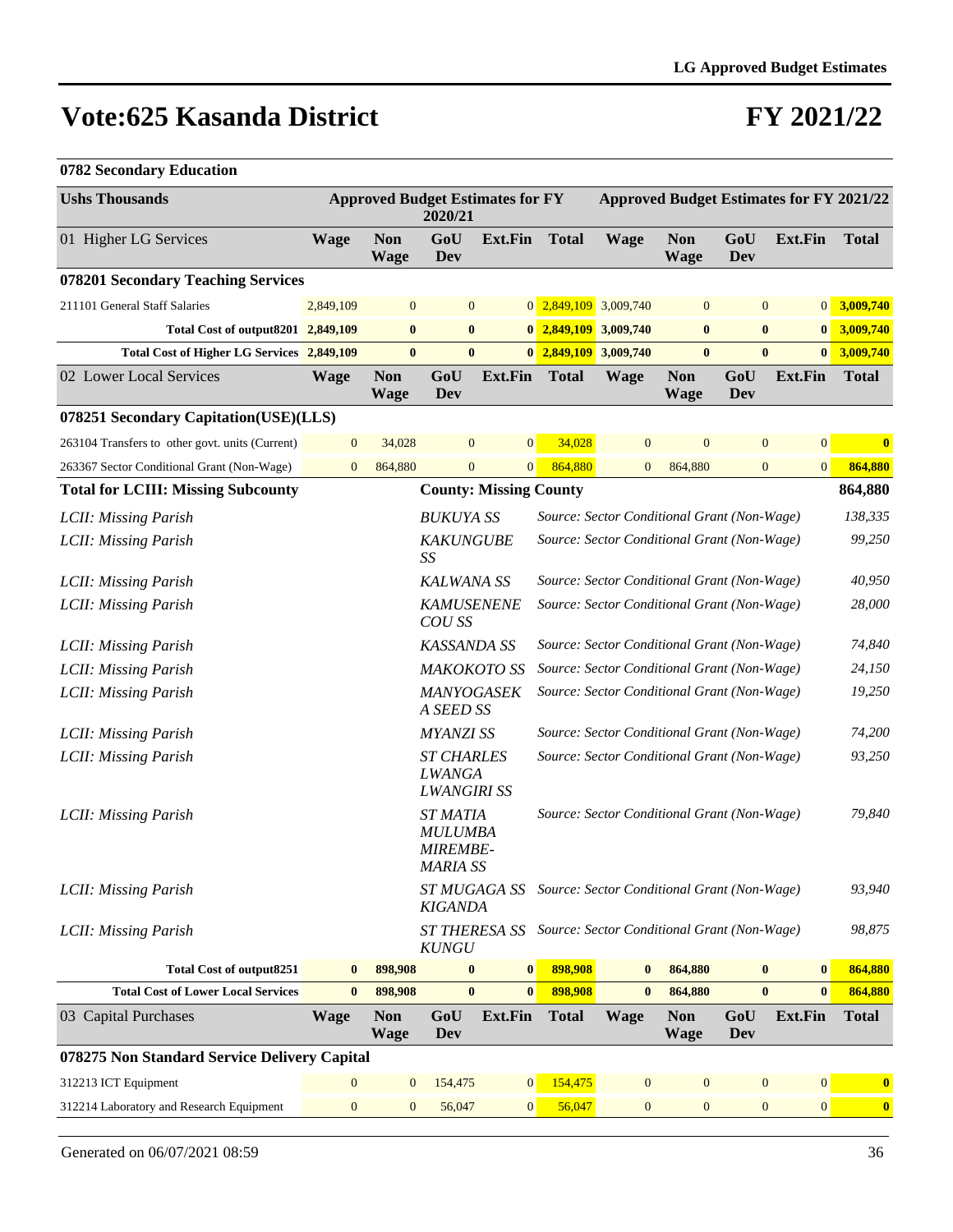| 0782 Secondary Education |  |
|--------------------------|--|
|--------------------------|--|

| <b>Ushs Thousands</b>                           |                  |                           | <b>Approved Budget Estimates for FY</b><br>2020/21                    |                  |                                             |                                                           |                           | <b>Approved Budget Estimates for FY 2021/22</b> |                  |              |
|-------------------------------------------------|------------------|---------------------------|-----------------------------------------------------------------------|------------------|---------------------------------------------|-----------------------------------------------------------|---------------------------|-------------------------------------------------|------------------|--------------|
| 01 Higher LG Services                           | <b>Wage</b>      | <b>Non</b><br><b>Wage</b> | GoU<br><b>Ext.Fin</b><br>Dev                                          |                  | <b>Total</b>                                | <b>Wage</b>                                               | <b>Non</b><br><b>Wage</b> | GoU<br>Dev                                      | <b>Ext.Fin</b>   | <b>Total</b> |
| 078201 Secondary Teaching Services              |                  |                           |                                                                       |                  |                                             |                                                           |                           |                                                 |                  |              |
| 211101 General Staff Salaries                   | 2,849,109        | $\boldsymbol{0}$          | $\boldsymbol{0}$                                                      |                  | $0\overline{2,849,109}$                     | 3,009,740                                                 | $\mathbf{0}$              | $\boldsymbol{0}$                                | 0                | 3,009,740    |
| Total Cost of output8201 2,849,109              |                  | $\bf{0}$                  | $\bf{0}$                                                              |                  | $0\ \ 2,849,109$                            | 3,009,740                                                 | $\bf{0}$                  | $\bf{0}$                                        | $\boldsymbol{0}$ | 3,009,740    |
| Total Cost of Higher LG Services 2,849,109      |                  | $\bf{0}$                  | $\bf{0}$                                                              |                  | $0\overline{2,849,109}$                     | 3,009,740                                                 | $\bf{0}$                  | $\bf{0}$                                        | $\bf{0}$         | 3,009,740    |
| 02 Lower Local Services                         | <b>Wage</b>      | <b>Non</b><br><b>Wage</b> | GoU<br>Dev                                                            | Ext.Fin          | <b>Total</b>                                | <b>Wage</b>                                               | <b>Non</b><br><b>Wage</b> | GoU<br>Dev                                      | <b>Ext.Fin</b>   | <b>Total</b> |
| 078251 Secondary Capitation(USE)(LLS)           |                  |                           |                                                                       |                  |                                             |                                                           |                           |                                                 |                  |              |
| 263104 Transfers to other govt. units (Current) | $\mathbf{0}$     | 34,028                    | $\boldsymbol{0}$                                                      | $\boldsymbol{0}$ | 34,028                                      | $\mathbf{0}$                                              | $\mathbf{0}$              | $\mathbf{0}$                                    | $\mathbf{0}$     | $\bf{0}$     |
| 263367 Sector Conditional Grant (Non-Wage)      | $\mathbf{0}$     | 864,880                   | $\mathbf{0}$                                                          | $\boldsymbol{0}$ | 864,880                                     | $\boldsymbol{0}$                                          | 864,880                   | $\boldsymbol{0}$                                | $\boldsymbol{0}$ | 864,880      |
| <b>Total for LCIII: Missing Subcounty</b>       |                  |                           | <b>County: Missing County</b>                                         |                  |                                             |                                                           |                           |                                                 |                  | 864,880      |
| LCII: Missing Parish                            |                  |                           | <b>BUKUYA SS</b>                                                      |                  |                                             | Source: Sector Conditional Grant (Non-Wage)               |                           |                                                 |                  | 138,335      |
| LCII: Missing Parish                            |                  |                           | <b>KAKUNGUBE</b><br>Source: Sector Conditional Grant (Non-Wage)<br>SS |                  |                                             |                                                           |                           | 99,250                                          |                  |              |
| LCII: Missing Parish                            |                  |                           | <b>KALWANA SS</b>                                                     |                  |                                             | Source: Sector Conditional Grant (Non-Wage)               |                           |                                                 |                  |              |
| LCII: Missing Parish                            |                  |                           | <b>KAMUSENENE</b><br>COU SS                                           |                  |                                             | Source: Sector Conditional Grant (Non-Wage)               |                           |                                                 |                  |              |
| LCII: Missing Parish                            |                  |                           | KASSANDA SS                                                           |                  | Source: Sector Conditional Grant (Non-Wage) |                                                           |                           |                                                 |                  | 74,840       |
| LCII: Missing Parish                            |                  |                           | MAKOKOTO SS                                                           |                  | Source: Sector Conditional Grant (Non-Wage) |                                                           |                           |                                                 | 24,150           |              |
| LCII: Missing Parish                            |                  |                           | MANYOGASEK<br>A SEED SS                                               |                  |                                             | Source: Sector Conditional Grant (Non-Wage)               |                           |                                                 |                  | 19,250       |
| LCII: Missing Parish                            |                  |                           | <b>MYANZI SS</b>                                                      |                  |                                             | Source: Sector Conditional Grant (Non-Wage)               |                           |                                                 |                  | 74,200       |
| LCII: Missing Parish                            |                  |                           | <b>ST CHARLES</b><br><b>LWANGA</b><br><b>LWANGIRI SS</b>              |                  |                                             | Source: Sector Conditional Grant (Non-Wage)               |                           |                                                 |                  | 93,250       |
| LCII: Missing Parish                            |                  |                           | <b>ST MATIA</b><br><b>MULUMBA</b><br>MIREMBE-<br><b>MARIA SS</b>      |                  |                                             | Source: Sector Conditional Grant (Non-Wage)               |                           |                                                 |                  | 79,840       |
| LCII: Missing Parish                            |                  |                           | KIGANDA                                                               |                  |                                             | ST MUGAGA SS Source: Sector Conditional Grant (Non-Wage)  |                           |                                                 |                  | 93,940       |
| LCII: Missing Parish                            |                  |                           | <b>KUNGU</b>                                                          |                  |                                             | ST THERESA SS Source: Sector Conditional Grant (Non-Wage) |                           |                                                 |                  | 98,875       |
| <b>Total Cost of output8251</b>                 | $\bf{0}$         | 898,908                   | $\bf{0}$                                                              | $\boldsymbol{0}$ | 898,908                                     | $\bf{0}$                                                  | 864,880                   | $\bf{0}$                                        | $\bf{0}$         | 864,880      |
| <b>Total Cost of Lower Local Services</b>       | $\bf{0}$         | 898,908                   | $\bf{0}$                                                              | $\bf{0}$         | 898,908                                     | $\bf{0}$                                                  | 864,880                   | $\bf{0}$                                        | $\bf{0}$         | 864,880      |
| 03 Capital Purchases                            | <b>Wage</b>      | <b>Non</b><br><b>Wage</b> | GoU<br><b>Dev</b>                                                     | <b>Ext.Fin</b>   | <b>Total</b>                                | <b>Wage</b>                                               | <b>Non</b><br><b>Wage</b> | GoU<br>Dev                                      | <b>Ext.Fin</b>   | <b>Total</b> |
| 078275 Non Standard Service Delivery Capital    |                  |                           |                                                                       |                  |                                             |                                                           |                           |                                                 |                  |              |
| 312213 ICT Equipment                            | $\mathbf{0}$     | $\mathbf{0}$              | 154,475                                                               | $\mathbf{0}$     | 154,475                                     | $\mathbf{0}$                                              | $\boldsymbol{0}$          | $\boldsymbol{0}$                                | $\mathbf{0}$     | $\bf{0}$     |
| 312214 Laboratory and Research Equipment        | $\boldsymbol{0}$ | $\mathbf{0}$              | 56,047                                                                | $\boldsymbol{0}$ | 56,047                                      | $\mathbf{0}$                                              | $\boldsymbol{0}$          | $\boldsymbol{0}$                                | 0                | $\bf{0}$     |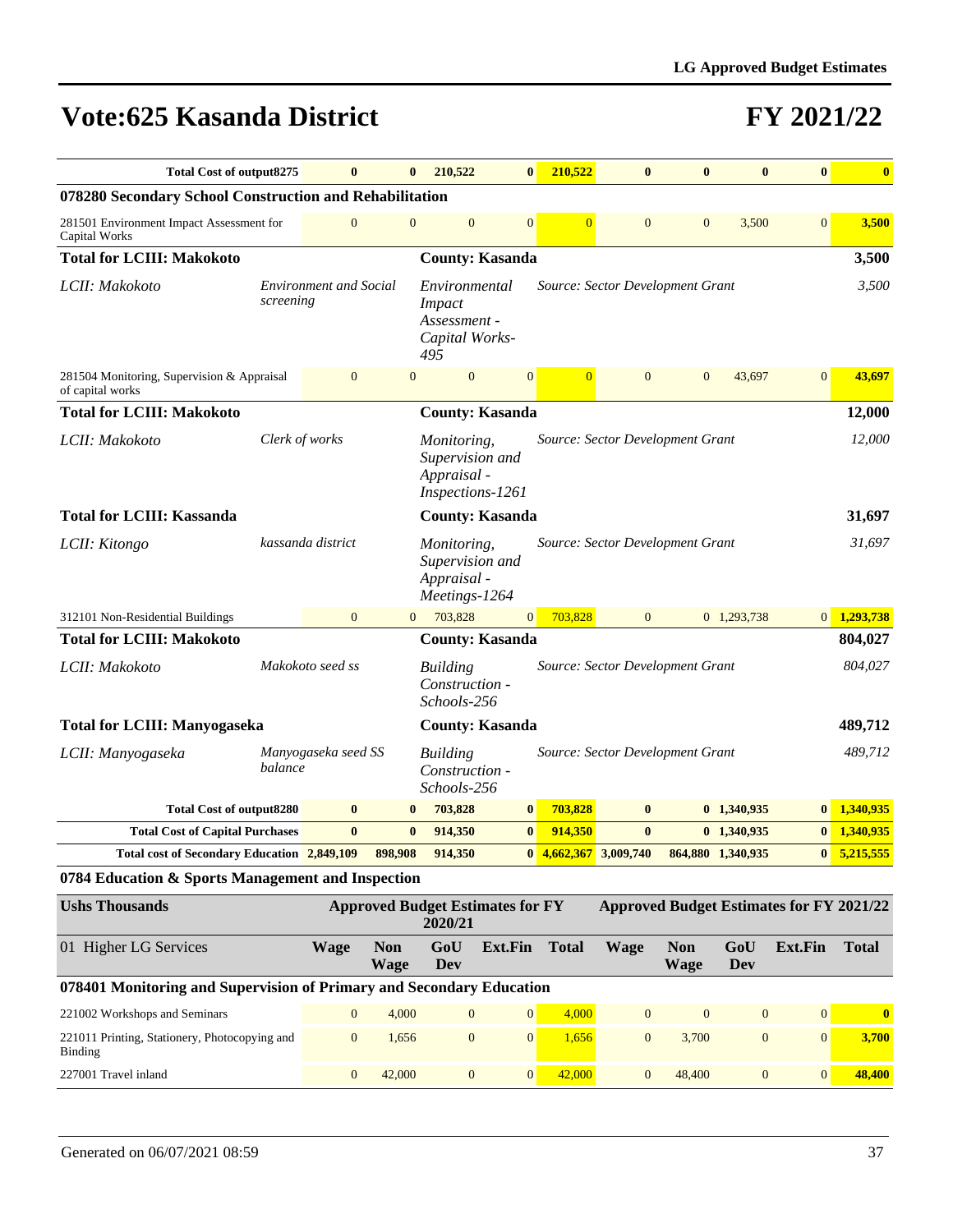| <b>Total Cost of output8275</b>                                      |                | $\bf{0}$                      |                           | 210,522                                                                 | $\bf{0}$                                | 210,522        | $\bf{0}$                         | $\bf{0}$                  | $\bf{0}$          | $\bf{0}$                                        | $\bf{0}$      |
|----------------------------------------------------------------------|----------------|-------------------------------|---------------------------|-------------------------------------------------------------------------|-----------------------------------------|----------------|----------------------------------|---------------------------|-------------------|-------------------------------------------------|---------------|
| 078280 Secondary School Construction and Rehabilitation              |                |                               |                           |                                                                         |                                         |                |                                  |                           |                   |                                                 |               |
| 281501 Environment Impact Assessment for<br>Capital Works            |                | $\overline{0}$                | $\overline{0}$            | $\boldsymbol{0}$                                                        | $\overline{0}$                          | $\overline{0}$ | $\mathbf{0}$                     | $\mathbf{0}$              | 3,500             | $\mathbf{0}$                                    | 3,500         |
| <b>Total for LCIII: Makokoto</b>                                     |                |                               |                           |                                                                         | <b>County: Kasanda</b>                  |                |                                  |                           |                   |                                                 | 3,500         |
| LCII: Makokoto                                                       | screening      | <b>Environment and Social</b> |                           | Environmental<br><i>Impact</i><br>Assessment -<br>Capital Works-<br>495 |                                         |                | Source: Sector Development Grant |                           |                   |                                                 | 3,500         |
| 281504 Monitoring, Supervision & Appraisal<br>of capital works       |                | $\mathbf{0}$                  | $\mathbf{0}$              | $\mathbf{0}$                                                            | $\overline{0}$                          | $\overline{0}$ | $\mathbf{0}$                     | $\mathbf{0}$              | 43,697            | $\mathbf{0}$                                    | 43,697        |
| <b>Total for LCIII: Makokoto</b>                                     |                |                               |                           |                                                                         | <b>County: Kasanda</b>                  |                |                                  |                           |                   |                                                 | 12,000        |
| LCII: Makokoto                                                       | Clerk of works |                               |                           | Monitoring,<br>Supervision and<br>Appraisal -<br>Inspections-1261       |                                         |                | Source: Sector Development Grant |                           |                   |                                                 | 12,000        |
| <b>Total for LCIII: Kassanda</b>                                     |                |                               |                           |                                                                         | <b>County: Kasanda</b>                  |                |                                  |                           |                   |                                                 | 31,697        |
| LCII: Kitongo                                                        |                | kassanda district             |                           | Monitoring,<br>Supervision and<br>Appraisal -<br>Meetings-1264          |                                         |                | Source: Sector Development Grant |                           |                   |                                                 | 31,697        |
| 312101 Non-Residential Buildings                                     |                | $\overline{0}$                | $\overline{0}$            | 703,828                                                                 | $\overline{0}$                          | 703,828        | $\Omega$                         |                           | 0 1,293,738       | 0                                               | 1,293,738     |
| <b>Total for LCIII: Makokoto</b>                                     |                |                               |                           |                                                                         | <b>County: Kasanda</b>                  |                |                                  |                           |                   |                                                 | 804,027       |
| LCII: Makokoto                                                       |                | Makokoto seed ss              |                           | <b>Building</b><br>Construction -<br>Schools-256                        |                                         |                | Source: Sector Development Grant |                           |                   |                                                 | 804,027       |
| <b>Total for LCIII: Manyogaseka</b>                                  |                |                               |                           |                                                                         | <b>County: Kasanda</b>                  |                |                                  |                           |                   |                                                 | 489,712       |
| LCII: Manyogaseka                                                    | balance        | Manyogaseka seed SS           |                           | <b>Building</b><br>Construction -<br>Schools-256                        |                                         |                | Source: Sector Development Grant |                           |                   |                                                 | 489,712       |
| <b>Total Cost of output8280</b>                                      |                | $\bf{0}$                      | $\bf{0}$                  | 703,828                                                                 | $\bf{0}$                                | 703,828        | $\bf{0}$                         |                           | 0 1,340,935       |                                                 | $0$ 1,340,935 |
| <b>Total Cost of Capital Purchases</b>                               |                | $\bf{0}$                      | $\bf{0}$                  | 914,350                                                                 | $\bf{0}$                                | 914,350        | $\bf{0}$                         |                           | 0 1,340,935       | $\bf{0}$                                        | 1,340,935     |
| Total cost of Secondary Education 2,849,109                          |                |                               | 898,908                   | 914,350                                                                 |                                         |                | 0 4,662,367 3,009,740            |                           | 864,880 1,340,935 |                                                 | $0$ 5,215,555 |
| 0784 Education & Sports Management and Inspection                    |                |                               |                           |                                                                         |                                         |                |                                  |                           |                   |                                                 |               |
| <b>Ushs Thousands</b>                                                |                |                               |                           | 2020/21                                                                 | <b>Approved Budget Estimates for FY</b> |                |                                  |                           |                   | <b>Approved Budget Estimates for FY 2021/22</b> |               |
| 01 Higher LG Services                                                |                | <b>Wage</b>                   | <b>Non</b><br><b>Wage</b> | GoU<br>Dev                                                              | Ext.Fin                                 | <b>Total</b>   | <b>Wage</b>                      | <b>Non</b><br><b>Wage</b> | GoU<br><b>Dev</b> | Ext.Fin                                         | <b>Total</b>  |
| 078401 Monitoring and Supervision of Primary and Secondary Education |                |                               |                           |                                                                         |                                         |                |                                  |                           |                   |                                                 |               |
| 221002 Workshops and Seminars                                        |                | $\mathbf{0}$                  | 4,000                     | $\mathbf{0}$                                                            | 0                                       | 4,000          | $\mathbf{0}$                     | $\mathbf{0}$              | $\mathbf{0}$      | $\boldsymbol{0}$                                | $\bf{0}$      |
| 221011 Printing, Stationery, Photocopying and<br>Binding             |                | $\boldsymbol{0}$              | 1,656                     | $\boldsymbol{0}$                                                        | $\mathbf{0}$                            | 1,656          | $\boldsymbol{0}$                 | 3,700                     | $\boldsymbol{0}$  | $\boldsymbol{0}$                                | 3,700         |
| 227001 Travel inland                                                 |                | $\mathbf{0}$                  | 42,000                    | $\mathbf{0}$                                                            | 0                                       | 42,000         | $\mathbf{0}$                     | 48,400                    | $\mathbf{0}$      | $\boldsymbol{0}$                                | 48,400        |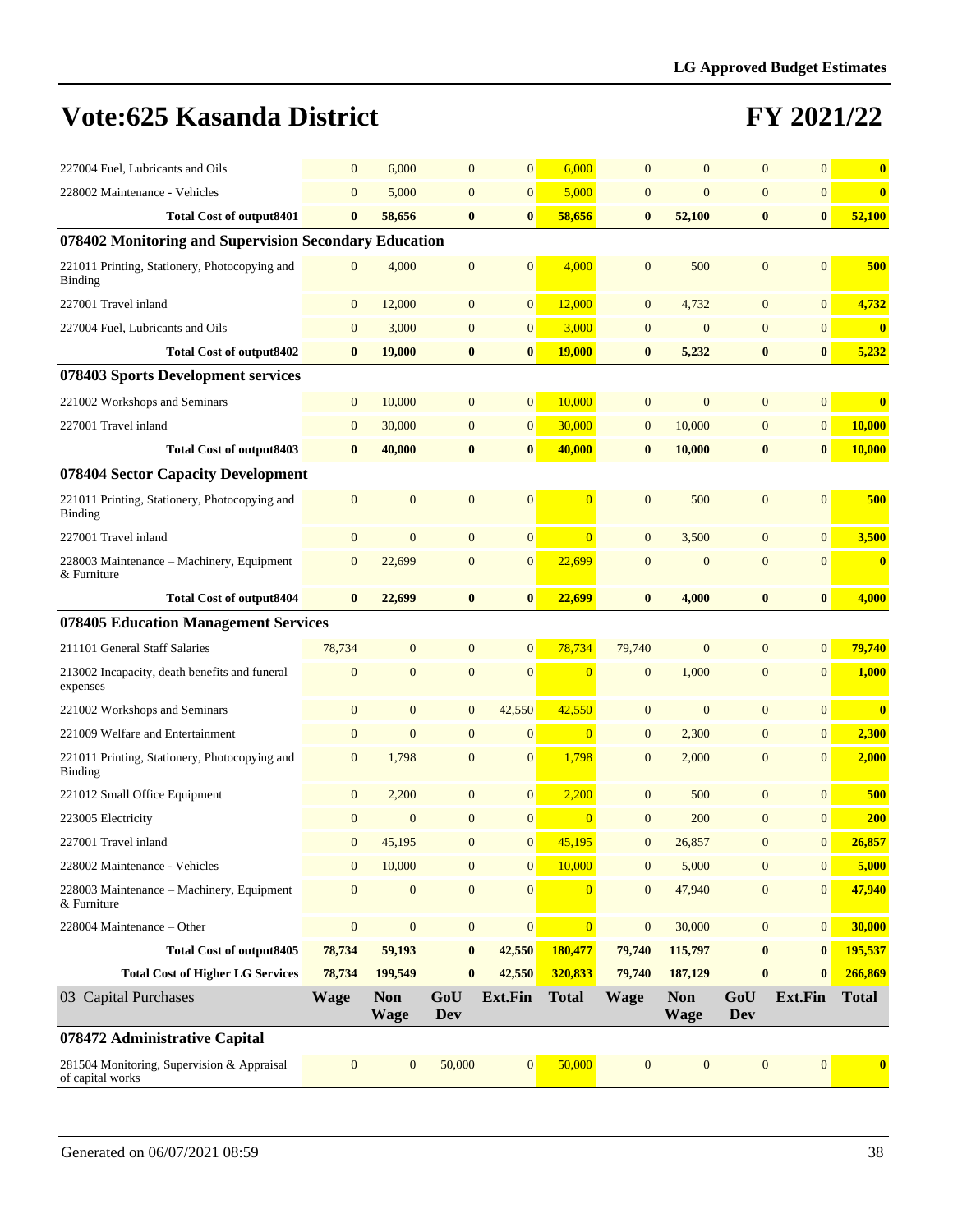| 227004 Fuel, Lubricants and Oils                                | $\mathbf{0}$     | 6,000                     | $\overline{0}$   | $\mathbf{0}$     | 6,000          | $\overline{0}$   | $\overline{0}$            | $\overline{0}$   | $\overline{0}$   | $\bf{0}$     |
|-----------------------------------------------------------------|------------------|---------------------------|------------------|------------------|----------------|------------------|---------------------------|------------------|------------------|--------------|
| 228002 Maintenance - Vehicles                                   | $\overline{0}$   | 5,000                     | $\overline{0}$   | $\mathbf{0}$     | 5,000          | $\overline{0}$   | $\overline{0}$            | $\overline{0}$   | $\overline{0}$   | $\bf{0}$     |
| <b>Total Cost of output8401</b>                                 | $\bf{0}$         | 58,656                    | $\bf{0}$         | $\bf{0}$         | 58,656         | $\bf{0}$         | 52,100                    | $\bf{0}$         | $\boldsymbol{0}$ | 52,100       |
| 078402 Monitoring and Supervision Secondary Education           |                  |                           |                  |                  |                |                  |                           |                  |                  |              |
| 221011 Printing, Stationery, Photocopying and<br><b>Binding</b> | $\mathbf{0}$     | 4,000                     | $\mathbf{0}$     | $\mathbf{0}$     | 4,000          | $\overline{0}$   | 500                       | $\overline{0}$   | $\Omega$         | 500          |
| 227001 Travel inland                                            | $\mathbf{0}$     | 12,000                    | $\mathbf{0}$     | $\mathbf{0}$     | 12,000         | $\overline{0}$   | 4,732                     | $\overline{0}$   | $\overline{0}$   | 4,732        |
| 227004 Fuel, Lubricants and Oils                                | $\mathbf{0}$     | 3,000                     | $\mathbf{0}$     | $\boldsymbol{0}$ | 3,000          | $\mathbf{0}$     | $\mathbf{0}$              | $\overline{0}$   | $\overline{0}$   | $\bf{0}$     |
| <b>Total Cost of output8402</b>                                 | $\bf{0}$         | 19,000                    | $\bf{0}$         | $\bf{0}$         | <b>19,000</b>  | $\bf{0}$         | 5,232                     | $\bf{0}$         | $\bf{0}$         | 5,232        |
| 078403 Sports Development services                              |                  |                           |                  |                  |                |                  |                           |                  |                  |              |
| 221002 Workshops and Seminars                                   | $\mathbf{0}$     | 10,000                    | $\mathbf{0}$     | $\mathbf{0}$     | 10,000         | $\mathbf{0}$     | $\overline{0}$            | $\mathbf{0}$     | $\overline{0}$   | $\bf{0}$     |
| 227001 Travel inland                                            | $\mathbf{0}$     | 30,000                    | $\mathbf{0}$     | $\mathbf{0}$     | 30,000         | $\overline{0}$   | 10,000                    | $\overline{0}$   | $\vert 0 \vert$  | 10,000       |
| Total Cost of output 8403                                       | $\bf{0}$         | 40,000                    | $\bf{0}$         | $\bf{0}$         | 40,000         | $\bf{0}$         | 10,000                    | $\bf{0}$         | $\boldsymbol{0}$ | 10,000       |
| 078404 Sector Capacity Development                              |                  |                           |                  |                  |                |                  |                           |                  |                  |              |
| 221011 Printing, Stationery, Photocopying and<br><b>Binding</b> | $\mathbf{0}$     | $\mathbf{0}$              | $\mathbf{0}$     | $\mathbf{0}$     | $\overline{0}$ | $\mathbf{0}$     | 500                       | $\mathbf{0}$     | $\overline{0}$   | 500          |
| 227001 Travel inland                                            | $\mathbf{0}$     | $\mathbf{0}$              | $\overline{0}$   | $\mathbf{0}$     | $\overline{0}$ | $\mathbf{0}$     | 3,500                     | $\overline{0}$   | $\overline{0}$   | 3,500        |
| 228003 Maintenance - Machinery, Equipment<br>& Furniture        | $\mathbf{0}$     | 22,699                    | $\mathbf{0}$     | $\mathbf{0}$     | 22,699         | $\mathbf{0}$     | $\mathbf{0}$              | $\overline{0}$   | $\overline{0}$   | $\bf{0}$     |
| <b>Total Cost of output8404</b>                                 | $\bf{0}$         | 22,699                    | $\bf{0}$         | $\bf{0}$         | 22,699         | $\bf{0}$         | 4,000                     | $\bf{0}$         | $\boldsymbol{0}$ | 4,000        |
| 078405 Education Management Services                            |                  |                           |                  |                  |                |                  |                           |                  |                  |              |
| 211101 General Staff Salaries                                   | 78,734           | $\mathbf{0}$              | $\mathbf{0}$     | $\mathbf{0}$     | 78,734         | 79,740           | $\mathbf{0}$              | $\overline{0}$   | $\overline{0}$   | 79,740       |
| 213002 Incapacity, death benefits and funeral<br>expenses       | $\mathbf{0}$     | $\mathbf{0}$              | $\mathbf{0}$     | $\mathbf{0}$     | $\overline{0}$ | $\mathbf{0}$     | 1,000                     | $\mathbf{0}$     | $\overline{0}$   | 1,000        |
| 221002 Workshops and Seminars                                   | $\mathbf{0}$     | $\mathbf{0}$              | $\mathbf{0}$     | 42,550           | 42,550         | $\mathbf{0}$     | $\mathbf{0}$              | $\mathbf{0}$     | $\vert 0 \vert$  | $\bf{0}$     |
| 221009 Welfare and Entertainment                                | $\mathbf{0}$     | $\mathbf{0}$              | $\overline{0}$   | $\mathbf{0}$     | $\overline{0}$ | $\mathbf{0}$     | 2,300                     | $\overline{0}$   | $\overline{0}$   | 2,300        |
| 221011 Printing, Stationery, Photocopying and<br>Binding        | $\mathbf{0}$     | 1,798                     | $\mathbf{0}$     | $\mathbf{0}$     | 1,798          | $\mathbf{0}$     | 2,000                     | $\mathbf{0}$     | $\mathbf{0}$     | 2,000        |
| 221012 Small Office Equipment                                   | $\boldsymbol{0}$ | 2,200                     | $\mathbf{0}$     | $\mathbf{0}$     | 2,200          | $\mathbf{0}$     | 500                       | $\overline{0}$   | $\overline{0}$   | 500          |
| 223005 Electricity                                              | $\mathbf{0}$     | $\overline{0}$            | $\mathbf{0}$     | $\mathbf{0}$     | $\overline{0}$ | $\overline{0}$   | 200                       | $\overline{0}$   | $\overline{0}$   | 200          |
| 227001 Travel inland                                            | $\mathbf{0}$     | 45,195                    | $\mathbf{0}$     | $\mathbf{0}$     | 45,195         | $\overline{0}$   | 26,857                    | $\mathbf{0}$     | $\overline{0}$   | 26,857       |
| 228002 Maintenance - Vehicles                                   | $\boldsymbol{0}$ | 10,000                    | $\mathbf{0}$     | $\boldsymbol{0}$ | 10,000         | $\mathbf{0}$     | 5,000                     | $\boldsymbol{0}$ | $\mathbf{0}$     | 5,000        |
| 228003 Maintenance – Machinery, Equipment<br>& Furniture        | $\mathbf{0}$     | $\boldsymbol{0}$          | $\mathbf{0}$     | $\mathbf{0}$     | $\overline{0}$ | $\overline{0}$   | 47,940                    | $\boldsymbol{0}$ | $\overline{0}$   | 47,940       |
| 228004 Maintenance - Other                                      | $\boldsymbol{0}$ | $\boldsymbol{0}$          | $\boldsymbol{0}$ | $\boldsymbol{0}$ | $\overline{0}$ | $\boldsymbol{0}$ | 30,000                    | $\boldsymbol{0}$ | 0                | 30,000       |
| <b>Total Cost of output8405</b>                                 | 78,734           | 59,193                    | $\bf{0}$         | 42,550           | 180,477        | 79,740           | 115,797                   | $\bf{0}$         | $\bf{0}$         | 195,537      |
| <b>Total Cost of Higher LG Services</b>                         | 78,734           | 199,549                   | $\bf{0}$         | 42,550           | 320,833        | 79,740           | 187,129                   | $\bf{0}$         | $\bf{0}$         | 266,869      |
| 03 Capital Purchases                                            | <b>Wage</b>      | <b>Non</b><br><b>Wage</b> | GoU<br>Dev       | Ext.Fin          | <b>Total</b>   | <b>Wage</b>      | <b>Non</b><br><b>Wage</b> | GoU<br>Dev       | Ext.Fin          | <b>Total</b> |
| 078472 Administrative Capital                                   |                  |                           |                  |                  |                |                  |                           |                  |                  |              |
| 281504 Monitoring, Supervision & Appraisal<br>of capital works  | $\boldsymbol{0}$ | $\mathbf{0}$              | 50,000           | $\boldsymbol{0}$ | 50,000         | $\mathbf{0}$     | $\mathbf{0}$              | $\boldsymbol{0}$ | $\overline{0}$   | $\bf{0}$     |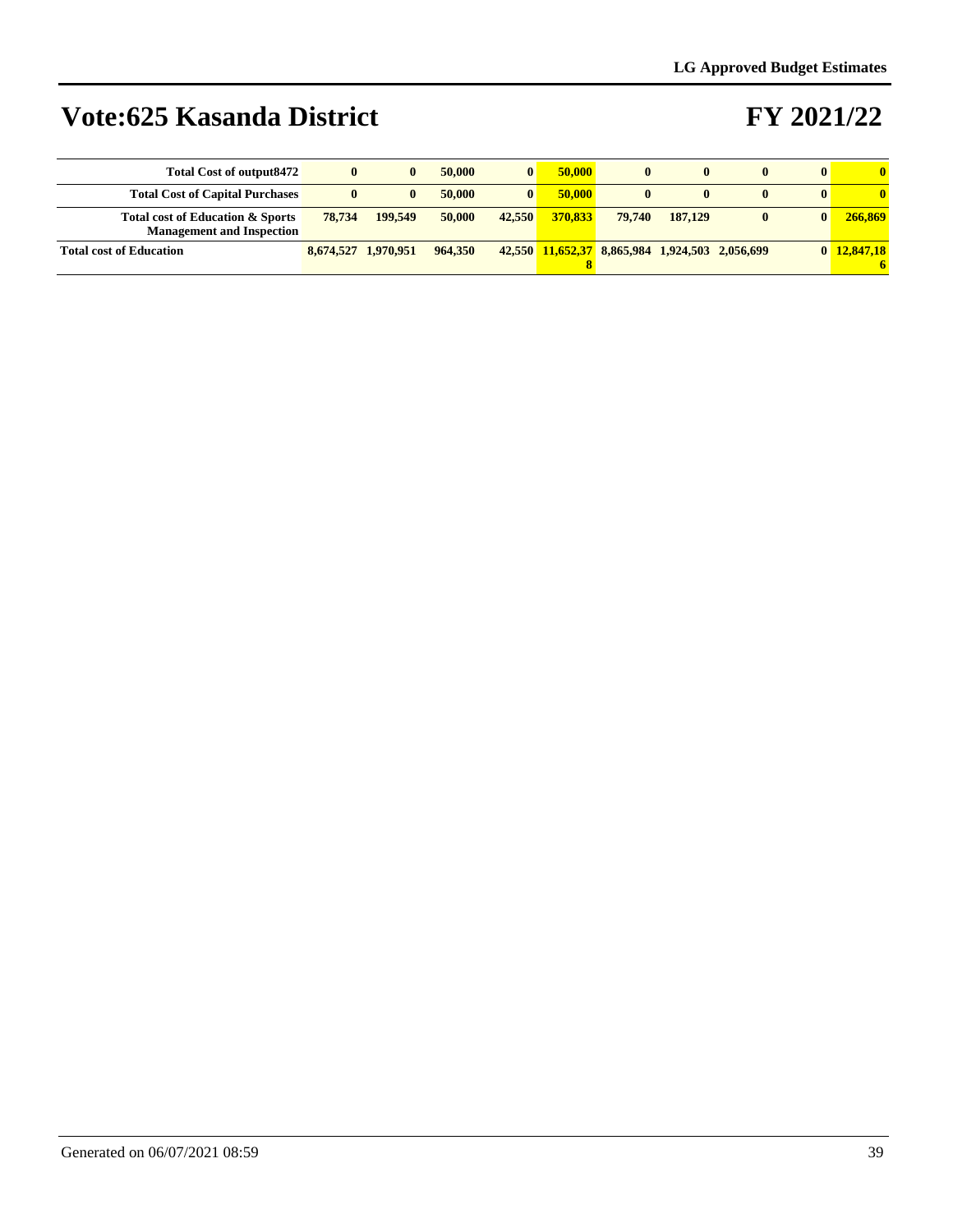| <b>Total Cost of output8472</b>                                      | $\bf{0}$            | 0       | 50,000  | $\bf{0}$ | 50,000  | $\mathbf{0}$                                   | $\mathbf{0}$ | $\mathbf{0}$ |             |
|----------------------------------------------------------------------|---------------------|---------|---------|----------|---------|------------------------------------------------|--------------|--------------|-------------|
| <b>Total Cost of Capital Purchases</b>                               | $\bf{0}$            | 0       | 50,000  | $\bf{0}$ | 50,000  |                                                | $\mathbf{0}$ | $\mathbf{0}$ |             |
| Total cost of Education & Sports<br><b>Management and Inspection</b> | 78,734              | 199.549 | 50,000  | 42,550   | 370.833 | 79.740                                         | 187.129      | $\bf{0}$     | 266,869     |
| <b>Total cost of Education</b>                                       | 8,674,527 1,970,951 |         | 964,350 |          |         | 42,550 11,652,37 8,865,984 1,924,503 2,056,699 |              |              | 0 12,847,18 |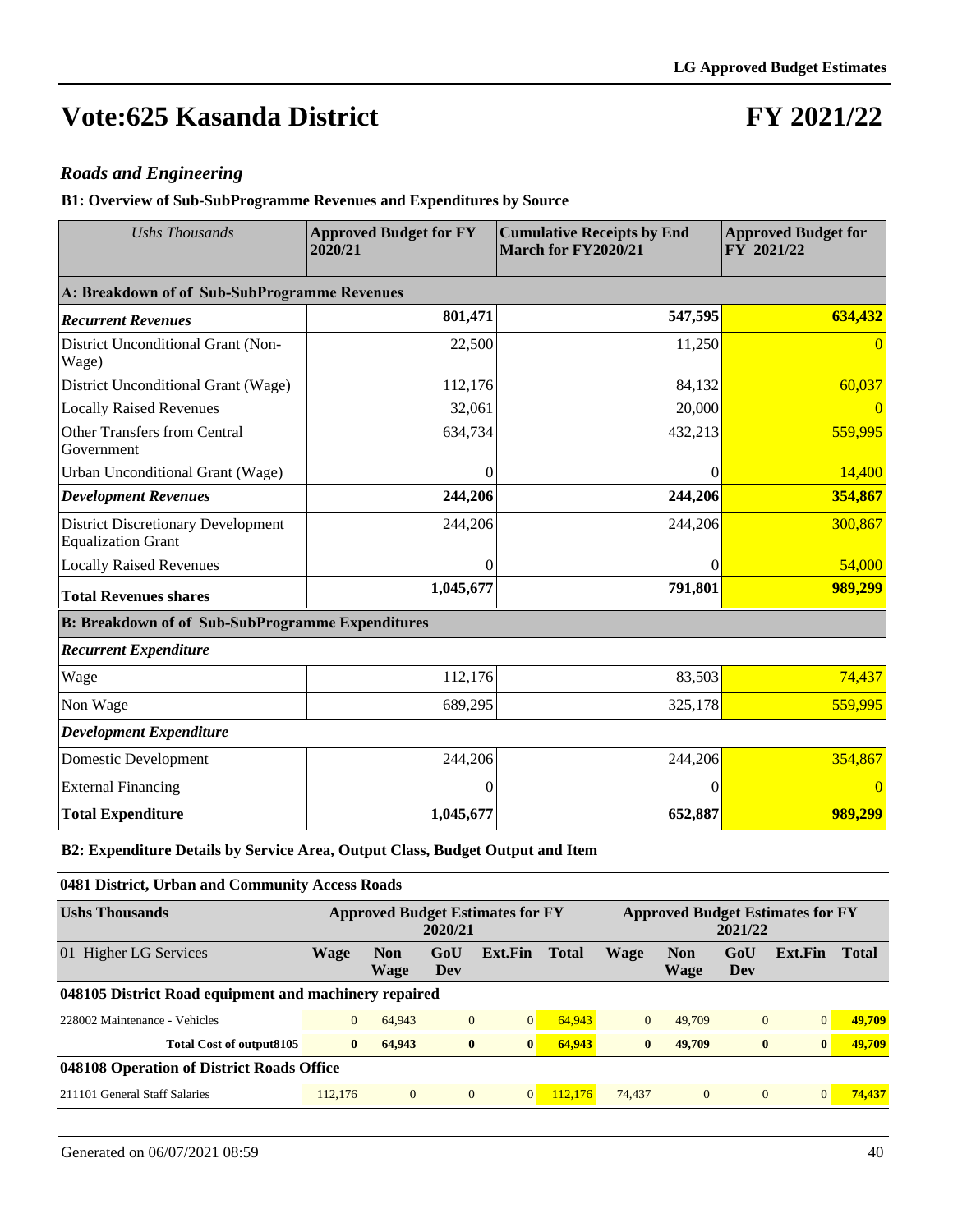### **FY 2021/22**

#### *Roads and Engineering*

**B1: Overview of Sub-SubProgramme Revenues and Expenditures by Source**

| <b>Ushs Thousands</b>                                                  | <b>Approved Budget for FY</b><br>2020/21 | <b>Cumulative Receipts by End</b><br>March for FY2020/21 | <b>Approved Budget for</b><br>FY 2021/22 |
|------------------------------------------------------------------------|------------------------------------------|----------------------------------------------------------|------------------------------------------|
| A: Breakdown of of Sub-SubProgramme Revenues                           |                                          |                                                          |                                          |
| <b>Recurrent Revenues</b>                                              | 801,471                                  | 547,595                                                  | 634,432                                  |
| District Unconditional Grant (Non-<br>Wage)                            | 22,500                                   | 11,250                                                   | $\Omega$                                 |
| District Unconditional Grant (Wage)                                    | 112,176                                  | 84,132                                                   | 60,037                                   |
| <b>Locally Raised Revenues</b>                                         | 32,061                                   | 20,000                                                   |                                          |
| <b>Other Transfers from Central</b><br>Government                      | 634,734                                  | 432,213                                                  | 559,995                                  |
| Urban Unconditional Grant (Wage)                                       | $\Omega$                                 | 0                                                        | 14,400                                   |
| <b>Development Revenues</b>                                            | 244,206                                  | 244,206                                                  | 354,867                                  |
| <b>District Discretionary Development</b><br><b>Equalization Grant</b> | 244,206                                  | 244,206                                                  | 300,867                                  |
| <b>Locally Raised Revenues</b>                                         | $\theta$                                 | $\overline{0}$                                           | 54,000                                   |
| <b>Total Revenues shares</b>                                           | 1,045,677                                | 791,801                                                  | 989,299                                  |
| <b>B: Breakdown of of Sub-SubProgramme Expenditures</b>                |                                          |                                                          |                                          |
| <b>Recurrent Expenditure</b>                                           |                                          |                                                          |                                          |
| Wage                                                                   | 112,176                                  | 83,503                                                   | 74,437                                   |
| Non Wage                                                               | 689,295                                  | 325,178                                                  | 559,995                                  |
| <b>Development Expenditure</b>                                         |                                          |                                                          |                                          |
| <b>Domestic Development</b>                                            | 244,206                                  | 244,206                                                  | 354,867                                  |
| <b>External Financing</b>                                              | $\theta$                                 | $\Omega$                                                 | $\overline{0}$                           |
| <b>Total Expenditure</b>                                               | 1,045,677                                | 652,887                                                  | 989,299                                  |

**B2: Expenditure Details by Service Area, Output Class, Budget Output and Item**

**0481 District, Urban and Community Access Roads**

| <b>Ushs Thousands</b>                                 | <b>Approved Budget Estimates for FY</b><br>2020/21 |                    |                |                |              | <b>Approved Budget Estimates for FY</b><br>2021/22 |                    |              |              |              |  |  |
|-------------------------------------------------------|----------------------------------------------------|--------------------|----------------|----------------|--------------|----------------------------------------------------|--------------------|--------------|--------------|--------------|--|--|
| 01 Higher LG Services                                 | Wage                                               | <b>Non</b><br>Wage | GoU<br>Dev     | Ext.Fin        | <b>Total</b> | <b>Wage</b>                                        | <b>Non</b><br>Wage | GoU<br>Dev   | Ext.Fin      | <b>Total</b> |  |  |
| 048105 District Road equipment and machinery repaired |                                                    |                    |                |                |              |                                                    |                    |              |              |              |  |  |
| 228002 Maintenance - Vehicles                         | $\overline{0}$                                     | 64,943             | $\overline{0}$ | $\overline{0}$ | 64,943       | $\Omega$                                           | 49,709             | $\mathbf{0}$ | 0            | 49,709       |  |  |
| Total Cost of output8105                              | $\mathbf{0}$                                       | 64,943             | $\bf{0}$       | $\bf{0}$       | 64,943       | $\mathbf{0}$                                       | 49,709             | $\bf{0}$     | $\mathbf{0}$ | 49,709       |  |  |
| 048108 Operation of District Roads Office             |                                                    |                    |                |                |              |                                                    |                    |              |              |              |  |  |
| 211101 General Staff Salaries                         | 112,176                                            | $\Omega$           | $\mathbf{0}$   | $\overline{0}$ | 112,176      | 74,437                                             | $\mathbf{0}$       | $\mathbf{0}$ | 0            | 74,437       |  |  |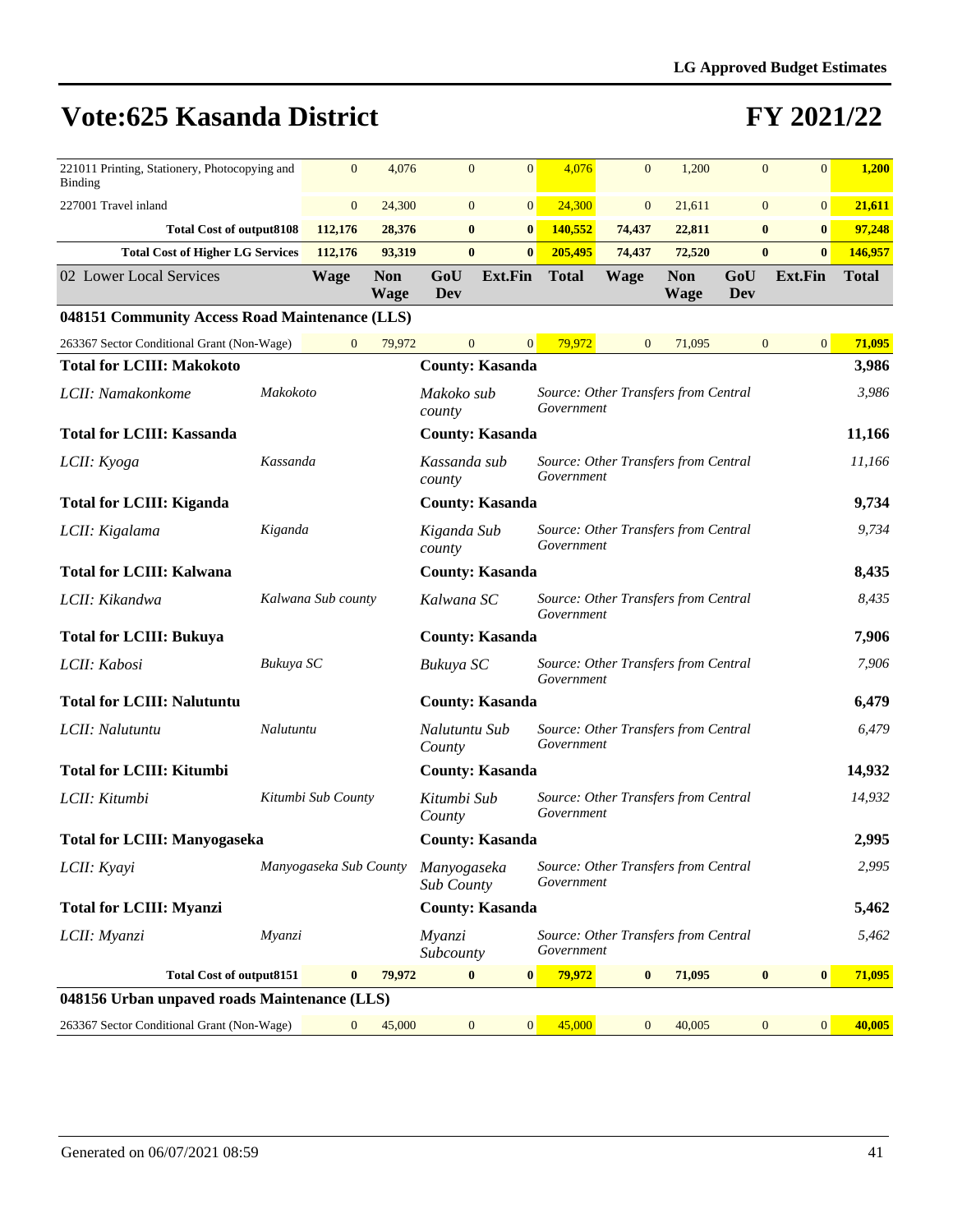| 221011 Printing, Stationery, Photocopying and<br><b>Binding</b> | $\mathbf{0}$   | 4,076              | $\mathbf{0}$           | $\overline{0}$         | 4,076                                              | $\overline{0}$ | 1,200                     | $\mathbf{0}$ | $\mathbf{0}$                     | 1,200        |
|-----------------------------------------------------------------|----------------|--------------------|------------------------|------------------------|----------------------------------------------------|----------------|---------------------------|--------------|----------------------------------|--------------|
| 227001 Travel inland                                            | $\overline{0}$ | 24,300             | $\overline{0}$         | 0                      | 24,300                                             | $\overline{0}$ | 21,611                    |              | $\overline{0}$<br>$\overline{0}$ | 21,611       |
| <b>Total Cost of output8108</b>                                 | 112,176        | 28,376             | $\bf{0}$               | $\vert 0 \vert$        | 140,552                                            | 74,437         | 22,811                    |              | $\vert 0 \vert$<br>$\bf{0}$      | 97,248       |
| <b>Total Cost of Higher LG Services</b>                         | 112,176        | 93,319             | $\bf{0}$               | $\bf{0}$               | 205,495                                            | 74,437         | 72,520                    |              | $\bf{0}$<br>$\bf{0}$             | 146,957      |
| 02 Lower Local Services                                         | Wage           | <b>Non</b><br>Wage | GoU<br>Dev             | <b>Ext.Fin</b>         | <b>Total</b>                                       | Wage           | <b>Non</b><br><b>Wage</b> | GoU<br>Dev   | Ext.Fin                          | <b>Total</b> |
| 048151 Community Access Road Maintenance (LLS)                  |                |                    |                        |                        |                                                    |                |                           |              |                                  |              |
| 263367 Sector Conditional Grant (Non-Wage)                      | $\overline{0}$ | 79,972             | $\overline{0}$         | $\overline{0}$         | 79.972                                             | $\overline{0}$ | 71,095                    |              | $\overline{0}$<br>$\overline{0}$ | 71,095       |
| <b>Total for LCIII: Makokoto</b>                                |                |                    |                        | <b>County: Kasanda</b> |                                                    |                |                           |              |                                  | 3,986        |
| LCII: Namakonkome                                               | Makokoto       |                    | Makoko sub<br>county   |                        | Source: Other Transfers from Central<br>Government |                |                           |              |                                  | 3,986        |
| <b>Total for LCIII: Kassanda</b>                                |                |                    |                        | <b>County: Kasanda</b> |                                                    |                |                           |              |                                  | 11,166       |
| LCII: Kyoga                                                     | Kassanda       |                    | Kassanda sub<br>county |                        | Source: Other Transfers from Central<br>Government |                |                           |              |                                  | 11,166       |
| <b>Total for LCIII: Kiganda</b>                                 |                |                    |                        | <b>County: Kasanda</b> |                                                    |                |                           |              |                                  | 9,734        |
|                                                                 |                |                    |                        |                        |                                                    |                |                           |              |                                  |              |

|                                              |                        |          |        | county                    |                        | Government                                         |        |                |                |        |
|----------------------------------------------|------------------------|----------|--------|---------------------------|------------------------|----------------------------------------------------|--------|----------------|----------------|--------|
| <b>Total for LCIII: Kassanda</b>             |                        |          |        | <b>County: Kasanda</b>    |                        |                                                    |        |                |                | 11,166 |
| LCII: Kyoga                                  | Kassanda               |          |        | Kassanda sub<br>county    |                        | Source: Other Transfers from Central<br>Government |        |                |                | 11,166 |
| <b>Total for LCIII: Kiganda</b>              |                        |          |        | <b>County: Kasanda</b>    |                        |                                                    |        |                |                | 9,734  |
| LCII: Kigalama                               | Kiganda                |          |        | Kiganda Sub<br>county     |                        | Source: Other Transfers from Central<br>Government |        |                |                | 9,734  |
| <b>Total for LCIII: Kalwana</b>              |                        |          |        | <b>County: Kasanda</b>    |                        |                                                    |        |                |                | 8,435  |
| LCII: Kikandwa                               | Kalwana Sub county     |          |        | Kalwana SC                |                        | Source: Other Transfers from Central<br>Government |        |                |                | 8,435  |
| <b>Total for LCIII: Bukuya</b>               |                        |          |        | <b>County: Kasanda</b>    |                        |                                                    |        |                |                | 7,906  |
| LCII: Kabosi                                 | Bukuya SC              |          |        | Bukuya SC                 |                        | Source: Other Transfers from Central<br>Government |        |                |                | 7,906  |
| <b>Total for LCIII: Nalutuntu</b>            |                        |          |        |                           | <b>County: Kasanda</b> |                                                    |        |                |                | 6,479  |
| LCII: Nalutuntu                              | Nalutuntu              |          |        | Nalutuntu Sub<br>County   |                        | Source: Other Transfers from Central<br>Government |        |                |                | 6,479  |
| <b>Total for LCIII: Kitumbi</b>              |                        |          |        | <b>County: Kasanda</b>    |                        |                                                    |        |                |                | 14,932 |
| LCII: Kitumbi                                | Kitumbi Sub County     |          |        | Kitumbi Sub<br>County     |                        | Source: Other Transfers from Central<br>Government |        |                |                | 14,932 |
| <b>Total for LCIII: Manyogaseka</b>          |                        |          |        | <b>County: Kasanda</b>    |                        |                                                    |        |                |                | 2,995  |
| LCII: Kyayi                                  | Manyogaseka Sub County |          |        | Manyogaseka<br>Sub County |                        | Source: Other Transfers from Central<br>Government |        |                |                | 2,995  |
| <b>Total for LCIII: Myanzi</b>               |                        |          |        | <b>County: Kasanda</b>    |                        |                                                    |        |                |                | 5,462  |
| LCII: Myanzi                                 | Myanzi                 |          |        | Myanzi<br>Subcounty       |                        | Source: Other Transfers from Central<br>Government |        |                |                | 5,462  |
| <b>Total Cost of output8151</b>              |                        | $\bf{0}$ | 79,972 | $\bf{0}$                  | $\mathbf{0}$           | 79,972<br>$\mathbf{0}$                             | 71,095 | $\bf{0}$       | $\bf{0}$       | 71,095 |
| 048156 Urban unpaved roads Maintenance (LLS) |                        |          |        |                           |                        |                                                    |        |                |                |        |
| 263367 Sector Conditional Grant (Non-Wage)   |                        | $\Omega$ | 45,000 | $\overline{0}$            | 0                      | 45,000<br>$\Omega$                                 | 40,005 | $\overline{0}$ | $\overline{0}$ | 40,005 |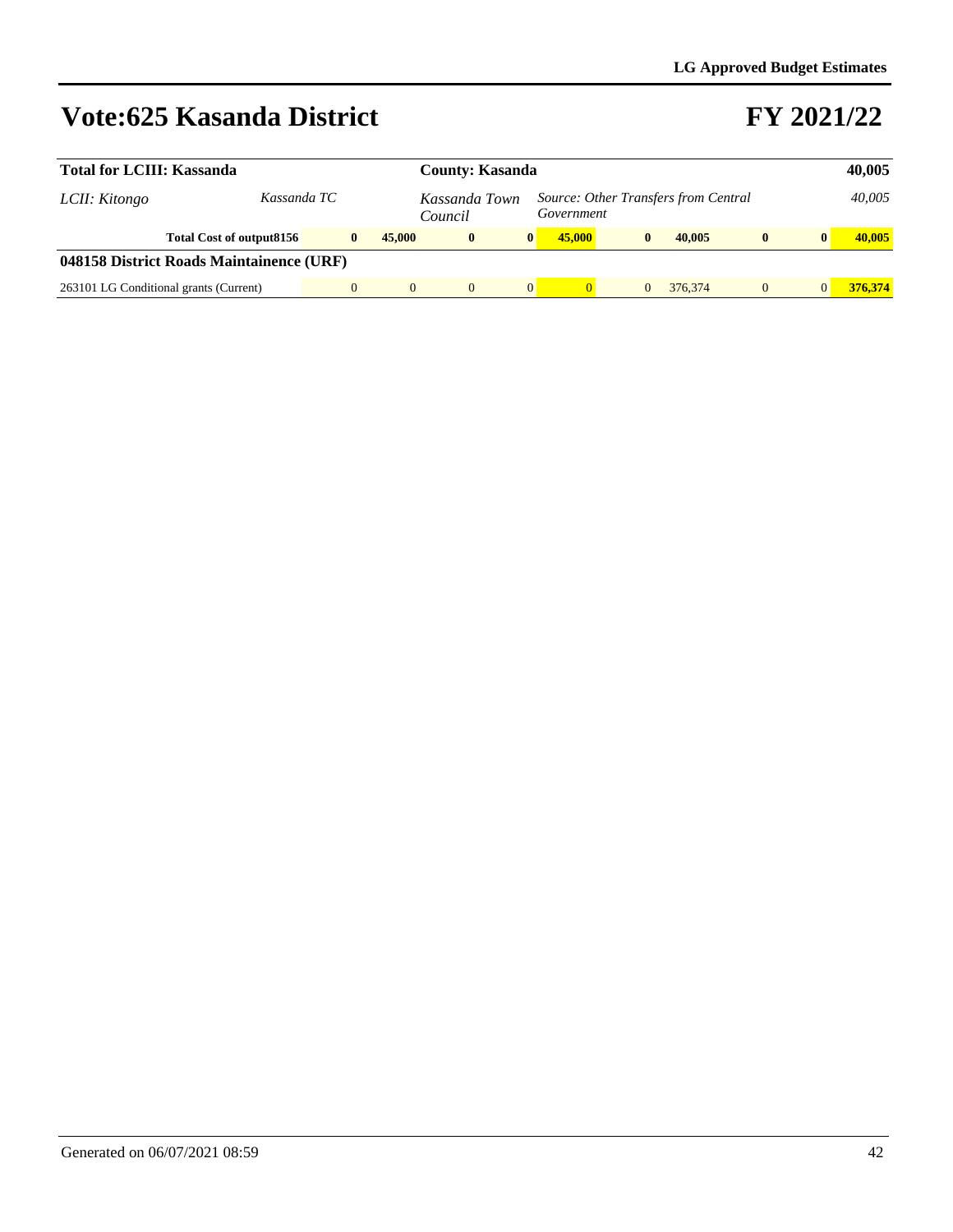| <b>Total for LCIII: Kassanda</b>         | <b>County: Kasanda</b>                 |                          |        | 40,005      |                                                    |        |  |              |         |              |              |         |
|------------------------------------------|----------------------------------------|--------------------------|--------|-------------|----------------------------------------------------|--------|--|--------------|---------|--------------|--------------|---------|
| LCII: Kitongo                            | Kassanda TC                            | Kassanda Town<br>Council |        |             | Source: Other Transfers from Central<br>Government |        |  |              |         | 40,005       |              |         |
|                                          | Total Cost of output 8156              | $\bf{0}$                 | 45,000 | $\mathbf 0$ | $\mathbf{0}$                                       | 45,000 |  | $\mathbf{0}$ | 40.005  | $\mathbf{0}$ | $\mathbf{0}$ | 40,005  |
| 048158 District Roads Maintainence (URF) |                                        |                          |        |             |                                                    |        |  |              |         |              |              |         |
|                                          | 263101 LG Conditional grants (Current) |                          |        |             | $\overline{0}$                                     |        |  |              | 376,374 | $\Omega$     |              | 376,374 |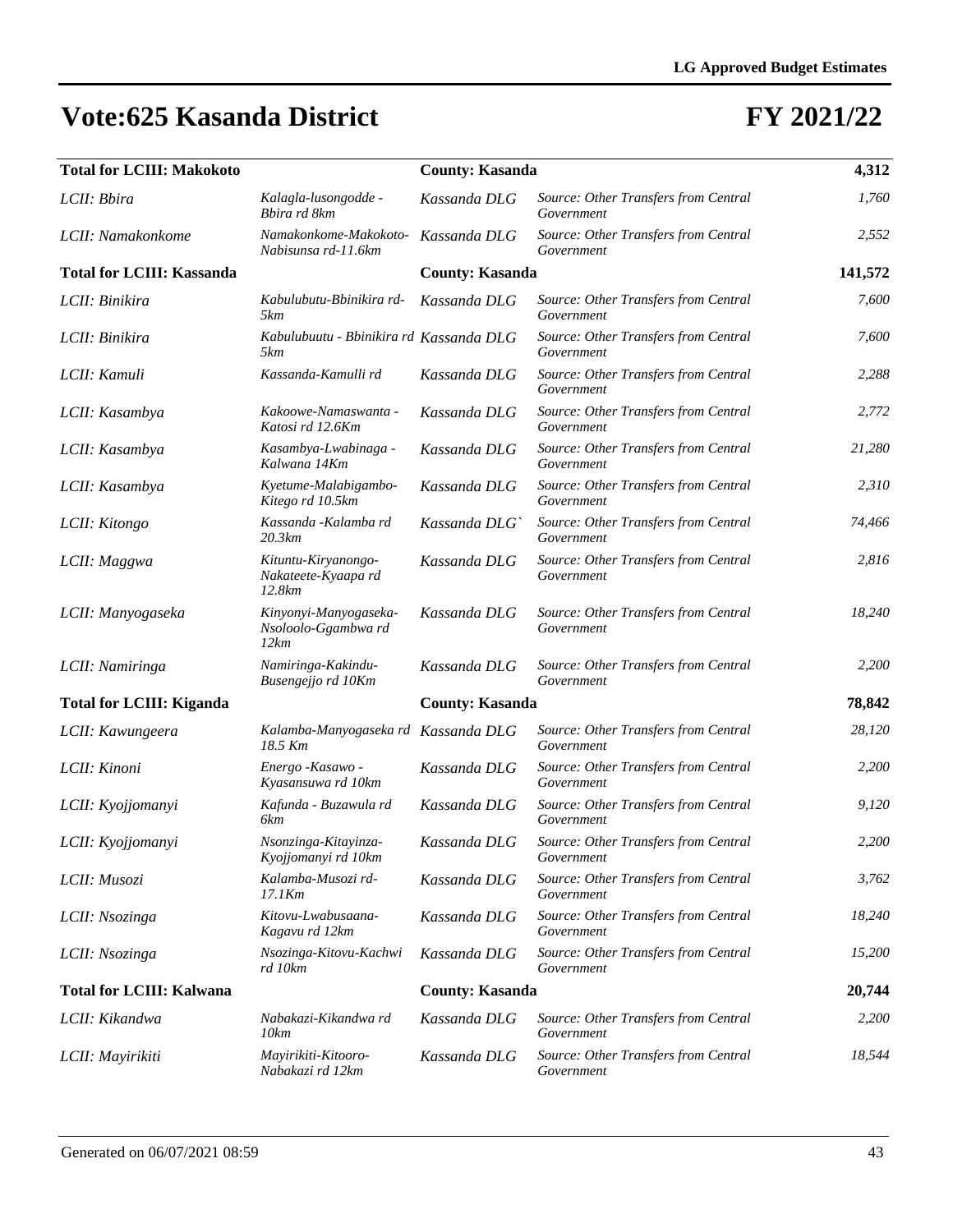| <b>Total for LCIII: Makokoto</b> |                                                      | <b>County: Kasanda</b> |                                                    | 4,312   |
|----------------------------------|------------------------------------------------------|------------------------|----------------------------------------------------|---------|
| LCII: Bbira                      | Kalagla-lusongodde -<br>Bbira rd 8km                 | Kassanda DLG           | Source: Other Transfers from Central<br>Government | 1,760   |
| LCII: Namakonkome                | Namakonkome-Makokoto-<br>Nabisunsa rd-11.6km         | Kassanda DLG           | Source: Other Transfers from Central<br>Government | 2,552   |
| <b>Total for LCIII: Kassanda</b> |                                                      | <b>County: Kasanda</b> |                                                    | 141,572 |
| LCII: Binikira                   | Kabulubutu-Bbinikira rd-<br>5km                      | Kassanda DLG           | Source: Other Transfers from Central<br>Government | 7,600   |
| LCII: Binikira                   | Kabulubuutu - Bbinikira rd Kassanda DLG<br>5km       |                        | Source: Other Transfers from Central<br>Government | 7,600   |
| LCII: Kamuli                     | Kassanda-Kamulli rd                                  | Kassanda DLG           | Source: Other Transfers from Central<br>Government | 2,288   |
| LCII: Kasambya                   | Kakoowe-Namaswanta -<br>Katosi rd 12.6Km             | Kassanda DLG           | Source: Other Transfers from Central<br>Government | 2,772   |
| LCII: Kasambya                   | Kasambya-Lwabinaga -<br>Kalwana 14Km                 | Kassanda DLG           | Source: Other Transfers from Central<br>Government | 21,280  |
| LCII: Kasambya                   | Kyetume-Malabigambo-<br>Kitego rd 10.5km             | Kassanda DLG           | Source: Other Transfers from Central<br>Government | 2,310   |
| LCII: Kitongo                    | Kassanda - Kalamba rd<br>20.3km                      | Kassanda DLG`          | Source: Other Transfers from Central<br>Government | 74,466  |
| LCII: Maggwa                     | Kituntu-Kiryanongo-<br>Nakateete-Kyaapa rd<br>12.8km | Kassanda DLG           | Source: Other Transfers from Central<br>Government | 2,816   |
| LCII: Manyogaseka                | Kinyonyi-Manyogaseka-<br>Nsoloolo-Ggambwa rd<br>12km | Kassanda DLG           | Source: Other Transfers from Central<br>Government | 18,240  |
| LCII: Namiringa                  | Namiringa-Kakindu-<br>Busengejjo rd 10Km             | Kassanda DLG           | Source: Other Transfers from Central<br>Government | 2,200   |
| <b>Total for LCIII: Kiganda</b>  |                                                      | <b>County: Kasanda</b> |                                                    | 78,842  |
| LCII: Kawungeera                 | Kalamba-Manyogaseka rd Kassanda DLG<br>18.5 Km       |                        | Source: Other Transfers from Central<br>Government | 28,120  |
| LCII: Kinoni                     | Energo - Kasawo -<br>Kyasansuwa rd 10km              | Kassanda DLG           | Source: Other Transfers from Central<br>Government | 2,200   |
| LCII: Kyojjomanyi                | Kafunda - Buzawula rd<br>6km                         | Kassanda DLG           | Source: Other Transfers from Central<br>Government | 9,120   |
| LCII: Kyojjomanyi                | Nsonzinga-Kitayinza-<br>Kyojjomanyi rd 10km          | Kassanda DLG           | Source: Other Transfers from Central<br>Government | 2,200   |
| LCII: Musozi                     | Kalamba-Musozi rd-<br>$17.1$ K $m$                   | Kassanda DLG           | Source: Other Transfers from Central<br>Government | 3,762   |
| LCII: Nsozinga                   | Kitovu-Lwabusaana-<br>Kagavu rd 12km                 | Kassanda DLG           | Source: Other Transfers from Central<br>Government | 18,240  |
| LCII: Nsozinga                   | Nsozinga-Kitovu-Kachwi<br>rd 10km                    | Kassanda DLG           | Source: Other Transfers from Central<br>Government | 15,200  |
| <b>Total for LCIII: Kalwana</b>  |                                                      | <b>County: Kasanda</b> |                                                    | 20,744  |
| LCII: Kikandwa                   | Nabakazi-Kikandwa rd<br>10km                         | Kassanda DLG           | Source: Other Transfers from Central<br>Government | 2,200   |
| LCII: Mayirikiti                 | Mayirikiti-Kitooro-<br>Nabakazi rd 12km              | Kassanda DLG           | Source: Other Transfers from Central<br>Government | 18,544  |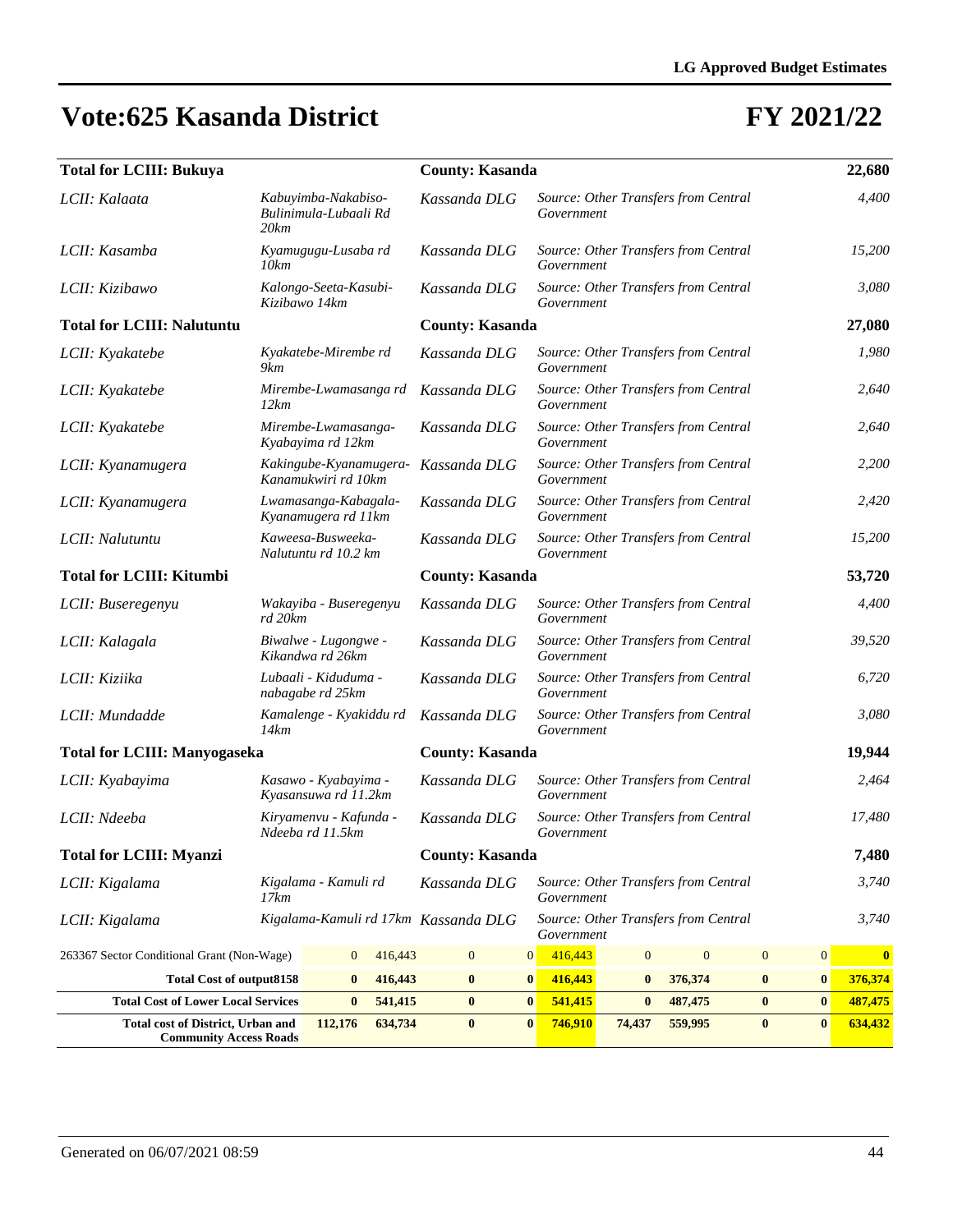| <b>Total for LCIII: Bukuya</b>                                            |               |                                               |         | <b>County: Kasanda</b>               |          |            | 22,680       |                                      |                  |                  |              |
|---------------------------------------------------------------------------|---------------|-----------------------------------------------|---------|--------------------------------------|----------|------------|--------------|--------------------------------------|------------------|------------------|--------------|
| LCII: Kalaata                                                             | 20 km         | Kabuyimba-Nakabiso-<br>Bulinimula-Lubaali Rd  |         | Kassanda DLG                         |          | Government |              | Source: Other Transfers from Central |                  |                  | 4,400        |
| LCII: Kasamba                                                             | 10km          | Kyamugugu-Lusaba rd                           |         | Kassanda DLG                         |          | Government |              | Source: Other Transfers from Central |                  |                  | 15,200       |
| LCII: Kizibawo                                                            | Kizibawo 14km | Kalongo-Seeta-Kasubi-                         |         | Kassanda DLG                         |          | Government |              | Source: Other Transfers from Central |                  |                  | 3,080        |
| <b>Total for LCIII: Nalutuntu</b>                                         |               |                                               |         | <b>County: Kasanda</b>               |          |            |              |                                      |                  |                  | 27,080       |
| LCII: Kyakatebe                                                           | 9km           | Kyakatebe-Mirembe rd                          |         | Kassanda DLG                         |          | Government |              | Source: Other Transfers from Central |                  |                  | 1,980        |
| LCII: Kyakatebe                                                           | 12km          | Mirembe-Lwamasanga rd                         |         | Kassanda DLG                         |          | Government |              | Source: Other Transfers from Central |                  |                  | 2,640        |
| LCII: Kyakatebe                                                           |               | Mirembe-Lwamasanga-<br>Kyabayima rd 12km      |         | Kassanda DLG                         |          | Government |              | Source: Other Transfers from Central |                  |                  | 2,640        |
| LCII: Kyanamugera                                                         |               | Kakingube-Kyanamugera-<br>Kanamukwiri rd 10km |         | Kassanda DLG                         |          | Government |              | Source: Other Transfers from Central |                  |                  | 2,200        |
| LCII: Kyanamugera                                                         |               | Lwamasanga-Kabagala-<br>Kyanamugera rd 11km   |         | Kassanda DLG                         |          | Government |              | Source: Other Transfers from Central |                  |                  | 2,420        |
| LCII: Nalutuntu                                                           |               | Kaweesa-Busweeka-<br>Nalutuntu rd 10.2 km     |         | Kassanda DLG                         |          | Government |              | Source: Other Transfers from Central |                  |                  | 15,200       |
| <b>Total for LCIII: Kitumbi</b>                                           |               |                                               |         | <b>County: Kasanda</b>               |          |            |              |                                      |                  |                  | 53,720       |
| LCII: Buseregenyu                                                         | rd 20km       | Wakayiba - Buseregenyu                        |         | Kassanda DLG                         |          | Government |              | Source: Other Transfers from Central |                  |                  | 4,400        |
| LCII: Kalagala                                                            |               | Biwalwe - Lugongwe -<br>Kikandwa rd 26km      |         | Kassanda DLG                         |          | Government |              | Source: Other Transfers from Central |                  |                  | 39,520       |
| LCII: Kiziika                                                             |               | Lubaali - Kiduduma -<br>nabagabe rd 25km      |         | Kassanda DLG                         |          | Government |              | Source: Other Transfers from Central |                  |                  | 6,720        |
| LCII: Mundadde                                                            | 14km          | Kamalenge - Kyakiddu rd                       |         | Kassanda DLG                         |          | Government |              | Source: Other Transfers from Central |                  |                  | 3,080        |
| <b>Total for LCIII: Manyogaseka</b>                                       |               |                                               |         | <b>County: Kasanda</b>               |          |            |              |                                      |                  |                  | 19,944       |
| LCII: Kyabayima                                                           |               | Kasawo - Kyabayima -<br>Kyasansuwa rd 11.2km  |         | Kassanda DLG                         |          | Government |              | Source: Other Transfers from Central |                  |                  | 2,464        |
| LCII: Ndeeba                                                              |               | Kiryamenvu - Kafunda -<br>Ndeeba rd 11.5km    |         | Kassanda DLG                         |          | Government |              | Source: Other Transfers from Central |                  |                  | 17,480       |
| <b>Total for LCIII: Myanzi</b>                                            |               |                                               |         | <b>County: Kasanda</b>               |          |            |              |                                      |                  |                  | 7,480        |
| LCII: Kigalama                                                            | 17km          | Kigalama - Kamuli rd                          |         | Kassanda DLG                         |          | Government |              | Source: Other Transfers from Central |                  |                  | 3,740        |
| LCII: Kigalama                                                            |               |                                               |         | Kigalama-Kamuli rd 17km Kassanda DLG |          | Government |              | Source: Other Transfers from Central |                  |                  | 3,740        |
| 263367 Sector Conditional Grant (Non-Wage)                                |               | $\mathbf{0}$                                  | 416,443 | $\mathbf{0}$                         | 0        | 416,443    | $\mathbf{0}$ | $\mathbf{0}$                         | $\boldsymbol{0}$ | $\boldsymbol{0}$ | $\mathbf{0}$ |
| <b>Total Cost of output8158</b>                                           |               | $\bf{0}$                                      | 416,443 | $\bf{0}$                             | $\bf{0}$ | 416,443    | $\bf{0}$     | 376,374                              | $\bf{0}$         | $\bf{0}$         | 376,374      |
| 541,415<br><b>Total Cost of Lower Local Services</b><br>$\bf{0}$          |               |                                               |         | $\bf{0}$                             | $\bf{0}$ | 541,415    | $\bf{0}$     | 487,475                              | $\bf{0}$         | $\bf{0}$         | 487,475      |
| <b>Total cost of District, Urban and</b><br><b>Community Access Roads</b> |               | 112,176                                       | 634,734 | $\bf{0}$                             | $\bf{0}$ | 746,910    | 74,437       | 559,995                              | $\bf{0}$         | $\bf{0}$         | 634,432      |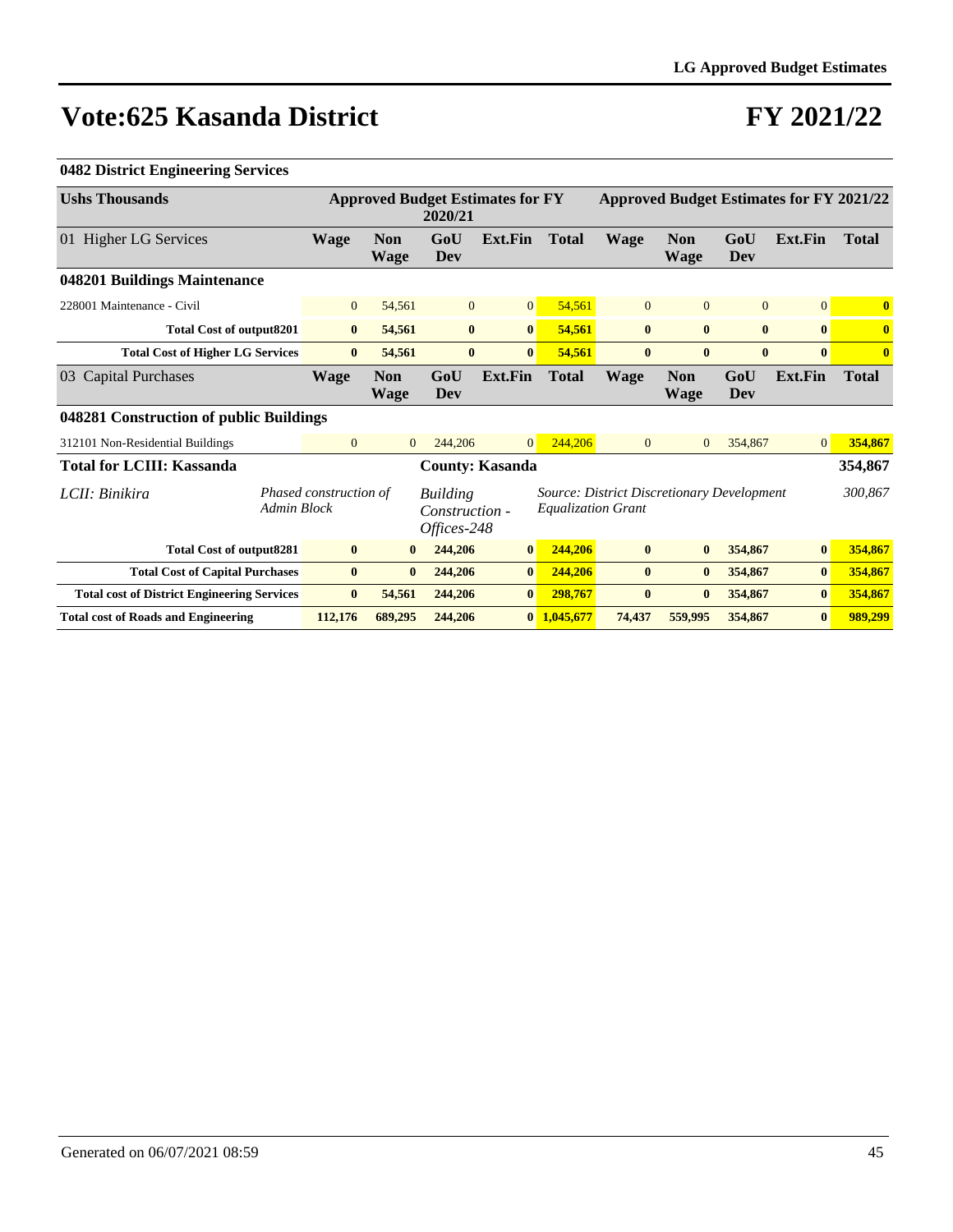### **FY 2021/22**

| <b>Ushs Thousands</b>                              |                        |                           | 2020/21                                          | <b>Approved Budget Estimates for FY</b> |                           |                                            |                           |                | <b>Approved Budget Estimates for FY 2021/22</b> |              |
|----------------------------------------------------|------------------------|---------------------------|--------------------------------------------------|-----------------------------------------|---------------------------|--------------------------------------------|---------------------------|----------------|-------------------------------------------------|--------------|
| 01 Higher LG Services                              | <b>Wage</b>            | <b>Non</b><br><b>Wage</b> | GoU<br>Dev                                       | <b>Ext.Fin</b>                          | <b>Total</b>              | <b>Wage</b>                                | <b>Non</b><br><b>Wage</b> | GoU<br>Dev     | Ext.Fin                                         | <b>Total</b> |
| 048201 Buildings Maintenance                       |                        |                           |                                                  |                                         |                           |                                            |                           |                |                                                 |              |
| 228001 Maintenance - Civil                         | $\mathbf{0}$           | 54,561                    | $\overline{0}$                                   | 0                                       | 54,561                    | $\mathbf{0}$                               | $\overline{0}$            | $\overline{0}$ | $\mathbf{0}$                                    | $\bf{0}$     |
| <b>Total Cost of output8201</b>                    | $\bf{0}$               | 54,561                    | $\bf{0}$                                         | $\vert 0 \vert$                         | 54,561                    | $\bf{0}$                                   | $\bf{0}$                  | $\bf{0}$       | $\bf{0}$                                        | $\bf{0}$     |
| <b>Total Cost of Higher LG Services</b>            | $\bf{0}$               | 54,561                    | $\bf{0}$                                         | $\bf{0}$                                | 54,561                    | $\bf{0}$                                   | $\bf{0}$                  | $\bf{0}$       | $\bf{0}$                                        | $\bf{0}$     |
| 03 Capital Purchases                               | <b>Wage</b>            | <b>Non</b><br>Wage        | GoU<br>Dev                                       | <b>Ext.Fin</b>                          | <b>Total</b>              | <b>Wage</b>                                | <b>Non</b><br><b>Wage</b> | GoU<br>Dev     | Ext.Fin                                         | <b>Total</b> |
| 048281 Construction of public Buildings            |                        |                           |                                                  |                                         |                           |                                            |                           |                |                                                 |              |
| 312101 Non-Residential Buildings                   | $\mathbf{0}$           | $\Omega$                  | 244,206                                          | $\Omega$                                | 244,206                   | $\overline{0}$                             | $\Omega$                  | 354,867        | $\overline{0}$                                  | 354,867      |
| <b>Total for LCIII: Kassanda</b>                   |                        |                           |                                                  | <b>County: Kasanda</b>                  |                           |                                            |                           |                |                                                 | 354,867      |
| LCII: Binikira<br><b>Admin Block</b>               | Phased construction of |                           | <b>Building</b><br>Construction -<br>Offices-248 |                                         | <b>Equalization Grant</b> | Source: District Discretionary Development |                           |                |                                                 | 300,867      |
| <b>Total Cost of output8281</b>                    | $\bf{0}$               | $\mathbf{0}$              | 244,206                                          | $\bf{0}$                                | 244,206                   | $\bf{0}$                                   | $\bf{0}$                  | 354,867        | $\mathbf{0}$                                    | 354,867      |
| <b>Total Cost of Capital Purchases</b>             | $\bf{0}$               | $\bf{0}$                  | 244,206                                          | $\bf{0}$                                | 244,206                   | $\bf{0}$                                   | $\bf{0}$                  | 354,867        | $\bf{0}$                                        | 354,867      |
| <b>Total cost of District Engineering Services</b> | $\bf{0}$               | 54,561                    | 244,206                                          | $\bf{0}$                                | 298,767                   | $\bf{0}$                                   | $\mathbf{0}$              | 354,867        | $\bf{0}$                                        | 354,867      |
| <b>Total cost of Roads and Engineering</b>         | 112,176                | 689,295                   | 244,206                                          |                                         | $0\quad1.045.677$         | 74,437                                     | 559,995                   | 354,867        | $\bf{0}$                                        | 989,299      |

#### **0482 District Engineering Services**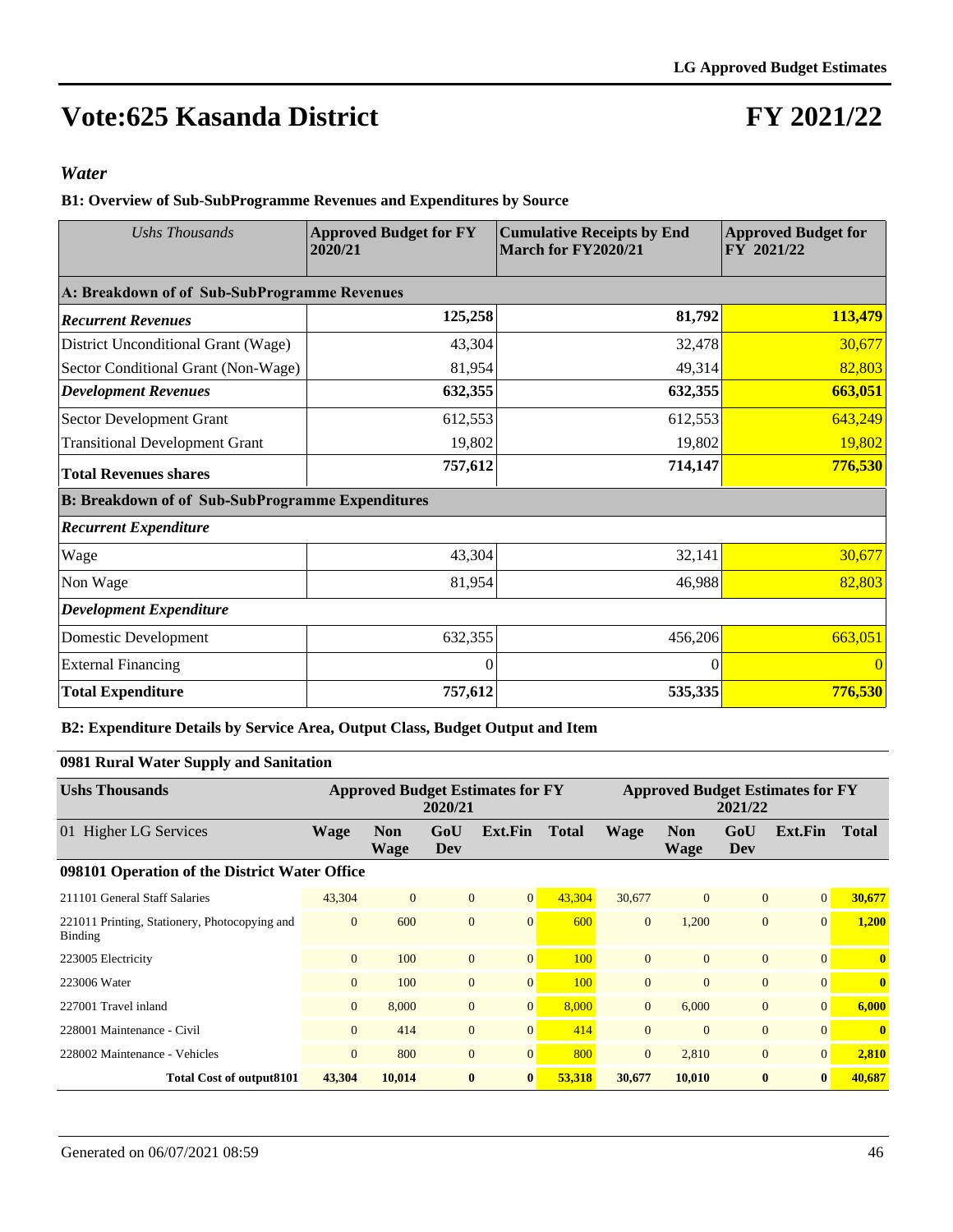## **FY 2021/22**

#### *Water*

**B1: Overview of Sub-SubProgramme Revenues and Expenditures by Source**

| Ushs Thousands                                          | <b>Approved Budget for FY</b><br>2020/21 | <b>Cumulative Receipts by End</b><br>March for FY2020/21 | <b>Approved Budget for</b><br>FY 2021/22 |
|---------------------------------------------------------|------------------------------------------|----------------------------------------------------------|------------------------------------------|
| A: Breakdown of of Sub-SubProgramme Revenues            |                                          |                                                          |                                          |
| <b>Recurrent Revenues</b>                               | 125,258                                  | 81,792                                                   | 113,479                                  |
| District Unconditional Grant (Wage)                     | 43,304                                   | 32,478                                                   | 30,677                                   |
| Sector Conditional Grant (Non-Wage)                     | 81,954                                   | 49,314                                                   | 82,803                                   |
| <b>Development Revenues</b>                             | 632,355                                  | 632,355                                                  | 663,051                                  |
| <b>Sector Development Grant</b>                         | 612,553                                  | 612,553                                                  | 643,249                                  |
| <b>Transitional Development Grant</b>                   | 19,802                                   | 19,802                                                   | 19,802                                   |
| <b>Total Revenues shares</b>                            | 757,612                                  | 714,147                                                  | 776,530                                  |
| <b>B: Breakdown of of Sub-SubProgramme Expenditures</b> |                                          |                                                          |                                          |
| <b>Recurrent Expenditure</b>                            |                                          |                                                          |                                          |
| Wage                                                    | 43,304                                   | 32,141                                                   | 30,677                                   |
| Non Wage                                                | 81,954                                   | 46,988                                                   | 82,803                                   |
| <b>Development Expenditure</b>                          |                                          |                                                          |                                          |
| Domestic Development                                    | 632,355                                  | 456,206                                                  | 663,051                                  |
| <b>External Financing</b>                               | 0                                        | $\Omega$                                                 | $\Omega$                                 |
| <b>Total Expenditure</b>                                | 757,612                                  | 535,335                                                  | 776,530                                  |

#### **B2: Expenditure Details by Service Area, Output Class, Budget Output and Item**

#### **0981 Rural Water Supply and Sanitation**

| <b>Ushs Thousands</b>                                           |                |                    | 2020/21        | <b>Approved Budget Estimates for FY</b> |              | <b>Approved Budget Estimates for FY</b><br>2021/22 |                    |              |                 |              |
|-----------------------------------------------------------------|----------------|--------------------|----------------|-----------------------------------------|--------------|----------------------------------------------------|--------------------|--------------|-----------------|--------------|
| 01 Higher LG Services                                           | <b>Wage</b>    | <b>Non</b><br>Wage | GoU<br>Dev     | Ext.Fin                                 | <b>Total</b> | <b>Wage</b>                                        | <b>Non</b><br>Wage | GoU<br>Dev   | Ext.Fin         | <b>Total</b> |
| 098101 Operation of the District Water Office                   |                |                    |                |                                         |              |                                                    |                    |              |                 |              |
| 211101 General Staff Salaries                                   | 43,304         | $\Omega$           | $\overline{0}$ | $\overline{0}$                          | 43,304       | 30,677                                             | $\mathbf{0}$       | $\mathbf{0}$ | 0               | 30,677       |
| 221011 Printing, Stationery, Photocopying and<br><b>Binding</b> | $\overline{0}$ | 600                | $\mathbf{0}$   | $\mathbf{0}$                            | 600          | $\Omega$                                           | 1.200              | $\theta$     | $\Omega$        | 1,200        |
| 223005 Electricity                                              | $\overline{0}$ | 100                | $\mathbf{0}$   | $\overline{0}$                          | 100          | $\Omega$                                           | $\mathbf{0}$       | $\mathbf{0}$ | $\Omega$        | $\mathbf{0}$ |
| 223006 Water                                                    | $\overline{0}$ | 100                | $\overline{0}$ | $\overline{0}$                          | 100          | $\overline{0}$                                     | $\mathbf{0}$       | $\mathbf{0}$ | $\vert 0 \vert$ | $\bf{0}$     |
| 227001 Travel inland                                            | $\overline{0}$ | 8,000              | $\overline{0}$ | $\overline{0}$                          | 8,000        | $\overline{0}$                                     | 6.000              | $\mathbf{0}$ | 0               | 6,000        |
| 228001 Maintenance - Civil                                      | $\overline{0}$ | 414                | $\mathbf{0}$   | $\overline{0}$                          | 414          | $\Omega$                                           | $\Omega$           | $\mathbf{0}$ | $\Omega$        | $\mathbf{0}$ |
| 228002 Maintenance - Vehicles                                   | $\Omega$       | 800                | $\Omega$       | $\overline{0}$                          | 800          | $\Omega$                                           | 2,810              | $\mathbf{0}$ | $\overline{0}$  | 2,810        |
| <b>Total Cost of output8101</b>                                 | 43,304         | 10,014             | $\bf{0}$       | $\bf{0}$                                | 53,318       | 30,677                                             | 10,010             | $\mathbf{0}$ | $\bf{0}$        | 40.687       |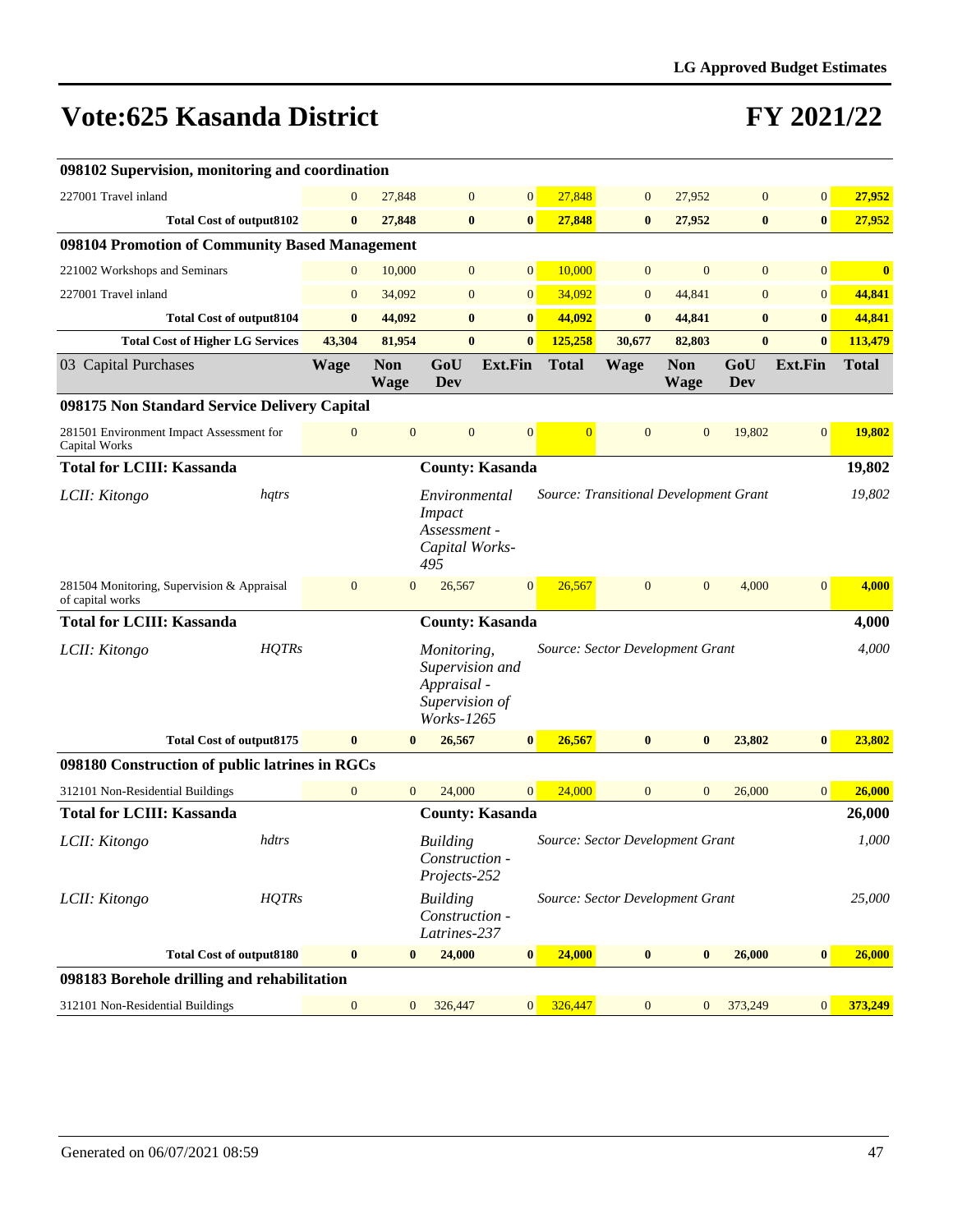| 098102 Supervision, monitoring and coordination                |              |                  |                           |                                                                                      |                        |                |                                        |                           |                   |                  |              |
|----------------------------------------------------------------|--------------|------------------|---------------------------|--------------------------------------------------------------------------------------|------------------------|----------------|----------------------------------------|---------------------------|-------------------|------------------|--------------|
| 227001 Travel inland                                           |              | $\theta$         | 27,848                    | $\mathbf{0}$                                                                         | $\overline{0}$         | 27,848         | $\mathbf{0}$                           | 27,952                    | $\mathbf{0}$      | $\mathbf{0}$     | 27,952       |
| <b>Total Cost of output8102</b>                                |              | $\bf{0}$         | 27,848                    | $\bf{0}$                                                                             | $\bf{0}$               | 27,848         | $\bf{0}$                               | 27,952                    | $\bf{0}$          | $\bf{0}$         | 27,952       |
| 098104 Promotion of Community Based Management                 |              |                  |                           |                                                                                      |                        |                |                                        |                           |                   |                  |              |
| 221002 Workshops and Seminars                                  |              | $\mathbf{0}$     | 10,000                    | $\mathbf{0}$                                                                         | $\overline{0}$         | 10,000         | $\mathbf{0}$                           | $\overline{0}$            | $\mathbf{0}$      | $\overline{0}$   | $\bf{0}$     |
| 227001 Travel inland                                           |              | $\mathbf{0}$     | 34,092                    | $\mathbf{0}$                                                                         | $\overline{0}$         | 34,092         | $\mathbf{0}$                           | 44,841                    | $\mathbf{0}$      | $\boldsymbol{0}$ | 44,841       |
| <b>Total Cost of output8104</b>                                |              | $\bf{0}$         | 44,092                    | $\bf{0}$                                                                             | $\bf{0}$               | 44,092         | $\bf{0}$                               | 44,841                    | $\bf{0}$          | $\bf{0}$         | 44,841       |
| <b>Total Cost of Higher LG Services</b>                        |              | 43,304           | 81,954                    | $\bf{0}$                                                                             | $\bf{0}$               | 125,258        | 30,677                                 | 82,803                    | $\mathbf{0}$      | $\mathbf{0}$     | 113,479      |
| 03 Capital Purchases                                           |              | <b>Wage</b>      | <b>Non</b><br><b>Wage</b> | GoU<br>Dev                                                                           | <b>Ext.Fin</b>         | <b>Total</b>   | <b>Wage</b>                            | <b>Non</b><br><b>Wage</b> | GoU<br><b>Dev</b> | <b>Ext.Fin</b>   | <b>Total</b> |
| 098175 Non Standard Service Delivery Capital                   |              |                  |                           |                                                                                      |                        |                |                                        |                           |                   |                  |              |
| 281501 Environment Impact Assessment for<br>Capital Works      |              | $\mathbf{0}$     | $\mathbf{0}$              | $\mathbf{0}$                                                                         | $\mathbf{0}$           | $\overline{0}$ | $\mathbf{0}$                           | $\mathbf{0}$              | 19,802            | $\mathbf{0}$     | 19,802       |
| <b>Total for LCIII: Kassanda</b>                               |              |                  |                           |                                                                                      | <b>County: Kasanda</b> |                |                                        |                           |                   |                  | 19,802       |
| LCII: Kitongo                                                  | hqtrs        |                  |                           | Environmental<br><b>Impact</b><br>Assessment -<br>Capital Works-<br>495              |                        |                | Source: Transitional Development Grant |                           |                   |                  | 19,802       |
| 281504 Monitoring, Supervision & Appraisal<br>of capital works |              | $\mathbf{0}$     | $\mathbf{0}$              | 26,567                                                                               | $\mathbf{0}$           | 26,567         | $\mathbf{0}$                           | $\mathbf{0}$              | 4,000             | $\mathbf{0}$     | 4,000        |
| <b>Total for LCIII: Kassanda</b>                               |              |                  |                           |                                                                                      | <b>County: Kasanda</b> |                |                                        |                           |                   |                  | 4,000        |
| LCII: Kitongo                                                  | <b>HQTRs</b> |                  |                           | Monitoring,<br>Supervision and<br>Appraisal -<br>Supervision of<br><i>Works-1265</i> |                        |                | Source: Sector Development Grant       |                           |                   |                  | 4,000        |
| <b>Total Cost of output8175</b>                                |              | $\bf{0}$         | $\bf{0}$                  | 26,567                                                                               | $\bf{0}$               | 26,567         | $\bf{0}$                               | $\bf{0}$                  | 23,802            | $\bf{0}$         | 23,802       |
| 098180 Construction of public latrines in RGCs                 |              |                  |                           |                                                                                      |                        |                |                                        |                           |                   |                  |              |
| 312101 Non-Residential Buildings                               |              | $\mathbf{0}$     | $\mathbf{0}$              | 24,000                                                                               | $\overline{0}$         | 24,000         | $\mathbf{0}$                           | $\mathbf{0}$              | 26,000            | $\mathbf{0}$     | 26,000       |
| <b>Total for LCIII: Kassanda</b>                               |              |                  |                           |                                                                                      | <b>County: Kasanda</b> |                |                                        |                           |                   |                  | 26,000       |
| LCII: Kitongo                                                  | hdtrs        |                  |                           | <b>Building</b><br><i>Construction -</i><br>Projects-252                             |                        |                | Source: Sector Development Grant       |                           |                   |                  | 1,000        |
| LCII: Kitongo                                                  | HQTRs        |                  |                           | <b>Building</b><br>Construction -<br>Latrines-237                                    |                        |                | Source: Sector Development Grant       |                           |                   |                  | 25,000       |
| <b>Total Cost of output8180</b>                                |              | $\bf{0}$         | $\bf{0}$                  | 24,000                                                                               | $\bf{0}$               | 24,000         | $\bf{0}$                               | $\bf{0}$                  | 26,000            | $\bf{0}$         | 26,000       |
| 098183 Borehole drilling and rehabilitation                    |              |                  |                           |                                                                                      |                        |                |                                        |                           |                   |                  |              |
| 312101 Non-Residential Buildings                               |              | $\boldsymbol{0}$ | $\mathbf{0}$              | 326,447                                                                              | 0                      | 326,447        | $\mathbf{0}$                           | $\mathbf{0}$              | 373,249           | $\mathbf{0}$     | 373,249      |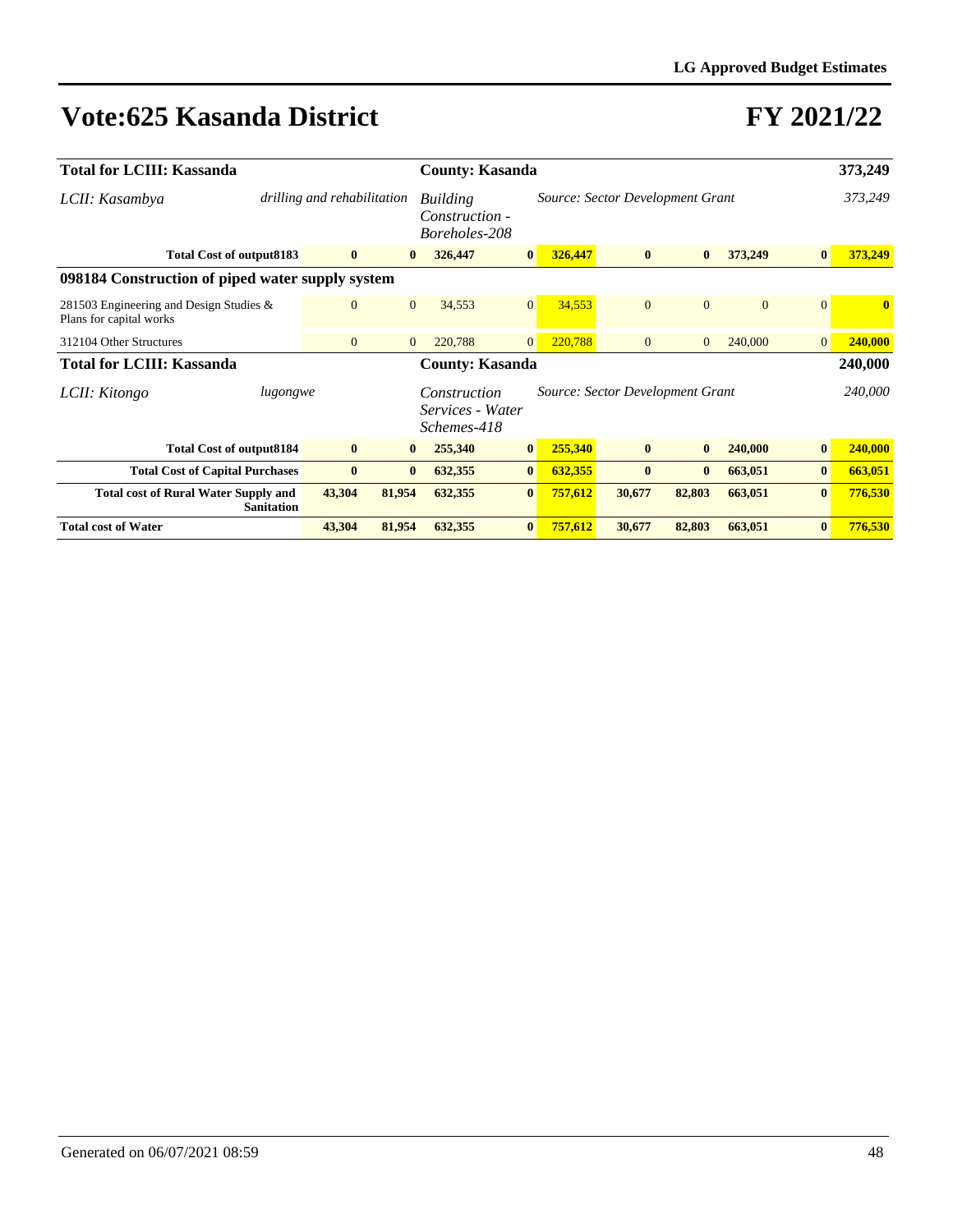| <b>Total for LCIII: Kassanda</b>                                   |                   |                             |                | <b>County: Kasanda</b>                          |                 |         |                                  | 373,249        |                |                |              |
|--------------------------------------------------------------------|-------------------|-----------------------------|----------------|-------------------------------------------------|-----------------|---------|----------------------------------|----------------|----------------|----------------|--------------|
| LCII: Kasambya                                                     |                   | drilling and rehabilitation |                | Building<br>Construction -<br>Boreholes-208     |                 |         | Source: Sector Development Grant |                |                |                | 373,249      |
| <b>Total Cost of output8183</b>                                    |                   | $\bf{0}$                    | $\mathbf{0}$   | 326,447                                         | $\vert 0 \vert$ | 326,447 | $\bf{0}$                         | $\mathbf{0}$   | 373,249        | $\bf{0}$       | 373,249      |
| 098184 Construction of piped water supply system                   |                   |                             |                |                                                 |                 |         |                                  |                |                |                |              |
| 281503 Engineering and Design Studies &<br>Plans for capital works |                   | $\mathbf{0}$                | $\overline{0}$ | 34,553                                          | $\overline{0}$  | 34,553  | $\mathbf{0}$                     | $\Omega$       | $\overline{0}$ | $\Omega$       | $\mathbf{0}$ |
| 312104 Other Structures                                            |                   | $\mathbf{0}$                | $\overline{0}$ | 220,788                                         | $\overline{0}$  | 220,788 | $\overline{0}$                   | $\overline{0}$ | 240,000        | $\overline{0}$ | 240,000      |
| <b>Total for LCIII: Kassanda</b>                                   |                   |                             |                | <b>County: Kasanda</b>                          |                 |         |                                  |                |                |                | 240,000      |
| LCII: Kitongo                                                      | lugongwe          |                             |                | Construction<br>Services - Water<br>Schemes-418 |                 |         | Source: Sector Development Grant |                |                |                | 240,000      |
| <b>Total Cost of output8184</b>                                    |                   | $\bf{0}$                    | $\bf{0}$       | 255,340                                         | $\vert 0 \vert$ | 255,340 | $\bf{0}$                         | $\mathbf{0}$   | 240,000        | $\bf{0}$       | 240,000      |
| <b>Total Cost of Capital Purchases</b>                             |                   | $\bf{0}$                    | $\bf{0}$       | 632,355                                         | $\bf{0}$        | 632,355 | $\bf{0}$                         | $\mathbf{0}$   | 663,051        | $\bf{0}$       | 663,051      |
| <b>Total cost of Rural Water Supply and</b>                        | <b>Sanitation</b> | 43,304                      | 81,954         | 632,355                                         | $\bf{0}$        | 757,612 | 30,677                           | 82,803         | 663,051        | $\bf{0}$       | 776,530      |
| <b>Total cost of Water</b>                                         |                   | 43,304                      | 81,954         | 632,355                                         | $\bf{0}$        | 757,612 | 30,677                           | 82,803         | 663,051        | $\bf{0}$       | 776,530      |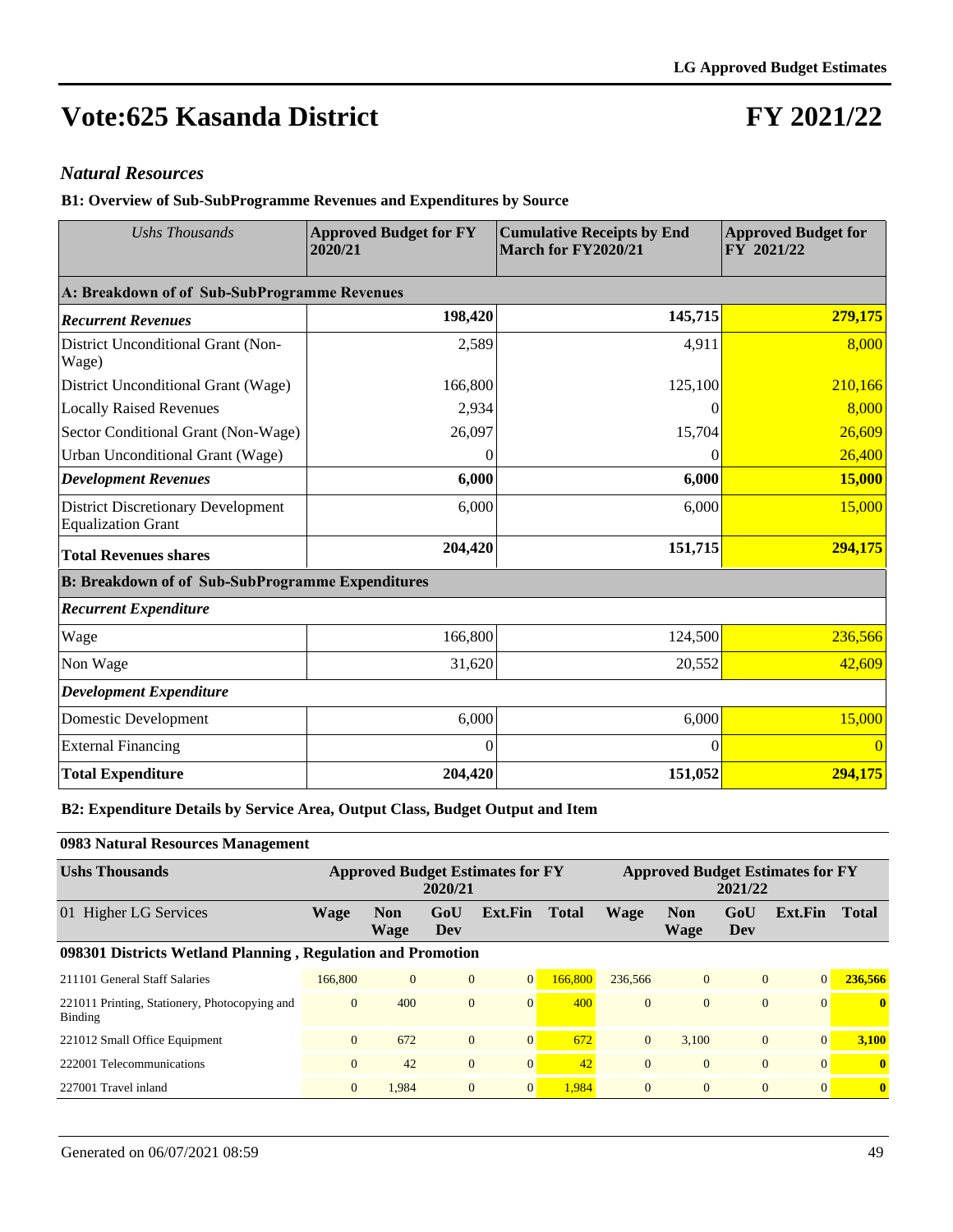### **FY 2021/22**

#### *Natural Resources*

**B1: Overview of Sub-SubProgramme Revenues and Expenditures by Source**

| <b>Ushs Thousands</b>                                                  | <b>Approved Budget for FY</b><br>2020/21 | <b>Cumulative Receipts by End</b><br>March for FY2020/21 | <b>Approved Budget for</b><br>FY 2021/22 |
|------------------------------------------------------------------------|------------------------------------------|----------------------------------------------------------|------------------------------------------|
| A: Breakdown of of Sub-SubProgramme Revenues                           |                                          |                                                          |                                          |
| <b>Recurrent Revenues</b>                                              | 198,420                                  | 145,715                                                  | 279,175                                  |
| District Unconditional Grant (Non-<br>Wage)                            | 2,589                                    | 4,911                                                    | 8,000                                    |
| District Unconditional Grant (Wage)                                    | 166,800                                  | 125,100                                                  | 210,166                                  |
| <b>Locally Raised Revenues</b>                                         | 2,934                                    | $\left( \right)$                                         | 8,000                                    |
| Sector Conditional Grant (Non-Wage)                                    | 26,097                                   | 15,704                                                   | 26,609                                   |
| Urban Unconditional Grant (Wage)                                       | $\Omega$                                 | $\theta$                                                 | 26,400                                   |
| <b>Development Revenues</b>                                            | 6,000                                    | 6,000                                                    | 15,000                                   |
| <b>District Discretionary Development</b><br><b>Equalization Grant</b> | 6,000                                    | 6,000                                                    | 15,000                                   |
| <b>Total Revenues shares</b>                                           | 204,420                                  | 151,715                                                  | 294,175                                  |
| <b>B: Breakdown of of Sub-SubProgramme Expenditures</b>                |                                          |                                                          |                                          |
| <b>Recurrent Expenditure</b>                                           |                                          |                                                          |                                          |
| Wage                                                                   | 166,800                                  | 124,500                                                  | 236,566                                  |
| Non Wage                                                               | 31,620                                   | 20,552                                                   | 42,609                                   |
| <b>Development Expenditure</b>                                         |                                          |                                                          |                                          |
| Domestic Development                                                   | 6,000                                    | 6,000                                                    | 15,000                                   |
| <b>External Financing</b>                                              | $\Omega$                                 | $\Omega$                                                 | $\overline{0}$                           |
| <b>Total Expenditure</b>                                               | 204,420                                  | 151,052                                                  | 294,175                                  |

#### **B2: Expenditure Details by Service Area, Output Class, Budget Output and Item**

**0983 Natural Resources Management**

| <b>Ushs Thousands</b>                                           |              |                    | 2020/21        | <b>Approved Budget Estimates for FY</b> |              | <b>Approved Budget Estimates for FY</b><br>2021/22 |                    |                |          |              |
|-----------------------------------------------------------------|--------------|--------------------|----------------|-----------------------------------------|--------------|----------------------------------------------------|--------------------|----------------|----------|--------------|
| 01 Higher LG Services                                           | Wage         | <b>Non</b><br>Wage | GoU<br>Dev     | Ext.Fin                                 | <b>Total</b> | <b>Wage</b>                                        | <b>Non</b><br>Wage | GoU<br>Dev     | Ext.Fin  | <b>Total</b> |
| 098301 Districts Wetland Planning, Regulation and Promotion     |              |                    |                |                                         |              |                                                    |                    |                |          |              |
| 211101 General Staff Salaries                                   | 166,800      | $\Omega$           | $\overline{0}$ | 0                                       | 166,800      | 236,566                                            | $\mathbf{0}$       | $\overline{0}$ | $\Omega$ | 236,566      |
| 221011 Printing, Stationery, Photocopying and<br><b>Binding</b> | $\mathbf{0}$ | 400                | $\mathbf{0}$   | $\Omega$                                | 400          | $\overline{0}$                                     | $\Omega$           | $\Omega$       | $\Omega$ | $\mathbf{0}$ |
| 221012 Small Office Equipment                                   | $\theta$     | 672                | $\overline{0}$ | $\overline{0}$                          | 672          | $\overline{0}$                                     | 3.100              | $\mathbf{0}$   | $\Omega$ | 3.100        |
| 222001 Telecommunications                                       | $\mathbf{0}$ | 42                 | $\mathbf{0}$   | $\overline{0}$                          | 42           | $\overline{0}$                                     | $\mathbf{0}$       | $\overline{0}$ | $\Omega$ | $\mathbf{0}$ |
| 227001 Travel inland                                            | $\mathbf{0}$ | 1.984              | $\overline{0}$ | $\overline{0}$                          | 1,984        | $\overline{0}$                                     | $\mathbf{0}$       | $\overline{0}$ | $\Omega$ | $\mathbf{0}$ |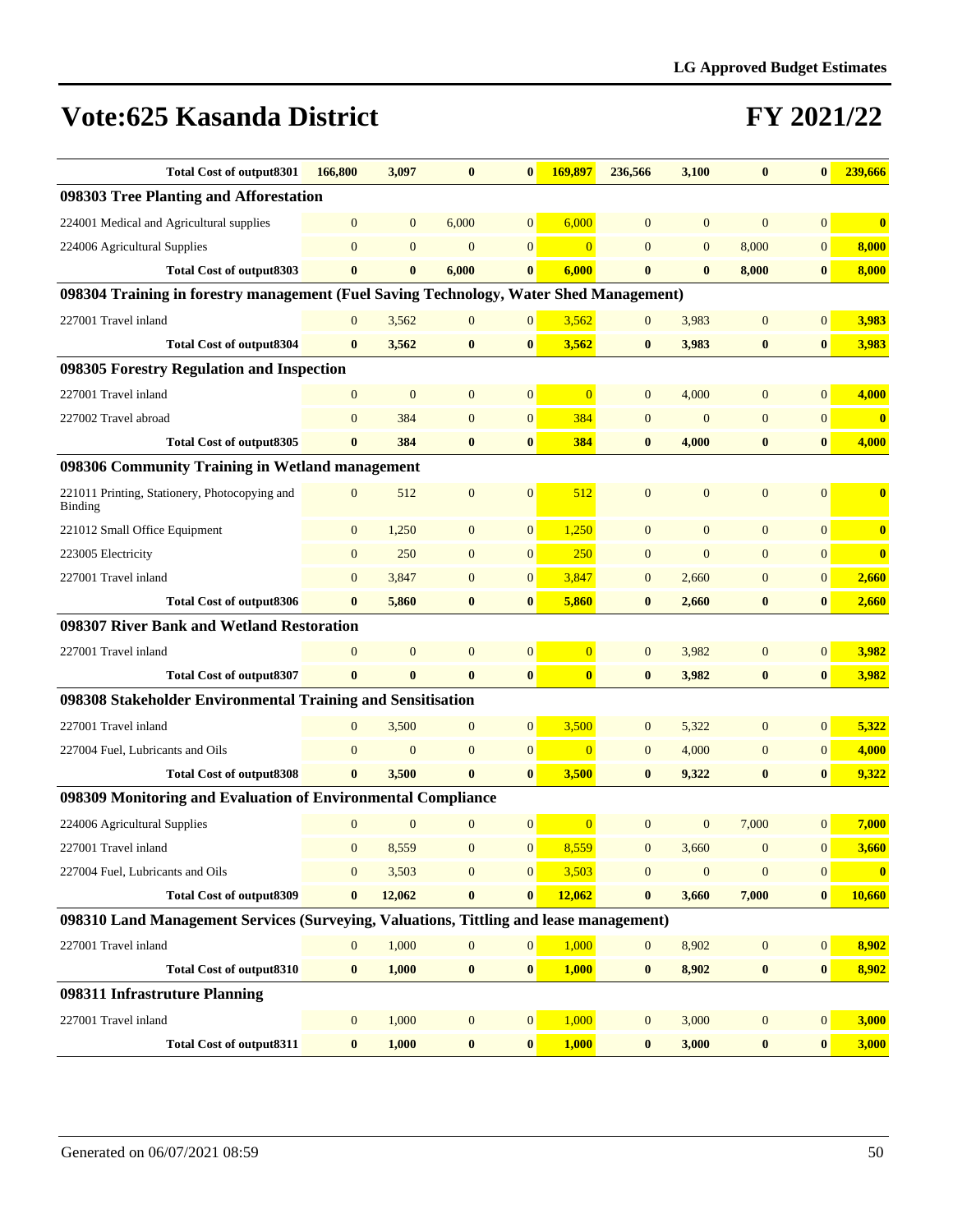| <b>Total Cost of output8301</b>                                                        | 166,800        | 3,097          | $\bf{0}$         | $\bf{0}$        | 169,897                 | 236,566        | 3,100          | $\bf{0}$         | $\bf{0}$         | 239,666                 |
|----------------------------------------------------------------------------------------|----------------|----------------|------------------|-----------------|-------------------------|----------------|----------------|------------------|------------------|-------------------------|
| 098303 Tree Planting and Afforestation                                                 |                |                |                  |                 |                         |                |                |                  |                  |                         |
| 224001 Medical and Agricultural supplies                                               | $\mathbf{0}$   | $\overline{0}$ | 6,000            | $\overline{0}$  | 6,000                   | $\overline{0}$ | $\mathbf{0}$   | $\overline{0}$   | $\overline{0}$   | $\overline{\mathbf{0}}$ |
| 224006 Agricultural Supplies                                                           | $\mathbf{0}$   | $\overline{0}$ | $\mathbf{0}$     | $\overline{0}$  | $\overline{0}$          | $\overline{0}$ | $\mathbf{0}$   | 8,000            | $\mathbf{0}$     | 8,000                   |
| <b>Total Cost of output8303</b>                                                        | $\bf{0}$       | $\bf{0}$       | 6,000            | $\bf{0}$        | 6,000                   | $\bf{0}$       | $\bf{0}$       | 8,000            | $\bf{0}$         | 8,000                   |
| 098304 Training in forestry management (Fuel Saving Technology, Water Shed Management) |                |                |                  |                 |                         |                |                |                  |                  |                         |
| 227001 Travel inland                                                                   | $\mathbf{0}$   | 3,562          | $\mathbf{0}$     | $\mathbf{0}$    | 3,562                   | $\overline{0}$ | 3,983          | $\mathbf{0}$     | $\overline{0}$   | 3,983                   |
| <b>Total Cost of output8304</b>                                                        | $\bf{0}$       | 3,562          | $\bf{0}$         | $\bf{0}$        | 3,562                   | $\bf{0}$       | 3,983          | $\bf{0}$         | $\bf{0}$         | 3,983                   |
| 098305 Forestry Regulation and Inspection                                              |                |                |                  |                 |                         |                |                |                  |                  |                         |
| 227001 Travel inland                                                                   | $\mathbf{0}$   | $\mathbf{0}$   | $\mathbf{0}$     | $\mathbf{0}$    | $\overline{0}$          | $\overline{0}$ | 4,000          | $\overline{0}$   | $\overline{0}$   | 4,000                   |
| 227002 Travel abroad                                                                   | $\mathbf{0}$   | 384            | $\overline{0}$   | $\mathbf{0}$    | 384                     | $\overline{0}$ | $\overline{0}$ | $\overline{0}$   | $\overline{0}$   | $\mathbf{0}$            |
| Total Cost of output 8305                                                              | $\bf{0}$       | 384            | $\bf{0}$         | $\bf{0}$        | 384                     | $\bf{0}$       | 4,000          | $\bf{0}$         | $\bf{0}$         | 4,000                   |
| 098306 Community Training in Wetland management                                        |                |                |                  |                 |                         |                |                |                  |                  |                         |
| 221011 Printing, Stationery, Photocopying and<br><b>Binding</b>                        | $\mathbf{0}$   | 512            | $\mathbf{0}$     | $\overline{0}$  | 512                     | $\overline{0}$ | $\mathbf{0}$   | $\overline{0}$   | $\mathbf{0}$     | $\bf{0}$                |
| 221012 Small Office Equipment                                                          | $\mathbf{0}$   | 1,250          | $\mathbf{0}$     | $\mathbf{0}$    | 1,250                   | $\overline{0}$ | $\overline{0}$ | $\overline{0}$   | $\overline{0}$   | $\bf{0}$                |
| 223005 Electricity                                                                     | $\mathbf{0}$   | 250            | $\mathbf{0}$     | $\mathbf{0}$    | 250                     | $\overline{0}$ | $\overline{0}$ | $\overline{0}$   | $\overline{0}$   | $\overline{\mathbf{0}}$ |
| 227001 Travel inland                                                                   | $\mathbf{0}$   | 3,847          | $\mathbf{0}$     | $\mathbf{0}$    | 3,847                   | $\overline{0}$ | 2,660          | $\mathbf{0}$     | $\mathbf{0}$     | 2,660                   |
| <b>Total Cost of output8306</b>                                                        | $\bf{0}$       | 5,860          | $\bf{0}$         | $\bf{0}$        | 5,860                   | $\bf{0}$       | 2,660          | $\bf{0}$         | $\bf{0}$         | 2,660                   |
| 098307 River Bank and Wetland Restoration                                              |                |                |                  |                 |                         |                |                |                  |                  |                         |
| 227001 Travel inland                                                                   | $\theta$       | $\overline{0}$ | $\overline{0}$   | $\mathbf{0}$    | $\overline{0}$          | $\overline{0}$ | 3,982          | $\overline{0}$   | $\overline{0}$   | 3,982                   |
| <b>Total Cost of output8307</b>                                                        | $\mathbf{0}$   | $\mathbf{0}$   | $\bf{0}$         | $\bf{0}$        | $\overline{\mathbf{0}}$ | $\mathbf{0}$   | 3,982          | $\bf{0}$         | $\mathbf{0}$     | 3,982                   |
| 098308 Stakeholder Environmental Training and Sensitisation                            |                |                |                  |                 |                         |                |                |                  |                  |                         |
| 227001 Travel inland                                                                   | $\mathbf{0}$   | 3,500          | $\mathbf{0}$     | $\mathbf{0}$    | 3,500                   | $\mathbf{0}$   | 5,322          | $\overline{0}$   | $\overline{0}$   | 5,322                   |
| 227004 Fuel, Lubricants and Oils                                                       | $\overline{0}$ | $\mathbf{0}$   | $\overline{0}$   | $\mathbf{0}$    | $\Omega$                | $\overline{0}$ | 4,000          | $\mathbf{0}$     | $\overline{0}$   | 4,000                   |
| <b>Total Cost of output8308</b>                                                        | $\mathbf{0}$   | 3,500          | $\bf{0}$         | $\bf{0}$        | 3,500                   | $\bf{0}$       | 9,322          | $\bf{0}$         | $\bf{0}$         | 9,322                   |
| 098309 Monitoring and Evaluation of Environmental Compliance                           |                |                |                  |                 |                         |                |                |                  |                  |                         |
| 224006 Agricultural Supplies                                                           | $\mathbf{0}$   | $\mathbf{0}$   | $\mathbf{0}$     | $\mathbf{0}$    | $\overline{0}$          | $\overline{0}$ | $\mathbf{0}$   | 7,000            | $\overline{0}$   | 7,000                   |
| 227001 Travel inland                                                                   | $\mathbf{0}$   | 8,559          | $\overline{0}$   | $\overline{0}$  | 8,559                   | $\overline{0}$ | 3,660          | $\mathbf{0}$     | $\overline{0}$   | 3,660                   |
| 227004 Fuel, Lubricants and Oils                                                       | $\mathbf{0}$   | 3,503          | $\overline{0}$   | $\mathbf{0}$    | 3,503                   | $\overline{0}$ | $\mathbf{0}$   | $\mathbf{0}$     | $\overline{0}$   | $\bf{0}$                |
| <b>Total Cost of output8309</b>                                                        | $\bf{0}$       | 12,062         | $\bf{0}$         | $\bf{0}$        | 12,062                  | $\bf{0}$       | 3,660          | 7,000            | $\boldsymbol{0}$ | 10,660                  |
| 098310 Land Management Services (Surveying, Valuations, Tittling and lease management) |                |                |                  |                 |                         |                |                |                  |                  |                         |
| 227001 Travel inland                                                                   | $\mathbf{0}$   | 1,000          | $\boldsymbol{0}$ | $\vert 0 \vert$ | 1,000                   | $\overline{0}$ | 8,902          | $\boldsymbol{0}$ | $\overline{0}$   | 8,902                   |
| <b>Total Cost of output8310</b>                                                        | $\bf{0}$       | 1,000          | $\bf{0}$         | $\bf{0}$        | 1,000                   | $\bf{0}$       | 8,902          | $\bf{0}$         | $\bf{0}$         | 8,902                   |
| 098311 Infrastruture Planning                                                          |                |                |                  |                 |                         |                |                |                  |                  |                         |
| 227001 Travel inland                                                                   | $\mathbf{0}$   | 1,000          | $\boldsymbol{0}$ | $\vert 0 \vert$ | 1,000                   | $\mathbf{0}$   | 3,000          | $\boldsymbol{0}$ | $\mathbf{0}$     | 3,000                   |
| <b>Total Cost of output8311</b>                                                        | $\bf{0}$       | 1,000          | $\pmb{0}$        | $\vert 0 \vert$ | 1,000                   | $\bf{0}$       | 3,000          | $\bf{0}$         | $\bf{0}$         | 3,000                   |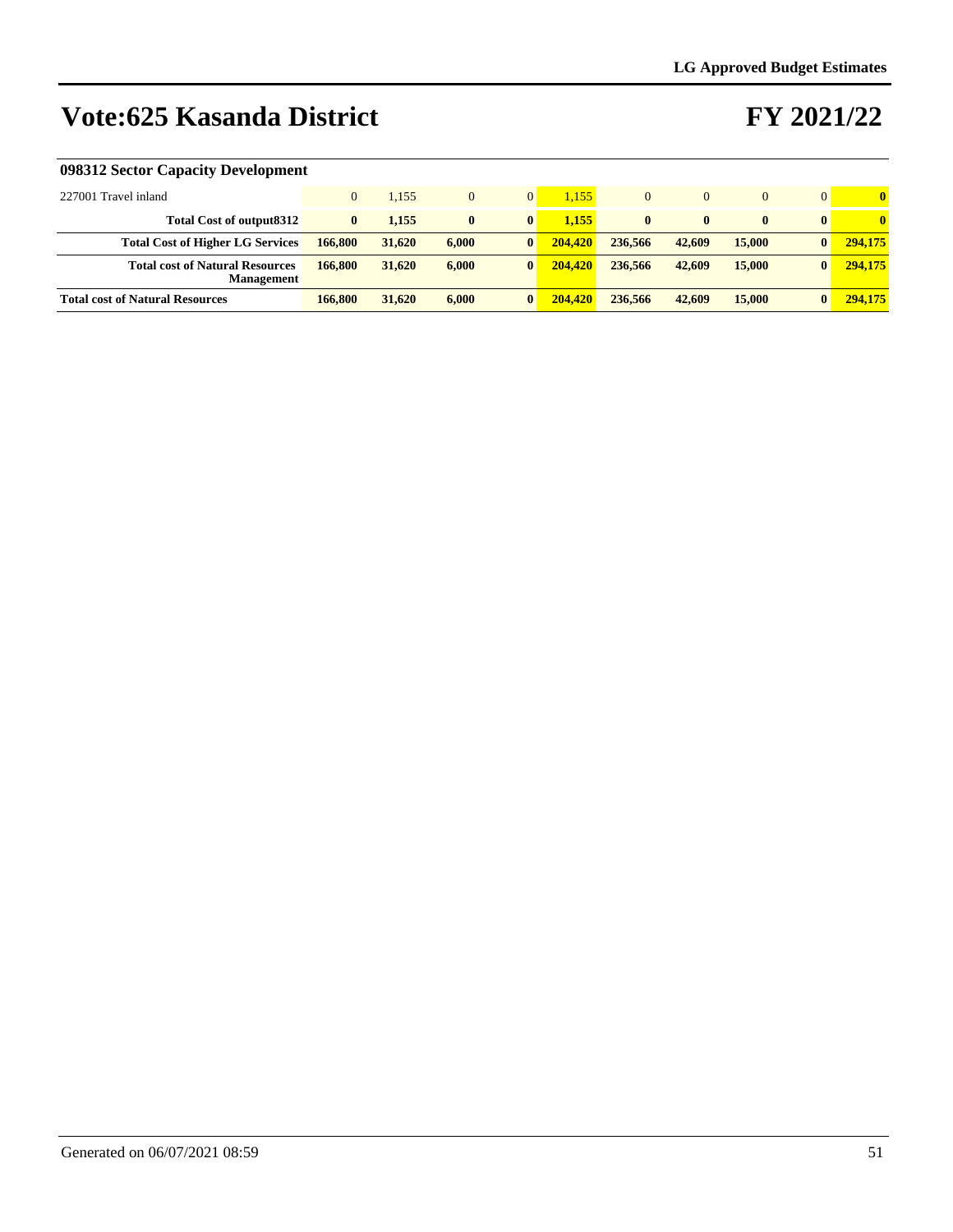### **FY 2021/22**

#### **098312 Sector Capacity Development**

| 227001 Travel inland                                        |          | 1.155  | $\overline{0}$ | $\overline{0}$ | 1.155   | 0        | $\Omega$     |              |              | $\mathbf{0}$ |
|-------------------------------------------------------------|----------|--------|----------------|----------------|---------|----------|--------------|--------------|--------------|--------------|
| <b>Total Cost of output8312</b>                             | $\bf{0}$ | 1.155  | $\bf{0}$       | $\bf{0}$       | 1.155   | $\bf{0}$ | $\mathbf{0}$ | $\mathbf{0}$ | $\mathbf{0}$ | $\mathbf{0}$ |
| <b>Total Cost of Higher LG Services</b>                     | 166,800  | 31,620 | 6.000          | $\bf{0}$       | 204,420 | 236,566  | 42,609       | 15,000       | $\mathbf{0}$ | 294,175      |
| <b>Total cost of Natural Resources</b><br><b>Management</b> | 166,800  | 31,620 | 6.000          | $\bf{0}$       | 204.420 | 236,566  | 42,609       | 15,000       | $\mathbf{0}$ | 294,175      |
| <b>Total cost of Natural Resources</b>                      | 166,800  | 31,620 | 6.000          | $\bf{0}$       | 204,420 | 236,566  | 42,609       | 15,000       | $\bf{0}$     | 294,175      |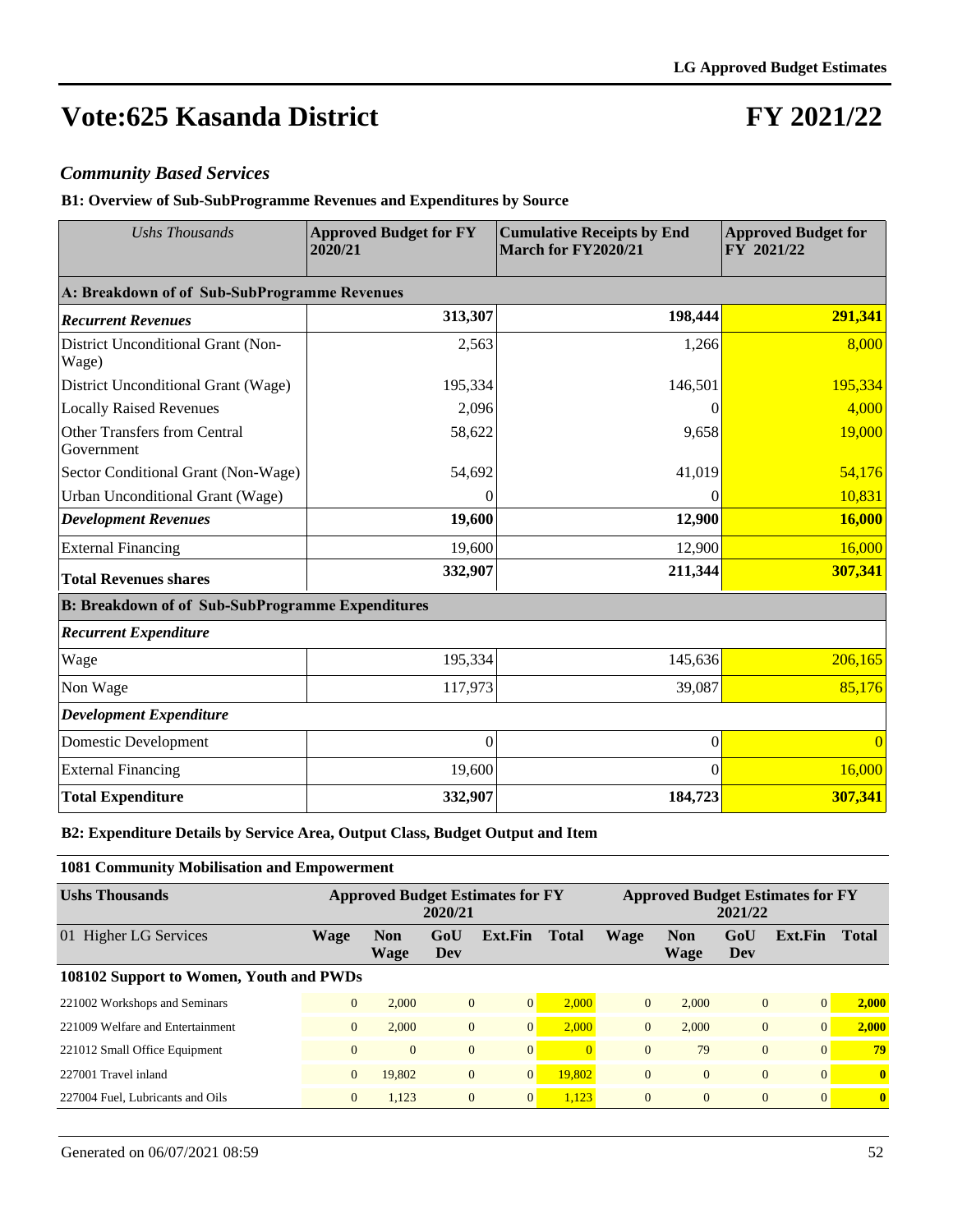### **FY 2021/22**

#### *Community Based Services*

**B1: Overview of Sub-SubProgramme Revenues and Expenditures by Source**

| <b>Ushs Thousands</b>                                   | <b>Approved Budget for FY</b><br>2020/21 | <b>Cumulative Receipts by End</b><br>March for FY2020/21 | <b>Approved Budget for</b><br>FY 2021/22 |  |  |
|---------------------------------------------------------|------------------------------------------|----------------------------------------------------------|------------------------------------------|--|--|
| A: Breakdown of of Sub-SubProgramme Revenues            |                                          |                                                          |                                          |  |  |
| <b>Recurrent Revenues</b>                               | 313,307                                  | 198,444                                                  | 291,341                                  |  |  |
| District Unconditional Grant (Non-<br>Wage)             | 2,563                                    | 1,266                                                    | 8,000                                    |  |  |
| District Unconditional Grant (Wage)                     | 195,334                                  | 146,501                                                  | 195,334                                  |  |  |
| <b>Locally Raised Revenues</b>                          | 2,096                                    | 0                                                        | 4,000                                    |  |  |
| <b>Other Transfers from Central</b><br>Government       | 58,622                                   | 9,658                                                    | 19,000                                   |  |  |
| Sector Conditional Grant (Non-Wage)                     | 54,692                                   | 41,019                                                   | 54,176                                   |  |  |
| Urban Unconditional Grant (Wage)                        |                                          | $\Omega$                                                 | 10,831                                   |  |  |
| <b>Development Revenues</b>                             | 19,600                                   | 12,900                                                   | 16,000                                   |  |  |
| <b>External Financing</b>                               | 19,600                                   | 12,900                                                   | 16,000                                   |  |  |
| <b>Total Revenues shares</b>                            | 332,907                                  | 211,344                                                  | 307,341                                  |  |  |
| <b>B: Breakdown of of Sub-SubProgramme Expenditures</b> |                                          |                                                          |                                          |  |  |
| <b>Recurrent Expenditure</b>                            |                                          |                                                          |                                          |  |  |
| Wage                                                    | 195,334                                  | 145,636                                                  | 206,165                                  |  |  |
| Non Wage                                                | 117,973                                  | 39,087                                                   | 85,176                                   |  |  |
| <b>Development Expenditure</b>                          |                                          |                                                          |                                          |  |  |
| Domestic Development                                    | $\theta$                                 | $\boldsymbol{0}$                                         | $\Omega$                                 |  |  |
| <b>External Financing</b>                               | 19,600                                   | $\boldsymbol{0}$                                         | 16,000                                   |  |  |
| <b>Total Expenditure</b>                                | 332,907                                  | 184,723                                                  | 307,341                                  |  |  |

**B2: Expenditure Details by Service Area, Output Class, Budget Output and Item**

| <b>1081 Community Mobilisation and Empowerment</b> |                |                    |                |                                         |              |                |                    |                                         |          |              |
|----------------------------------------------------|----------------|--------------------|----------------|-----------------------------------------|--------------|----------------|--------------------|-----------------------------------------|----------|--------------|
| <b>Ushs Thousands</b>                              |                |                    | 2020/21        | <b>Approved Budget Estimates for FY</b> |              |                | 2021/22            | <b>Approved Budget Estimates for FY</b> |          |              |
| 01 Higher LG Services                              | Wage           | <b>Non</b><br>Wage | GoU<br>Dev     | Ext.Fin                                 | <b>Total</b> | <b>Wage</b>    | <b>Non</b><br>Wage | GoU<br>Dev                              | Ext.Fin  | <b>Total</b> |
| 108102 Support to Women, Youth and PWDs            |                |                    |                |                                         |              |                |                    |                                         |          |              |
| 221002 Workshops and Seminars                      | $\overline{0}$ | 2.000              | $\overline{0}$ | $\overline{0}$                          | 2.000        | $\overline{0}$ | 2.000              | $\overline{0}$                          | $\Omega$ | 2.000        |
| 221009 Welfare and Entertainment                   | $\overline{0}$ | 2.000              | $\overline{0}$ | $\vert 0 \vert$                         | 2.000        | $\overline{0}$ | 2.000              | $\overline{0}$                          |          | 2.000        |
| 221012 Small Office Equipment                      | $\Omega$       | $\Omega$           | $\overline{0}$ | $\overline{0}$                          |              | $\Omega$       | 79                 | $\Omega$                                | $\Omega$ | 79           |
| 227001 Travel inland                               | $\overline{0}$ | 19.802             | $\overline{0}$ | $\vert 0 \vert$                         | 19,802       | $\overline{0}$ | $\overline{0}$     | $\overline{0}$                          | $\Omega$ | $\mathbf{0}$ |
| 227004 Fuel, Lubricants and Oils                   | $\overline{0}$ | 1,123              | $\overline{0}$ | 0                                       | 1,123        | $\overline{0}$ | $\overline{0}$     | $\overline{0}$                          | $\Omega$ | $\mathbf{0}$ |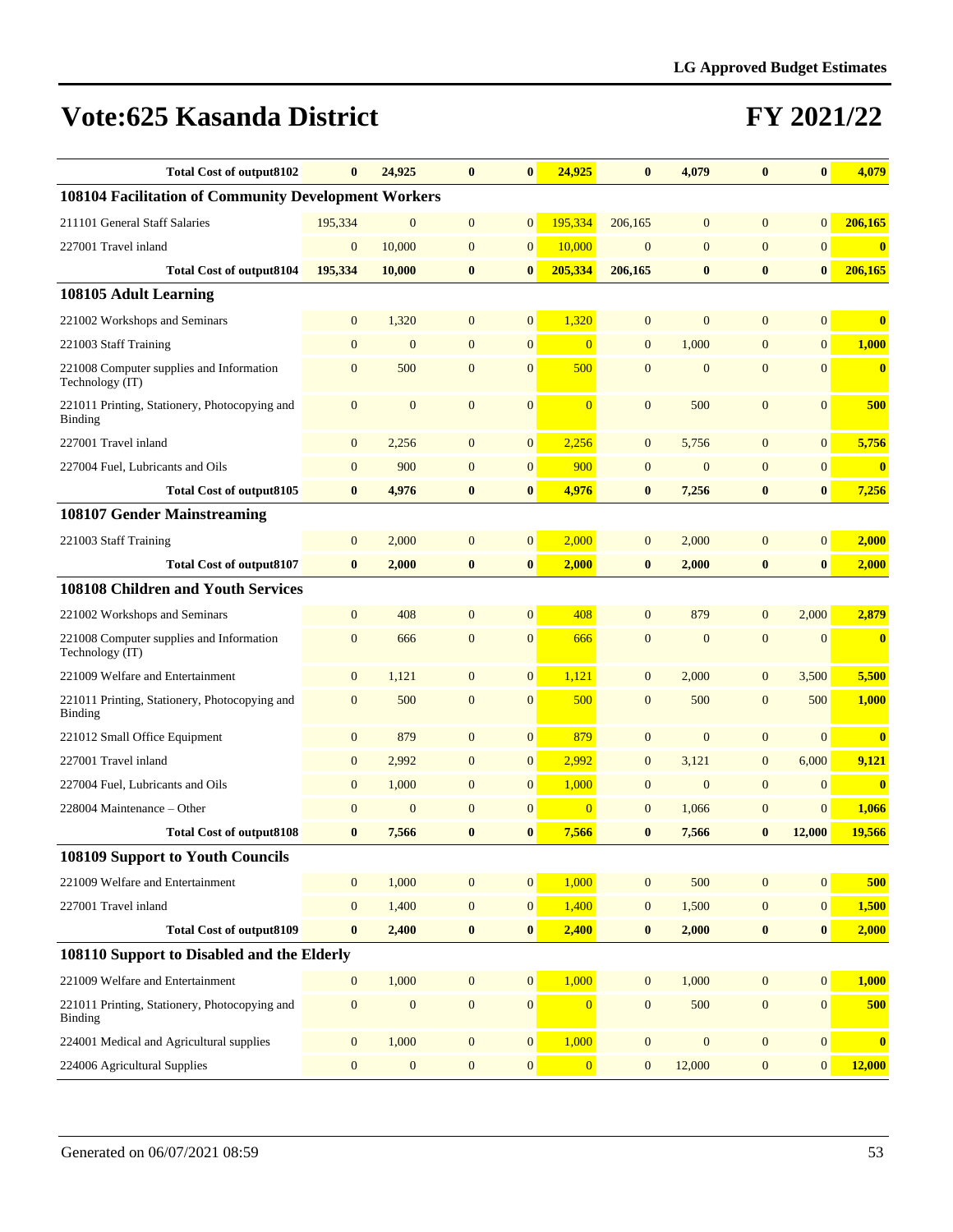| <b>Total Cost of output8102</b>                                 | $\bf{0}$         | 24,925           | $\bf{0}$         | $\bf{0}$         | 24,925           | $\bf{0}$         | 4,079          | $\bf{0}$         | $\bf{0}$         | 4,079                   |
|-----------------------------------------------------------------|------------------|------------------|------------------|------------------|------------------|------------------|----------------|------------------|------------------|-------------------------|
| 108104 Facilitation of Community Development Workers            |                  |                  |                  |                  |                  |                  |                |                  |                  |                         |
| 211101 General Staff Salaries                                   | 195,334          | $\mathbf{0}$     | $\mathbf{0}$     | $\mathbf{0}$     | 195,334          | 206,165          | $\mathbf{0}$   | $\mathbf{0}$     | $\mathbf{0}$     | 206,165                 |
| 227001 Travel inland                                            | $\mathbf{0}$     | 10,000           | $\mathbf{0}$     | $\mathbf{0}$     | 10,000           | $\mathbf{0}$     | $\mathbf{0}$   | $\overline{0}$   | $\mathbf{0}$     | $\bf{0}$                |
| <b>Total Cost of output8104</b>                                 | 195,334          | 10,000           | $\bf{0}$         | $\bf{0}$         | 205,334          | 206,165          | $\bf{0}$       | $\bf{0}$         | $\bf{0}$         | 206,165                 |
| 108105 Adult Learning                                           |                  |                  |                  |                  |                  |                  |                |                  |                  |                         |
| 221002 Workshops and Seminars                                   | $\mathbf{0}$     | 1,320            | $\mathbf{0}$     | $\mathbf{0}$     | 1,320            | $\mathbf{0}$     | $\mathbf{0}$   | $\overline{0}$   | $\mathbf{0}$     | $\bf{0}$                |
| 221003 Staff Training                                           | $\mathbf{0}$     | $\mathbf{0}$     | $\mathbf{0}$     | $\mathbf{0}$     | $\overline{0}$   | $\overline{0}$   | 1,000          | $\overline{0}$   | $\overline{0}$   | 1,000                   |
| 221008 Computer supplies and Information<br>Technology (IT)     | $\mathbf{0}$     | 500              | $\mathbf{0}$     | $\mathbf{0}$     | 500              | $\mathbf{0}$     | $\mathbf{0}$   | $\mathbf{0}$     | $\mathbf{0}$     | $\mathbf{0}$            |
| 221011 Printing, Stationery, Photocopying and<br>Binding        | $\mathbf{0}$     | $\mathbf{0}$     | $\mathbf{0}$     | $\mathbf{0}$     | $\overline{0}$   | $\mathbf{0}$     | 500            | $\mathbf{0}$     | $\mathbf{0}$     | 500                     |
| 227001 Travel inland                                            | $\mathbf{0}$     | 2,256            | $\mathbf{0}$     | $\mathbf{0}$     | 2,256            | $\mathbf{0}$     | 5,756          | $\overline{0}$   | $\mathbf{0}$     | 5,756                   |
| 227004 Fuel, Lubricants and Oils                                | $\mathbf{0}$     | 900              | $\mathbf{0}$     | $\mathbf{0}$     | 900              | $\mathbf{0}$     | $\overline{0}$ | $\overline{0}$   | $\overline{0}$   | $\mathbf{0}$            |
| <b>Total Cost of output8105</b>                                 | $\bf{0}$         | 4,976            | $\bf{0}$         | $\bf{0}$         | 4,976            | $\bf{0}$         | 7,256          | $\bf{0}$         | $\bf{0}$         | 7,256                   |
| 108107 Gender Mainstreaming                                     |                  |                  |                  |                  |                  |                  |                |                  |                  |                         |
| 221003 Staff Training                                           | $\mathbf{0}$     | 2,000            | $\mathbf{0}$     | $\mathbf{0}$     | 2,000            | $\mathbf{0}$     | 2,000          | $\mathbf{0}$     | $\overline{0}$   | 2,000                   |
| <b>Total Cost of output8107</b>                                 | $\bf{0}$         | 2,000            | $\bf{0}$         | $\bf{0}$         | 2,000            | $\bf{0}$         | 2,000          | $\bf{0}$         | $\bf{0}$         | 2,000                   |
| 108108 Children and Youth Services                              |                  |                  |                  |                  |                  |                  |                |                  |                  |                         |
| 221002 Workshops and Seminars                                   | $\mathbf{0}$     | 408              | $\mathbf{0}$     | $\mathbf{0}$     | 408              | $\mathbf{0}$     | 879            | $\mathbf{0}$     | 2,000            | 2,879                   |
| 221008 Computer supplies and Information<br>Technology (IT)     | $\mathbf{0}$     | 666              | $\mathbf{0}$     | $\mathbf{0}$     | 666              | $\mathbf{0}$     | $\overline{0}$ | $\mathbf{0}$     | $\mathbf{0}$     | $\mathbf{0}$            |
| 221009 Welfare and Entertainment                                | $\mathbf{0}$     | 1,121            | $\mathbf{0}$     | $\mathbf{0}$     | 1,121            | $\mathbf{0}$     | 2,000          | $\mathbf{0}$     | 3,500            | 5,500                   |
| 221011 Printing, Stationery, Photocopying and<br><b>Binding</b> | $\mathbf{0}$     | 500              | $\mathbf{0}$     | $\mathbf{0}$     | 500              | $\mathbf{0}$     | 500            | $\overline{0}$   | 500              | 1,000                   |
| 221012 Small Office Equipment                                   | $\mathbf{0}$     | 879              | $\mathbf{0}$     | $\mathbf{0}$     | 879              | $\mathbf{0}$     | $\mathbf{0}$   | $\overline{0}$   | $\mathbf{0}$     | $\bf{0}$                |
| 227001 Travel inland                                            | $\mathbf{0}$     | 2,992            | $\mathbf{0}$     | $\mathbf{0}$     | 2,992            | $\mathbf{0}$     | 3,121          | $\mathbf{0}$     | 6,000            | 9,121                   |
| 227004 Fuel, Lubricants and Oils                                | $\mathbf{0}$     | 1,000            | $\mathbf{0}$     | $\mathbf{0}$     | 1,000            | $\mathbf{0}$     | $\overline{0}$ | $\mathbf{0}$     | $\mathbf{0}$     | $\overline{\mathbf{0}}$ |
| 228004 Maintenance - Other                                      | $\mathbf{0}$     | $\mathbf{0}$     | $\mathbf{0}$     | $\boldsymbol{0}$ | $\overline{0}$   | $\overline{0}$   | 1,066          | $\mathbf{0}$     | $\overline{0}$   | 1,066                   |
| <b>Total Cost of output8108</b>                                 | $\bf{0}$         | 7,566            | $\bf{0}$         | $\bf{0}$         | 7,566            | $\bf{0}$         | 7,566          | $\bf{0}$         | 12,000           | 19,566                  |
| 108109 Support to Youth Councils                                |                  |                  |                  |                  |                  |                  |                |                  |                  |                         |
| 221009 Welfare and Entertainment                                | $\mathbf{0}$     | 1,000            | $\mathbf{0}$     | $\mathbf{0}$     | 1,000            | $\overline{0}$   | 500            | $\mathbf{0}$     | $\overline{0}$   | 500                     |
| 227001 Travel inland                                            | $\boldsymbol{0}$ | 1,400            | $\boldsymbol{0}$ | $\boldsymbol{0}$ | 1,400            | $\mathbf{0}$     | 1,500          | $\boldsymbol{0}$ | $\boldsymbol{0}$ | 1,500                   |
| <b>Total Cost of output8109</b>                                 | $\bf{0}$         | 2,400            | $\bf{0}$         | $\bf{0}$         | 2,400            | $\bf{0}$         | 2,000          | $\bf{0}$         | $\bf{0}$         | 2,000                   |
| 108110 Support to Disabled and the Elderly                      |                  |                  |                  |                  |                  |                  |                |                  |                  |                         |
| 221009 Welfare and Entertainment                                | $\boldsymbol{0}$ | 1,000            | $\mathbf{0}$     | $\boldsymbol{0}$ | 1,000            | $\mathbf{0}$     | 1,000          | $\overline{0}$   | $\overline{0}$   | 1,000                   |
| 221011 Printing, Stationery, Photocopying and<br>Binding        | $\boldsymbol{0}$ | $\boldsymbol{0}$ | $\mathbf{0}$     | $\boldsymbol{0}$ | $\Omega$         | $\overline{0}$   | 500            | $\boldsymbol{0}$ | $\mathbf{0}$     | 500                     |
| 224001 Medical and Agricultural supplies                        | $\boldsymbol{0}$ | 1,000            | $\mathbf{0}$     | $\boldsymbol{0}$ | 1,000            | $\boldsymbol{0}$ | $\mathbf{0}$   | $\boldsymbol{0}$ | $\boldsymbol{0}$ | $\bf{0}$                |
| 224006 Agricultural Supplies                                    | $\boldsymbol{0}$ | $\boldsymbol{0}$ | $\boldsymbol{0}$ | $\boldsymbol{0}$ | $\boldsymbol{0}$ | $\mathbf{0}$     | 12,000         | $\boldsymbol{0}$ | $\boldsymbol{0}$ | 12,000                  |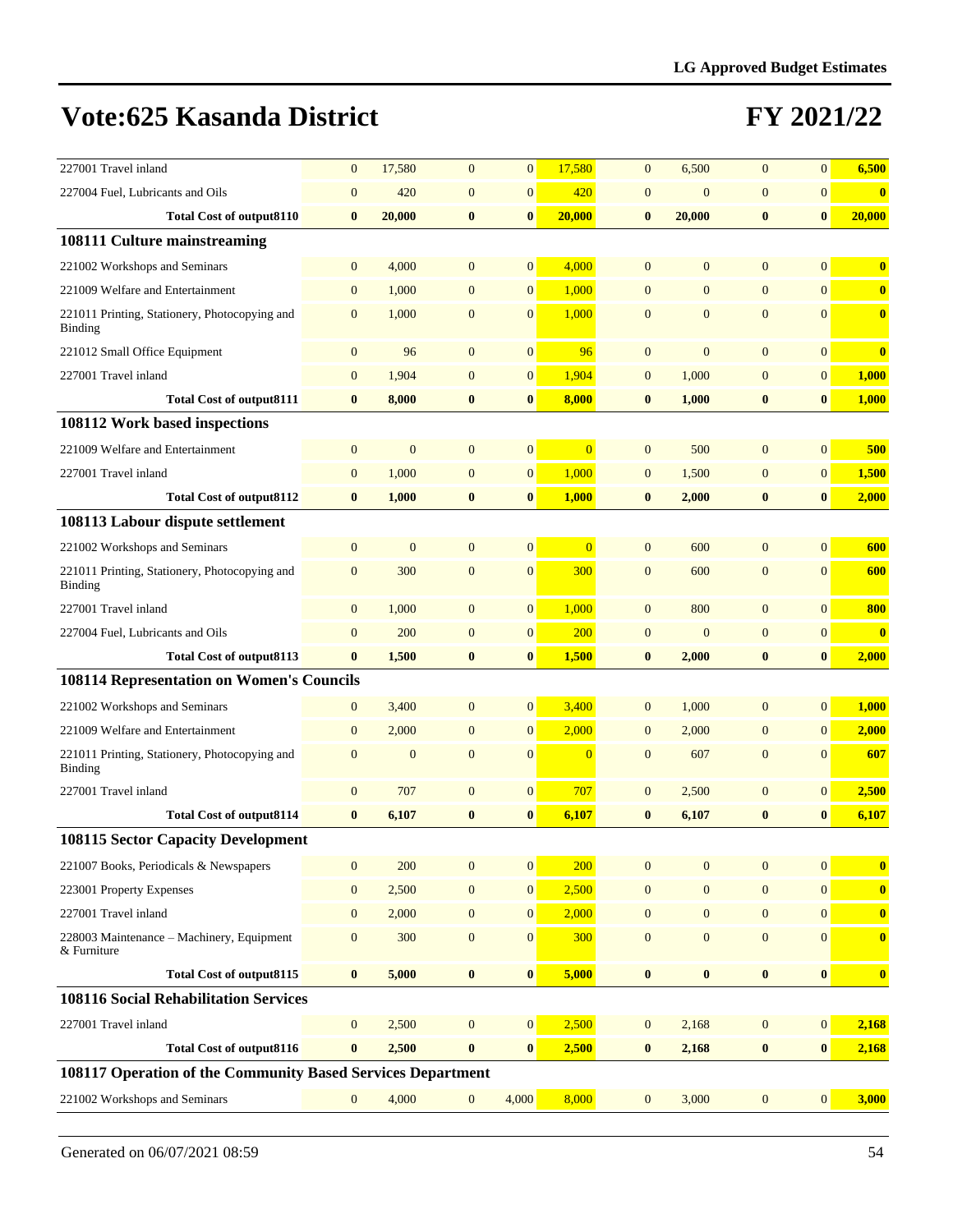| 227001 Travel inland                                            | $\mathbf{0}$     | 17,580       | $\mathbf{0}$     | $\mathbf{0}$     | 17,580         | $\mathbf{0}$     | 6,500            | $\overline{0}$   | $\overline{0}$   | 6,500                   |
|-----------------------------------------------------------------|------------------|--------------|------------------|------------------|----------------|------------------|------------------|------------------|------------------|-------------------------|
| 227004 Fuel, Lubricants and Oils                                | $\mathbf{0}$     | 420          | $\mathbf{0}$     | $\mathbf{0}$     | 420            | $\mathbf{0}$     | $\mathbf{0}$     | $\overline{0}$   | $\overline{0}$   | $\bf{0}$                |
| <b>Total Cost of output8110</b>                                 | $\bf{0}$         | 20,000       | $\bf{0}$         | $\bf{0}$         | 20,000         | $\bf{0}$         | 20,000           | $\bf{0}$         | $\mathbf{0}$     | 20,000                  |
| 108111 Culture mainstreaming                                    |                  |              |                  |                  |                |                  |                  |                  |                  |                         |
| 221002 Workshops and Seminars                                   | $\mathbf{0}$     | 4,000        | $\mathbf{0}$     | $\overline{0}$   | 4,000          | $\overline{0}$   | $\overline{0}$   | $\overline{0}$   | $\overline{0}$   | $\bf{0}$                |
| 221009 Welfare and Entertainment                                | $\mathbf{0}$     | 1,000        | $\mathbf{0}$     | $\mathbf{0}$     | 1,000          | $\overline{0}$   | $\mathbf{0}$     | $\mathbf{0}$     | $\overline{0}$   | $\bf{0}$                |
| 221011 Printing, Stationery, Photocopying and<br><b>Binding</b> | $\mathbf{0}$     | 1,000        | $\mathbf{0}$     | $\mathbf{0}$     | 1,000          | $\mathbf{0}$     | $\mathbf{0}$     | $\mathbf{0}$     | $\overline{0}$   | $\bf{0}$                |
| 221012 Small Office Equipment                                   | $\boldsymbol{0}$ | 96           | $\mathbf{0}$     | $\boldsymbol{0}$ | 96             | $\overline{0}$   | $\mathbf{0}$     | $\overline{0}$   | $\overline{0}$   | $\bf{0}$                |
| 227001 Travel inland                                            | $\overline{0}$   | 1,904        | $\mathbf{0}$     | $\boldsymbol{0}$ | 1,904          | $\mathbf{0}$     | 1,000            | $\overline{0}$   | $\overline{0}$   | 1,000                   |
| <b>Total Cost of output8111</b>                                 | $\bf{0}$         | 8,000        | $\bf{0}$         | $\bf{0}$         | 8,000          | $\bf{0}$         | 1,000            | $\bf{0}$         | $\bf{0}$         | 1,000                   |
| 108112 Work based inspections                                   |                  |              |                  |                  |                |                  |                  |                  |                  |                         |
| 221009 Welfare and Entertainment                                | $\mathbf{0}$     | $\mathbf{0}$ | $\mathbf{0}$     | $\boldsymbol{0}$ | $\Omega$       | $\mathbf{0}$     | 500              | $\overline{0}$   | $\overline{0}$   | 500                     |
| 227001 Travel inland                                            | $\boldsymbol{0}$ | 1,000        | $\mathbf{0}$     | $\boldsymbol{0}$ | 1,000          | $\mathbf{0}$     | 1,500            | $\boldsymbol{0}$ | $\overline{0}$   | 1,500                   |
| <b>Total Cost of output8112</b>                                 | $\bf{0}$         | 1,000        | $\bf{0}$         | $\bf{0}$         | 1,000          | $\bf{0}$         | 2,000            | $\bf{0}$         | $\bf{0}$         | 2,000                   |
| 108113 Labour dispute settlement                                |                  |              |                  |                  |                |                  |                  |                  |                  |                         |
| 221002 Workshops and Seminars                                   | $\mathbf{0}$     | $\mathbf{0}$ | $\mathbf{0}$     | $\mathbf{0}$     | $\overline{0}$ | $\overline{0}$   | 600              | $\overline{0}$   | $\Omega$         | 600                     |
| 221011 Printing, Stationery, Photocopying and<br>Binding        | $\mathbf{0}$     | 300          | $\mathbf{0}$     | $\mathbf{0}$     | 300            | $\mathbf{0}$     | 600              | $\mathbf{0}$     | $\overline{0}$   | 600                     |
| 227001 Travel inland                                            | $\mathbf{0}$     | 1,000        | $\mathbf{0}$     | $\mathbf{0}$     | 1,000          | $\mathbf{0}$     | 800              | $\overline{0}$   | $\overline{0}$   | 800                     |
| 227004 Fuel, Lubricants and Oils                                | $\mathbf{0}$     | 200          | $\mathbf{0}$     | $\boldsymbol{0}$ | 200            | $\boldsymbol{0}$ | $\mathbf{0}$     | $\mathbf{0}$     | $\overline{0}$   | $\bf{0}$                |
| <b>Total Cost of output8113</b>                                 | $\bf{0}$         | 1,500        | $\bf{0}$         | $\bf{0}$         | 1,500          | $\bf{0}$         | 2,000            | $\bf{0}$         | $\bf{0}$         | 2,000                   |
| <b>108114 Representation on Women's Councils</b>                |                  |              |                  |                  |                |                  |                  |                  |                  |                         |
| 221002 Workshops and Seminars                                   | $\mathbf{0}$     | 3,400        | $\mathbf{0}$     | $\overline{0}$   | 3,400          | $\mathbf{0}$     | 1,000            | $\mathbf{0}$     | $\overline{0}$   | 1,000                   |
| 221009 Welfare and Entertainment                                | $\mathbf{0}$     | 2,000        | $\mathbf{0}$     | $\boldsymbol{0}$ | 2,000          | $\mathbf{0}$     | 2,000            | $\mathbf{0}$     | $\overline{0}$   | 2,000                   |
| 221011 Printing, Stationery, Photocopying and<br>Binding        | $\mathbf{0}$     | $\mathbf{0}$ | $\mathbf{0}$     | $\mathbf{0}$     | $\overline{0}$ | $\mathbf{0}$     | 607              | $\mathbf{0}$     | $\overline{0}$   | 607                     |
| 227001 Travel inland                                            | $\mathbf{0}$     | 707          | $\mathbf{0}$     | $\boldsymbol{0}$ | 707            | $\boldsymbol{0}$ | 2,500            | $\mathbf{0}$     | $\mathbf{0}$     | 2,500                   |
| <b>Total Cost of output8114</b>                                 | $\bf{0}$         | 6,107        | $\bf{0}$         | $\bf{0}$         | 6,107          | $\bf{0}$         | 6,107            | $\bf{0}$         | $\bf{0}$         | 6,107                   |
| <b>108115 Sector Capacity Development</b>                       |                  |              |                  |                  |                |                  |                  |                  |                  |                         |
| 221007 Books, Periodicals & Newspapers                          | $\boldsymbol{0}$ | 200          | $\boldsymbol{0}$ | $\boldsymbol{0}$ | 200            | $\overline{0}$   | $\mathbf{0}$     | $\overline{0}$   | $\overline{0}$   | $\bf{0}$                |
| 223001 Property Expenses                                        | $\mathbf{0}$     | 2,500        | $\mathbf{0}$     | $\mathbf{0}$     | 2,500          | $\overline{0}$   | $\mathbf{0}$     | $\mathbf{0}$     | $\overline{0}$   | $\boldsymbol{0}$        |
| 227001 Travel inland                                            | $\boldsymbol{0}$ | 2,000        | $\mathbf{0}$     | $\mathbf{0}$     | 2,000          | $\boldsymbol{0}$ | $\mathbf{0}$     | $\boldsymbol{0}$ | $\vert 0 \vert$  | $\bf{0}$                |
| 228003 Maintenance - Machinery, Equipment<br>& Furniture        | $\boldsymbol{0}$ | 300          | $\boldsymbol{0}$ | $\boldsymbol{0}$ | 300            | $\boldsymbol{0}$ | $\boldsymbol{0}$ | $\boldsymbol{0}$ | $\boldsymbol{0}$ | $\overline{\mathbf{0}}$ |
| <b>Total Cost of output8115</b>                                 | $\boldsymbol{0}$ | 5,000        | $\bf{0}$         | $\bf{0}$         | 5,000          | $\boldsymbol{0}$ | $\pmb{0}$        | $\pmb{0}$        | $\boldsymbol{0}$ | $\boldsymbol{0}$        |
| <b>108116 Social Rehabilitation Services</b>                    |                  |              |                  |                  |                |                  |                  |                  |                  |                         |
| 227001 Travel inland                                            | $\boldsymbol{0}$ | 2,500        | $\mathbf{0}$     | $\boldsymbol{0}$ | 2,500          | $\boldsymbol{0}$ | 2,168            | $\boldsymbol{0}$ | $\vert 0 \vert$  | 2,168                   |
| <b>Total Cost of output8116</b>                                 | $\bf{0}$         | 2,500        | $\bf{0}$         | $\bf{0}$         | 2,500          | $\bf{0}$         | 2,168            | $\bf{0}$         | $\bf{0}$         | 2,168                   |
| 108117 Operation of the Community Based Services Department     |                  |              |                  |                  |                |                  |                  |                  |                  |                         |
| 221002 Workshops and Seminars                                   | $\mathbf{0}$     | 4,000        | $\mathbf{0}$     | 4,000            | 8,000          | $\mathbf{0}$     | 3,000            | $\mathbf{0}$     | 0                | 3,000                   |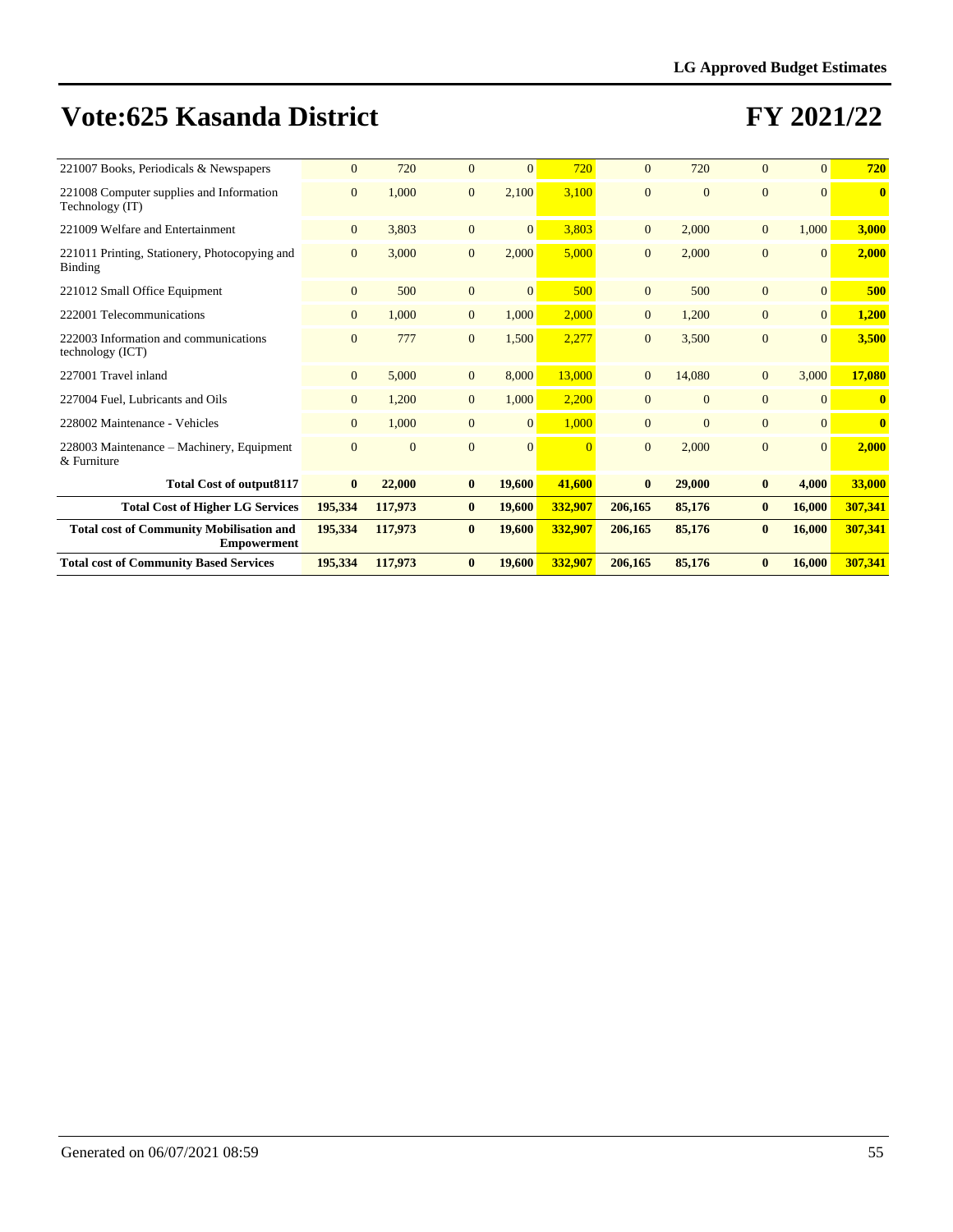| 221007 Books, Periodicals & Newspapers                                | $\mathbf{0}$   | 720      | $\Omega$       | $\Omega$        | 720      | $\Omega$       | 720          | $\Omega$       | $\Omega$ | 720          |
|-----------------------------------------------------------------------|----------------|----------|----------------|-----------------|----------|----------------|--------------|----------------|----------|--------------|
| 221008 Computer supplies and Information<br>Technology (IT)           | $\overline{0}$ | 1,000    | $\overline{0}$ | 2,100           | 3,100    | $\overline{0}$ | $\Omega$     | $\mathbf{0}$   | $\Omega$ | $\mathbf{0}$ |
| 221009 Welfare and Entertainment                                      | $\overline{0}$ | 3,803    | $\overline{0}$ | $\overline{0}$  | 3,803    | $\overline{0}$ | 2,000        | $\overline{0}$ | 1,000    | 3,000        |
| 221011 Printing, Stationery, Photocopying and<br>Binding              | $\mathbf{0}$   | 3,000    | $\overline{0}$ | 2.000           | 5,000    | $\overline{0}$ | 2,000        | $\overline{0}$ | $\Omega$ | 2,000        |
| 221012 Small Office Equipment                                         | $\overline{0}$ | 500      | $\overline{0}$ | $\overline{0}$  | 500      | $\overline{0}$ | 500          | $\overline{0}$ | $\Omega$ | 500          |
| 222001 Telecommunications                                             | $\overline{0}$ | 1,000    | $\overline{0}$ | 1,000           | 2,000    | $\overline{0}$ | 1,200        | $\overline{0}$ | $\Omega$ | 1,200        |
| 222003 Information and communications<br>technology (ICT)             | $\Omega$       | 777      | $\Omega$       | 1,500           | 2,277    | $\Omega$       | 3,500        | $\Omega$       | $\Omega$ | 3,500        |
| 227001 Travel inland                                                  | $\overline{0}$ | 5,000    | $\overline{0}$ | 8,000           | 13,000   | $\overline{0}$ | 14,080       | $\mathbf{0}$   | 3,000    | 17,080       |
| 227004 Fuel, Lubricants and Oils                                      | $\overline{0}$ | 1,200    | $\overline{0}$ | 1,000           | 2,200    | $\overline{0}$ | $\mathbf{0}$ | $\overline{0}$ | $\Omega$ | $\mathbf{0}$ |
| 228002 Maintenance - Vehicles                                         | $\overline{0}$ | 1,000    | $\overline{0}$ | $\vert 0 \vert$ | 1,000    | $\Omega$       | $\Omega$     | $\Omega$       | $\Omega$ | $\mathbf{0}$ |
| 228003 Maintenance – Machinery, Equipment<br>& Furniture              | $\mathbf{0}$   | $\Omega$ | $\Omega$       | $\Omega$        | $\Omega$ | $\Omega$       | 2,000        | $\overline{0}$ | $\Omega$ | 2,000        |
| <b>Total Cost of output8117</b>                                       | $\bf{0}$       | 22,000   | $\bf{0}$       | 19,600          | 41,600   | $\bf{0}$       | 29,000       | $\bf{0}$       | 4,000    | 33,000       |
| <b>Total Cost of Higher LG Services</b>                               | 195,334        | 117,973  | $\bf{0}$       | 19,600          | 332,907  | 206,165        | 85,176       | $\bf{0}$       | 16,000   | 307,341      |
| <b>Total cost of Community Mobilisation and</b><br><b>Empowerment</b> | 195,334        | 117,973  | $\mathbf{0}$   | 19,600          | 332,907  | 206,165        | 85,176       | $\bf{0}$       | 16,000   | 307,341      |
| <b>Total cost of Community Based Services</b>                         | 195,334        | 117,973  | $\bf{0}$       | 19,600          | 332,907  | 206,165        | 85,176       | $\bf{0}$       | 16,000   | 307,341      |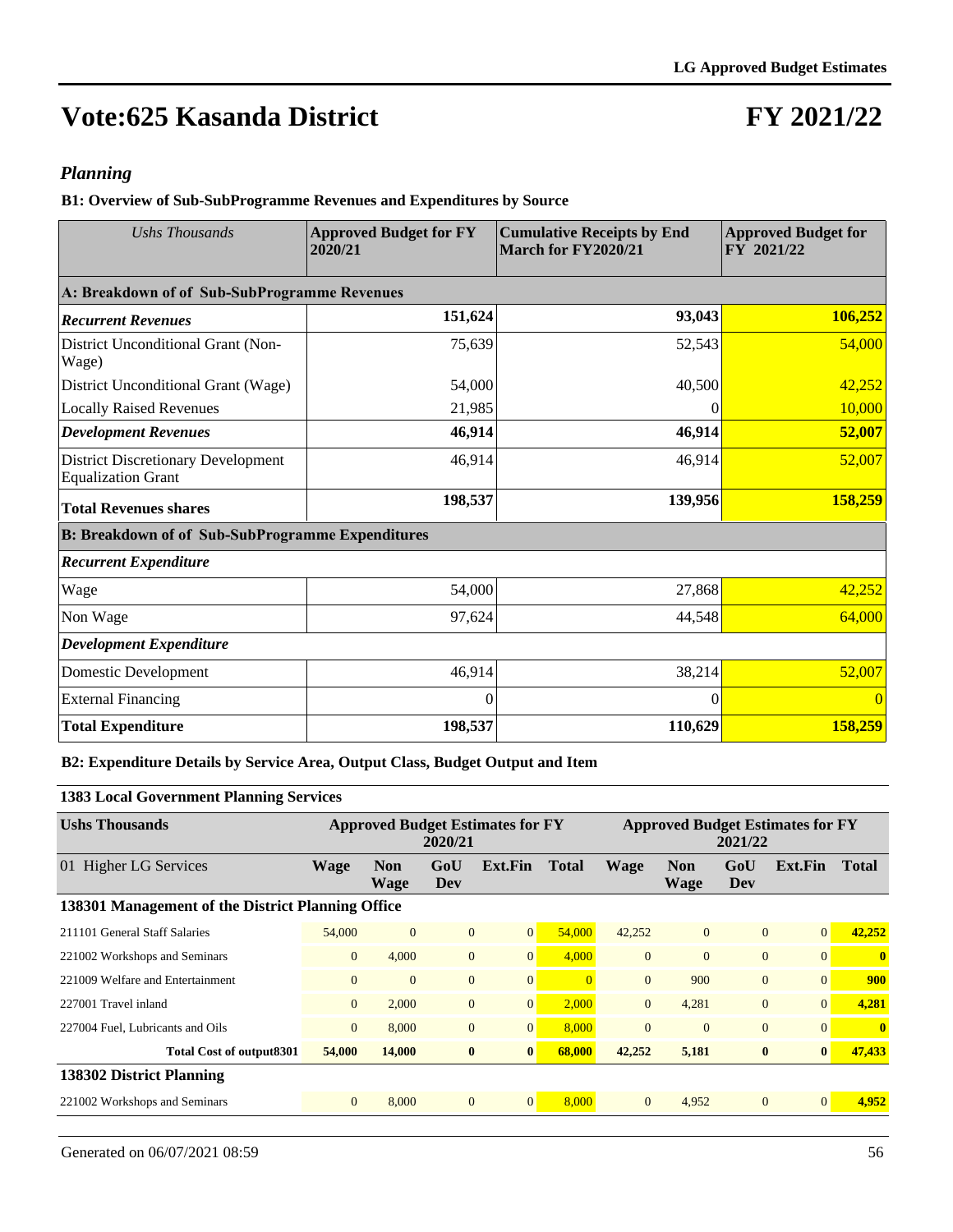## **FY 2021/22**

#### *Planning*

**B1: Overview of Sub-SubProgramme Revenues and Expenditures by Source**

| <b>Ushs Thousands</b>                                                  | <b>Approved Budget for FY</b><br>2020/21 | <b>Cumulative Receipts by End</b><br>March for FY2020/21 | <b>Approved Budget for</b><br>FY 2021/22 |  |
|------------------------------------------------------------------------|------------------------------------------|----------------------------------------------------------|------------------------------------------|--|
| A: Breakdown of of Sub-SubProgramme Revenues                           |                                          |                                                          |                                          |  |
| <b>Recurrent Revenues</b>                                              | 151,624                                  | 93,043                                                   | 106,252                                  |  |
| District Unconditional Grant (Non-<br>Wage)                            | 75,639                                   | 52,543                                                   | 54,000                                   |  |
| District Unconditional Grant (Wage)                                    | 54,000                                   | 40,500                                                   | 42,252                                   |  |
| <b>Locally Raised Revenues</b>                                         | 21,985                                   | 0                                                        | 10,000                                   |  |
| <b>Development Revenues</b>                                            | 46,914                                   | 46,914                                                   | 52,007                                   |  |
| <b>District Discretionary Development</b><br><b>Equalization Grant</b> | 46,914                                   | 46,914                                                   | 52,007                                   |  |
| <b>Total Revenues shares</b>                                           | 198,537                                  | 139,956                                                  | 158,259                                  |  |
| <b>B: Breakdown of of Sub-SubProgramme Expenditures</b>                |                                          |                                                          |                                          |  |
| <b>Recurrent Expenditure</b>                                           |                                          |                                                          |                                          |  |
| Wage                                                                   | 54,000                                   | 27,868                                                   | 42,252                                   |  |
| Non Wage                                                               | 97,624                                   | 44,548                                                   | 64,000                                   |  |
| <b>Development Expenditure</b>                                         |                                          |                                                          |                                          |  |
| Domestic Development                                                   | 46,914                                   | 38,214                                                   | 52,007                                   |  |
| <b>External Financing</b>                                              | 0                                        | 0                                                        |                                          |  |
| <b>Total Expenditure</b>                                               | 198,537                                  | 110,629                                                  | 158,259                                  |  |

#### **B2: Expenditure Details by Service Area, Output Class, Budget Output and Item**

#### **1383 Local Government Planning Services**

| <b>Ushs Thousands</b>                             | <b>Approved Budget Estimates for FY</b><br>2020/21 |                    |                |                 |              | <b>Approved Budget Estimates for FY</b><br>2021/22 |                           |                |              |              |
|---------------------------------------------------|----------------------------------------------------|--------------------|----------------|-----------------|--------------|----------------------------------------------------|---------------------------|----------------|--------------|--------------|
| 01 Higher LG Services                             | <b>Wage</b>                                        | <b>Non</b><br>Wage | GoU<br>Dev     | Ext.Fin         | <b>Total</b> | <b>Wage</b>                                        | <b>Non</b><br><b>Wage</b> | GoU<br>Dev     | Ext.Fin      | <b>Total</b> |
| 138301 Management of the District Planning Office |                                                    |                    |                |                 |              |                                                    |                           |                |              |              |
| 211101 General Staff Salaries                     | 54,000                                             | $\overline{0}$     | $\mathbf{0}$   | $\vert 0 \vert$ | 54,000       | 42,252                                             | $\overline{0}$            | $\overline{0}$ | $\Omega$     | 42,252       |
| 221002 Workshops and Seminars                     | $\overline{0}$                                     | 4,000              | $\mathbf{0}$   | 0               | 4,000        | $\overline{0}$                                     | $\overline{0}$            | $\overline{0}$ | $\Omega$     | $\mathbf{0}$ |
| 221009 Welfare and Entertainment                  | $\Omega$                                           | $\Omega$           | $\overline{0}$ | $\overline{0}$  |              | $\Omega$                                           | 900                       | $\Omega$       | $\Omega$     | 900          |
| 227001 Travel inland                              | $\overline{0}$                                     | 2,000              | $\mathbf{0}$   | 0               | 2,000        | $\overline{0}$                                     | 4,281                     | $\mathbf{0}$   | $\Omega$     | 4,281        |
| 227004 Fuel, Lubricants and Oils                  | $\overline{0}$                                     | 8,000              | $\mathbf{0}$   | 0               | 8.000        | $\overline{0}$                                     | $\overline{0}$            | $\mathbf{0}$   | $\Omega$     | $\mathbf{0}$ |
| Total Cost of output 8301                         | 54,000                                             | 14,000             | $\bf{0}$       | $\bf{0}$        | 68,000       | 42,252                                             | 5,181                     | $\bf{0}$       | $\mathbf{0}$ | 47,433       |
| 138302 District Planning                          |                                                    |                    |                |                 |              |                                                    |                           |                |              |              |
| 221002 Workshops and Seminars                     | $\overline{0}$                                     | 8,000              | $\mathbf{0}$   | $\vert 0 \vert$ | 8,000        | $\overline{0}$                                     | 4,952                     | $\Omega$       | $\Omega$     | 4,952        |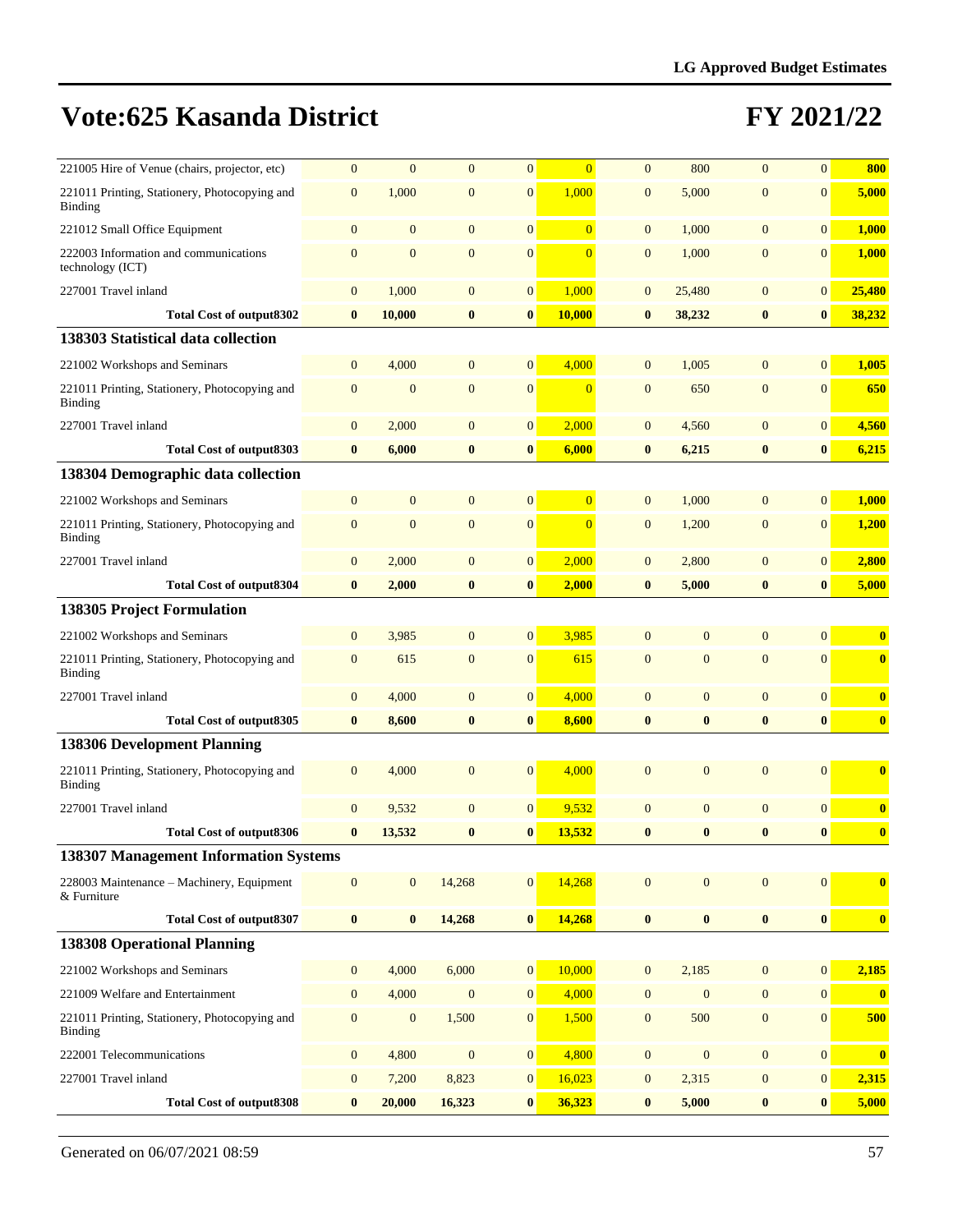| 221005 Hire of Venue (chairs, projector, etc)             | $\overline{0}$   | $\overline{0}$   | $\mathbf{0}$     | $\overline{0}$   | $\Omega$       | $\mathbf{0}$     | 800              | $\mathbf{0}$     | $\overline{0}$   | 800                     |
|-----------------------------------------------------------|------------------|------------------|------------------|------------------|----------------|------------------|------------------|------------------|------------------|-------------------------|
| 221011 Printing, Stationery, Photocopying and<br>Binding  | $\mathbf{0}$     | 1,000            | $\mathbf{0}$     | $\mathbf{0}$     | 1,000          | $\mathbf{0}$     | 5,000            | $\overline{0}$   | $\overline{0}$   | 5,000                   |
| 221012 Small Office Equipment                             | $\mathbf{0}$     | $\mathbf{0}$     | $\overline{0}$   | $\mathbf{0}$     | $\overline{0}$ | $\mathbf{0}$     | 1,000            | $\mathbf{0}$     | $\overline{0}$   | 1,000                   |
| 222003 Information and communications<br>technology (ICT) | $\mathbf{0}$     | $\mathbf{0}$     | $\mathbf{0}$     | $\mathbf{0}$     | $\Omega$       | $\mathbf{0}$     | 1,000            | $\overline{0}$   | $\mathbf{0}$     | 1,000                   |
| 227001 Travel inland                                      | $\mathbf{0}$     | 1,000            | $\mathbf{0}$     | $\mathbf{0}$     | 1,000          | $\mathbf{0}$     | 25,480           | $\overline{0}$   | $\mathbf{0}$     | 25,480                  |
| Total Cost of output 8302                                 | $\bf{0}$         | 10,000           | $\bf{0}$         | $\bf{0}$         | 10,000         | $\bf{0}$         | 38,232           | $\bf{0}$         | $\bf{0}$         | 38,232                  |
| 138303 Statistical data collection                        |                  |                  |                  |                  |                |                  |                  |                  |                  |                         |
| 221002 Workshops and Seminars                             | $\mathbf{0}$     | 4,000            | $\overline{0}$   | $\mathbf{0}$     | 4,000          | $\overline{0}$   | 1,005            | $\overline{0}$   | $\overline{0}$   | 1,005                   |
| 221011 Printing, Stationery, Photocopying and<br>Binding  | $\mathbf{0}$     | $\overline{0}$   | $\overline{0}$   | $\overline{0}$   | $\overline{0}$ | $\overline{0}$   | 650              | $\overline{0}$   | $\mathbf{0}$     | 650                     |
| 227001 Travel inland                                      | $\mathbf{0}$     | 2,000            | $\mathbf{0}$     | $\mathbf{0}$     | 2,000          | $\mathbf{0}$     | 4,560            | $\overline{0}$   | $\mathbf{0}$     | 4,560                   |
| <b>Total Cost of output8303</b>                           | $\bf{0}$         | 6,000            | $\bf{0}$         | $\bf{0}$         | 6,000          | $\bf{0}$         | 6,215            | $\bf{0}$         | $\bf{0}$         | 6,215                   |
| 138304 Demographic data collection                        |                  |                  |                  |                  |                |                  |                  |                  |                  |                         |
| 221002 Workshops and Seminars                             | $\mathbf{0}$     | $\mathbf{0}$     | $\mathbf{0}$     | $\overline{0}$   | $\overline{0}$ | $\overline{0}$   | 1,000            | $\overline{0}$   | $\overline{0}$   | 1,000                   |
| 221011 Printing, Stationery, Photocopying and<br>Binding  | $\mathbf{0}$     | $\overline{0}$   | $\mathbf{0}$     | $\mathbf{0}$     | $\overline{0}$ | $\mathbf{0}$     | 1,200            | $\overline{0}$   | $\mathbf{0}$     | 1,200                   |
| 227001 Travel inland                                      | $\mathbf{0}$     | 2,000            | $\mathbf{0}$     | $\mathbf{0}$     | 2,000          | $\mathbf{0}$     | 2,800            | $\mathbf{0}$     | $\mathbf{0}$     | 2,800                   |
| <b>Total Cost of output8304</b>                           | $\bf{0}$         | 2,000            | $\bf{0}$         | $\bf{0}$         | 2,000          | $\bf{0}$         | 5,000            | $\bf{0}$         | $\bf{0}$         | 5,000                   |
| <b>138305 Project Formulation</b>                         |                  |                  |                  |                  |                |                  |                  |                  |                  |                         |
| 221002 Workshops and Seminars                             | $\mathbf{0}$     | 3,985            | $\mathbf{0}$     | $\mathbf{0}$     | 3,985          | $\mathbf{0}$     | $\mathbf{0}$     | $\Omega$         | $\overline{0}$   | $\bf{0}$                |
| 221011 Printing, Stationery, Photocopying and<br>Binding  | $\mathbf{0}$     | 615              | $\mathbf{0}$     | $\mathbf{0}$     | 615            | $\mathbf{0}$     | $\overline{0}$   | $\overline{0}$   | $\mathbf{0}$     | $\overline{\mathbf{0}}$ |
| 227001 Travel inland                                      | $\mathbf{0}$     | 4,000            | $\mathbf{0}$     | $\mathbf{0}$     | 4,000          | $\overline{0}$   | $\mathbf{0}$     | $\overline{0}$   | $\overline{0}$   | $\bf{0}$                |
| <b>Total Cost of output8305</b>                           | $\bf{0}$         | 8,600            | $\bf{0}$         | $\bf{0}$         | 8,600          | $\bf{0}$         | $\bf{0}$         | $\bf{0}$         | $\bf{0}$         | $\bf{0}$                |
| <b>138306 Development Planning</b>                        |                  |                  |                  |                  |                |                  |                  |                  |                  |                         |
| 221011 Printing, Stationery, Photocopying and<br>Binding  | $\mathbf{0}$     | 4,000            | $\overline{0}$   | $\overline{0}$   | 4,000          | $\mathbf{0}$     | $\mathbf{0}$     | $\overline{0}$   | $\mathbf{0}$     | $\mathbf{0}$            |
| 227001 Travel inland                                      | $\mathbf{0}$     | 9,532            | $\mathbf{0}$     | $\mathbf{0}$     | 9,532          | $\mathbf{0}$     | $\mathbf{0}$     | $\overline{0}$   | $\overline{0}$   | $\mathbf{0}$            |
| <b>Total Cost of output8306</b>                           | $\bf{0}$         | 13,532           | $\bf{0}$         | $\bf{0}$         | 13,532         | $\bf{0}$         | $\bf{0}$         | $\bf{0}$         | $\bf{0}$         | $\bf{0}$                |
| 138307 Management Information Systems                     |                  |                  |                  |                  |                |                  |                  |                  |                  |                         |
| 228003 Maintenance - Machinery, Equipment<br>& Furniture  | $\mathbf{0}$     | $\overline{0}$   | 14,268           | $\mathbf{0}$     | 14,268         | $\mathbf{0}$     | $\mathbf{0}$     | $\mathbf{0}$     | $\overline{0}$   | $\overline{\mathbf{0}}$ |
| <b>Total Cost of output8307</b>                           | $\bf{0}$         | $\bf{0}$         | 14,268           | $\pmb{0}$        | 14,268         | $\bf{0}$         | $\bf{0}$         | $\bf{0}$         | $\boldsymbol{0}$ | $\mathbf{0}$            |
| <b>138308 Operational Planning</b>                        |                  |                  |                  |                  |                |                  |                  |                  |                  |                         |
| 221002 Workshops and Seminars                             | $\boldsymbol{0}$ | 4,000            | 6,000            | $\mathbf{0}$     | 10,000         | $\mathbf{0}$     | 2,185            | $\mathbf{0}$     | $\mathbf{0}$     | 2,185                   |
| 221009 Welfare and Entertainment                          | $\boldsymbol{0}$ | 4,000            | $\mathbf{0}$     | $\mathbf{0}$     | 4,000          | $\boldsymbol{0}$ | $\boldsymbol{0}$ | $\boldsymbol{0}$ | 0                | $\bf{0}$                |
| 221011 Printing, Stationery, Photocopying and<br>Binding  | $\boldsymbol{0}$ | $\boldsymbol{0}$ | 1,500            | $\boldsymbol{0}$ | 1,500          | $\boldsymbol{0}$ | 500              | $\boldsymbol{0}$ | $\mathbf{0}$     | 500                     |
| 222001 Telecommunications                                 | $\boldsymbol{0}$ | 4,800            | $\boldsymbol{0}$ | $\boldsymbol{0}$ | 4,800          | $\boldsymbol{0}$ | $\boldsymbol{0}$ | $\mathbf{0}$     | $\boldsymbol{0}$ | $\boldsymbol{0}$        |
| 227001 Travel inland                                      | $\boldsymbol{0}$ | 7,200            | 8,823            | $\boldsymbol{0}$ | 16,023         | $\mathbf{0}$     | 2,315            | $\mathbf{0}$     | $\mathbf{0}$     | 2,315                   |
| <b>Total Cost of output8308</b>                           | $\bf{0}$         | 20,000           | 16,323           | $\bf{0}$         | 36,323         | $\bf{0}$         | 5,000            | $\boldsymbol{0}$ | $\bf{0}$         | 5,000                   |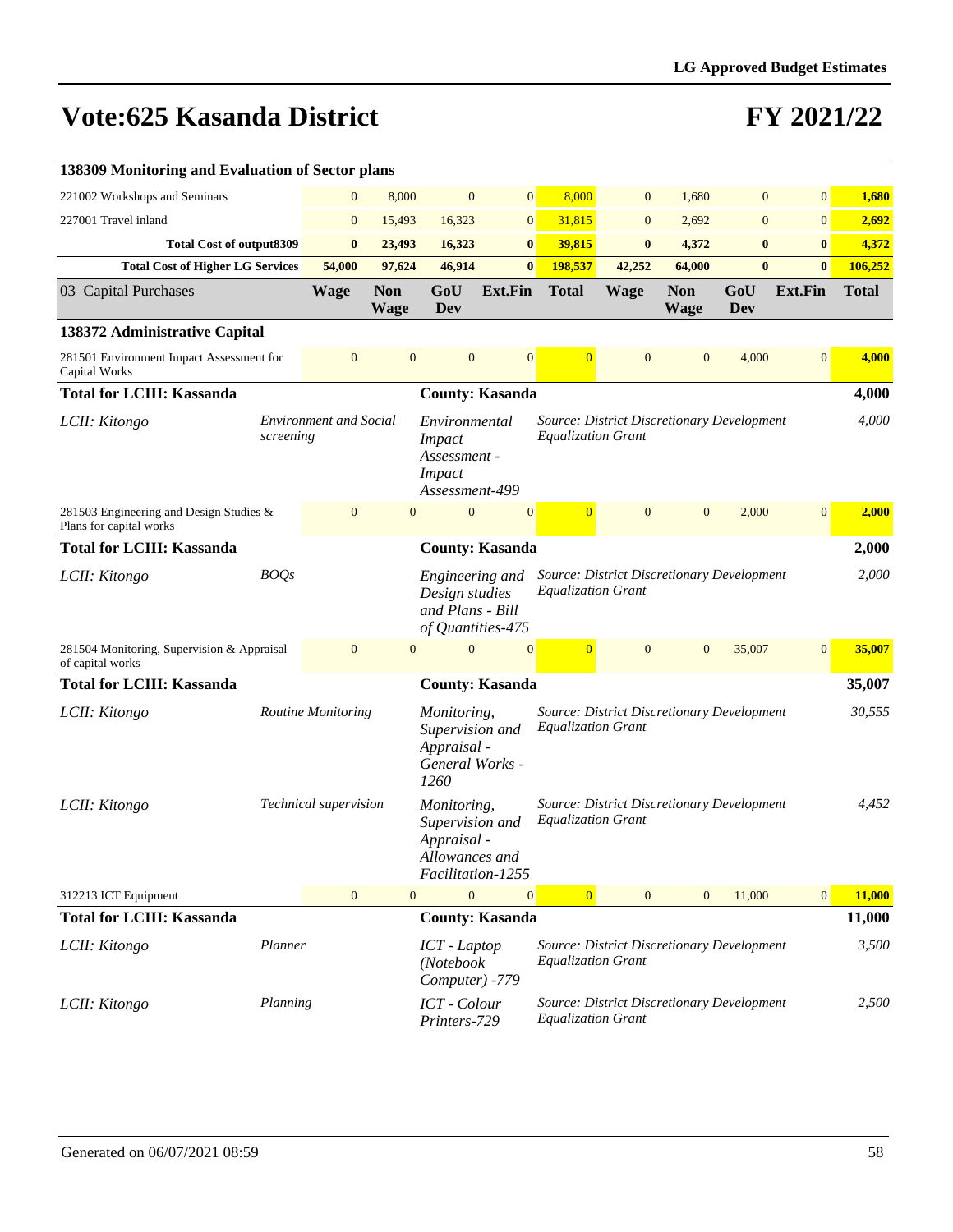| 138309 Monitoring and Evaluation of Sector plans                   |             |                               |                           |                                                                                      |                        |                                                                                |                |                           |              |                |              |
|--------------------------------------------------------------------|-------------|-------------------------------|---------------------------|--------------------------------------------------------------------------------------|------------------------|--------------------------------------------------------------------------------|----------------|---------------------------|--------------|----------------|--------------|
| 221002 Workshops and Seminars                                      |             | $\boldsymbol{0}$              | 8,000                     | $\mathbf{0}$                                                                         | $\mathbf{0}$           | 8,000                                                                          | $\mathbf{0}$   | 1,680                     | $\mathbf{0}$ | $\overline{0}$ | 1,680        |
| 227001 Travel inland                                               |             | $\mathbf{0}$                  | 15,493                    | 16,323                                                                               | $\mathbf{0}$           | 31,815                                                                         | $\mathbf{0}$   | 2,692                     | $\mathbf{0}$ | $\overline{0}$ | 2,692        |
| <b>Total Cost of output8309</b>                                    |             | $\bf{0}$                      | 23,493                    | 16,323                                                                               | $\bf{0}$               | 39,815                                                                         | $\bf{0}$       | 4,372                     | $\bf{0}$     | $\bf{0}$       | 4,372        |
| <b>Total Cost of Higher LG Services</b>                            |             | 54,000                        | 97,624                    | 46,914                                                                               | $\bf{0}$               | 198,537                                                                        | 42,252         | 64,000                    | $\bf{0}$     | $\bf{0}$       | 106,252      |
| 03 Capital Purchases                                               |             | <b>Wage</b>                   | <b>Non</b><br><b>Wage</b> | GoU<br><b>Dev</b>                                                                    | <b>Ext.Fin</b>         | <b>Total</b>                                                                   | <b>Wage</b>    | <b>Non</b><br><b>Wage</b> | GoU<br>Dev   | Ext.Fin        | <b>Total</b> |
| 138372 Administrative Capital                                      |             |                               |                           |                                                                                      |                        |                                                                                |                |                           |              |                |              |
| 281501 Environment Impact Assessment for<br>Capital Works          |             | $\mathbf{0}$                  | $\mathbf{0}$              | $\mathbf{0}$                                                                         | $\mathbf{0}$           | $\overline{0}$                                                                 | $\overline{0}$ | $\overline{0}$            | 4,000        | $\overline{0}$ | 4,000        |
| <b>Total for LCIII: Kassanda</b>                                   |             |                               |                           |                                                                                      | <b>County: Kasanda</b> |                                                                                |                |                           |              |                | 4,000        |
| LCII: Kitongo                                                      | screening   | <b>Environment and Social</b> |                           | Environmental<br><i>Impact</i><br>Assessment -<br><b>Impact</b><br>Assessment-499    |                        | Source: District Discretionary Development<br><b>Equalization Grant</b>        |                |                           |              |                | 4,000        |
| 281503 Engineering and Design Studies &<br>Plans for capital works |             | $\mathbf{0}$                  | $\mathbf{0}$              | $\mathbf{0}$                                                                         | $\mathbf{0}$           | $\overline{0}$                                                                 | $\overline{0}$ | $\overline{0}$            | 2,000        | $\mathbf{0}$   | 2,000        |
| <b>Total for LCIII: Kassanda</b>                                   |             |                               |                           |                                                                                      | <b>County: Kasanda</b> |                                                                                |                |                           |              |                | 2,000        |
| LCII: Kitongo                                                      | <b>BOQs</b> |                               |                           | Engineering and<br>Design studies<br>and Plans - Bill<br>of Quantities-475           |                        | Source: District Discretionary Development<br><b>Equalization Grant</b>        |                |                           |              |                | 2,000        |
| 281504 Monitoring, Supervision & Appraisal<br>of capital works     |             | $\mathbf{0}$                  | $\mathbf{0}$              | $\Omega$                                                                             | $\overline{0}$         | $\overline{0}$                                                                 | $\mathbf{0}$   | $\mathbf{0}$              | 35,007       | $\mathbf{0}$   | 35,007       |
| <b>Total for LCIII: Kassanda</b>                                   |             |                               |                           |                                                                                      | <b>County: Kasanda</b> |                                                                                |                |                           |              |                | 35,007       |
| LCII: Kitongo                                                      |             | Routine Monitoring            |                           | Monitoring,<br>Supervision and<br>Appraisal -<br>General Works -<br>1260             |                        | <b>Source: District Discretionary Development</b><br><b>Equalization Grant</b> |                |                           |              |                | 30,555       |
| LCII: Kitongo                                                      |             | Technical supervision         |                           | Monitoring,<br>Supervision and<br>Appraisal -<br>Allowances and<br>Facilitation-1255 |                        | Source: District Discretionary Development<br><b>Equalization Grant</b>        |                |                           |              |                | 4.452        |
| 312213 ICT Equipment                                               |             | $\boldsymbol{0}$              | $\mathbf{0}$              | $\mathbf{0}$                                                                         | $\mathbf{0}$           | $\overline{0}$                                                                 | $\mathbf{0}$   | $\overline{0}$            | 11,000       | $\mathbf{0}$   | 11,000       |
| <b>Total for LCIII: Kassanda</b>                                   |             |                               |                           |                                                                                      | <b>County: Kasanda</b> |                                                                                |                |                           |              |                | 11,000       |
| LCII: Kitongo                                                      | Planner     |                               |                           | ICT - Laptop<br>(Notebook<br>Computer) -779                                          |                        | Source: District Discretionary Development<br><b>Equalization Grant</b>        |                |                           |              |                | 3,500        |
| LCII: Kitongo                                                      | Planning    |                               |                           | ICT - Colour<br>Printers-729                                                         |                        | Source: District Discretionary Development<br><b>Equalization Grant</b>        |                |                           |              |                | 2,500        |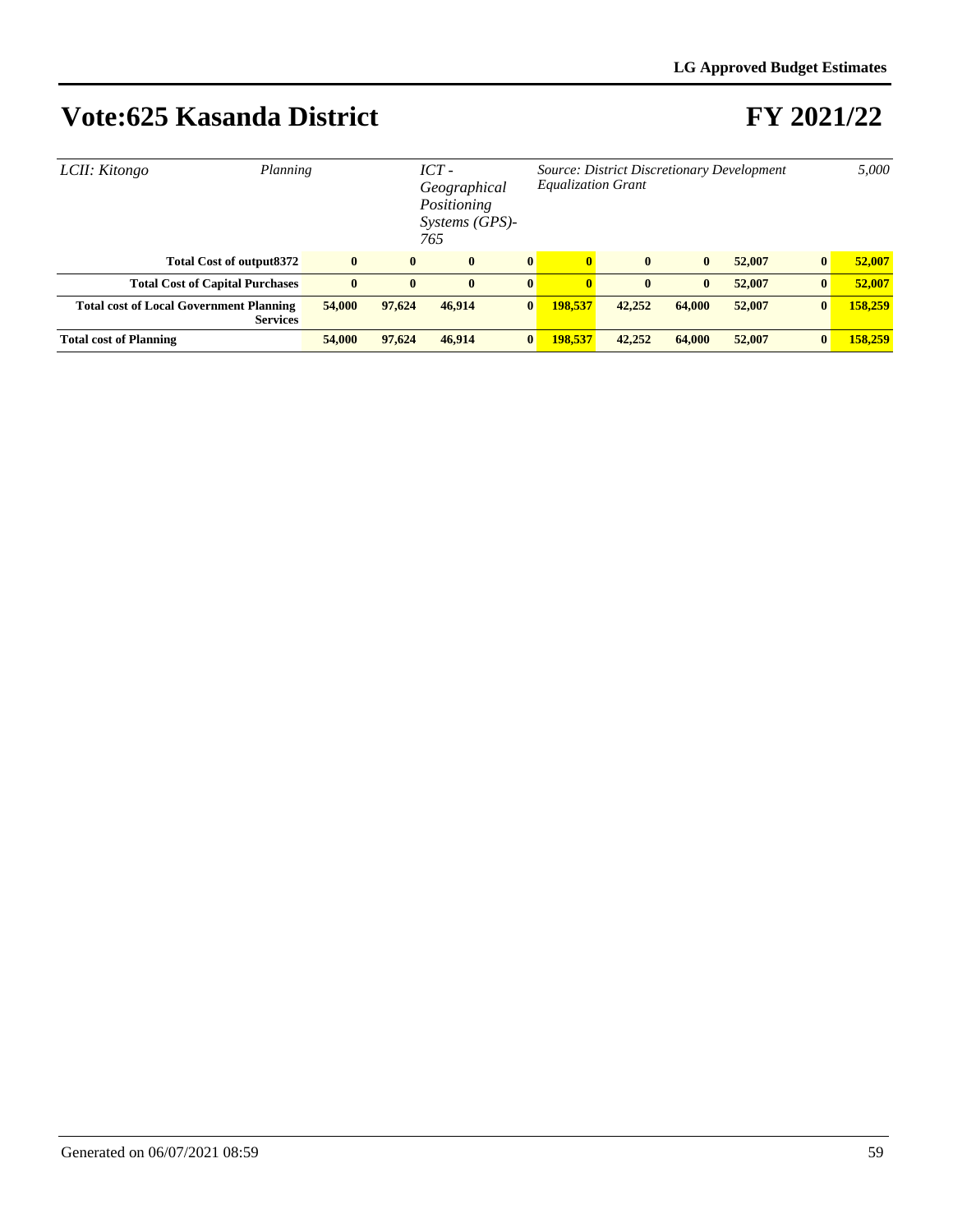| Planning<br>LCII: Kitongo                                         | $ICT -$<br>Geographical<br>Positioning<br>Systems (GPS)-<br>765 |              |              |              | Source: District Discretionary Development<br><b>Equalization Grant</b> |              |              |        |          | 5,000   |
|-------------------------------------------------------------------|-----------------------------------------------------------------|--------------|--------------|--------------|-------------------------------------------------------------------------|--------------|--------------|--------|----------|---------|
| <b>Total Cost of output8372</b>                                   | $\bf{0}$                                                        | $\mathbf{0}$ | $\mathbf{0}$ | $\bf{0}$     | $\mathbf{0}$                                                            | $\mathbf{0}$ | $\mathbf{0}$ | 52,007 | $\bf{0}$ | 52,007  |
| <b>Total Cost of Capital Purchases</b>                            | $\bf{0}$                                                        | $\mathbf{0}$ | $\mathbf{0}$ | $\bf{0}$     | $\mathbf{0}$                                                            | $\mathbf{0}$ | $\bf{0}$     | 52,007 | $\bf{0}$ | 52,007  |
| <b>Total cost of Local Government Planning</b><br><b>Services</b> | 54,000                                                          | 97,624       | 46,914       | $\bf{0}$     | 198.537                                                                 | 42,252       | 64,000       | 52,007 | $\bf{0}$ | 158,259 |
| <b>Total cost of Planning</b>                                     | 54,000                                                          | 97,624       | 46,914       | $\mathbf{0}$ | 198.537                                                                 | 42,252       | 64,000       | 52,007 | $\bf{0}$ | 158,259 |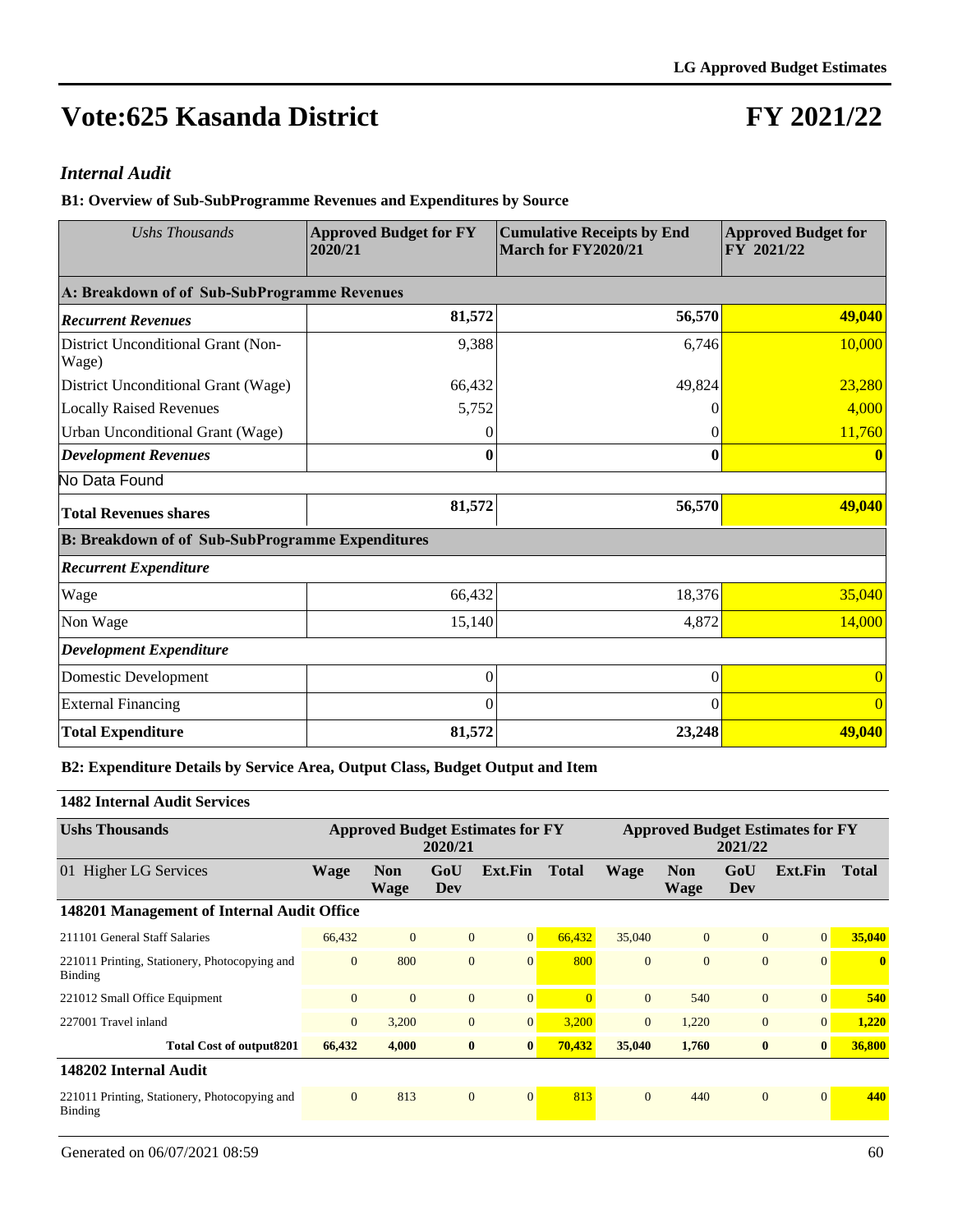## **FY 2021/22**

#### *Internal Audit*

**B1: Overview of Sub-SubProgramme Revenues and Expenditures by Source**

| <b>Ushs Thousands</b>                                   | <b>Approved Budget for FY</b><br>2020/21 | <b>Cumulative Receipts by End</b><br>March for FY2020/21 | <b>Approved Budget for</b><br>FY 2021/22 |  |  |
|---------------------------------------------------------|------------------------------------------|----------------------------------------------------------|------------------------------------------|--|--|
| A: Breakdown of of Sub-SubProgramme Revenues            |                                          |                                                          |                                          |  |  |
| <b>Recurrent Revenues</b>                               | 81,572                                   | 56,570                                                   | 49,040                                   |  |  |
| District Unconditional Grant (Non-<br>Wage)             | 9,388                                    | 6,746                                                    | 10,000                                   |  |  |
| District Unconditional Grant (Wage)                     | 66,432                                   | 49,824                                                   | 23,280                                   |  |  |
| <b>Locally Raised Revenues</b>                          | 5,752                                    | 0                                                        | 4,000                                    |  |  |
| Urban Unconditional Grant (Wage)                        | 0                                        | 0                                                        | 11,760                                   |  |  |
| <b>Development Revenues</b>                             | 0                                        | 0                                                        |                                          |  |  |
| No Data Found                                           |                                          |                                                          |                                          |  |  |
| <b>Total Revenues shares</b>                            | 81,572                                   | 56,570                                                   | 49,040                                   |  |  |
| <b>B: Breakdown of of Sub-SubProgramme Expenditures</b> |                                          |                                                          |                                          |  |  |
| <b>Recurrent Expenditure</b>                            |                                          |                                                          |                                          |  |  |
| Wage                                                    | 66,432                                   | 18,376                                                   | 35,040                                   |  |  |
| Non Wage                                                | 15,140                                   | 4,872                                                    | 14,000                                   |  |  |
| <b>Development Expenditure</b>                          |                                          |                                                          |                                          |  |  |
| Domestic Development                                    | $\Omega$                                 | $\theta$                                                 |                                          |  |  |
| <b>External Financing</b>                               | $\theta$                                 | $\Omega$                                                 | $\Omega$                                 |  |  |
| <b>Total Expenditure</b>                                | 81,572                                   | 23,248                                                   | 49,040                                   |  |  |

**B2: Expenditure Details by Service Area, Output Class, Budget Output and Item**

#### **1482 Internal Audit Services**

| <b>Ushs Thousands</b>                                    | <b>Approved Budget Estimates for FY</b><br>2020/21 |                           |                |                |              | <b>Approved Budget Estimates for FY</b><br>2021/22 |                           |              |                 |                         |
|----------------------------------------------------------|----------------------------------------------------|---------------------------|----------------|----------------|--------------|----------------------------------------------------|---------------------------|--------------|-----------------|-------------------------|
| 01 Higher LG Services                                    | Wage                                               | <b>Non</b><br><b>Wage</b> | GoU<br>Dev     | Ext.Fin        | <b>Total</b> | <b>Wage</b>                                        | <b>Non</b><br><b>Wage</b> | GoU<br>Dev   | Ext.Fin         | <b>Total</b>            |
| 148201 Management of Internal Audit Office               |                                                    |                           |                |                |              |                                                    |                           |              |                 |                         |
| 211101 General Staff Salaries                            | 66,432                                             | $\overline{0}$            | $\mathbf{0}$   | $\overline{0}$ | 66.432       | 35,040                                             | $\overline{0}$            | $\mathbf{0}$ | $\vert 0 \vert$ | 35,040                  |
| 221011 Printing, Stationery, Photocopying and<br>Binding | $\mathbf{0}$                                       | 800                       | $\mathbf{0}$   | $\overline{0}$ | 800          | $\Omega$                                           | $\Omega$                  | $\mathbf{0}$ | $\vert 0 \vert$ | $\overline{\mathbf{0}}$ |
| 221012 Small Office Equipment                            | $\mathbf{0}$                                       | $\mathbf{0}$              | $\overline{0}$ | $\mathbf{0}$   |              | $\mathbf{0}$                                       | 540                       | $\mathbf{0}$ | $\Omega$        | 540                     |
| 227001 Travel inland                                     | $\overline{0}$                                     | 3,200                     | $\mathbf{0}$   | $\overline{0}$ | 3,200        | $\overline{0}$                                     | 1,220                     | $\mathbf{0}$ | $\vert 0 \vert$ | 1,220                   |
| Total Cost of output8201                                 | 66,432                                             | 4,000                     | $\bf{0}$       | $\bf{0}$       | 70,432       | 35,040                                             | 1,760                     | $\bf{0}$     | $\vert 0 \vert$ | 36,800                  |
| 148202 Internal Audit                                    |                                                    |                           |                |                |              |                                                    |                           |              |                 |                         |
| 221011 Printing, Stationery, Photocopying and<br>Binding | $\mathbf{0}$                                       | 813                       | $\mathbf{0}$   | $\overline{0}$ | 813          | $\Omega$                                           | 440                       | $\mathbf{0}$ | $\Omega$        | 440                     |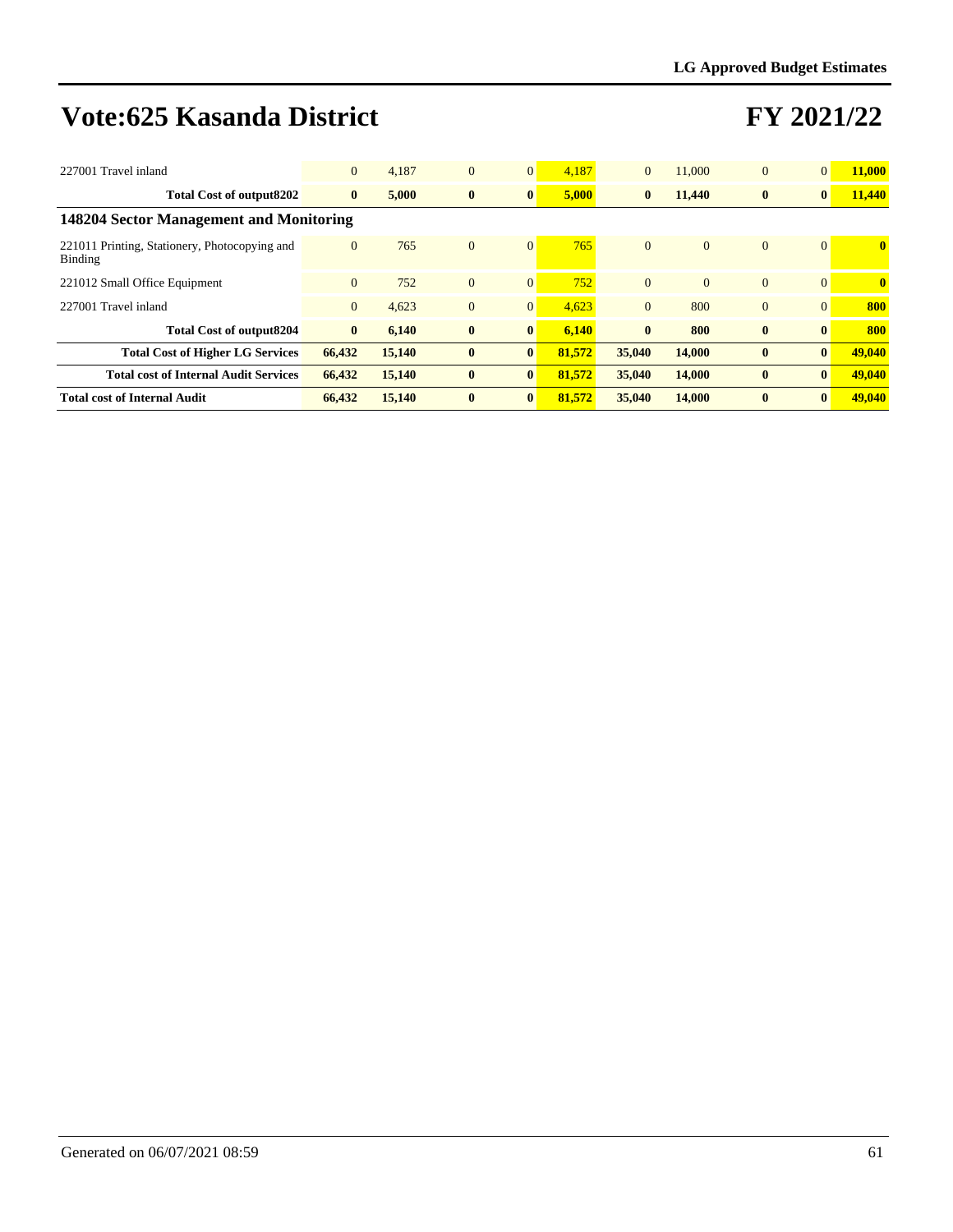| 227001 Travel inland                                     | $\overline{0}$ | 4.187  | $\mathbf{0}$ | $\mathbf{0}$   | 4.187  | $\overline{0}$ | 11,000         | $\overline{0}$ | $\overline{0}$  | 11,000       |
|----------------------------------------------------------|----------------|--------|--------------|----------------|--------|----------------|----------------|----------------|-----------------|--------------|
| <b>Total Cost of output8202</b>                          | $\bf{0}$       | 5,000  | $\bf{0}$     | $\bf{0}$       | 5,000  | $\bf{0}$       | 11,440         | $\bf{0}$       | $\bf{0}$        | 11,440       |
| 148204 Sector Management and Monitoring                  |                |        |              |                |        |                |                |                |                 |              |
| 221011 Printing, Stationery, Photocopying and<br>Binding | $\mathbf{0}$   | 765    | $\mathbf{0}$ | $\mathbf{0}$   | 765    | $\Omega$       | $\overline{0}$ | $\overline{0}$ | $\vert 0 \vert$ | $\mathbf{0}$ |
| 221012 Small Office Equipment                            | $\Omega$       | 752    | $\mathbf{0}$ | $\mathbf{0}$   | 752    | $\Omega$       | $\Omega$       | $\Omega$       | $\Omega$        | $\mathbf{0}$ |
| 227001 Travel inland                                     | $\mathbf{0}$   | 4.623  | $\mathbf{0}$ | $\overline{0}$ | 4,623  | $\overline{0}$ | 800            | $\overline{0}$ | $\Omega$        | 800          |
| <b>Total Cost of output8204</b>                          | $\bf{0}$       | 6,140  | $\bf{0}$     | $\bf{0}$       | 6.140  | $\mathbf{0}$   | 800            | $\bf{0}$       | $\mathbf{0}$    | 800          |
| <b>Total Cost of Higher LG Services</b>                  | 66,432         | 15,140 | $\bf{0}$     | $\bf{0}$       | 81.572 | 35,040         | 14,000         | $\bf{0}$       | $\mathbf{0}$    | 49,040       |
| <b>Total cost of Internal Audit Services</b>             | 66,432         | 15,140 | $\bf{0}$     | $\bf{0}$       | 81,572 | 35,040         | 14,000         | $\mathbf{0}$   | $\vert 0 \vert$ | 49,040       |
| <b>Total cost of Internal Audit</b>                      | 66,432         | 15,140 | $\bf{0}$     | $\bf{0}$       | 81.572 | 35,040         | 14,000         | $\mathbf{0}$   | $\vert 0 \vert$ | 49,040       |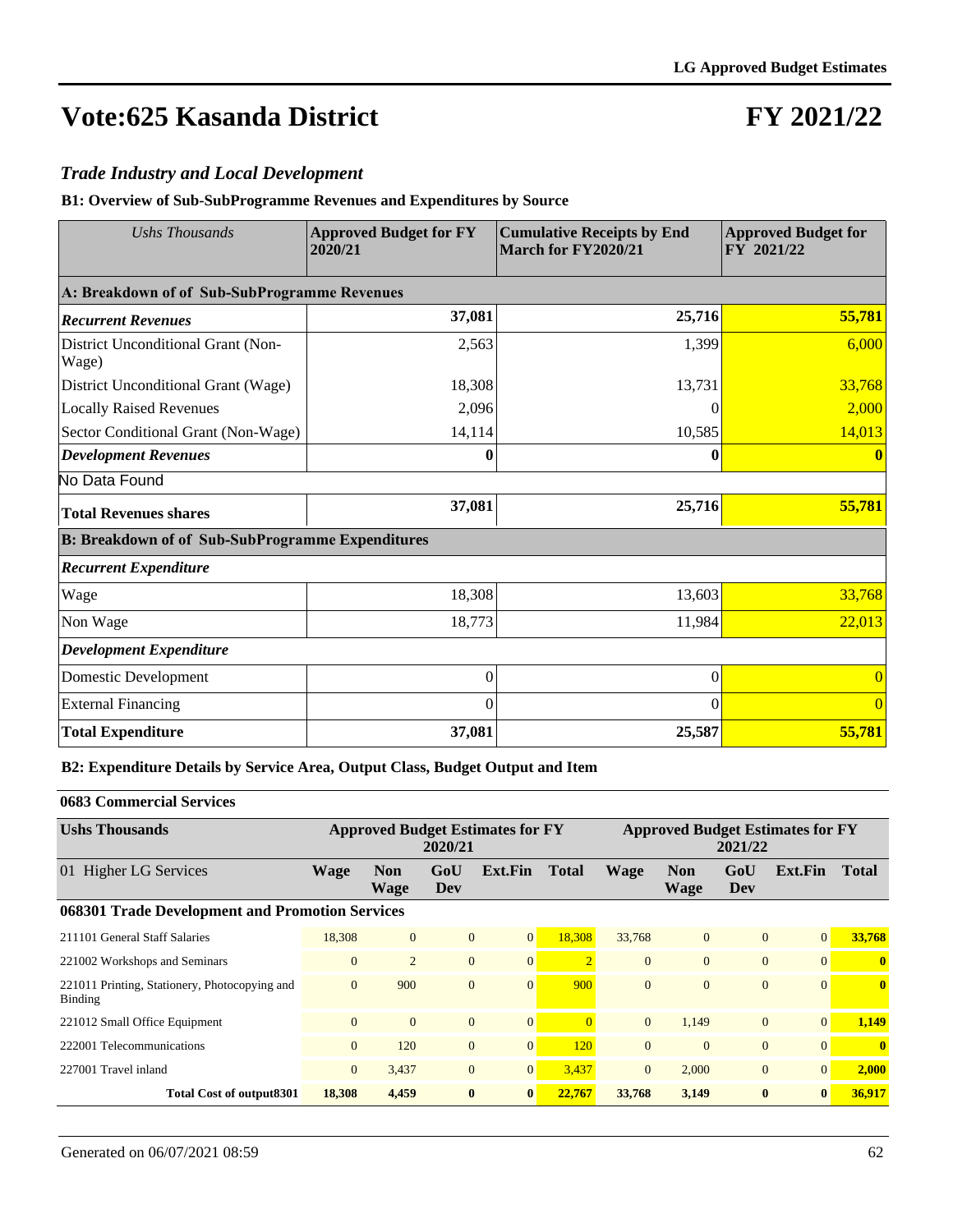## **FY 2021/22**

#### *Trade Industry and Local Development*

**B1: Overview of Sub-SubProgramme Revenues and Expenditures by Source**

| <b>Ushs Thousands</b>                                   | <b>Approved Budget for FY</b><br>2020/21 | <b>Cumulative Receipts by End</b><br>March for FY2020/21 | <b>Approved Budget for</b><br>FY 2021/22 |
|---------------------------------------------------------|------------------------------------------|----------------------------------------------------------|------------------------------------------|
| A: Breakdown of of Sub-SubProgramme Revenues            |                                          |                                                          |                                          |
| <b>Recurrent Revenues</b>                               | 37,081                                   | 25,716                                                   | 55,781                                   |
| District Unconditional Grant (Non-<br>Wage)             | 2,563                                    | 1,399                                                    | 6,000                                    |
| District Unconditional Grant (Wage)                     | 18,308                                   | 13,731                                                   | 33,768                                   |
| <b>Locally Raised Revenues</b>                          | 2,096                                    | 0                                                        | 2,000                                    |
| Sector Conditional Grant (Non-Wage)                     | 14,114                                   | 10,585                                                   | 14,013                                   |
| <b>Development Revenues</b>                             | 0                                        | 0                                                        |                                          |
| No Data Found                                           |                                          |                                                          |                                          |
| <b>Total Revenues shares</b>                            | 37,081                                   | 25,716                                                   | 55,781                                   |
| <b>B: Breakdown of of Sub-SubProgramme Expenditures</b> |                                          |                                                          |                                          |
| <b>Recurrent Expenditure</b>                            |                                          |                                                          |                                          |
| Wage                                                    | 18,308                                   | 13,603                                                   | 33,768                                   |
| Non Wage                                                | 18,773                                   | 11,984                                                   | 22,013                                   |
| <b>Development Expenditure</b>                          |                                          |                                                          |                                          |
| Domestic Development                                    | $\Omega$                                 | $\theta$                                                 |                                          |
| <b>External Financing</b>                               | $\Omega$                                 | $\Omega$                                                 | $\Omega$                                 |
| <b>Total Expenditure</b>                                | 37,081                                   | 25,587                                                   | 55,781                                   |

**B2: Expenditure Details by Service Area, Output Class, Budget Output and Item**

#### **0683 Commercial Services**

| <b>Ushs Thousands</b>                                           | <b>Approved Budget Estimates for FY</b><br>2020/21 |                           |                |                |                | <b>Approved Budget Estimates for FY</b><br>2021/22 |                           |                |                 |                         |  |
|-----------------------------------------------------------------|----------------------------------------------------|---------------------------|----------------|----------------|----------------|----------------------------------------------------|---------------------------|----------------|-----------------|-------------------------|--|
| 01 Higher LG Services                                           | <b>Wage</b>                                        | <b>Non</b><br><b>Wage</b> | GoU<br>Dev     | Ext.Fin        | <b>Total</b>   | <b>Wage</b>                                        | <b>Non</b><br><b>Wage</b> | GoU<br>Dev     | Ext.Fin         | <b>Total</b>            |  |
| 068301 Trade Development and Promotion Services                 |                                                    |                           |                |                |                |                                                    |                           |                |                 |                         |  |
| 211101 General Staff Salaries                                   | 18,308                                             | $\overline{0}$            | $\overline{0}$ | $\overline{0}$ | 18,308         | 33,768                                             | $\overline{0}$            | $\overline{0}$ | 0               | 33,768                  |  |
| 221002 Workshops and Seminars                                   | $\mathbf{0}$                                       | $\overline{2}$            | $\overline{0}$ | $\mathbf{0}$   | $\overline{2}$ | $\mathbf{0}$                                       | $\mathbf{0}$              | $\overline{0}$ | $\vert 0 \vert$ | $\overline{\mathbf{0}}$ |  |
| 221011 Printing, Stationery, Photocopying and<br><b>Binding</b> | $\mathbf{0}$                                       | 900                       | $\overline{0}$ | $\overline{0}$ | 900            | $\mathbf{0}$                                       | $\mathbf{0}$              | $\overline{0}$ | $\vert 0 \vert$ | $\bf{0}$                |  |
| 221012 Small Office Equipment                                   | $\overline{0}$                                     | $\Omega$                  | $\overline{0}$ | $\overline{0}$ | $\Omega$       | $\overline{0}$                                     | 1.149                     | $\overline{0}$ | $\vert 0 \vert$ | 1,149                   |  |
| 222001 Telecommunications                                       | $\mathbf{0}$                                       | 120                       | $\overline{0}$ | $\overline{0}$ | 120            | $\overline{0}$                                     | $\mathbf{0}$              | $\overline{0}$ | $\vert 0 \vert$ | $\bf{0}$                |  |
| 227001 Travel inland                                            | $\overline{0}$                                     | 3,437                     | $\overline{0}$ | $\overline{0}$ | 3,437          | $\overline{0}$                                     | 2,000                     | $\overline{0}$ | $\vert 0 \vert$ | 2,000                   |  |
| Total Cost of output 8301                                       | 18,308                                             | 4,459                     | $\bf{0}$       | $\bf{0}$       | 22,767         | 33,768                                             | 3,149                     | $\mathbf{0}$   | $\bf{0}$        | 36,917                  |  |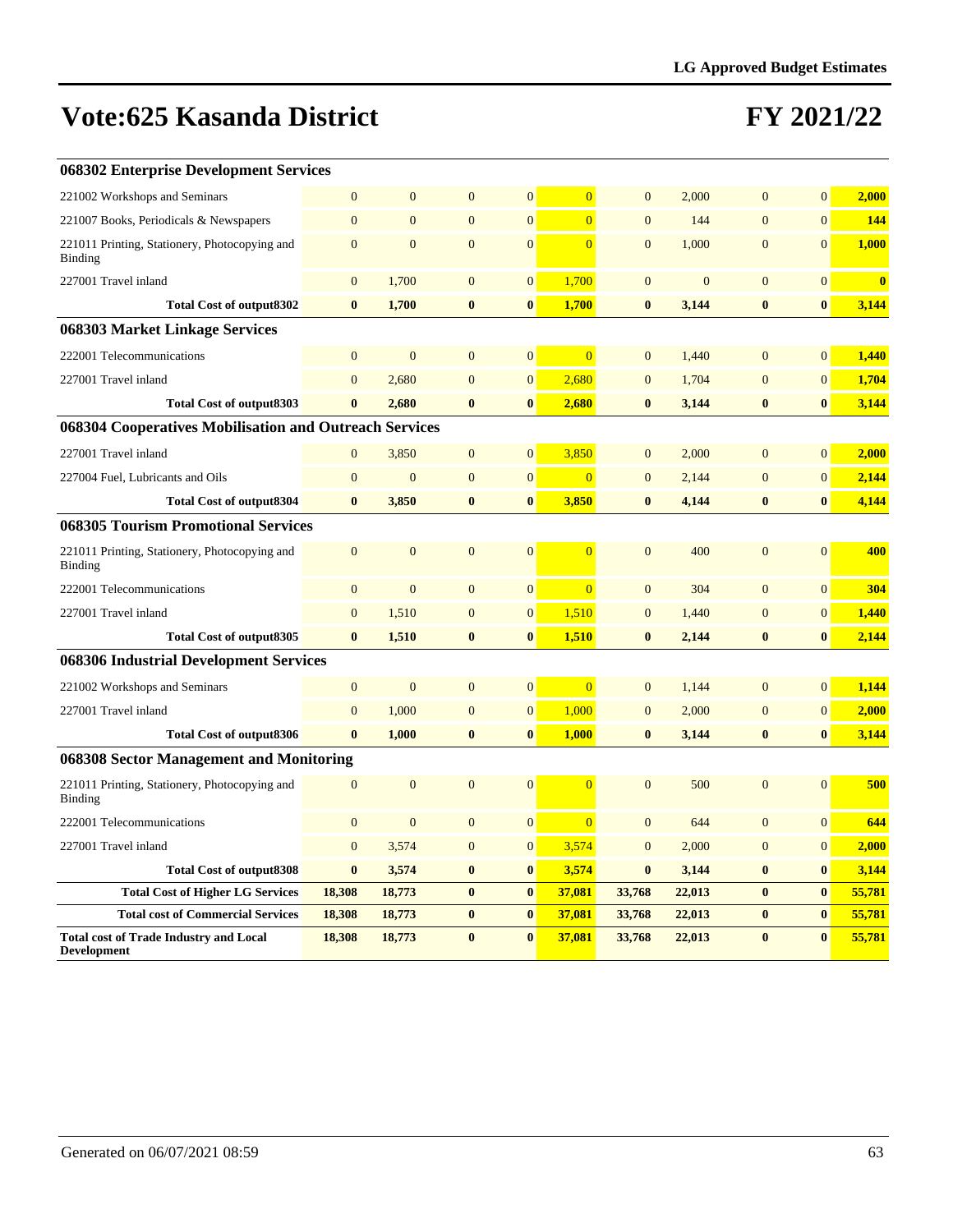| 068302 Enterprise Development Services                              |                  |                  |                  |                  |                |                  |                |                  |                |              |
|---------------------------------------------------------------------|------------------|------------------|------------------|------------------|----------------|------------------|----------------|------------------|----------------|--------------|
| 221002 Workshops and Seminars                                       | $\overline{0}$   | $\mathbf{0}$     | $\mathbf{0}$     | $\mathbf{0}$     | $\overline{0}$ | $\mathbf{0}$     | 2,000          | $\mathbf{0}$     | $\overline{0}$ | 2,000        |
| 221007 Books, Periodicals & Newspapers                              | $\boldsymbol{0}$ | $\overline{0}$   | $\boldsymbol{0}$ | $\boldsymbol{0}$ | $\Omega$       | $\overline{0}$   | 144            | $\overline{0}$   | $\overline{0}$ | 144          |
| 221011 Printing, Stationery, Photocopying and<br>Binding            | $\overline{0}$   | $\mathbf{0}$     | $\overline{0}$   | $\overline{0}$   | $\overline{0}$ | $\mathbf{0}$     | 1,000          | $\overline{0}$   | $\overline{0}$ | 1,000        |
| 227001 Travel inland                                                | $\mathbf{0}$     | 1,700            | $\mathbf{0}$     | $\mathbf{0}$     | 1,700          | $\mathbf{0}$     | $\overline{0}$ | $\mathbf{0}$     | $\overline{0}$ | $\mathbf{0}$ |
| <b>Total Cost of output8302</b>                                     | $\bf{0}$         | 1,700            | $\bf{0}$         | $\bf{0}$         | 1,700          | $\bf{0}$         | 3,144          | $\bf{0}$         | $\bf{0}$       | 3,144        |
| 068303 Market Linkage Services                                      |                  |                  |                  |                  |                |                  |                |                  |                |              |
| 222001 Telecommunications                                           | $\boldsymbol{0}$ | $\boldsymbol{0}$ | $\mathbf{0}$     | $\boldsymbol{0}$ | $\overline{0}$ | $\mathbf{0}$     | 1,440          | $\mathbf{0}$     | 0              | 1,440        |
| 227001 Travel inland                                                | $\overline{0}$   | 2,680            | $\overline{0}$   | $\mathbf{0}$     | 2,680          | $\overline{0}$   | 1,704          | $\overline{0}$   | $\overline{0}$ | 1,704        |
| <b>Total Cost of output8303</b>                                     | $\bf{0}$         | 2.680            | $\bf{0}$         | $\bf{0}$         | 2,680          | $\bf{0}$         | 3,144          | $\bf{0}$         | $\bf{0}$       | 3,144        |
| 068304 Cooperatives Mobilisation and Outreach Services              |                  |                  |                  |                  |                |                  |                |                  |                |              |
| 227001 Travel inland                                                | $\mathbf{0}$     | 3,850            | $\mathbf{0}$     | $\mathbf{0}$     | 3,850          | $\overline{0}$   | 2,000          | $\mathbf{0}$     | $\overline{0}$ | 2,000        |
| 227004 Fuel, Lubricants and Oils                                    | $\mathbf{0}$     | $\mathbf{0}$     | $\mathbf{0}$     | $\mathbf{0}$     | $\overline{0}$ | $\overline{0}$   | 2,144          | $\overline{0}$   | $\overline{0}$ | 2,144        |
| <b>Total Cost of output8304</b>                                     | $\bf{0}$         | 3,850            | $\bf{0}$         | $\bf{0}$         | 3,850          | $\bf{0}$         | 4,144          | $\bf{0}$         | $\bf{0}$       | 4,144        |
| <b>068305 Tourism Promotional Services</b>                          |                  |                  |                  |                  |                |                  |                |                  |                |              |
| 221011 Printing, Stationery, Photocopying and<br>Binding            | $\mathbf{0}$     | $\mathbf{0}$     | $\mathbf{0}$     | $\mathbf{0}$     | $\Omega$       | $\mathbf{0}$     | 400            | $\overline{0}$   | $\Omega$       | 400          |
| 222001 Telecommunications                                           | $\overline{0}$   | $\overline{0}$   | $\mathbf{0}$     | $\mathbf{0}$     | $\overline{0}$ | $\overline{0}$   | 304            | $\overline{0}$   | $\overline{0}$ | 304          |
| 227001 Travel inland                                                | $\mathbf{0}$     | 1,510            | $\overline{0}$   | $\mathbf{0}$     | 1,510          | $\mathbf{0}$     | 1,440          | $\overline{0}$   | $\overline{0}$ | 1,440        |
| <b>Total Cost of output8305</b>                                     | $\bf{0}$         | 1,510            | $\mathbf{0}$     | $\bf{0}$         | 1,510          | $\bf{0}$         | 2,144          | $\mathbf{0}$     | $\mathbf{0}$   | 2,144        |
| 068306 Industrial Development Services                              |                  |                  |                  |                  |                |                  |                |                  |                |              |
| 221002 Workshops and Seminars                                       | $\mathbf{0}$     | $\mathbf{0}$     | $\mathbf{0}$     | $\overline{0}$   | $\overline{0}$ | $\mathbf{0}$     | 1,144          | $\overline{0}$   | 0              | 1,144        |
| 227001 Travel inland                                                | $\mathbf{0}$     | 1,000            | $\mathbf{0}$     | $\boldsymbol{0}$ | 1,000          | $\mathbf{0}$     | 2,000          | $\overline{0}$   | $\overline{0}$ | 2,000        |
| <b>Total Cost of output8306</b>                                     | $\bf{0}$         | 1,000            | $\boldsymbol{0}$ | $\bf{0}$         | 1,000          | $\bf{0}$         | 3,144          | $\bf{0}$         | $\bf{0}$       | 3,144        |
| 068308 Sector Management and Monitoring                             |                  |                  |                  |                  |                |                  |                |                  |                |              |
| 221011 Printing, Stationery, Photocopying and<br>Binding            | $\mathbf{0}$     | $\mathbf{0}$     | $\mathbf{0}$     | $\boldsymbol{0}$ | $\Omega$       | $\mathbf{0}$     | 500            | $\overline{0}$   | $\overline{0}$ | 500          |
| 222001 Telecommunications                                           | $\mathbf{0}$     | $\boldsymbol{0}$ | $\mathbf{0}$     | $\boldsymbol{0}$ | $\overline{0}$ | $\boldsymbol{0}$ | 644            | $\boldsymbol{0}$ | $\overline{0}$ | 644          |
| 227001 Travel inland                                                | $\overline{0}$   | 3,574            | $\overline{0}$   | $\boldsymbol{0}$ | 3,574          | $\overline{0}$   | 2,000          | $\overline{0}$   | $\overline{0}$ | 2,000        |
| <b>Total Cost of output8308</b>                                     | $\bf{0}$         | 3,574            | $\bf{0}$         | $\boldsymbol{0}$ | 3,574          | $\bf{0}$         | 3,144          | $\bf{0}$         | $\bf{0}$       | 3,144        |
| <b>Total Cost of Higher LG Services</b>                             | 18,308           | 18,773           | $\boldsymbol{0}$ | $\boldsymbol{0}$ | 37,081         | 33,768           | 22,013         | $\bf{0}$         | $\bf{0}$       | 55,781       |
| <b>Total cost of Commercial Services</b>                            | 18,308           | 18,773           | $\bf{0}$         | $\boldsymbol{0}$ | 37,081         | 33,768           | 22,013         | $\bf{0}$         | $\bf{0}$       | 55,781       |
| <b>Total cost of Trade Industry and Local</b><br><b>Development</b> | 18,308           | 18,773           | $\bf{0}$         | $\bf{0}$         | 37,081         | 33,768           | 22,013         | $\bf{0}$         | $\bf{0}$       | 55,781       |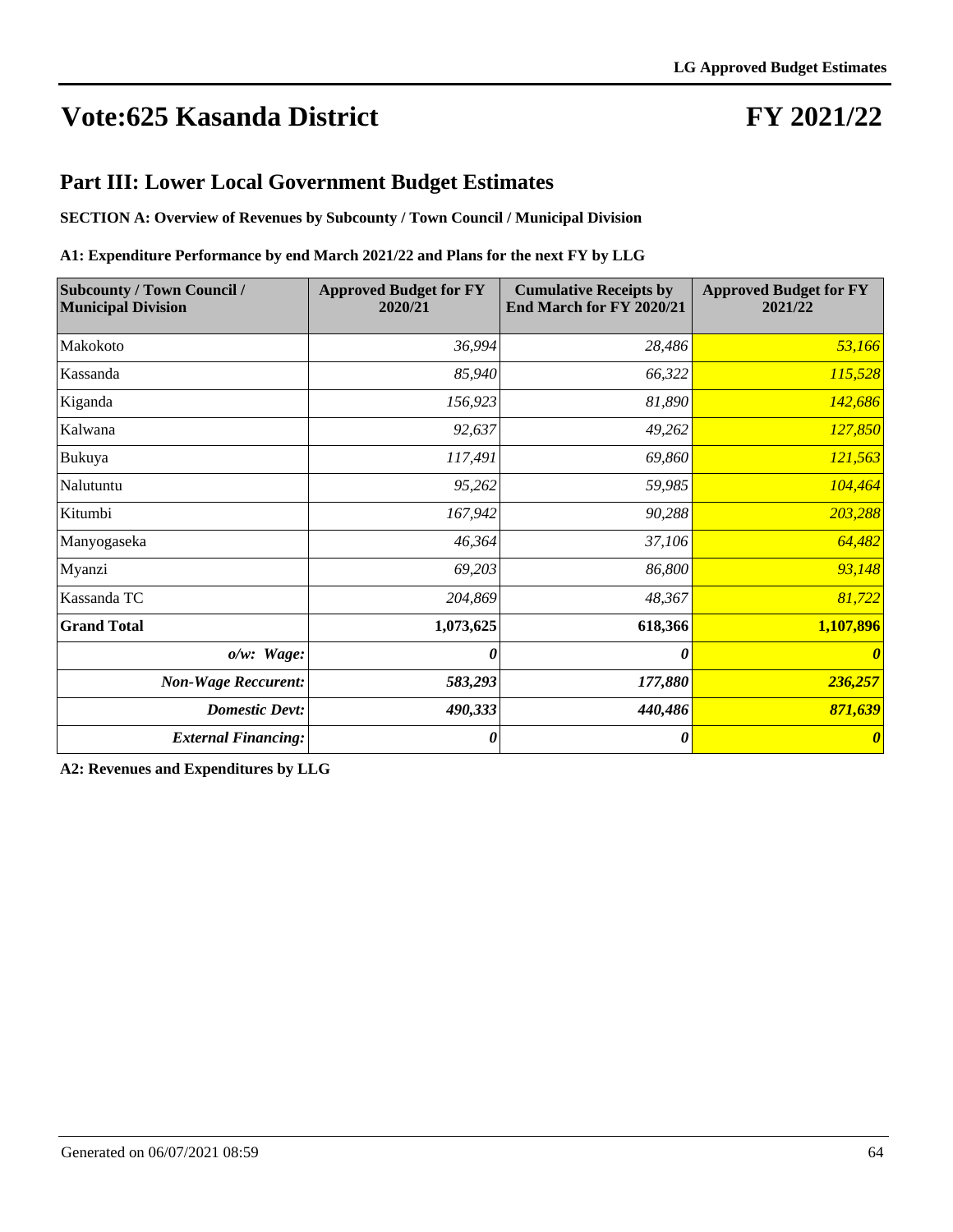## **FY 2021/22**

#### **Part III: Lower Local Government Budget Estimates**

**SECTION A: Overview of Revenues by Subcounty / Town Council / Municipal Division**

#### **A1: Expenditure Performance by end March 2021/22 and Plans for the next FY by LLG**

| <b>Subcounty / Town Council /</b><br><b>Municipal Division</b> | <b>Approved Budget for FY</b><br>2020/21 | <b>Cumulative Receipts by</b><br>End March for FY 2020/21 | <b>Approved Budget for FY</b><br>2021/22 |
|----------------------------------------------------------------|------------------------------------------|-----------------------------------------------------------|------------------------------------------|
| Makokoto                                                       | 36,994                                   | 28,486                                                    | 53,166                                   |
| Kassanda                                                       | 85,940                                   | 66,322                                                    | 115,528                                  |
| Kiganda                                                        | 156,923                                  | 81,890                                                    | 142,686                                  |
| Kalwana                                                        | 92,637                                   | 49,262                                                    | 127,850                                  |
| Bukuya                                                         | 117,491                                  | 69,860                                                    | 121,563                                  |
| Nalutuntu                                                      | 95,262                                   | 59,985                                                    | 104,464                                  |
| Kitumbi                                                        | 167,942                                  | 90,288                                                    | 203,288                                  |
| Manyogaseka                                                    | 46,364                                   | 37,106                                                    | 64,482                                   |
| Myanzi                                                         | 69,203                                   | 86,800                                                    | 93,148                                   |
| Kassanda TC                                                    | 204,869                                  | 48,367                                                    | 81,722                                   |
| <b>Grand Total</b>                                             | 1,073,625                                | 618,366                                                   | 1,107,896                                |
| $o/w$ : Wage:                                                  | 0                                        | 0                                                         | $\theta$                                 |
| <b>Non-Wage Reccurent:</b>                                     | 583,293                                  | 177,880                                                   | 236,257                                  |
| <b>Domestic Devt:</b>                                          | 490,333                                  | 440,486                                                   | 871,639                                  |
| <b>External Financing:</b>                                     | 0                                        | 0                                                         | $\boldsymbol{\theta}$                    |

**A2: Revenues and Expenditures by LLG**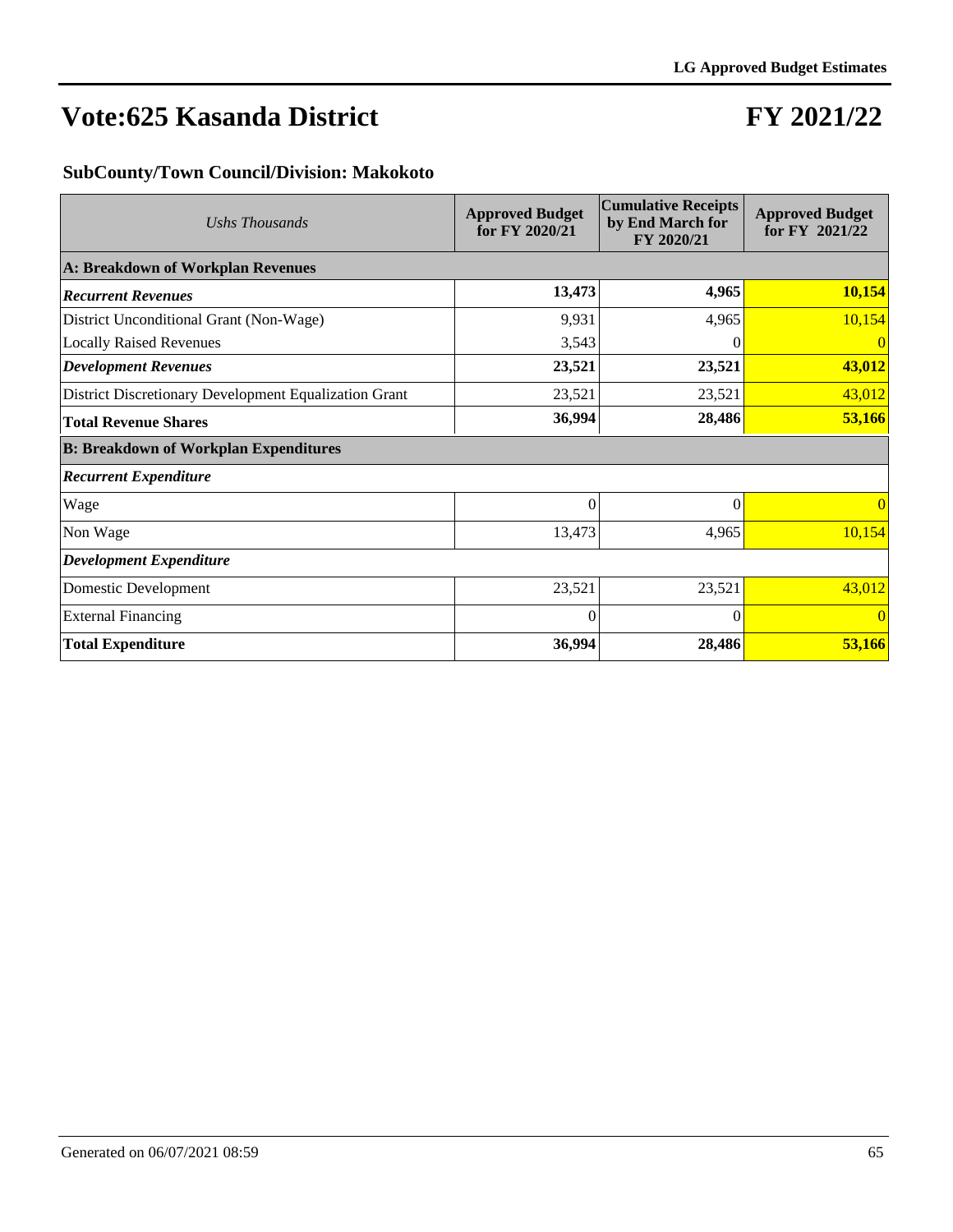### **FY 2021/22**

#### **SubCounty/Town Council/Division: Makokoto**

| Ushs Thousands                                        | <b>Approved Budget</b><br>for FY 2020/21 | <b>Cumulative Receipts</b><br>by End March for<br>FY 2020/21 | <b>Approved Budget</b><br>for FY 2021/22 |
|-------------------------------------------------------|------------------------------------------|--------------------------------------------------------------|------------------------------------------|
| A: Breakdown of Workplan Revenues                     |                                          |                                                              |                                          |
| <b>Recurrent Revenues</b>                             | 13,473                                   | 4,965                                                        | 10,154                                   |
| District Unconditional Grant (Non-Wage)               | 9,931                                    | 4,965                                                        | 10,154                                   |
| <b>Locally Raised Revenues</b>                        | 3,543                                    | $\theta$                                                     | 0                                        |
| <b>Development Revenues</b>                           | 23,521                                   | 23,521                                                       | 43,012                                   |
| District Discretionary Development Equalization Grant | 23,521                                   | 23,521                                                       | 43,012                                   |
| <b>Total Revenue Shares</b>                           | 36,994                                   | 28,486                                                       | 53,166                                   |
| <b>B: Breakdown of Workplan Expenditures</b>          |                                          |                                                              |                                          |
| <b>Recurrent Expenditure</b>                          |                                          |                                                              |                                          |
| Wage                                                  | $\Omega$                                 | $\Omega$                                                     | $\vert 0 \vert$                          |
| Non Wage                                              | 13,473                                   | 4,965                                                        | 10,154                                   |
| <b>Development Expenditure</b>                        |                                          |                                                              |                                          |
| Domestic Development                                  | 23,521                                   | 23,521                                                       | 43,012                                   |
| <b>External Financing</b>                             | $\Omega$                                 | $\Omega$                                                     | $\vert 0 \vert$                          |
| <b>Total Expenditure</b>                              | 36,994                                   | 28,486                                                       | 53,166                                   |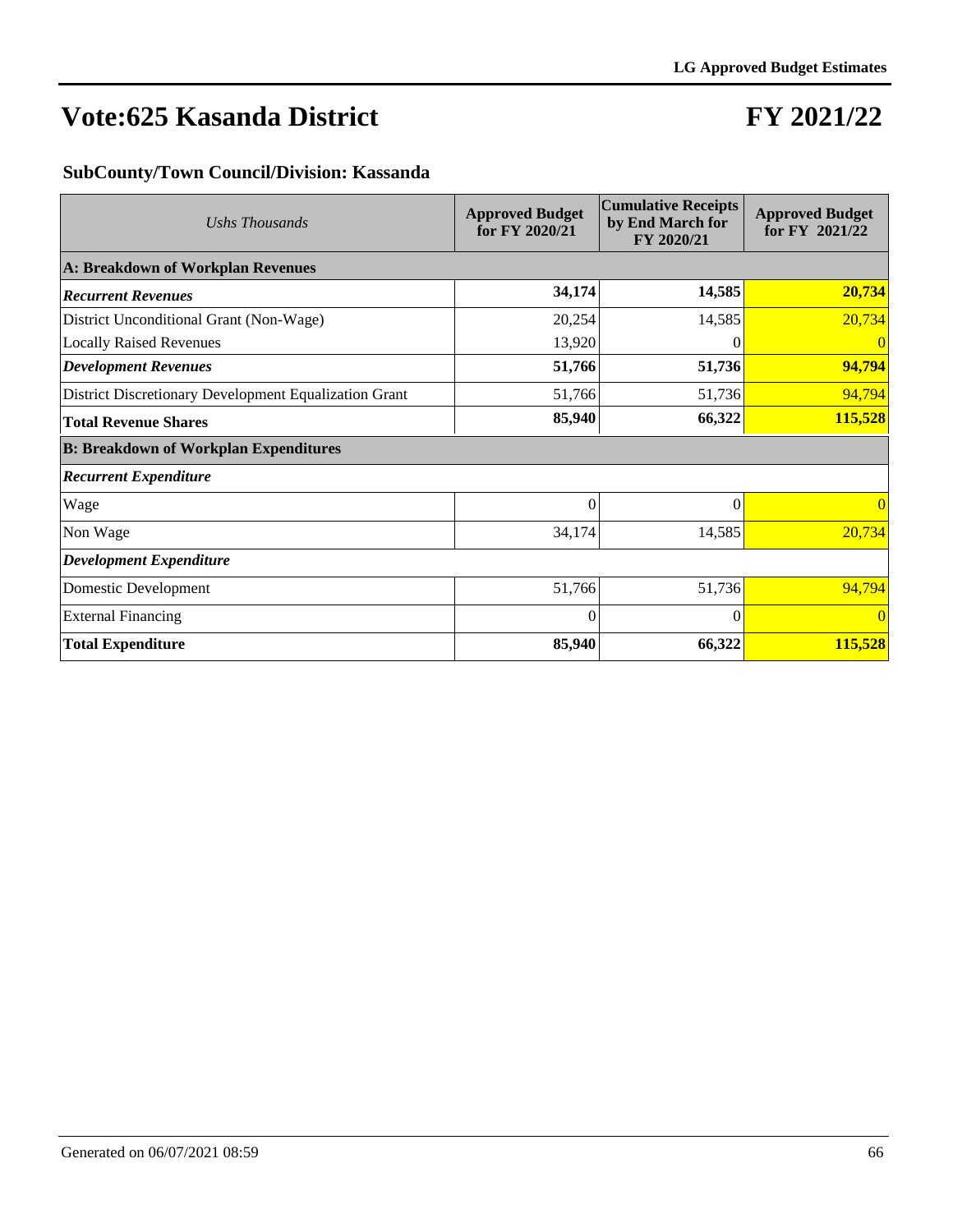## **FY 2021/22**

#### **SubCounty/Town Council/Division: Kassanda**

| Ushs Thousands                                        | <b>Approved Budget</b><br>for FY 2020/21 | <b>Cumulative Receipts</b><br>by End March for<br>FY 2020/21 | <b>Approved Budget</b><br>for FY 2021/22 |
|-------------------------------------------------------|------------------------------------------|--------------------------------------------------------------|------------------------------------------|
| A: Breakdown of Workplan Revenues                     |                                          |                                                              |                                          |
| <b>Recurrent Revenues</b>                             | 34,174                                   | 14,585                                                       | 20,734                                   |
| District Unconditional Grant (Non-Wage)               | 20,254                                   | 14,585                                                       | 20,734                                   |
| <b>Locally Raised Revenues</b>                        | 13,920                                   | $\theta$                                                     | 0                                        |
| <b>Development Revenues</b>                           | 51,766                                   | 51,736                                                       | 94,794                                   |
| District Discretionary Development Equalization Grant | 51,766                                   | 51,736                                                       | 94,794                                   |
| <b>Total Revenue Shares</b>                           | 85,940                                   | 66,322                                                       | 115,528                                  |
| <b>B: Breakdown of Workplan Expenditures</b>          |                                          |                                                              |                                          |
| <b>Recurrent Expenditure</b>                          |                                          |                                                              |                                          |
| Wage                                                  | $\Omega$                                 | $\Omega$                                                     | $\vert 0 \vert$                          |
| Non Wage                                              | 34,174                                   | 14,585                                                       | 20,734                                   |
| <b>Development Expenditure</b>                        |                                          |                                                              |                                          |
| Domestic Development                                  | 51,766                                   | 51,736                                                       | 94,794                                   |
| <b>External Financing</b>                             | $\Omega$                                 | $\Omega$                                                     | $\vert 0 \vert$                          |
| <b>Total Expenditure</b>                              | 85,940                                   | 66,322                                                       | 115,528                                  |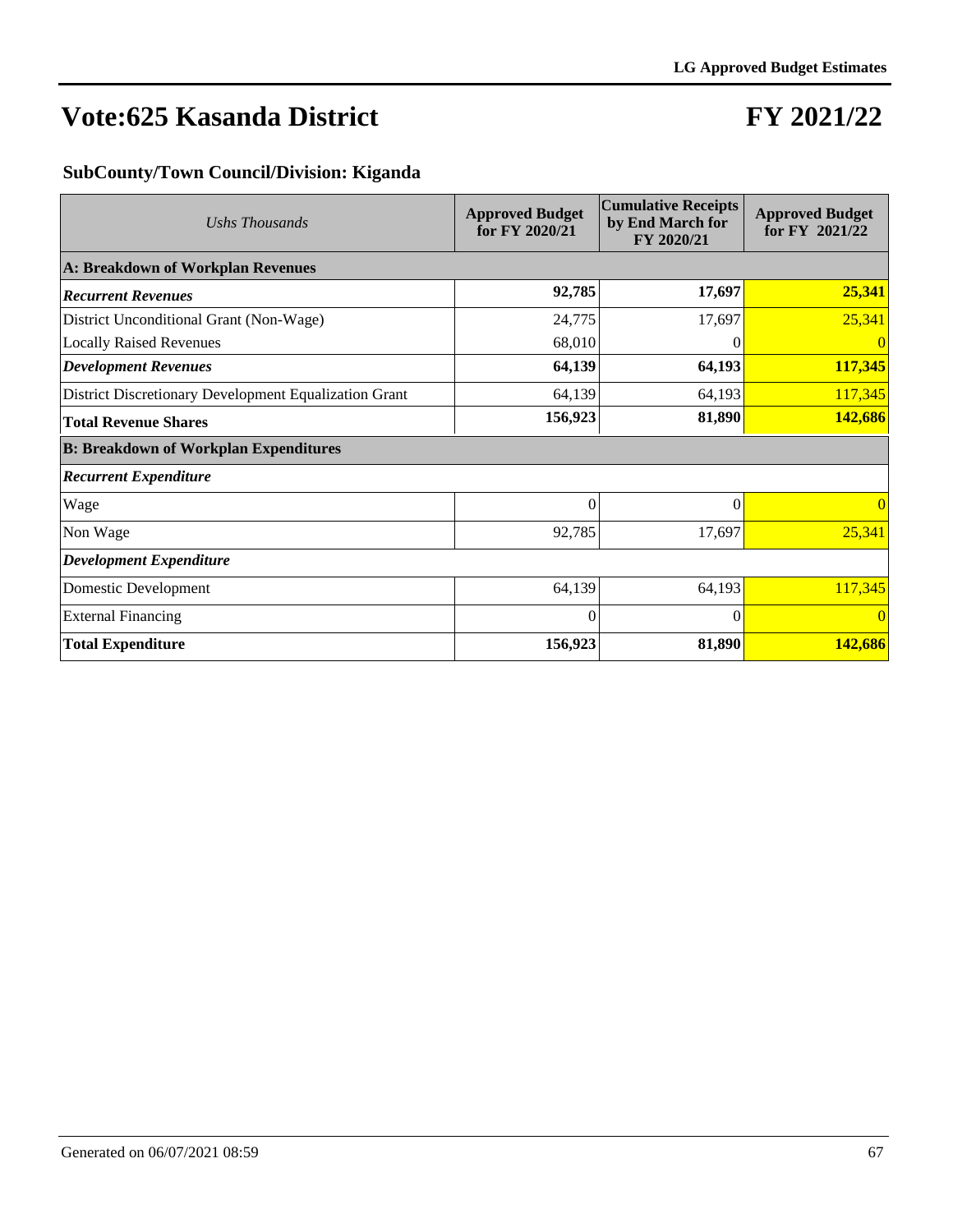## **FY 2021/22**

#### **SubCounty/Town Council/Division: Kiganda**

| Ushs Thousands                                        | <b>Approved Budget</b><br>for FY 2020/21 | <b>Cumulative Receipts</b><br>by End March for<br>FY 2020/21 | <b>Approved Budget</b><br>for FY 2021/22 |
|-------------------------------------------------------|------------------------------------------|--------------------------------------------------------------|------------------------------------------|
| A: Breakdown of Workplan Revenues                     |                                          |                                                              |                                          |
| <b>Recurrent Revenues</b>                             | 92,785                                   | 17,697                                                       | 25,341                                   |
| District Unconditional Grant (Non-Wage)               | 24,775                                   | 17,697                                                       | 25,341                                   |
| <b>Locally Raised Revenues</b>                        | 68,010                                   | 0                                                            | $\overline{0}$                           |
| <b>Development Revenues</b>                           | 64,139                                   | 64,193                                                       | 117,345                                  |
| District Discretionary Development Equalization Grant | 64,139                                   | 64,193                                                       | 117,345                                  |
| <b>Total Revenue Shares</b>                           | 156,923                                  | 81,890                                                       | 142,686                                  |
| <b>B: Breakdown of Workplan Expenditures</b>          |                                          |                                                              |                                          |
| <b>Recurrent Expenditure</b>                          |                                          |                                                              |                                          |
| Wage                                                  | $\mathbf{0}$                             | $\theta$                                                     | $\vert 0 \vert$                          |
| Non Wage                                              | 92,785                                   | 17,697                                                       | 25,341                                   |
| <b>Development Expenditure</b>                        |                                          |                                                              |                                          |
| Domestic Development                                  | 64,139                                   | 64,193                                                       | 117,345                                  |
| <b>External Financing</b>                             | $\Omega$                                 | $\Omega$                                                     | $\vert 0 \vert$                          |
| <b>Total Expenditure</b>                              | 156,923                                  | 81,890                                                       | 142,686                                  |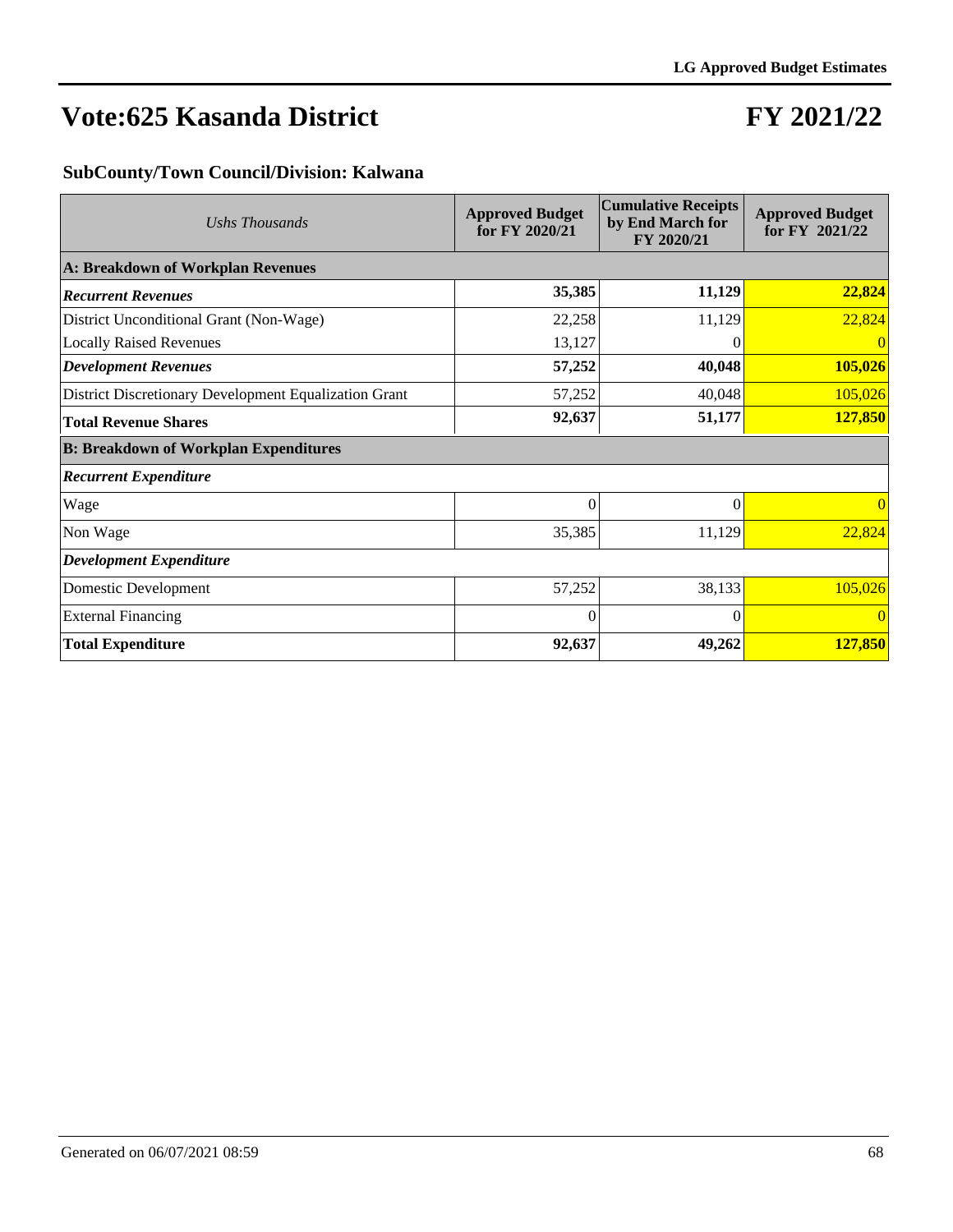## **FY 2021/22**

#### **SubCounty/Town Council/Division: Kalwana**

| Ushs Thousands                                        | <b>Approved Budget</b><br>for FY 2020/21 | <b>Cumulative Receipts</b><br>by End March for<br>FY 2020/21 | <b>Approved Budget</b><br>for FY 2021/22 |
|-------------------------------------------------------|------------------------------------------|--------------------------------------------------------------|------------------------------------------|
| A: Breakdown of Workplan Revenues                     |                                          |                                                              |                                          |
| <b>Recurrent Revenues</b>                             | 35,385                                   | 11,129                                                       | 22,824                                   |
| District Unconditional Grant (Non-Wage)               | 22,258                                   | 11,129                                                       | 22,824                                   |
| <b>Locally Raised Revenues</b>                        | 13,127                                   | 0                                                            | $\overline{0}$                           |
| <b>Development Revenues</b>                           | 57,252                                   | 40,048                                                       | 105,026                                  |
| District Discretionary Development Equalization Grant | 57,252                                   | 40,048                                                       | 105,026                                  |
| <b>Total Revenue Shares</b>                           | 92,637                                   | 51,177                                                       | 127,850                                  |
| <b>B: Breakdown of Workplan Expenditures</b>          |                                          |                                                              |                                          |
| <b>Recurrent Expenditure</b>                          |                                          |                                                              |                                          |
| Wage                                                  | $\overline{0}$                           | $\Omega$                                                     | $\overline{0}$                           |
| Non Wage                                              | 35,385                                   | 11,129                                                       | 22,824                                   |
| <b>Development Expenditure</b>                        |                                          |                                                              |                                          |
| Domestic Development                                  | 57,252                                   | 38,133                                                       | 105,026                                  |
| <b>External Financing</b>                             | $\Omega$                                 | $\Omega$                                                     | $\overline{0}$                           |
| <b>Total Expenditure</b>                              | 92,637                                   | 49,262                                                       | 127,850                                  |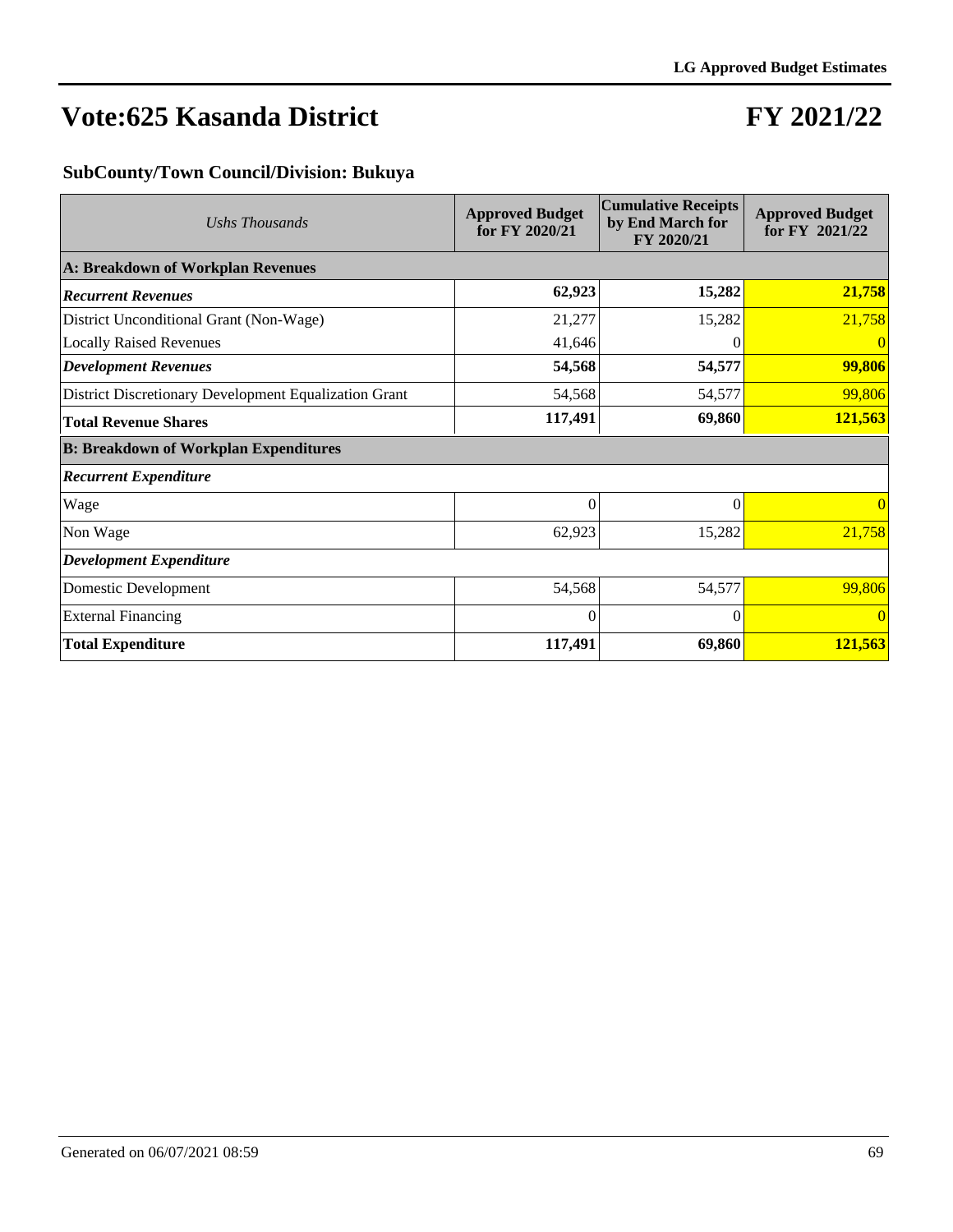## **FY 2021/22**

#### **SubCounty/Town Council/Division: Bukuya**

| Ushs Thousands                                        | <b>Approved Budget</b><br>for FY 2020/21 | <b>Cumulative Receipts</b><br>by End March for<br>FY 2020/21 | <b>Approved Budget</b><br>for FY 2021/22 |
|-------------------------------------------------------|------------------------------------------|--------------------------------------------------------------|------------------------------------------|
| A: Breakdown of Workplan Revenues                     |                                          |                                                              |                                          |
| <b>Recurrent Revenues</b>                             | 62,923                                   | 15,282                                                       | 21,758                                   |
| District Unconditional Grant (Non-Wage)               | 21,277                                   | 15,282                                                       | 21,758                                   |
| <b>Locally Raised Revenues</b>                        | 41,646                                   | $\theta$                                                     | 0                                        |
| <b>Development Revenues</b>                           | 54,568                                   | 54,577                                                       | 99,806                                   |
| District Discretionary Development Equalization Grant | 54,568                                   | 54,577                                                       | 99,806                                   |
| <b>Total Revenue Shares</b>                           | 117,491                                  | 69,860                                                       | 121,563                                  |
| <b>B: Breakdown of Workplan Expenditures</b>          |                                          |                                                              |                                          |
| <b>Recurrent Expenditure</b>                          |                                          |                                                              |                                          |
| Wage                                                  | $\Omega$                                 | $\Omega$                                                     | $\vert 0 \vert$                          |
| Non Wage                                              | 62,923                                   | 15,282                                                       | 21,758                                   |
| <b>Development Expenditure</b>                        |                                          |                                                              |                                          |
| Domestic Development                                  | 54,568                                   | 54,577                                                       | 99,806                                   |
| <b>External Financing</b>                             | $\Omega$                                 | $\Omega$                                                     | $\vert 0 \vert$                          |
| <b>Total Expenditure</b>                              | 117,491                                  | 69,860                                                       | 121,563                                  |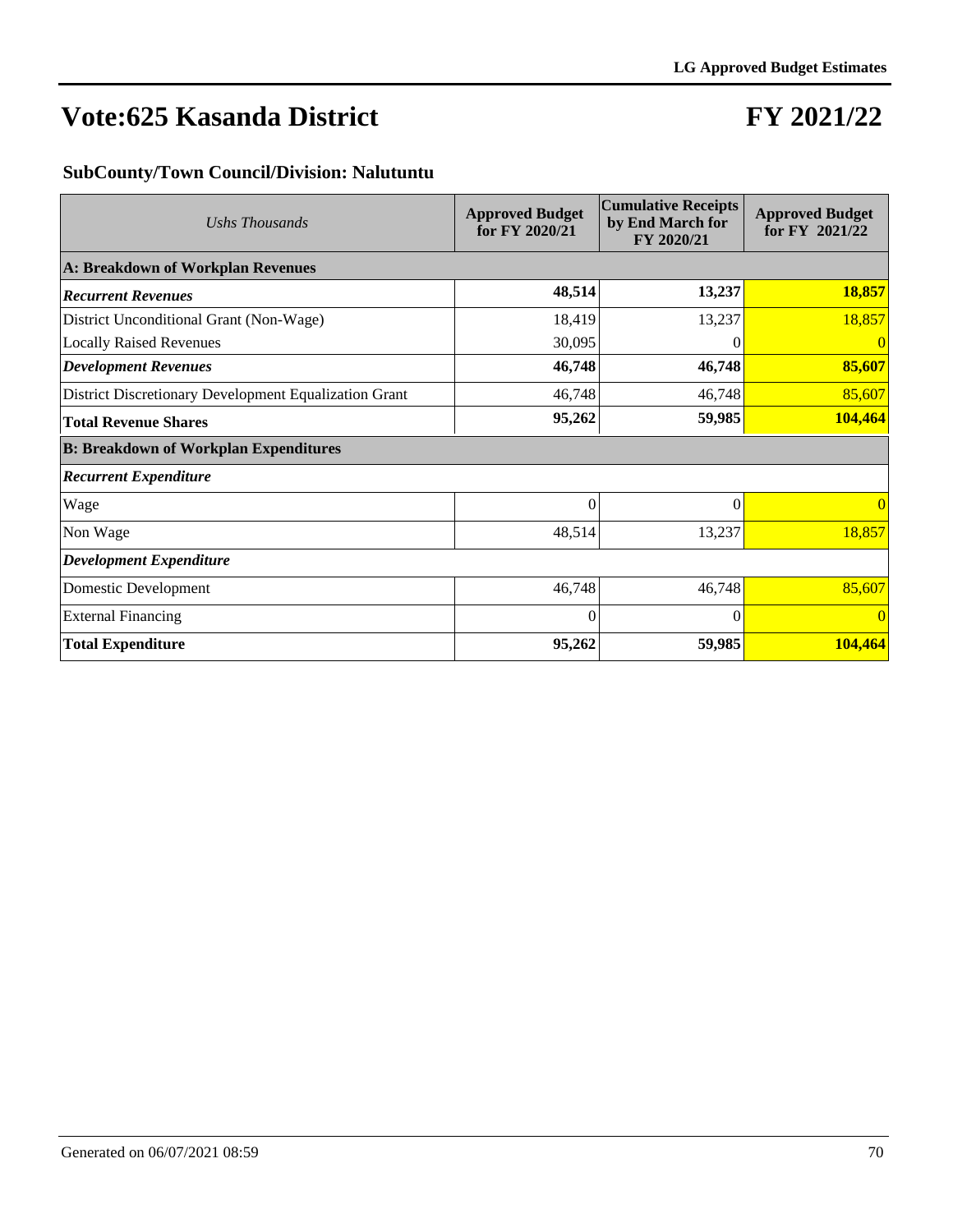## **FY 2021/22**

#### **SubCounty/Town Council/Division: Nalutuntu**

| Ushs Thousands                                        | <b>Approved Budget</b><br>for FY 2020/21 | <b>Cumulative Receipts</b><br>by End March for<br>FY 2020/21 | <b>Approved Budget</b><br>for FY 2021/22 |
|-------------------------------------------------------|------------------------------------------|--------------------------------------------------------------|------------------------------------------|
| A: Breakdown of Workplan Revenues                     |                                          |                                                              |                                          |
| <b>Recurrent Revenues</b>                             | 48,514                                   | 13,237                                                       | 18,857                                   |
| District Unconditional Grant (Non-Wage)               | 18,419                                   | 13,237                                                       | 18,857                                   |
| <b>Locally Raised Revenues</b>                        | 30,095                                   | $\theta$                                                     | 0                                        |
| <b>Development Revenues</b>                           | 46,748                                   | 46,748                                                       | 85,607                                   |
| District Discretionary Development Equalization Grant | 46,748                                   | 46,748                                                       | 85,607                                   |
| <b>Total Revenue Shares</b>                           | 95,262                                   | 59,985                                                       | 104,464                                  |
| <b>B: Breakdown of Workplan Expenditures</b>          |                                          |                                                              |                                          |
| <b>Recurrent Expenditure</b>                          |                                          |                                                              |                                          |
| Wage                                                  | $\Omega$                                 | $\Omega$                                                     | $\vert 0 \vert$                          |
| Non Wage                                              | 48,514                                   | 13,237                                                       | 18,857                                   |
| <b>Development Expenditure</b>                        |                                          |                                                              |                                          |
| Domestic Development                                  | 46,748                                   | 46,748                                                       | 85,607                                   |
| <b>External Financing</b>                             | $\Omega$                                 | $\Omega$                                                     | $\vert 0 \vert$                          |
| <b>Total Expenditure</b>                              | 95,262                                   | 59,985                                                       | 104,464                                  |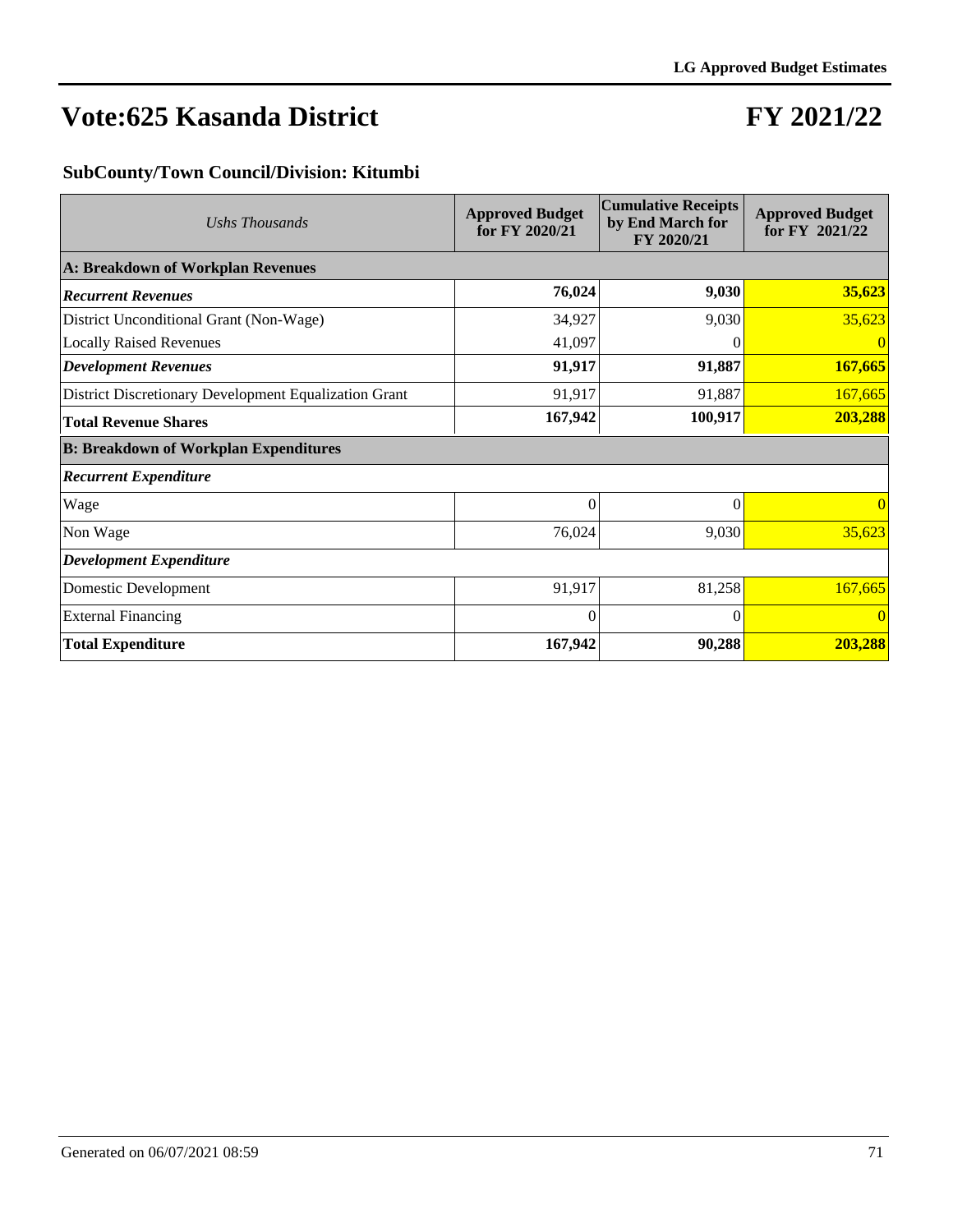## **FY 2021/22**

#### **SubCounty/Town Council/Division: Kitumbi**

| Ushs Thousands                                        | <b>Approved Budget</b><br>for FY 2020/21 | <b>Cumulative Receipts</b><br>by End March for<br>FY 2020/21 | <b>Approved Budget</b><br>for FY 2021/22 |
|-------------------------------------------------------|------------------------------------------|--------------------------------------------------------------|------------------------------------------|
| A: Breakdown of Workplan Revenues                     |                                          |                                                              |                                          |
| <b>Recurrent Revenues</b>                             | 76,024                                   | 9,030                                                        | 35,623                                   |
| District Unconditional Grant (Non-Wage)               | 34,927                                   | 9,030                                                        | 35,623                                   |
| <b>Locally Raised Revenues</b>                        | 41,097                                   | $\left( \right)$                                             | $\overline{0}$                           |
| <b>Development Revenues</b>                           | 91,917                                   | 91,887                                                       | 167,665                                  |
| District Discretionary Development Equalization Grant | 91,917                                   | 91,887                                                       | 167,665                                  |
| <b>Total Revenue Shares</b>                           | 167,942                                  | 100,917                                                      | 203,288                                  |
| <b>B: Breakdown of Workplan Expenditures</b>          |                                          |                                                              |                                          |
| <b>Recurrent Expenditure</b>                          |                                          |                                                              |                                          |
| Wage                                                  | $\overline{0}$                           | $\theta$                                                     | $\vert 0 \vert$                          |
| Non Wage                                              | 76,024                                   | 9,030                                                        | 35,623                                   |
| <b>Development Expenditure</b>                        |                                          |                                                              |                                          |
| Domestic Development                                  | 91,917                                   | 81,258                                                       | 167,665                                  |
| <b>External Financing</b>                             | $\Omega$                                 | $\Omega$                                                     | $\vert 0 \vert$                          |
| <b>Total Expenditure</b>                              | 167,942                                  | 90,288                                                       | 203,288                                  |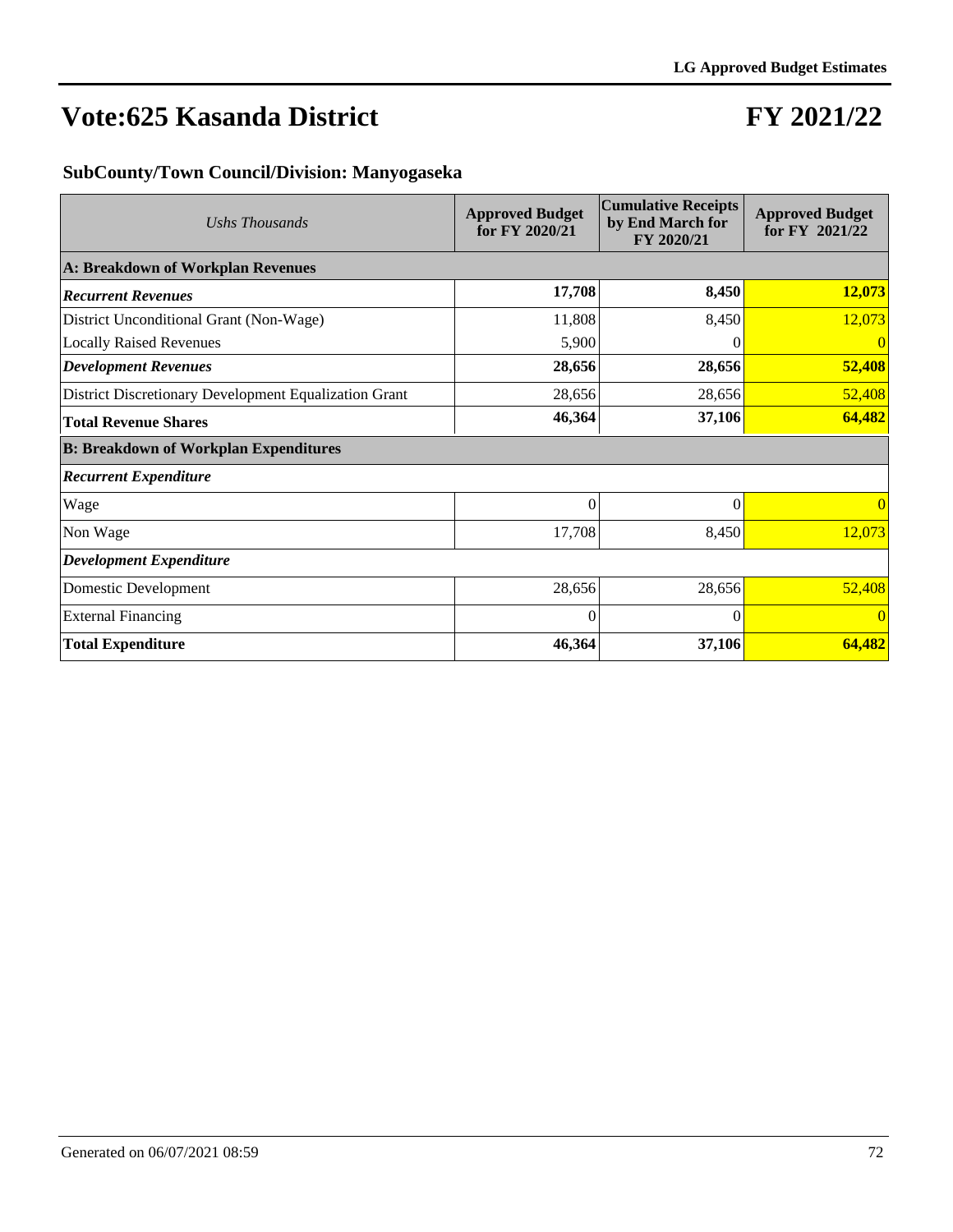### **FY 2021/22**

#### **SubCounty/Town Council/Division: Manyogaseka**

| Ushs Thousands                                        | <b>Approved Budget</b><br>for FY 2020/21 | <b>Cumulative Receipts</b><br>by End March for<br>FY 2020/21 | <b>Approved Budget</b><br>for FY 2021/22 |
|-------------------------------------------------------|------------------------------------------|--------------------------------------------------------------|------------------------------------------|
| A: Breakdown of Workplan Revenues                     |                                          |                                                              |                                          |
| <b>Recurrent Revenues</b>                             | 17,708                                   | 8,450                                                        | 12,073                                   |
| District Unconditional Grant (Non-Wage)               | 11,808                                   | 8,450                                                        | 12,073                                   |
| <b>Locally Raised Revenues</b>                        | 5,900                                    | $\left( \right)$                                             | 0                                        |
| <b>Development Revenues</b>                           | 28,656                                   | 28,656                                                       | 52,408                                   |
| District Discretionary Development Equalization Grant | 28,656                                   | 28,656                                                       | 52,408                                   |
| <b>Total Revenue Shares</b>                           | 46,364                                   | 37,106                                                       | 64,482                                   |
| <b>B: Breakdown of Workplan Expenditures</b>          |                                          |                                                              |                                          |
| <b>Recurrent Expenditure</b>                          |                                          |                                                              |                                          |
| Wage                                                  | $\Omega$                                 | $\Omega$                                                     | $\vert 0 \vert$                          |
| Non Wage                                              | 17,708                                   | 8,450                                                        | 12,073                                   |
| <b>Development Expenditure</b>                        |                                          |                                                              |                                          |
| Domestic Development                                  | 28,656                                   | 28,656                                                       | 52,408                                   |
| <b>External Financing</b>                             | $\Omega$                                 | $\Omega$                                                     | $\vert 0 \vert$                          |
| <b>Total Expenditure</b>                              | 46,364                                   | 37,106                                                       | 64,482                                   |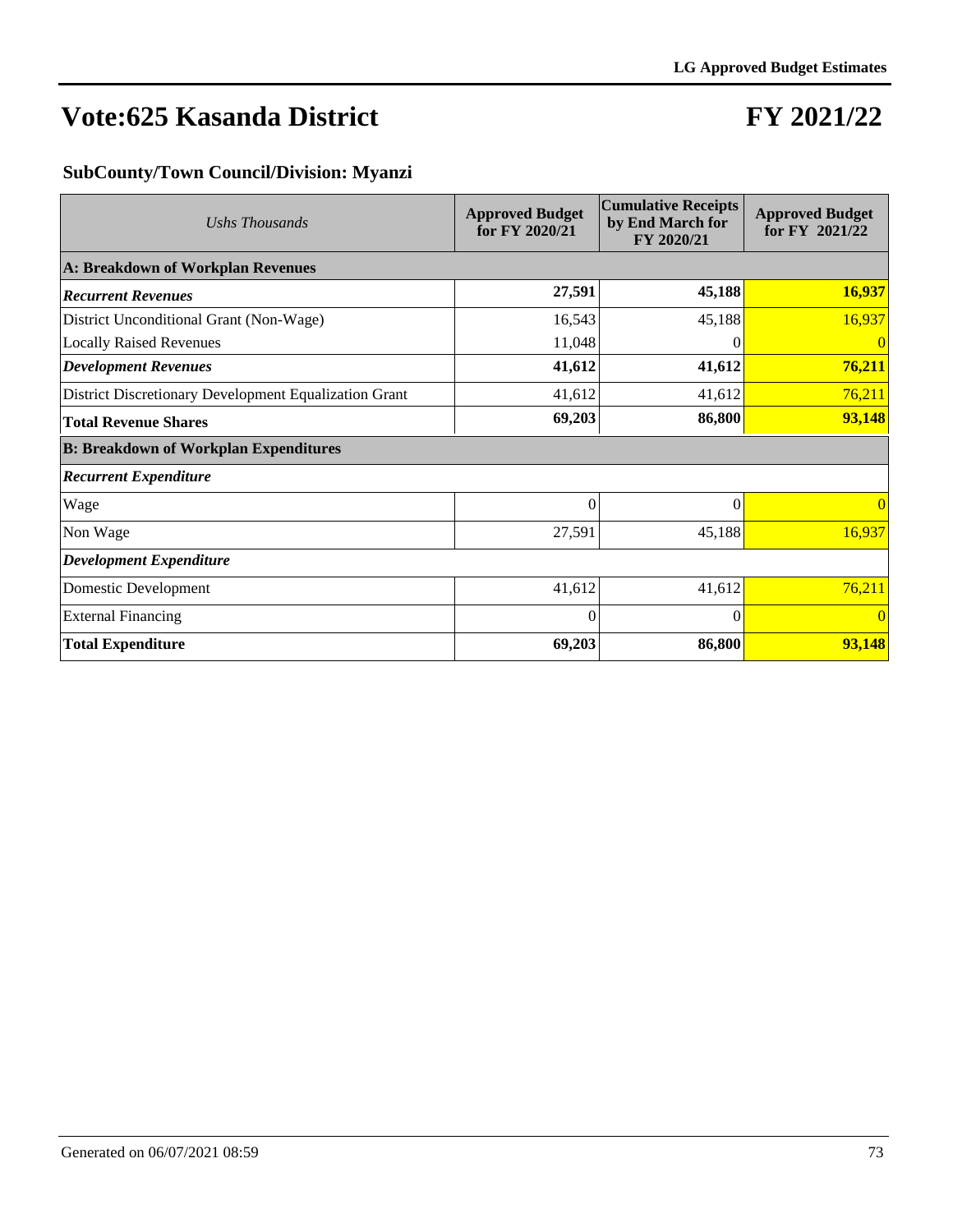# **FY 2021/22**

## **SubCounty/Town Council/Division: Myanzi**

| Ushs Thousands                                        | <b>Approved Budget</b><br>for FY 2020/21 | <b>Cumulative Receipts</b><br>by End March for<br>FY 2020/21 | <b>Approved Budget</b><br>for FY 2021/22 |
|-------------------------------------------------------|------------------------------------------|--------------------------------------------------------------|------------------------------------------|
| A: Breakdown of Workplan Revenues                     |                                          |                                                              |                                          |
| <b>Recurrent Revenues</b>                             | 27,591                                   | 45,188                                                       | 16,937                                   |
| District Unconditional Grant (Non-Wage)               | 16,543                                   | 45,188                                                       | 16,937                                   |
| <b>Locally Raised Revenues</b>                        | 11,048                                   | $\theta$                                                     | 0                                        |
| <b>Development Revenues</b>                           | 41,612                                   | 41,612                                                       | 76,211                                   |
| District Discretionary Development Equalization Grant | 41,612                                   | 41,612                                                       | 76,211                                   |
| <b>Total Revenue Shares</b>                           | 69,203                                   | 86,800                                                       | 93,148                                   |
| <b>B: Breakdown of Workplan Expenditures</b>          |                                          |                                                              |                                          |
| <b>Recurrent Expenditure</b>                          |                                          |                                                              |                                          |
| Wage                                                  | $\Omega$                                 | $\Omega$                                                     | $\vert 0 \vert$                          |
| Non Wage                                              | 27,591                                   | 45,188                                                       | 16,937                                   |
| <b>Development Expenditure</b>                        |                                          |                                                              |                                          |
| Domestic Development                                  | 41,612                                   | 41,612                                                       | 76,211                                   |
| <b>External Financing</b>                             | $\Omega$                                 | $\Omega$                                                     | $\vert 0 \vert$                          |
| <b>Total Expenditure</b>                              | 69,203                                   | 86,800                                                       | 93,148                                   |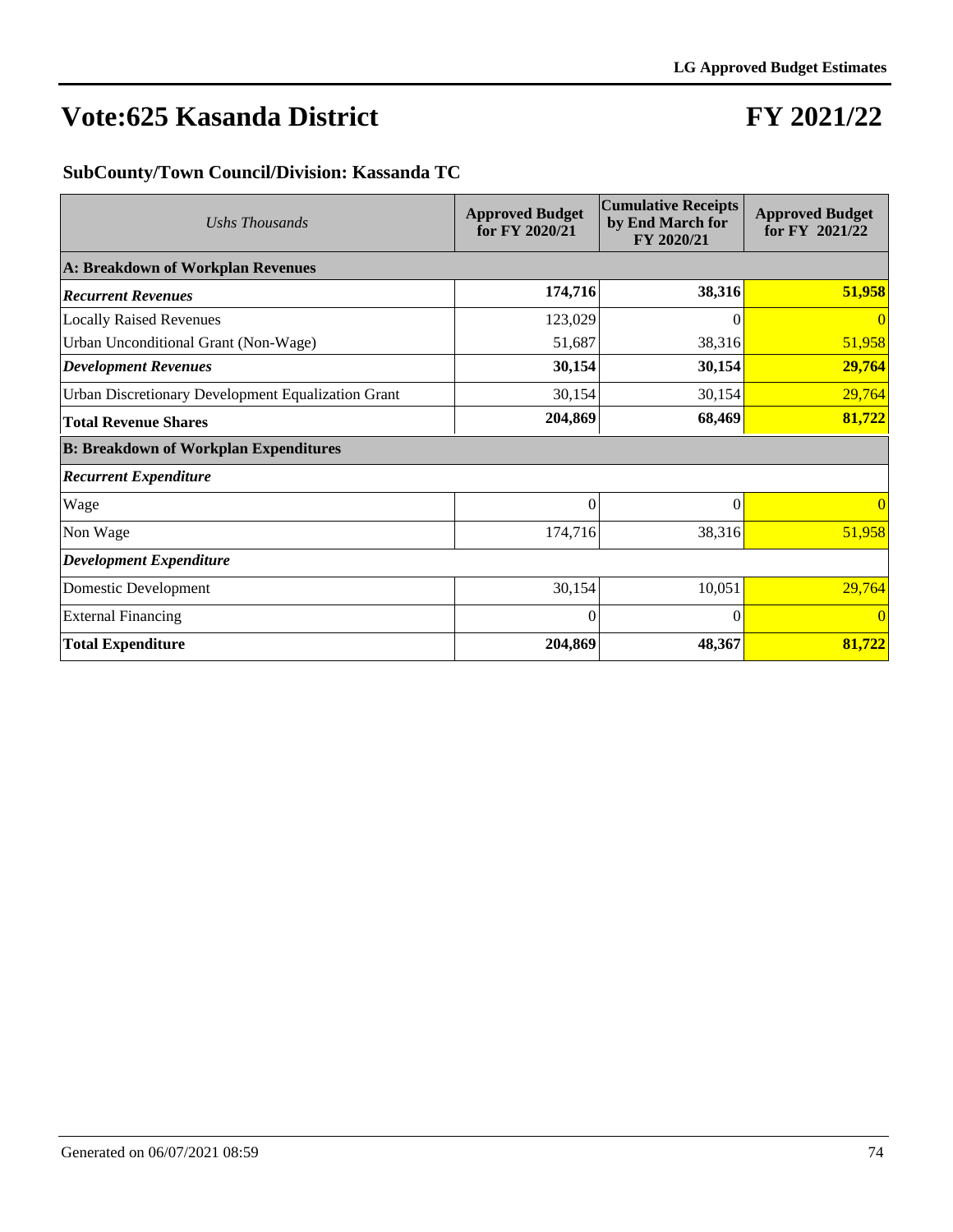# **FY 2021/22**

### **SubCounty/Town Council/Division: Kassanda TC**

| Ushs Thousands                                     | <b>Approved Budget</b><br>for FY 2020/21 | <b>Cumulative Receipts</b><br>by End March for<br>FY 2020/21 | <b>Approved Budget</b><br>for FY 2021/22 |
|----------------------------------------------------|------------------------------------------|--------------------------------------------------------------|------------------------------------------|
| A: Breakdown of Workplan Revenues                  |                                          |                                                              |                                          |
| <b>Recurrent Revenues</b>                          | 174,716                                  | 38,316                                                       | 51,958                                   |
| <b>Locally Raised Revenues</b>                     | 123,029                                  | 0                                                            | $\Omega$                                 |
| Urban Unconditional Grant (Non-Wage)               | 51,687                                   | 38,316                                                       | 51,958                                   |
| <b>Development Revenues</b>                        | 30,154                                   | 30,154                                                       | 29,764                                   |
| Urban Discretionary Development Equalization Grant | 30,154                                   | 30,154                                                       | 29,764                                   |
| <b>Total Revenue Shares</b>                        | 204,869                                  | 68,469                                                       | 81,722                                   |
| <b>B: Breakdown of Workplan Expenditures</b>       |                                          |                                                              |                                          |
| <b>Recurrent Expenditure</b>                       |                                          |                                                              |                                          |
| Wage                                               | $\theta$                                 | $\theta$                                                     | $\vert 0 \vert$                          |
| Non Wage                                           | 174,716                                  | 38,316                                                       | 51,958                                   |
| <b>Development Expenditure</b>                     |                                          |                                                              |                                          |
| Domestic Development                               | 30,154                                   | 10,051                                                       | 29,764                                   |
| <b>External Financing</b>                          | $\Omega$                                 | $\Omega$                                                     | $\vert 0 \vert$                          |
| <b>Total Expenditure</b>                           | 204,869                                  | 48,367                                                       | 81,722                                   |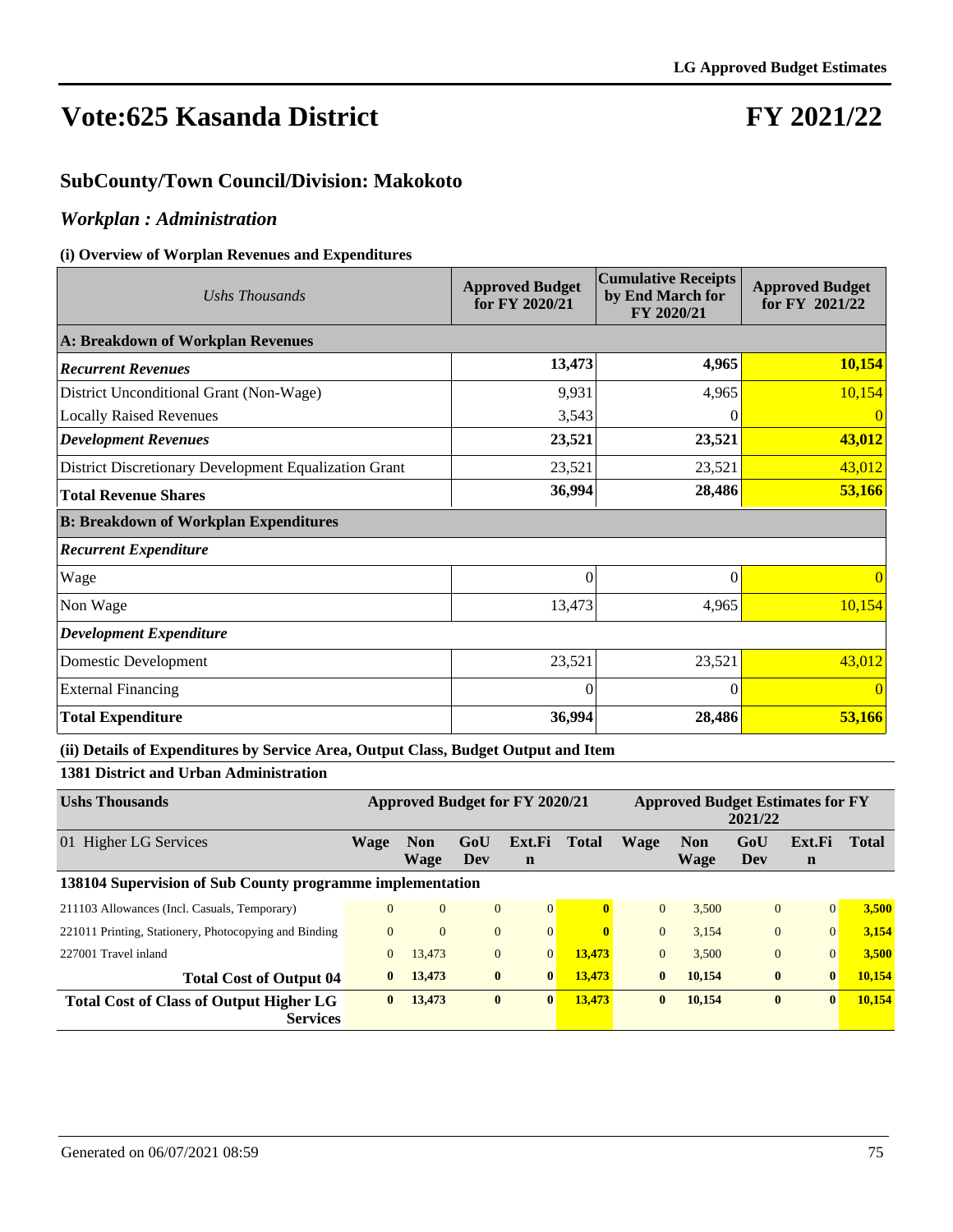# **FY 2021/22**

### **SubCounty/Town Council/Division: Makokoto**

### *Workplan : Administration*

#### **(i) Overview of Worplan Revenues and Expenditures**

| Ushs Thousands                                        | <b>Approved Budget</b><br>for FY 2020/21 | <b>Cumulative Receipts</b><br>by End March for<br>FY 2020/21 | <b>Approved Budget</b><br>for FY 2021/22 |
|-------------------------------------------------------|------------------------------------------|--------------------------------------------------------------|------------------------------------------|
| A: Breakdown of Workplan Revenues                     |                                          |                                                              |                                          |
| <b>Recurrent Revenues</b>                             | 13,473                                   | 4,965                                                        | 10,154                                   |
| District Unconditional Grant (Non-Wage)               | 9,931                                    | 4,965                                                        | 10,154                                   |
| <b>Locally Raised Revenues</b>                        | 3,543                                    |                                                              | $\vert$ () $\vert$                       |
| <b>Development Revenues</b>                           | 23,521                                   | 23,521                                                       | 43,012                                   |
| District Discretionary Development Equalization Grant | 23,521                                   | 23,521                                                       | 43,012                                   |
| <b>Total Revenue Shares</b>                           | 36,994                                   | 28,486                                                       | 53,166                                   |
| <b>B: Breakdown of Workplan Expenditures</b>          |                                          |                                                              |                                          |
| <b>Recurrent Expenditure</b>                          |                                          |                                                              |                                          |
| Wage                                                  | $\theta$                                 | 0                                                            | 0                                        |
| Non Wage                                              | 13,473                                   | 4,965                                                        | 10,154                                   |
| <b>Development Expenditure</b>                        |                                          |                                                              |                                          |
| Domestic Development                                  | 23,521                                   | 23,521                                                       | 43,012                                   |
| <b>External Financing</b>                             | $\Omega$                                 | 0                                                            | $\vert 0 \vert$                          |
| <b>Total Expenditure</b>                              | 36,994                                   | 28,486                                                       | 53,166                                   |

#### **(ii) Details of Expenditures by Service Area, Output Class, Budget Output and Item**

### **1381 District and Urban Administration**

| <b>Ushs Thousands</b>                                             | <b>Approved Budget for FY 2020/21</b> |                    |                |                       | <b>Approved Budget Estimates for FY</b><br>2021/22 |              |                    |                |                       |              |
|-------------------------------------------------------------------|---------------------------------------|--------------------|----------------|-----------------------|----------------------------------------------------|--------------|--------------------|----------------|-----------------------|--------------|
| 01 Higher LG Services                                             | Wage                                  | <b>Non</b><br>Wage | GoU<br>Dev     | Ext.Fi<br>$\mathbf n$ | <b>Total</b>                                       | Wage         | <b>Non</b><br>Wage | GoU<br>Dev     | Ext.Fi<br>$\mathbf n$ | <b>Total</b> |
| 138104 Supervision of Sub County programme implementation         |                                       |                    |                |                       |                                                    |              |                    |                |                       |              |
| 211103 Allowances (Incl. Casuals, Temporary)                      | $\Omega$                              | $\overline{0}$     | $\mathbf{0}$   | 0                     | $\mathbf{0}$                                       | $\Omega$     | 3.500              | $\overline{0}$ | $\Omega$              | 3,500        |
| 221011 Printing, Stationery, Photocopying and Binding             | $\Omega$                              | $\Omega$           | $\mathbf{0}$   | $\vert 0 \vert$       | $\mathbf{0}$                                       | $\Omega$     | 3,154              | $\theta$       | $\Omega$              | 3,154        |
| 227001 Travel inland                                              | $\overline{0}$                        | 13,473             | $\overline{0}$ | $\overline{0}$        | 13,473                                             | $\mathbf{0}$ | 3,500              | $\overline{0}$ | $\Omega$              | 3,500        |
| <b>Total Cost of Output 04</b>                                    | $\mathbf{0}$                          | 13,473             | $\bf{0}$       | $\mathbf{0}$          | 13,473                                             | $\bf{0}$     | 10.154             | $\bf{0}$       | $\mathbf{0}$          | 10,154       |
| <b>Total Cost of Class of Output Higher LG</b><br><b>Services</b> | $\mathbf{0}$                          | 13,473             | $\bf{0}$       | $\mathbf{0}$          | 13,473                                             | $\bf{0}$     | 10,154             | $\bf{0}$       | $\bf{0}$              | 10,154       |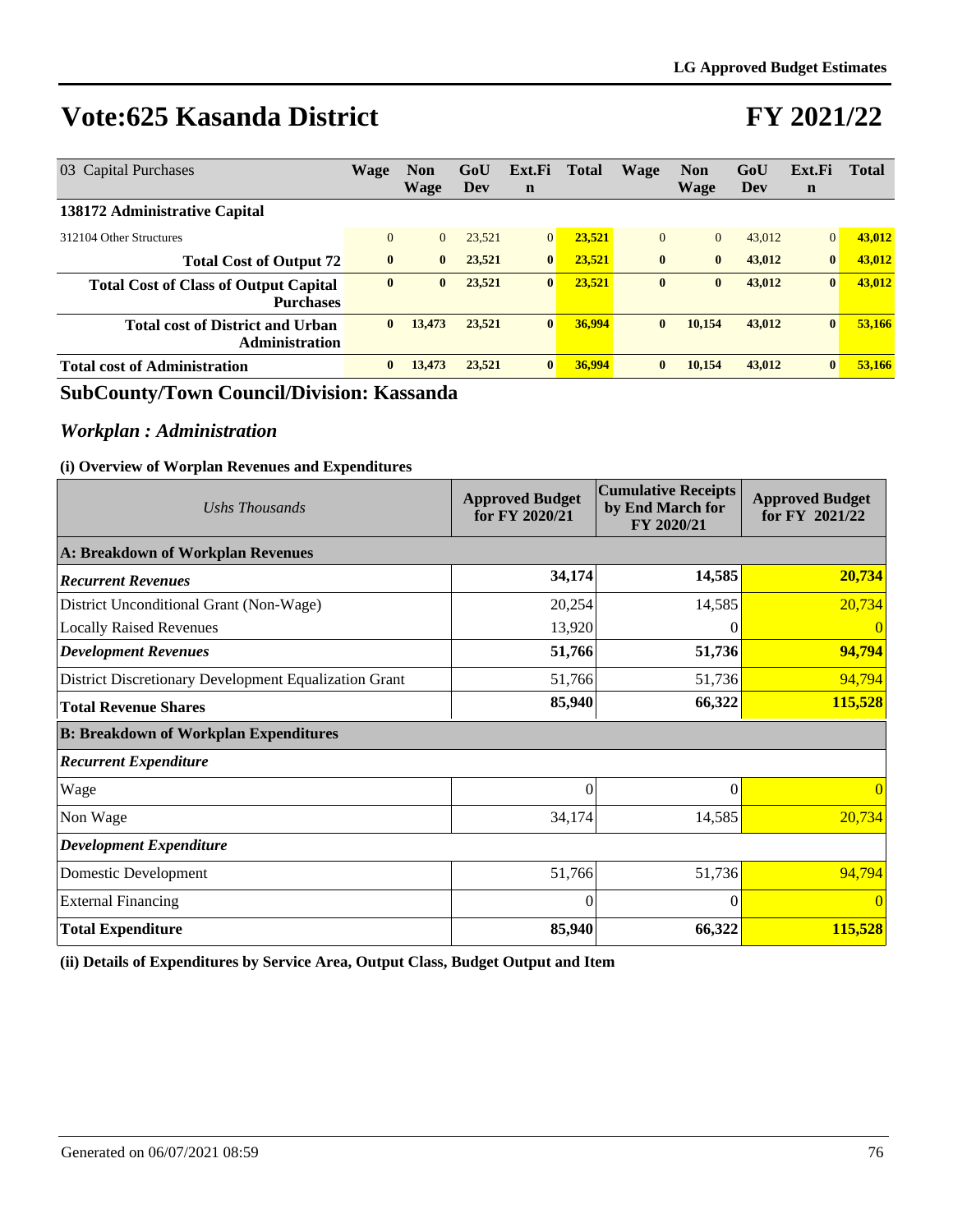## **FY 2021/22**

| 03 Capital Purchases                                             | Wage         | <b>Non</b><br>Wage | GoU<br>Dev | Ext.Fi<br>$\mathbf n$ | <b>Total</b> | Wage         | Non<br><b>Wage</b> | GoU<br>Dev | Ext.Fi<br>$\mathbf n$ | <b>Total</b> |
|------------------------------------------------------------------|--------------|--------------------|------------|-----------------------|--------------|--------------|--------------------|------------|-----------------------|--------------|
| 138172 Administrative Capital                                    |              |                    |            |                       |              |              |                    |            |                       |              |
| 312104 Other Structures                                          | $\Omega$     | $\overline{0}$     | 23.521     | $\overline{0}$        | 23.521       | $\mathbf{0}$ | $\Omega$           | 43,012     | $\overline{0}$        | 43,012       |
| <b>Total Cost of Output 72</b>                                   | $\mathbf{0}$ | $\bf{0}$           | 23,521     | $\bf{0}$              | 23.521       | $\bf{0}$     | $\mathbf{0}$       | 43,012     | $\bf{0}$              | 43,012       |
| <b>Total Cost of Class of Output Capital</b><br><b>Purchases</b> | $\bf{0}$     | $\bf{0}$           | 23,521     | $\bf{0}$              | 23,521       | $\bf{0}$     | $\bf{0}$           | 43,012     | $\bf{0}$              | 43,012       |
| <b>Total cost of District and Urban</b><br><b>Administration</b> | $\mathbf{0}$ | 13,473             | 23,521     | $\bf{0}$              | 36,994       | $\bf{0}$     | 10.154             | 43,012     | $\bf{0}$              | 53,166       |
| <b>Total cost of Administration</b>                              | $\mathbf{0}$ | 13,473             | 23,521     | $\bf{0}$              | 36,994       | $\bf{0}$     | 10.154             | 43,012     | $\bf{0}$              | 53.166       |

### **SubCounty/Town Council/Division: Kassanda**

### *Workplan : Administration*

#### **(i) Overview of Worplan Revenues and Expenditures**

| Ushs Thousands                                        | <b>Approved Budget</b><br>for FY 2020/21 | <b>Cumulative Receipts</b><br>by End March for<br>FY 2020/21 | <b>Approved Budget</b><br>for FY 2021/22 |
|-------------------------------------------------------|------------------------------------------|--------------------------------------------------------------|------------------------------------------|
| A: Breakdown of Workplan Revenues                     |                                          |                                                              |                                          |
| <b>Recurrent Revenues</b>                             | 34,174                                   | 14,585                                                       | 20,734                                   |
| District Unconditional Grant (Non-Wage)               | 20,254                                   | 14,585                                                       | 20,734                                   |
| <b>Locally Raised Revenues</b>                        | 13,920                                   |                                                              | $\theta$                                 |
| <b>Development Revenues</b>                           | 51,766                                   | 51,736                                                       | 94,794                                   |
| District Discretionary Development Equalization Grant | 51,766                                   | 51,736                                                       | 94,794                                   |
| <b>Total Revenue Shares</b>                           | 85,940                                   | 66,322                                                       | 115,528                                  |
| <b>B: Breakdown of Workplan Expenditures</b>          |                                          |                                                              |                                          |
| <b>Recurrent Expenditure</b>                          |                                          |                                                              |                                          |
| Wage                                                  | $\mathbf{0}$                             | $\Omega$                                                     | $\overline{0}$                           |
| Non Wage                                              | 34,174                                   | 14,585                                                       | 20,734                                   |
| <b>Development Expenditure</b>                        |                                          |                                                              |                                          |
| Domestic Development                                  | 51,766                                   | 51,736                                                       | 94,794                                   |
| <b>External Financing</b>                             | $\Omega$                                 | $\Omega$                                                     | $\theta$                                 |
| <b>Total Expenditure</b>                              | 85,940                                   | 66,322                                                       | 115,528                                  |

**(ii) Details of Expenditures by Service Area, Output Class, Budget Output and Item**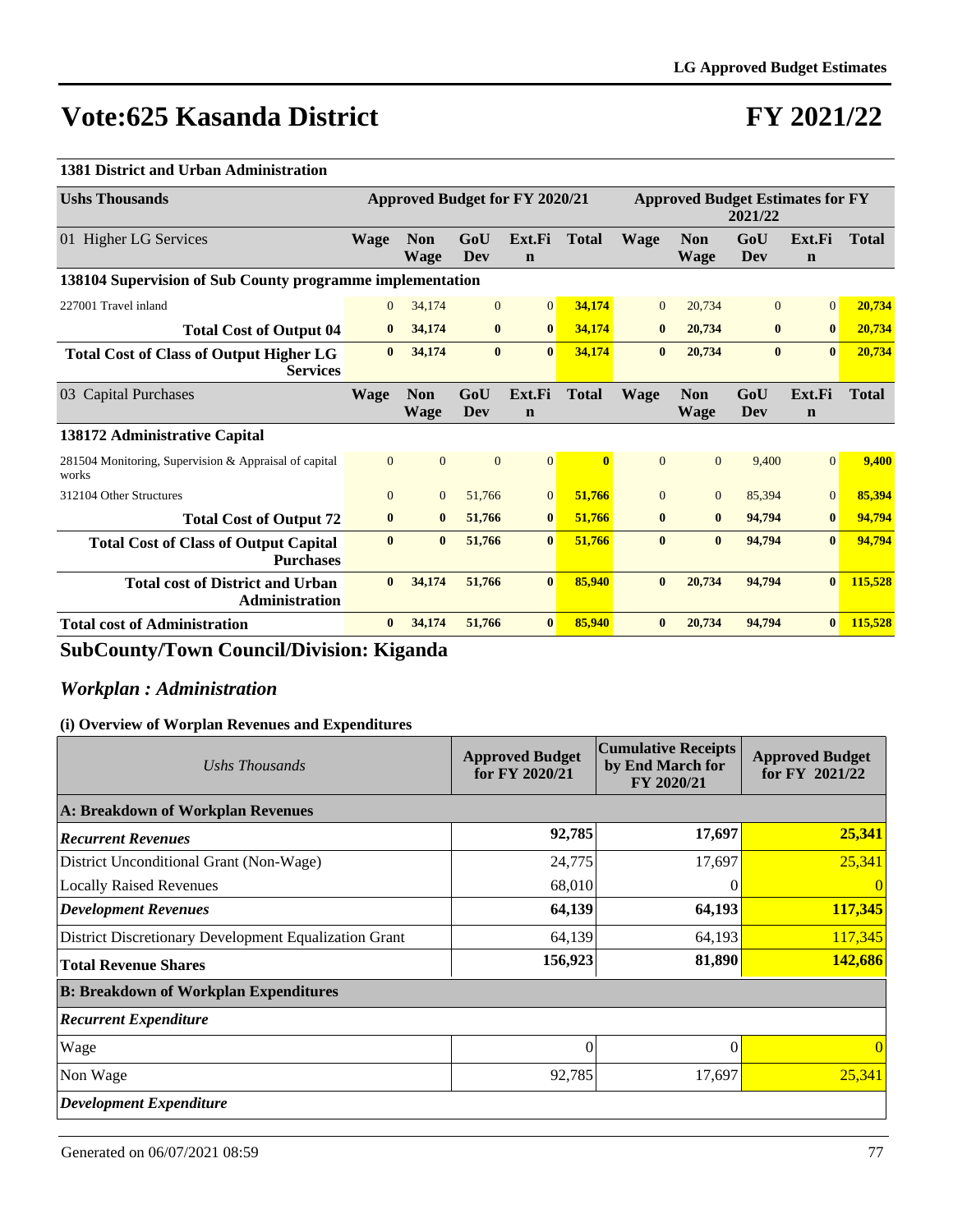# **FY 2021/22**

#### **1381 District and Urban Administration**

| <b>Ushs Thousands</b>                                             | Approved Budget for FY 2020/21 |                           |              |                       | <b>Approved Budget Estimates for FY</b> |                |                           | 2021/22           |                       |              |
|-------------------------------------------------------------------|--------------------------------|---------------------------|--------------|-----------------------|-----------------------------------------|----------------|---------------------------|-------------------|-----------------------|--------------|
| 01 Higher LG Services                                             | <b>Wage</b>                    | <b>Non</b><br><b>Wage</b> | GoU<br>Dev   | Ext.Fi<br>$\mathbf n$ | <b>Total</b>                            | <b>Wage</b>    | <b>Non</b><br><b>Wage</b> | GoU<br><b>Dev</b> | Ext.Fi<br>$\mathbf n$ | <b>Total</b> |
| 138104 Supervision of Sub County programme implementation         |                                |                           |              |                       |                                         |                |                           |                   |                       |              |
| 227001 Travel inland                                              | $\overline{0}$                 | 34,174                    | $\mathbf{0}$ | $\vert 0 \vert$       | 34,174                                  | $\mathbf{0}$   | 20,734                    | $\overline{0}$    | $\overline{0}$        | 20,734       |
| <b>Total Cost of Output 04</b>                                    | $\bf{0}$                       | 34,174                    | $\bf{0}$     | $\bf{0}$              | 34,174                                  | $\bf{0}$       | 20,734                    | $\bf{0}$          | $\bf{0}$              | 20,734       |
| <b>Total Cost of Class of Output Higher LG</b><br><b>Services</b> | $\mathbf{0}$                   | 34,174                    | $\bf{0}$     | $\bf{0}$              | 34,174                                  | $\bf{0}$       | 20,734                    | $\bf{0}$          | $\mathbf{0}$          | 20,734       |
| 03 Capital Purchases                                              | <b>Wage</b>                    | <b>Non</b><br><b>Wage</b> | GoU<br>Dev   | Ext.Fi<br>$\mathbf n$ | <b>Total</b>                            | <b>Wage</b>    | <b>Non</b><br><b>Wage</b> | GoU<br>Dev        | Ext.Fi<br>$\mathbf n$ | <b>Total</b> |
| 138172 Administrative Capital                                     |                                |                           |              |                       |                                         |                |                           |                   |                       |              |
| 281504 Monitoring, Supervision & Appraisal of capital<br>works    | $\overline{0}$                 | $\mathbf{0}$              | $\mathbf{0}$ | $\vert 0 \vert$       | $\mathbf{0}$                            | $\overline{0}$ | $\overline{0}$            | 9,400             | $\overline{0}$        | 9,400        |
| 312104 Other Structures                                           | $\Omega$                       | $\mathbf{0}$              | 51,766       | $\overline{0}$        | 51,766                                  | $\mathbf{0}$   | $\overline{0}$            | 85,394            | $\Omega$              | 85,394       |
| <b>Total Cost of Output 72</b>                                    | $\bf{0}$                       | $\bf{0}$                  | 51,766       | $\bf{0}$              | 51,766                                  | $\bf{0}$       | $\mathbf{0}$              | 94,794            | $\bf{0}$              | 94,794       |
| <b>Total Cost of Class of Output Capital</b><br><b>Purchases</b>  | $\mathbf{0}$                   | $\bf{0}$                  | 51,766       | $\bf{0}$              | 51.766                                  | $\mathbf{0}$   | $\mathbf{0}$              | 94.794            | $\mathbf{0}$          | 94,794       |
| <b>Total cost of District and Urban</b><br><b>Administration</b>  | $\mathbf{0}$                   | 34,174                    | 51,766       | $\mathbf{0}$          | 85,940                                  | $\mathbf{0}$   | 20,734                    | 94,794            | $\mathbf{0}$          | 115,528      |
| <b>Total cost of Administration</b>                               | $\mathbf{0}$                   | 34,174                    | 51,766       | $\bf{0}$              | 85,940                                  | $\mathbf{0}$   | 20,734                    | 94,794            | $\mathbf{0}$          | 115,528      |

### **SubCounty/Town Council/Division: Kiganda**

### *Workplan : Administration*

| Ushs Thousands                                        | <b>Approved Budget</b><br>for FY 2020/21 | <b>Cumulative Receipts</b><br>by End March for<br>FY 2020/21 | <b>Approved Budget</b><br>for FY 2021/22 |
|-------------------------------------------------------|------------------------------------------|--------------------------------------------------------------|------------------------------------------|
| A: Breakdown of Workplan Revenues                     |                                          |                                                              |                                          |
| <b>Recurrent Revenues</b>                             | 92,785                                   | 17,697                                                       | 25,341                                   |
| District Unconditional Grant (Non-Wage)               | 24,775                                   | 17,697                                                       | 25,341                                   |
| <b>Locally Raised Revenues</b>                        | 68,010                                   |                                                              |                                          |
| Development Revenues                                  | 64,139                                   | 64,193                                                       | 117,345                                  |
| District Discretionary Development Equalization Grant | 64,139                                   | 64,193                                                       | 117,345                                  |
| <b>Total Revenue Shares</b>                           | 156,923                                  | 81,890                                                       | 142,686                                  |
| <b>B: Breakdown of Workplan Expenditures</b>          |                                          |                                                              |                                          |
| <b>Recurrent Expenditure</b>                          |                                          |                                                              |                                          |
| Wage                                                  | $\theta$                                 | $\Omega$                                                     | $\theta$                                 |
| Non Wage                                              | 92,785                                   | 17,697                                                       | 25,341                                   |
| <b>Development Expenditure</b>                        |                                          |                                                              |                                          |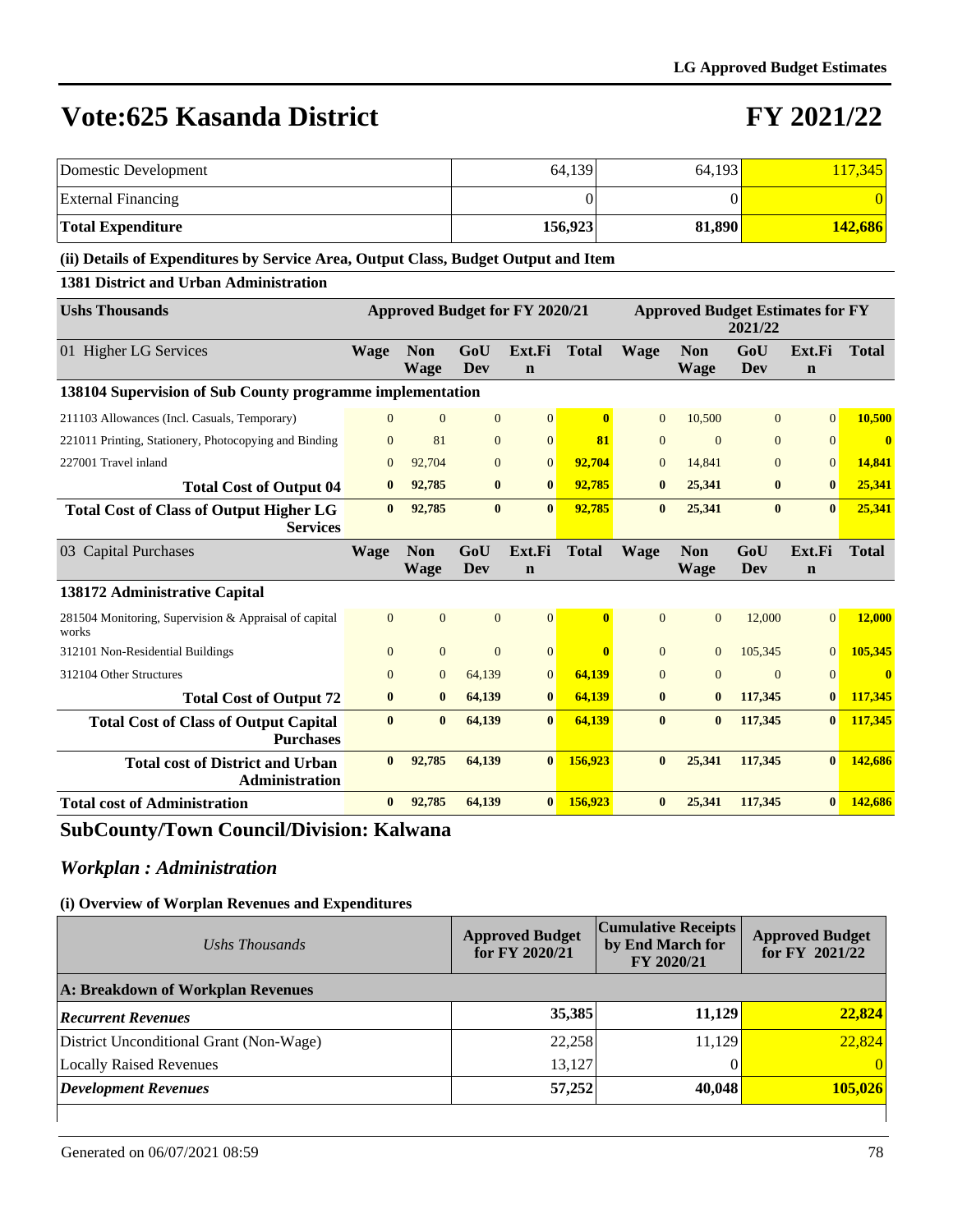## **FY 2021/22**

| <b>Domestic Development</b>                                                        |              |                                       |                   |                       | 64,139       |                | 64,193                                  |                   |                       | 117,345        |
|------------------------------------------------------------------------------------|--------------|---------------------------------------|-------------------|-----------------------|--------------|----------------|-----------------------------------------|-------------------|-----------------------|----------------|
| <b>External Financing</b>                                                          |              |                                       |                   |                       | $\theta$     |                |                                         | $\Omega$          |                       |                |
| <b>Total Expenditure</b>                                                           |              |                                       |                   |                       | 156,923      |                | 81,890                                  |                   |                       | 142,686        |
| (ii) Details of Expenditures by Service Area, Output Class, Budget Output and Item |              |                                       |                   |                       |              |                |                                         |                   |                       |                |
| <b>1381 District and Urban Administration</b>                                      |              |                                       |                   |                       |              |                |                                         |                   |                       |                |
| <b>Ushs Thousands</b>                                                              |              | <b>Approved Budget for FY 2020/21</b> |                   |                       |              |                | <b>Approved Budget Estimates for FY</b> | 2021/22           |                       |                |
| 01 Higher LG Services                                                              | Wage         | <b>Non</b><br><b>Wage</b>             | GoU<br>Dev        | Ext.Fi<br>$\mathbf n$ | <b>Total</b> | Wage           | <b>Non</b><br><b>Wage</b>               | GoU<br><b>Dev</b> | Ext.Fi<br>$\mathbf n$ | <b>Total</b>   |
| 138104 Supervision of Sub County programme implementation                          |              |                                       |                   |                       |              |                |                                         |                   |                       |                |
| 211103 Allowances (Incl. Casuals, Temporary)                                       | $\Omega$     | $\mathbf{0}$                          | $\overline{0}$    | $\mathbf{0}$          | $\bf{0}$     | $\overline{0}$ | 10,500                                  | $\mathbf{0}$      | $\overline{0}$        | 10,500         |
| 221011 Printing, Stationery, Photocopying and Binding                              | $\Omega$     | 81                                    | $\overline{0}$    | $\mathbf{0}$          | 81           | $\mathbf{0}$   | $\overline{0}$                          | $\Omega$          | $\Omega$              | $\bf{0}$       |
| 227001 Travel inland                                                               | $\Omega$     | 92.704                                | $\Omega$          | $\overline{0}$        | 92,704       | $\Omega$       | 14.841                                  | $\Omega$          | $\overline{0}$        | 14.841         |
| <b>Total Cost of Output 04</b>                                                     | $\bf{0}$     | 92,785                                | $\bf{0}$          | $\bf{0}$              | 92,785       | $\bf{0}$       | 25,341                                  | $\bf{0}$          | $\bf{0}$              | 25,341         |
| <b>Total Cost of Class of Output Higher LG</b><br><b>Services</b>                  | $\mathbf{0}$ | 92,785                                | $\bf{0}$          | $\bf{0}$              | 92,785       | $\bf{0}$       | 25,341                                  | $\bf{0}$          | $\bf{0}$              | 25,341         |
| 03 Capital Purchases                                                               | <b>Wage</b>  | <b>Non</b><br><b>Wage</b>             | GoU<br><b>Dev</b> | Ext.Fi<br>$\mathbf n$ | <b>Total</b> | <b>Wage</b>    | <b>Non</b><br><b>Wage</b>               | GoU<br><b>Dev</b> | Ext.Fi<br>$\mathbf n$ | <b>Total</b>   |
| 138172 Administrative Capital                                                      |              |                                       |                   |                       |              |                |                                         |                   |                       |                |
| 281504 Monitoring, Supervision & Appraisal of capital<br>works                     | $\Omega$     | $\overline{0}$                        | $\mathbf{0}$      | $\mathbf{0}$          | $\bf{0}$     | $\overline{0}$ | $\overline{0}$                          | 12,000            | $\overline{0}$        | 12,000         |
| 312101 Non-Residential Buildings                                                   | $\Omega$     | $\mathbf{0}$                          | $\overline{0}$    | $\mathbf{0}$          | $\mathbf{0}$ | $\mathbf{0}$   | $\overline{0}$                          | 105,345           | $\mathbf{0}$          | 105,345        |
| 312104 Other Structures                                                            | $\Omega$     | $\overline{0}$                        | 64,139            | $\mathbf{0}$          | 64,139       | $\Omega$       | $\Omega$                                | $\Omega$          | $\mathbf{0}$          | $\overline{0}$ |
| <b>Total Cost of Output 72</b>                                                     | $\bf{0}$     | $\bf{0}$                              | 64,139            | $\bf{0}$              | 64,139       | $\bf{0}$       | $\bf{0}$                                | 117,345           | $\bf{0}$              | 117,345        |
| <b>Total Cost of Class of Output Capital</b><br><b>Purchases</b>                   | $\mathbf{0}$ | $\bf{0}$                              | 64,139            | $\bf{0}$              | 64,139       | $\bf{0}$       | $\bf{0}$                                | 117,345           | $\bf{0}$              | 117,345        |
| <b>Total cost of District and Urban</b><br>Administration                          | $\mathbf{0}$ | 92,785                                | 64,139            | $\bf{0}$              | 156,923      | $\bf{0}$       | 25,341                                  | 117,345           | $\bf{0}$              | 142,686        |
| <b>Total cost of Administration</b>                                                | $\bf{0}$     | 92,785                                | 64,139            | $\mathbf{0}$          | 156,923      | $\bf{0}$       | 25,341                                  | 117,345           | $\bf{0}$              | 142,686        |

### **SubCounty/Town Council/Division: Kalwana**

### *Workplan : Administration*

| Ushs Thousands                          | <b>Approved Budget</b><br>for FY 2020/21 | <b>Cumulative Receipts</b><br>by End March for<br>FY 2020/21 | <b>Approved Budget</b><br>for FY 2021/22 |
|-----------------------------------------|------------------------------------------|--------------------------------------------------------------|------------------------------------------|
| A: Breakdown of Workplan Revenues       |                                          |                                                              |                                          |
| <b>Recurrent Revenues</b>               | 35,385                                   | 11,129                                                       | 22,824                                   |
| District Unconditional Grant (Non-Wage) | 22,258                                   | 11,129                                                       | 22,824                                   |
| <b>Locally Raised Revenues</b>          | 13,127                                   |                                                              |                                          |
| <b>Development Revenues</b>             | 57,252                                   | 40,048                                                       | 105,026                                  |
|                                         |                                          |                                                              |                                          |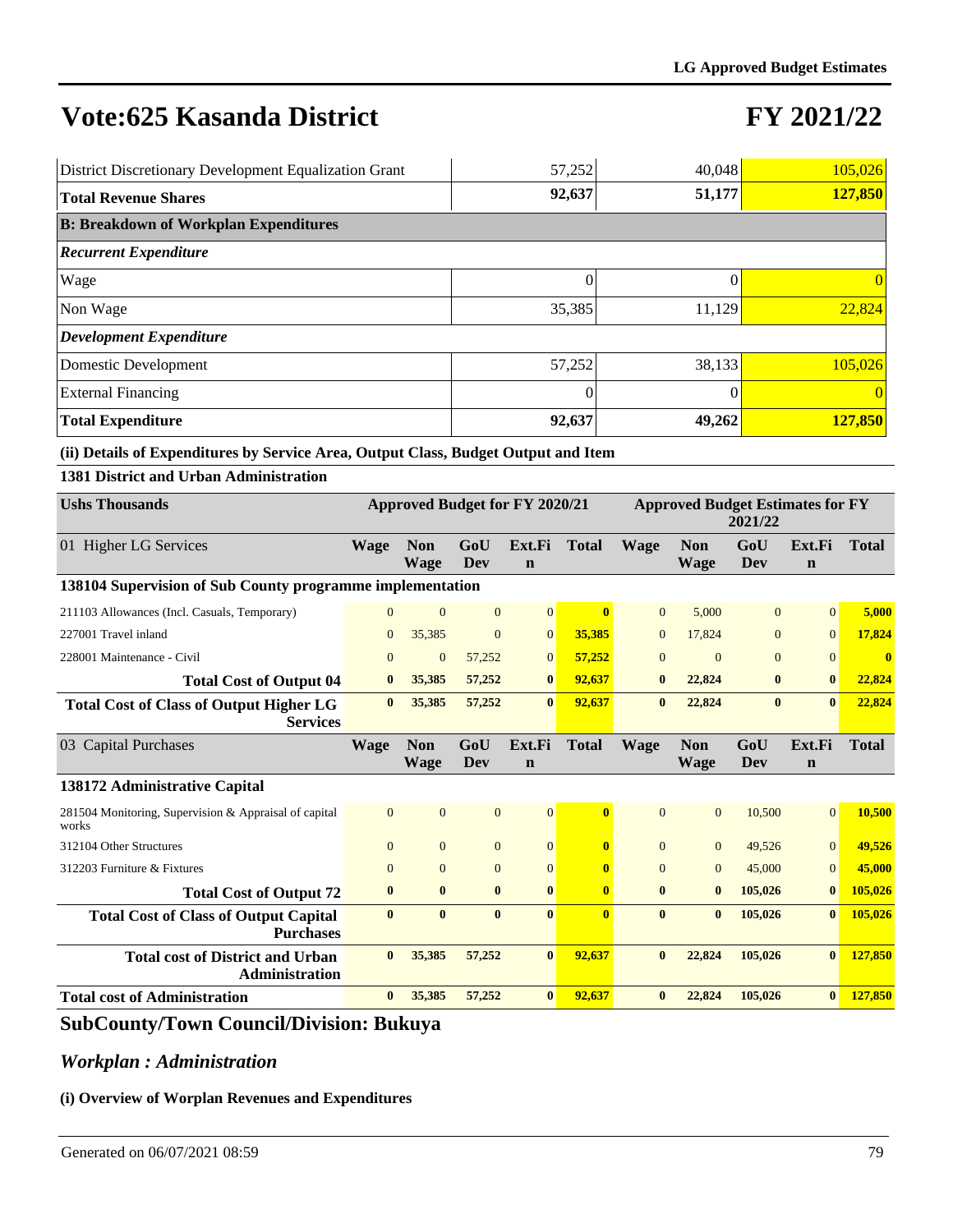# **FY 2021/22**

| District Discretionary Development Equalization Grant | 57,252   | 40,048 | 105,026 |
|-------------------------------------------------------|----------|--------|---------|
| <b>Total Revenue Shares</b>                           | 92,637   | 51,177 | 127,850 |
| <b>B: Breakdown of Workplan Expenditures</b>          |          |        |         |
| <b>Recurrent Expenditure</b>                          |          |        |         |
| Wage                                                  | $\Omega$ |        |         |
| Non Wage                                              | 35,385   | 11,129 | 22,824  |
| <b>Development Expenditure</b>                        |          |        |         |
| Domestic Development                                  | 57,252   | 38,133 | 105,026 |
| <b>External Financing</b>                             | $\Omega$ |        |         |
| <b>Total Expenditure</b>                              | 92,637   | 49,262 | 127,850 |

**(ii) Details of Expenditures by Service Area, Output Class, Budget Output and Item**

| <b>Ushs Thousands</b>                                             | Approved Budget for FY 2020/21 |                           |                |                       |                         |                | <b>Approved Budget Estimates for FY</b><br>2021/22 |                |                       |              |  |
|-------------------------------------------------------------------|--------------------------------|---------------------------|----------------|-----------------------|-------------------------|----------------|----------------------------------------------------|----------------|-----------------------|--------------|--|
| 01 Higher LG Services                                             | <b>Wage</b>                    | <b>Non</b><br><b>Wage</b> | GoU<br>Dev     | Ext.Fi<br>$\mathbf n$ | <b>Total</b>            | <b>Wage</b>    | <b>Non</b><br>Wage                                 | GoU<br>Dev     | Ext.Fi<br>$\mathbf n$ | <b>Total</b> |  |
| 138104 Supervision of Sub County programme implementation         |                                |                           |                |                       |                         |                |                                                    |                |                       |              |  |
| 211103 Allowances (Incl. Casuals, Temporary)                      | $\Omega$                       | $\mathbf{0}$              | $\overline{0}$ | 0                     | $\mathbf{0}$            | $\overline{0}$ | 5.000                                              | $\overline{0}$ | $\overline{0}$        | 5,000        |  |
| 227001 Travel inland                                              | $\Omega$                       | 35,385                    | $\Omega$       | $\mathbf{0}$          | 35,385                  | $\overline{0}$ | 17,824                                             | $\overline{0}$ | $\mathbf{0}$          | 17,824       |  |
| 228001 Maintenance - Civil                                        | $\mathbf{0}$                   | $\mathbf{0}$              | 57,252         | $\mathbf{0}$          | 57,252                  | $\overline{0}$ | $\mathbf{0}$                                       | $\overline{0}$ | $\overline{0}$        | $\bf{0}$     |  |
| <b>Total Cost of Output 04</b>                                    | $\bf{0}$                       | 35,385                    | 57,252         | $\bf{0}$              | 92,637                  | $\bf{0}$       | 22,824                                             | $\bf{0}$       | $\bf{0}$              | 22,824       |  |
| <b>Total Cost of Class of Output Higher LG</b><br><b>Services</b> | $\mathbf{0}$                   | 35,385                    | 57,252         | $\mathbf{0}$          | 92,637                  | $\mathbf{0}$   | 22,824                                             | $\mathbf{0}$   | $\mathbf{0}$          | 22,824       |  |
| 03 Capital Purchases                                              | <b>Wage</b>                    | <b>Non</b><br><b>Wage</b> | GoU<br>Dev     | Ext.Fi<br>$\mathbf n$ | <b>Total</b>            | <b>Wage</b>    | <b>Non</b><br><b>Wage</b>                          | GoU<br>Dev     | Ext.Fi<br>$\mathbf n$ | <b>Total</b> |  |
| 138172 Administrative Capital                                     |                                |                           |                |                       |                         |                |                                                    |                |                       |              |  |
| 281504 Monitoring, Supervision & Appraisal of capital<br>works    | $\Omega$                       | $\Omega$                  | $\overline{0}$ | $\Omega$              | $\overline{\mathbf{0}}$ | $\Omega$       | $\Omega$                                           | 10,500         | $\Omega$              | 10,500       |  |
| 312104 Other Structures                                           | $\Omega$                       | $\Omega$                  | $\Omega$       | $\Omega$              | $\mathbf{0}$            | $\Omega$       | $\theta$                                           | 49,526         | $\Omega$              | 49,526       |  |
| 312203 Furniture & Fixtures                                       | $\mathbf{0}$                   | $\mathbf{0}$              | $\overline{0}$ | $\Omega$              | $\mathbf{0}$            | $\Omega$       | $\overline{0}$                                     | 45,000         | $\mathbf{0}$          | 45,000       |  |
| <b>Total Cost of Output 72</b>                                    | $\bf{0}$                       | $\bf{0}$                  | $\bf{0}$       | $\mathbf{0}$          | $\mathbf{0}$            | $\mathbf{0}$   | $\bf{0}$                                           | 105,026        | $\bf{0}$              | 105,026      |  |
| <b>Total Cost of Class of Output Capital</b><br><b>Purchases</b>  | $\mathbf{0}$                   | $\mathbf{0}$              | $\mathbf{0}$   | $\mathbf{0}$          | $\overline{\mathbf{0}}$ | $\mathbf{0}$   | $\mathbf{0}$                                       | 105,026        | $\mathbf{0}$          | 105,026      |  |
| <b>Total cost of District and Urban</b><br>Administration         | $\mathbf{0}$                   | 35,385                    | 57,252         | $\mathbf{0}$          | 92,637                  | $\mathbf{0}$   | 22,824                                             | 105,026        | $\mathbf{0}$          | 127,850      |  |
| <b>Total cost of Administration</b>                               | $\mathbf{0}$                   | 35,385                    | 57,252         | $\mathbf{0}$          | 92.637                  | $\mathbf{0}$   | 22,824                                             | 105,026        | $\mathbf{0}$          | 127,850      |  |

### **SubCounty/Town Council/Division: Bukuya**

### *Workplan : Administration*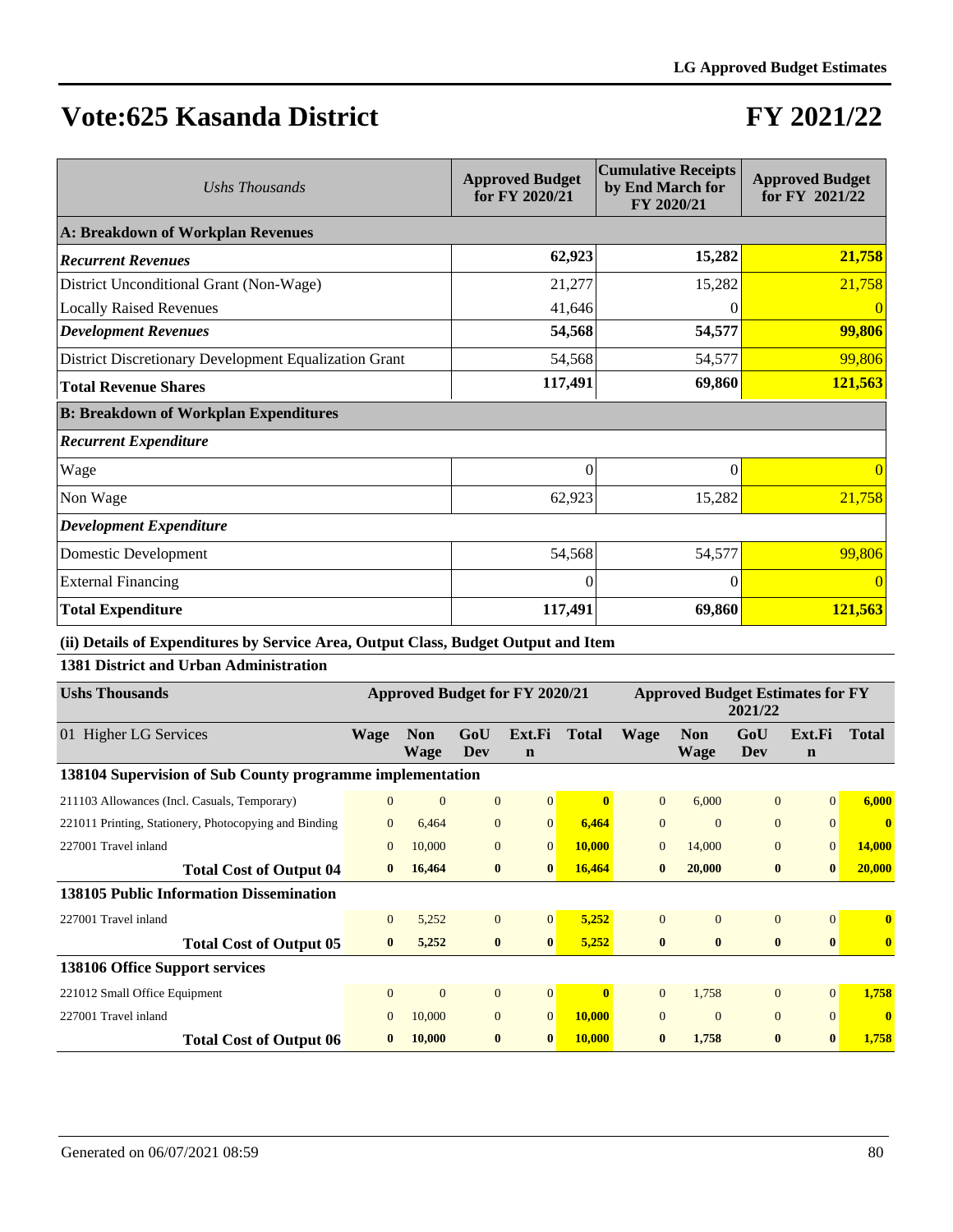## **FY 2021/22**

| Ushs Thousands                                        | <b>Approved Budget</b><br>for FY 2020/21 | <b>Cumulative Receipts</b><br>by End March for<br>FY 2020/21 | <b>Approved Budget</b><br>for FY 2021/22 |
|-------------------------------------------------------|------------------------------------------|--------------------------------------------------------------|------------------------------------------|
| A: Breakdown of Workplan Revenues                     |                                          |                                                              |                                          |
| <b>Recurrent Revenues</b>                             | 62,923                                   | 15,282                                                       | 21,758                                   |
| District Unconditional Grant (Non-Wage)               | 21,277                                   | 15,282                                                       | 21,758                                   |
| <b>Locally Raised Revenues</b>                        | 41,646                                   |                                                              |                                          |
| <b>Development Revenues</b>                           | 54,568                                   | 54,577                                                       | 99,806                                   |
| District Discretionary Development Equalization Grant | 54,568                                   | 54,577                                                       | 99,806                                   |
| <b>Total Revenue Shares</b>                           | 117,491                                  | 69,860                                                       | 121,563                                  |
| <b>B: Breakdown of Workplan Expenditures</b>          |                                          |                                                              |                                          |
| <b>Recurrent Expenditure</b>                          |                                          |                                                              |                                          |
| Wage                                                  | $\Omega$                                 | $\Omega$                                                     | 0                                        |
| Non Wage                                              | 62,923                                   | 15,282                                                       | 21,758                                   |
| <b>Development Expenditure</b>                        |                                          |                                                              |                                          |
| Domestic Development                                  | 54,568                                   | 54,577                                                       | 99,806                                   |
| <b>External Financing</b>                             | $\Omega$                                 | $\Omega$                                                     | $\Omega$                                 |
| <b>Total Expenditure</b>                              | 117,491                                  | 69,860                                                       | 121,563                                  |

**(ii) Details of Expenditures by Service Area, Output Class, Budget Output and Item**

#### **1381 District and Urban Administration**

| <b>Ushs Thousands</b>                                     | Approved Budget for FY 2020/21 |                           |                |                       | <b>Approved Budget Estimates for FY</b><br>2021/22 |                |                           |                |                       |               |
|-----------------------------------------------------------|--------------------------------|---------------------------|----------------|-----------------------|----------------------------------------------------|----------------|---------------------------|----------------|-----------------------|---------------|
| 01 Higher LG Services                                     | <b>Wage</b>                    | <b>Non</b><br><b>Wage</b> | GoU<br>Dev     | Ext.Fi<br>$\mathbf n$ | <b>Total</b>                                       | Wage           | <b>Non</b><br><b>Wage</b> | GoU<br>Dev     | Ext.Fi<br>$\mathbf n$ | <b>Total</b>  |
| 138104 Supervision of Sub County programme implementation |                                |                           |                |                       |                                                    |                |                           |                |                       |               |
| 211103 Allowances (Incl. Casuals, Temporary)              | $\overline{0}$                 | $\overline{0}$            | $\mathbf{0}$   | 0                     | $\mathbf{0}$                                       | $\overline{0}$ | 6,000                     | $\overline{0}$ | $\Omega$              | 6,000         |
| 221011 Printing, Stationery, Photocopying and Binding     | $\Omega$                       | 6,464                     | $\mathbf{0}$   | $\overline{0}$        | 6,464                                              | $\overline{0}$ | $\Omega$                  | $\overline{0}$ | $\Omega$              | $\mathbf{0}$  |
| 227001 Travel inland                                      | $\overline{0}$                 | 10,000                    | $\mathbf{0}$   | $\overline{0}$        | 10,000                                             | $\mathbf{0}$   | 14,000                    | $\overline{0}$ | $\overline{0}$        | <b>14,000</b> |
| <b>Total Cost of Output 04</b>                            | $\mathbf{0}$                   | 16,464                    | $\bf{0}$       | $\mathbf{0}$          | 16,464                                             | $\mathbf{0}$   | 20,000                    | $\bf{0}$       | $\mathbf{0}$          | 20,000        |
| <b>138105 Public Information Dissemination</b>            |                                |                           |                |                       |                                                    |                |                           |                |                       |               |
| 227001 Travel inland                                      | $\overline{0}$                 | 5,252                     | $\mathbf{0}$   | $\vert 0 \vert$       | 5,252                                              | $\Omega$       | $\Omega$                  | $\Omega$       | $\Omega$              | $\mathbf{0}$  |
| <b>Total Cost of Output 05</b>                            | $\bf{0}$                       | 5,252                     | $\bf{0}$       | $\bf{0}$              | 5,252                                              | $\bf{0}$       | $\mathbf{0}$              | $\bf{0}$       | $\mathbf{0}$          | $\mathbf{0}$  |
| 138106 Office Support services                            |                                |                           |                |                       |                                                    |                |                           |                |                       |               |
| 221012 Small Office Equipment                             | $\overline{0}$                 | $\mathbf{0}$              | $\overline{0}$ | $\overline{0}$        | $\mathbf{0}$                                       | $\theta$       | 1,758                     | $\Omega$       | $\Omega$              | 1,758         |
| 227001 Travel inland                                      | $\mathbf{0}$                   | 10,000                    | $\mathbf{0}$   | $\overline{0}$        | 10,000                                             | $\mathbf{0}$   | $\Omega$                  | $\overline{0}$ | $\Omega$              | $\mathbf{0}$  |
| <b>Total Cost of Output 06</b>                            |                                | 10,000                    | $\mathbf{0}$   | 0                     | <b>10,000</b>                                      | $\mathbf{0}$   | 1,758                     | $\mathbf{0}$   | $\mathbf{0}$          | 1,758         |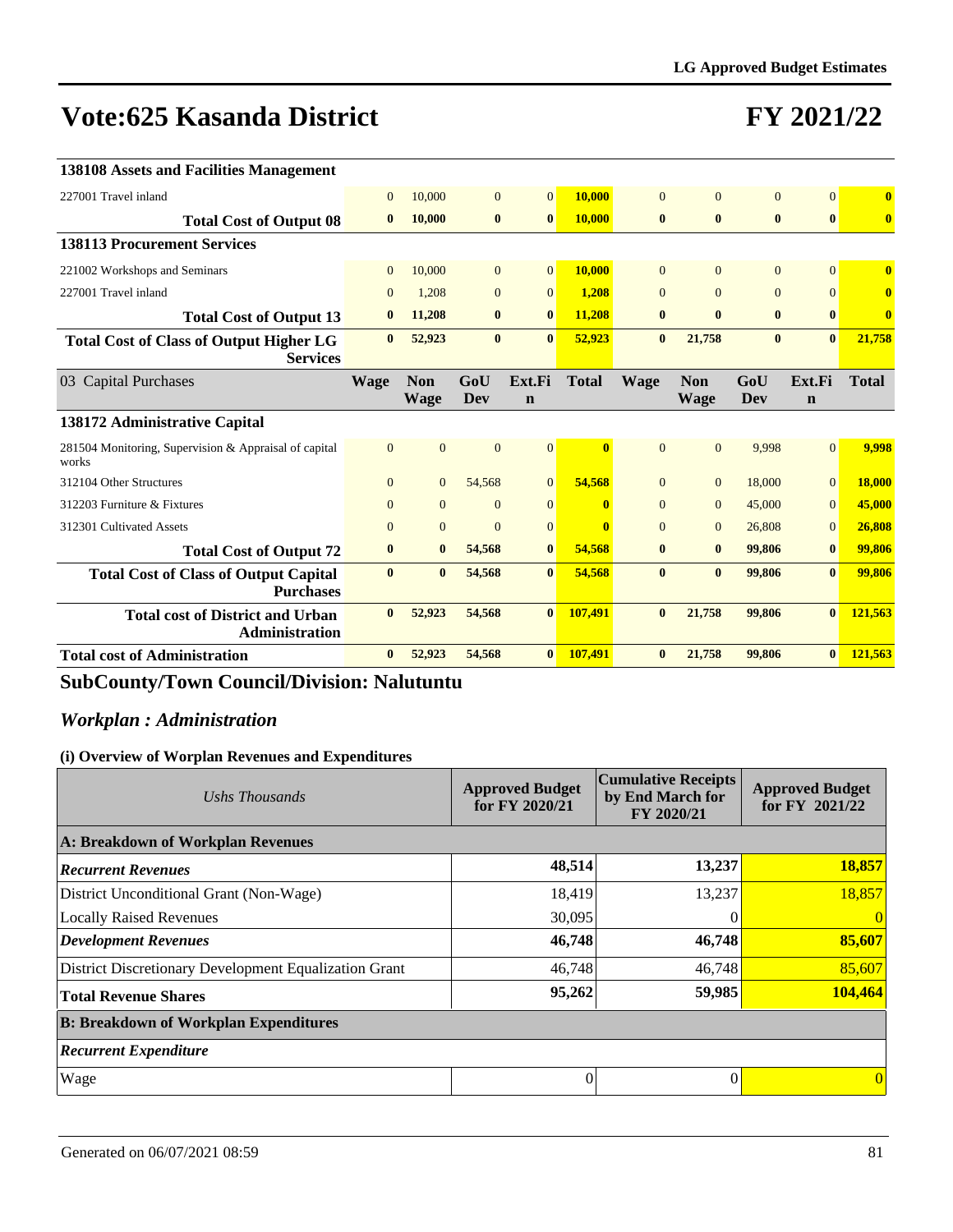## **FY 2021/22**

| 138108 Assets and Facilities Management                           |              |                           |                |                       |              |              |                           |                |                       |               |
|-------------------------------------------------------------------|--------------|---------------------------|----------------|-----------------------|--------------|--------------|---------------------------|----------------|-----------------------|---------------|
| 227001 Travel inland                                              | $\mathbf{0}$ | 10,000                    | $\overline{0}$ | $\overline{0}$        | 10,000       | $\Omega$     | $\Omega$                  | $\Omega$       | $\Omega$              | $\bf{0}$      |
| <b>Total Cost of Output 08</b>                                    | $\bf{0}$     | 10,000                    | $\bf{0}$       | $\bf{0}$              | 10,000       | $\bf{0}$     | $\bf{0}$                  | $\bf{0}$       | $\mathbf{0}$          | $\bf{0}$      |
| <b>138113 Procurement Services</b>                                |              |                           |                |                       |              |              |                           |                |                       |               |
| 221002 Workshops and Seminars                                     | $\Omega$     | 10,000                    | $\overline{0}$ | $\overline{0}$        | 10,000       | $\Omega$     | $\Omega$                  | $\overline{0}$ | $\Omega$              | $\mathbf{0}$  |
| 227001 Travel inland                                              | $\Omega$     | 1,208                     | $\overline{0}$ | $\Omega$              | 1,208        | $\Omega$     | $\Omega$                  | $\overline{0}$ | $\Omega$              | $\mathbf{0}$  |
| <b>Total Cost of Output 13</b>                                    | $\mathbf{0}$ | 11,208                    | $\bf{0}$       | $\bf{0}$              | 11,208       | $\bf{0}$     | $\mathbf{0}$              | $\bf{0}$       | $\mathbf{0}$          | $\bf{0}$      |
| <b>Total Cost of Class of Output Higher LG</b><br><b>Services</b> | $\bf{0}$     | 52,923                    | $\bf{0}$       | $\mathbf{0}$          | 52,923       | $\bf{0}$     | 21,758                    | $\bf{0}$       | $\mathbf{0}$          | 21,758        |
| 03 Capital Purchases                                              | <b>Wage</b>  | <b>Non</b><br><b>Wage</b> | GoU<br>Dev     | Ext.Fi<br>$\mathbf n$ | <b>Total</b> | <b>Wage</b>  | <b>Non</b><br><b>Wage</b> | GoU<br>Dev     | Ext.Fi<br>$\mathbf n$ | <b>Total</b>  |
| 138172 Administrative Capital                                     |              |                           |                |                       |              |              |                           |                |                       |               |
| 281504 Monitoring, Supervision & Appraisal of capital<br>works    | $\Omega$     | $\overline{0}$            | $\overline{0}$ | $\vert 0 \vert$       | $\mathbf{0}$ | $\Omega$     | $\Omega$                  | 9.998          | $\Omega$              | 9,998         |
| 312104 Other Structures                                           | $\Omega$     | $\overline{0}$            | 54,568         | $\overline{0}$        | 54,568       | $\theta$     | $\overline{0}$            | 18,000         | $\mathbf{0}$          | <b>18,000</b> |
| 312203 Furniture & Fixtures                                       | $\Omega$     | $\overline{0}$            | $\Omega$       | $\overline{0}$        | $\mathbf{0}$ | $\theta$     | $\overline{0}$            | 45,000         | $\mathbf{0}$          | 45,000        |
| 312301 Cultivated Assets                                          | $\mathbf{0}$ | $\overline{0}$            | $\overline{0}$ | $\overline{0}$        | $\mathbf{0}$ | $\mathbf{0}$ | $\overline{0}$            | 26,808         | $\overline{0}$        | 26,808        |
| <b>Total Cost of Output 72</b>                                    | $\bf{0}$     | $\bf{0}$                  | 54,568         | $\bf{0}$              | 54,568       | $\bf{0}$     | $\bf{0}$                  | 99,806         | $\bf{0}$              | 99,806        |
| <b>Total Cost of Class of Output Capital</b><br><b>Purchases</b>  | $\mathbf{0}$ | $\mathbf{0}$              | 54,568         | $\mathbf{0}$          | 54,568       | $\mathbf{0}$ | $\mathbf{0}$              | 99,806         | $\mathbf{0}$          | 99,806        |
| <b>Total cost of District and Urban</b><br>Administration         | $\mathbf{0}$ | 52,923                    | 54,568         | $\mathbf{0}$          | 107,491      | $\bf{0}$     | 21,758                    | 99,806         | $\mathbf{0}$          | 121,563       |
| <b>Total cost of Administration</b>                               |              |                           |                |                       |              |              |                           |                |                       | 121,563       |

## **SubCounty/Town Council/Division: Nalutuntu**

### *Workplan : Administration*

| Ushs Thousands                                        | <b>Approved Budget</b><br>for FY 2020/21 | <b>Cumulative Receipts</b><br>by End March for<br>FY 2020/21 | <b>Approved Budget</b><br>for FY 2021/22 |
|-------------------------------------------------------|------------------------------------------|--------------------------------------------------------------|------------------------------------------|
| A: Breakdown of Workplan Revenues                     |                                          |                                                              |                                          |
| <b>Recurrent Revenues</b>                             | 48,514                                   | 13,237                                                       | 18,857                                   |
| District Unconditional Grant (Non-Wage)               | 18,419                                   | 13,237                                                       | 18,857                                   |
| <b>Locally Raised Revenues</b>                        | 30,095                                   |                                                              |                                          |
| <b>Development Revenues</b>                           | 46,748                                   | 46,748                                                       | 85,607                                   |
| District Discretionary Development Equalization Grant | 46,748                                   | 46,748                                                       | 85,607                                   |
| <b>Total Revenue Shares</b>                           | 95,262                                   | 59,985                                                       | 104,464                                  |
| <b>B: Breakdown of Workplan Expenditures</b>          |                                          |                                                              |                                          |
| <b>Recurrent Expenditure</b>                          |                                          |                                                              |                                          |
| Wage                                                  | 0                                        |                                                              |                                          |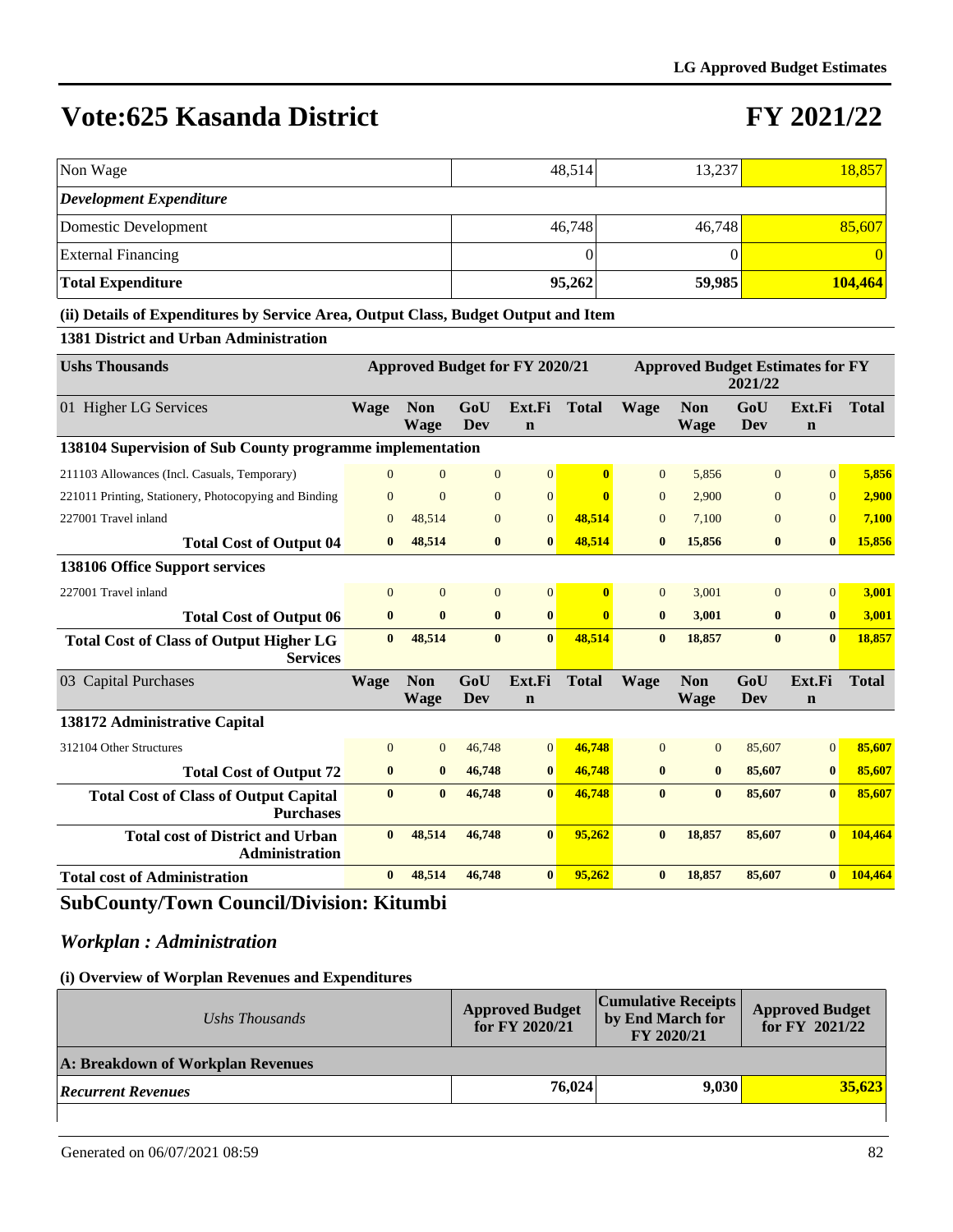## **FY 2021/22**

| Non Wage                                                                           |                |                           | 48,514            |                                       |              | 13,237         |                                         |                   |                       | 18,857       |
|------------------------------------------------------------------------------------|----------------|---------------------------|-------------------|---------------------------------------|--------------|----------------|-----------------------------------------|-------------------|-----------------------|--------------|
| <b>Development Expenditure</b>                                                     |                |                           |                   |                                       |              |                |                                         |                   |                       |              |
| Domestic Development                                                               |                |                           |                   |                                       | 46,748       |                | 46,748                                  |                   |                       | 85,607       |
| <b>External Financing</b>                                                          |                |                           | $\theta$          |                                       |              |                |                                         | $\Omega$          |                       | $\Omega$     |
| <b>Total Expenditure</b>                                                           |                |                           |                   |                                       | 95,262       |                | 59,985                                  |                   |                       | 104,464      |
| (ii) Details of Expenditures by Service Area, Output Class, Budget Output and Item |                |                           |                   |                                       |              |                |                                         |                   |                       |              |
| 1381 District and Urban Administration                                             |                |                           |                   |                                       |              |                |                                         |                   |                       |              |
| <b>Ushs Thousands</b>                                                              |                |                           |                   | <b>Approved Budget for FY 2020/21</b> |              |                | <b>Approved Budget Estimates for FY</b> | 2021/22           |                       |              |
| 01 Higher LG Services                                                              | Wage           | <b>Non</b><br><b>Wage</b> | GoU<br><b>Dev</b> | Ext.Fi<br>$\mathbf n$                 | <b>Total</b> | Wage           | <b>Non</b><br><b>Wage</b>               | GoU<br><b>Dev</b> | Ext.Fi<br>$\mathbf n$ | <b>Total</b> |
| 138104 Supervision of Sub County programme implementation                          |                |                           |                   |                                       |              |                |                                         |                   |                       |              |
| 211103 Allowances (Incl. Casuals, Temporary)                                       | $\Omega$       | $\Omega$                  | $\overline{0}$    | $\overline{0}$                        | $\bf{0}$     | $\overline{0}$ | 5,856                                   | $\overline{0}$    | $\Omega$              | 5,856        |
| 221011 Printing, Stationery, Photocopying and Binding                              | $\overline{0}$ | $\Omega$                  | $\Omega$          | $\overline{0}$                        | $\mathbf{0}$ | $\Omega$       | 2.900                                   | $\overline{0}$    | $\overline{0}$        | 2,900        |
| 227001 Travel inland                                                               | $\overline{0}$ | 48,514                    | $\mathbf{0}$      | $\mathbf{0}$                          | 48,514       | $\mathbf{0}$   | 7,100                                   | $\overline{0}$    | $\mathbf{0}$          | 7,100        |
| <b>Total Cost of Output 04</b>                                                     | $\bf{0}$       | 48,514                    | $\bf{0}$          | $\bf{0}$                              | 48,514       | $\bf{0}$       | 15,856                                  | $\bf{0}$          | $\bf{0}$              | 15,856       |
| 138106 Office Support services                                                     |                |                           |                   |                                       |              |                |                                         |                   |                       |              |
| 227001 Travel inland                                                               | $\mathbf{0}$   | $\mathbf{0}$              | $\mathbf{0}$      | $\boldsymbol{0}$                      | $\bf{0}$     | $\mathbf{0}$   | 3,001                                   | $\mathbf{0}$      | $\mathbf{0}$          | 3,001        |
| <b>Total Cost of Output 06</b>                                                     | $\bf{0}$       | $\bf{0}$                  | $\bf{0}$          | $\bf{0}$                              | $\mathbf{0}$ | $\bf{0}$       | 3,001                                   | $\bf{0}$          | $\mathbf{0}$          | 3,001        |
| <b>Total Cost of Class of Output Higher LG</b><br><b>Services</b>                  | $\bf{0}$       | 48,514                    | $\mathbf{0}$      | $\mathbf{0}$                          | 48,514       | $\mathbf{0}$   | 18,857                                  | $\mathbf{0}$      | $\mathbf{0}$          | 18,857       |
| 03 Capital Purchases                                                               | <b>Wage</b>    | <b>Non</b><br><b>Wage</b> | GoU<br><b>Dev</b> | Ext.Fi<br>$\mathbf n$                 | <b>Total</b> | <b>Wage</b>    | Non<br><b>Wage</b>                      | GoU<br>Dev        | Ext.Fi<br>$\mathbf n$ | <b>Total</b> |
| 138172 Administrative Capital                                                      |                |                           |                   |                                       |              |                |                                         |                   |                       |              |
| 312104 Other Structures                                                            | $\overline{0}$ | $\overline{0}$            | 46,748            | $\mathbf{0}$                          | 46,748       | $\overline{0}$ | $\mathbf{0}$                            | 85,607            | $\mathbf{0}$          | 85,607       |
| <b>Total Cost of Output 72</b>                                                     | $\bf{0}$       | $\bf{0}$                  | 46,748            | $\bf{0}$                              | 46,748       | $\bf{0}$       | $\bf{0}$                                | 85,607            | $\bf{0}$              | 85,607       |
| <b>Total Cost of Class of Output Capital</b><br><b>Purchases</b>                   | $\bf{0}$       | $\bf{0}$                  | 46,748            | $\mathbf{0}$                          | 46,748       | $\bf{0}$       | $\bf{0}$                                | 85,607            | $\mathbf{0}$          | 85,607       |
| <b>Total cost of District and Urban</b><br><b>Administration</b>                   | $\bf{0}$       | 48,514                    | 46,748            | $\bf{0}$                              | 95,262       | $\bf{0}$       | 18,857                                  | 85,607            | $\mathbf{0}$          | 104,464      |

### **SubCounty/Town Council/Division: Kitumbi**

### *Workplan : Administration*

#### **(i) Overview of Worplan Revenues and Expenditures**

| Ushs Thousands                    | <b>Approved Budget</b><br>for FY 2020/21 | Cumulative Receipts  <br>by End March for<br>FY 2020/21 | <b>Approved Budget</b><br>for FY $2021/22$ |
|-----------------------------------|------------------------------------------|---------------------------------------------------------|--------------------------------------------|
| A: Breakdown of Workplan Revenues |                                          |                                                         |                                            |
| <b>Recurrent Revenues</b>         | 76,024                                   | 9.030                                                   | 35.623                                     |
|                                   |                                          |                                                         |                                            |

**Total cost of Administration 0 48,514 46,748 0 95,262 0 18,857 85,607 0 104,464**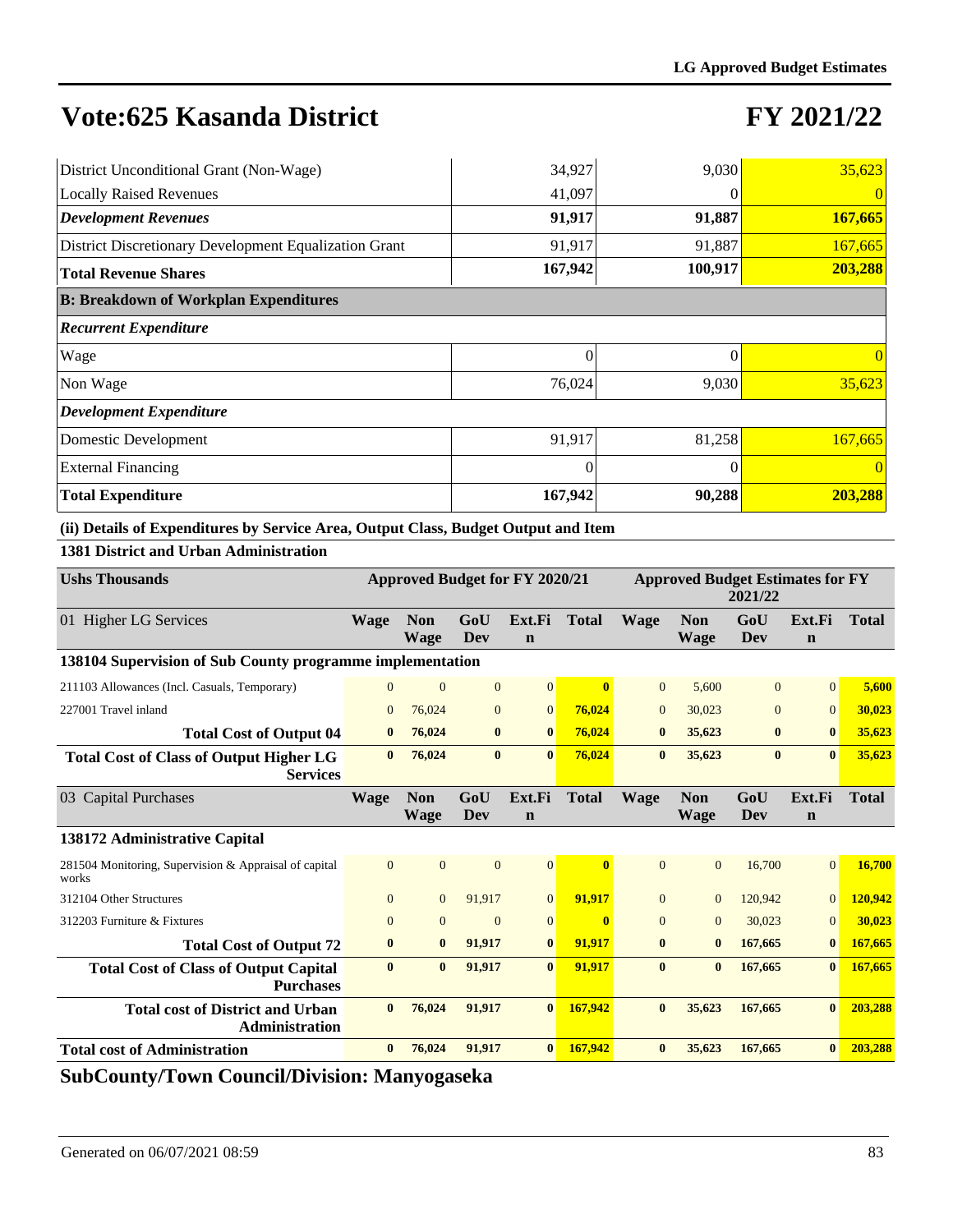# **FY 2021/22**

| District Unconditional Grant (Non-Wage)               | 34,927   | 9,030   | 35,623   |
|-------------------------------------------------------|----------|---------|----------|
| <b>Locally Raised Revenues</b>                        | 41,097   |         | $\theta$ |
| <b>Development Revenues</b>                           | 91,917   | 91,887  | 167,665  |
| District Discretionary Development Equalization Grant | 91,917   | 91,887  | 167,665  |
| <b>Total Revenue Shares</b>                           | 167,942  | 100,917 | 203,288  |
| <b>B: Breakdown of Workplan Expenditures</b>          |          |         |          |
| <b>Recurrent Expenditure</b>                          |          |         |          |
| Wage                                                  | 0        | 0       | $\theta$ |
| Non Wage                                              | 76,024   | 9,030   | 35,623   |
| <b>Development Expenditure</b>                        |          |         |          |
| Domestic Development                                  | 91,917   | 81,258  | 167,665  |
| <b>External Financing</b>                             | $\theta$ |         | $\theta$ |
| <b>Total Expenditure</b>                              | 167,942  | 90,288  | 203,288  |

### **(ii) Details of Expenditures by Service Area, Output Class, Budget Output and Item**

### **1381 District and Urban Administration**

| <b>Ushs Thousands</b>                                             | Approved Budget for FY 2020/21 |                           |                |                       |              | <b>Approved Budget Estimates for FY</b><br>2021/22 |                           |                   |                       |              |  |
|-------------------------------------------------------------------|--------------------------------|---------------------------|----------------|-----------------------|--------------|----------------------------------------------------|---------------------------|-------------------|-----------------------|--------------|--|
| 01 Higher LG Services                                             | Wage                           | <b>Non</b><br><b>Wage</b> | GoU<br>Dev     | Ext.Fi<br>$\mathbf n$ | <b>Total</b> | <b>Wage</b>                                        | <b>Non</b><br>Wage        | GoU<br>Dev        | Ext.Fi<br>$\mathbf n$ | <b>Total</b> |  |
| 138104 Supervision of Sub County programme implementation         |                                |                           |                |                       |              |                                                    |                           |                   |                       |              |  |
| 211103 Allowances (Incl. Casuals, Temporary)                      | $\Omega$                       | $\mathbf{0}$              | $\mathbf{0}$   | $\vert 0 \vert$       | $\mathbf{0}$ | $\overline{0}$                                     | 5,600                     | $\Omega$          | $\Omega$              | 5,600        |  |
| 227001 Travel inland                                              | $\Omega$                       | 76,024                    | $\mathbf{0}$   | $\overline{0}$        | 76.024       | $\overline{0}$                                     | 30,023                    | $\overline{0}$    | $\overline{0}$        | 30,023       |  |
| <b>Total Cost of Output 04</b>                                    | $\bf{0}$                       | 76,024                    | $\bf{0}$       | $\bf{0}$              | 76,024       | $\bf{0}$                                           | 35,623                    | $\bf{0}$          | $\bf{0}$              | 35,623       |  |
| <b>Total Cost of Class of Output Higher LG</b><br><b>Services</b> | $\mathbf{0}$                   | 76,024                    | $\bf{0}$       | $\bf{0}$              | 76,024       | $\bf{0}$                                           | 35,623                    | $\bf{0}$          | $\mathbf{0}$          | 35,623       |  |
| 03 Capital Purchases                                              | <b>Wage</b>                    | <b>Non</b><br><b>Wage</b> | GoU<br>Dev     | Ext.Fi<br>$\mathbf n$ | <b>Total</b> | <b>Wage</b>                                        | <b>Non</b><br><b>Wage</b> | GoU<br><b>Dev</b> | Ext.Fi<br>$\mathbf n$ | <b>Total</b> |  |
| 138172 Administrative Capital                                     |                                |                           |                |                       |              |                                                    |                           |                   |                       |              |  |
| 281504 Monitoring, Supervision & Appraisal of capital<br>works    | $\Omega$                       | $\overline{0}$            | $\overline{0}$ | $\overline{0}$        | $\mathbf{0}$ | $\Omega$                                           | $\Omega$                  | 16,700            | $\overline{0}$        | 16,700       |  |
| 312104 Other Structures                                           | $\overline{0}$                 | $\overline{0}$            | 91.917         | $\overline{0}$        | 91.917       | $\overline{0}$                                     | $\mathbf{0}$              | 120.942           | $\overline{0}$        | 120,942      |  |
| 312203 Furniture & Fixtures                                       | $\Omega$                       | $\overline{0}$            | $\mathbf{0}$   | $\overline{0}$        | $\mathbf{0}$ | $\Omega$                                           | $\mathbf{0}$              | 30,023            | $\Omega$              | 30,023       |  |
| <b>Total Cost of Output 72</b>                                    | $\bf{0}$                       | $\bf{0}$                  | 91,917         | $\bf{0}$              | 91,917       | $\bf{0}$                                           | $\bf{0}$                  | 167,665           | $\bf{0}$              | 167,665      |  |
| <b>Total Cost of Class of Output Capital</b><br><b>Purchases</b>  | $\mathbf{0}$                   | $\bf{0}$                  | 91,917         | $\mathbf{0}$          | 91,917       | $\mathbf{0}$                                       | $\bf{0}$                  | 167,665           | $\mathbf{0}$          | 167,665      |  |
| <b>Total cost of District and Urban</b><br>Administration         | $\bf{0}$                       | 76,024                    | 91,917         | $\mathbf{0}$          | 167,942      | $\mathbf{0}$                                       | 35,623                    | 167,665           | $\mathbf{0}$          | 203,288      |  |
| <b>Total cost of Administration</b>                               | $\mathbf{0}$                   | 76,024                    | 91,917         | $\bf{0}$              | 167,942      | $\bf{0}$                                           | 35,623                    | 167,665           | $\mathbf{0}$          | 203,288      |  |

## **SubCounty/Town Council/Division: Manyogaseka**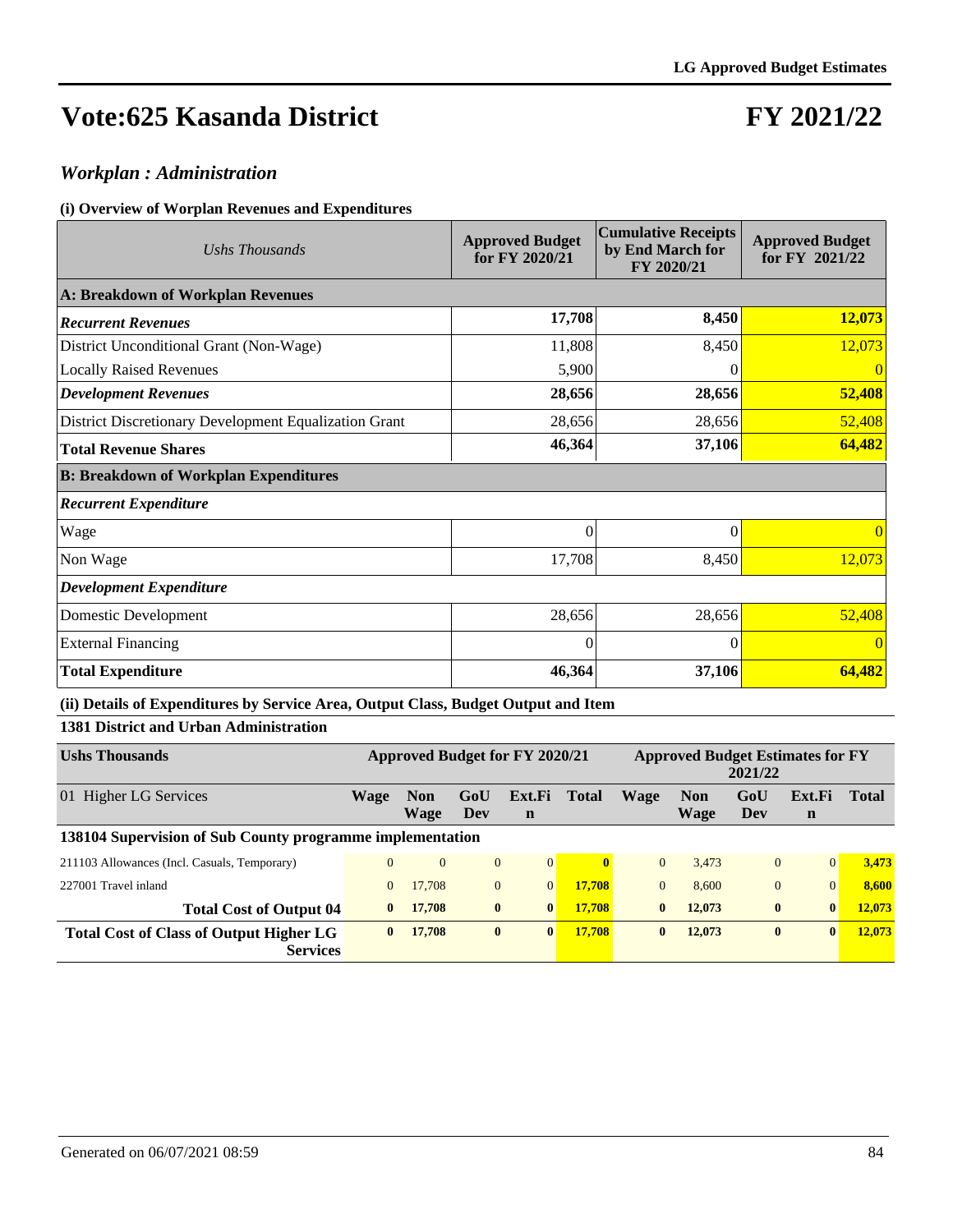# **FY 2021/22**

### *Workplan : Administration*

#### **(i) Overview of Worplan Revenues and Expenditures**

| Ushs Thousands                                        | <b>Approved Budget</b><br>for FY 2020/21 | <b>Cumulative Receipts</b><br>by End March for<br>FY 2020/21 | <b>Approved Budget</b><br>for FY 2021/22 |  |
|-------------------------------------------------------|------------------------------------------|--------------------------------------------------------------|------------------------------------------|--|
| A: Breakdown of Workplan Revenues                     |                                          |                                                              |                                          |  |
| <b>Recurrent Revenues</b>                             | 17,708                                   | 8,450                                                        | 12,073                                   |  |
| District Unconditional Grant (Non-Wage)               | 11,808                                   | 8,450                                                        | 12,073                                   |  |
| <b>Locally Raised Revenues</b>                        | 5,900                                    | 0                                                            | $\Omega$                                 |  |
| <b>Development Revenues</b>                           | 28,656                                   | 28,656                                                       | 52,408                                   |  |
| District Discretionary Development Equalization Grant | 28,656                                   | 28,656                                                       | 52,408                                   |  |
| <b>Total Revenue Shares</b>                           | 46,364                                   | 37,106                                                       | 64,482                                   |  |
| <b>B: Breakdown of Workplan Expenditures</b>          |                                          |                                                              |                                          |  |
| <b>Recurrent Expenditure</b>                          |                                          |                                                              |                                          |  |
| Wage                                                  | $\theta$                                 | $\theta$                                                     | 0                                        |  |
| Non Wage                                              | 17,708                                   | 8,450                                                        | 12,073                                   |  |
| <b>Development Expenditure</b>                        |                                          |                                                              |                                          |  |
| Domestic Development                                  | 28,656                                   | 28,656                                                       | 52,408                                   |  |
| <b>External Financing</b>                             | $\Omega$                                 | $\Omega$                                                     | $\Omega$                                 |  |
| <b>Total Expenditure</b>                              | 46,364                                   | 37,106                                                       | 64,482                                   |  |

#### **(ii) Details of Expenditures by Service Area, Output Class, Budget Output and Item**

#### **1381 District and Urban Administration**

| <b>Ushs Thousands</b>                                             | <b>Approved Budget for FY 2020/21</b> |                    |                |                       |              | <b>Approved Budget Estimates for FY</b><br>2021/22 |                    |                |             |              |
|-------------------------------------------------------------------|---------------------------------------|--------------------|----------------|-----------------------|--------------|----------------------------------------------------|--------------------|----------------|-------------|--------------|
| 01 Higher LG Services                                             | Wage                                  | <b>Non</b><br>Wage | GoU<br>Dev     | Ext.Fi<br>$\mathbf n$ | <b>Total</b> | Wage                                               | <b>Non</b><br>Wage | GoU<br>Dev     | Ext.Fi<br>n | <b>Total</b> |
| 138104 Supervision of Sub County programme implementation         |                                       |                    |                |                       |              |                                                    |                    |                |             |              |
| 211103 Allowances (Incl. Casuals, Temporary)                      | $\theta$                              | $\overline{0}$     | $\overline{0}$ | $\vert 0 \vert$       | $\mathbf{0}$ | $\theta$                                           | 3.473              | $\overline{0}$ | $\Omega$    | 3,473        |
| 227001 Travel inland                                              | $\mathbf{0}$                          | 17,708             | $\overline{0}$ | $\overline{0}$        | 17.708       | $\mathbf{0}$                                       | 8.600              | $\overline{0}$ | $\Omega$    | 8.600        |
| <b>Total Cost of Output 04</b>                                    | $\mathbf{0}$                          | 17,708             | $\bf{0}$       | $\bf{0}$              | 17.708       | $\bf{0}$                                           | 12,073             | $\bf{0}$       | $\bf{0}$    | 12,073       |
| <b>Total Cost of Class of Output Higher LG</b><br><b>Services</b> | $\mathbf{0}$                          | 17,708             | $\bf{0}$       | $\mathbf{0}$          | 17.708       | $\mathbf{0}$                                       | 12,073             | $\bf{0}$       | $\bf{0}$    | 12,073       |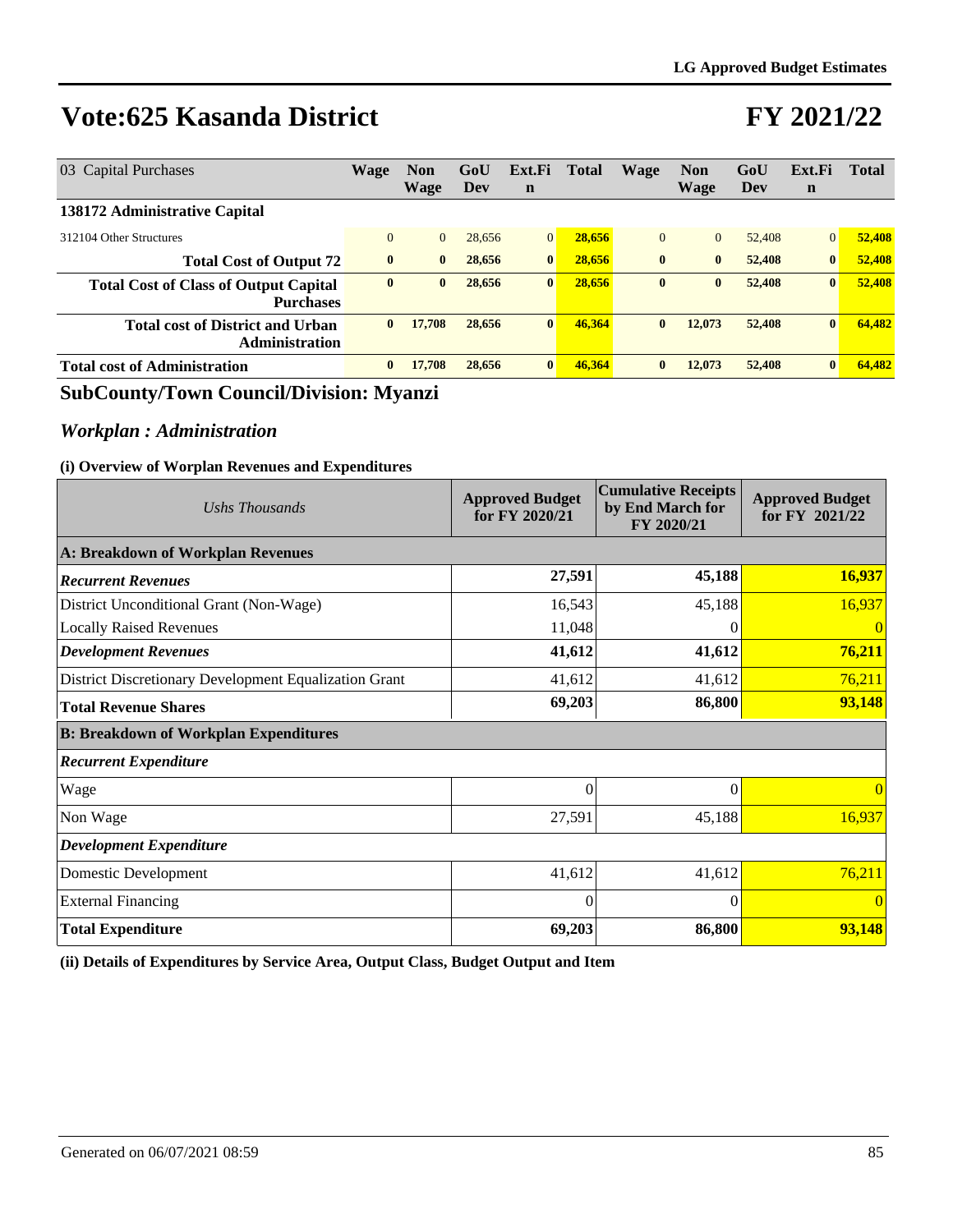## **FY 2021/22**

| 03 Capital Purchases                                             | <b>Wage</b>  | <b>Non</b><br>Wage | GoU<br>Dev | Ext.Fi<br>$\mathbf n$ | Total  | Wage         | <b>Non</b><br>Wage | GoU<br>Dev | Ext.Fi<br>$\mathbf n$ | <b>Total</b> |
|------------------------------------------------------------------|--------------|--------------------|------------|-----------------------|--------|--------------|--------------------|------------|-----------------------|--------------|
| 138172 Administrative Capital                                    |              |                    |            |                       |        |              |                    |            |                       |              |
| 312104 Other Structures                                          | $\mathbf{0}$ | $\overline{0}$     | 28,656     | $\overline{0}$        | 28,656 | $\mathbf{0}$ | $\Omega$           | 52,408     | $\vert 0 \vert$       | 52,408       |
| <b>Total Cost of Output 72</b>                                   | $\mathbf{0}$ | $\bf{0}$           | 28,656     | $\bf{0}$              | 28,656 | $\mathbf{0}$ | $\bf{0}$           | 52,408     | $\bf{0}$              | 52,408       |
| <b>Total Cost of Class of Output Capital</b><br><b>Purchases</b> | $\bf{0}$     | $\bf{0}$           | 28,656     | $\bf{0}$              | 28,656 | $\bf{0}$     | $\mathbf{0}$       | 52,408     | $\vert 0 \vert$       | 52,408       |
| <b>Total cost of District and Urban</b><br><b>Administration</b> | $\mathbf{0}$ | 17,708             | 28,656     | $\bf{0}$              | 46,364 | $\bf{0}$     | 12,073             | 52,408     | $\mathbf{0}$          | 64,482       |
| <b>Total cost of Administration</b>                              | $\bf{0}$     | 17,708             | 28,656     | $\bf{0}$              | 46,364 | $\bf{0}$     | 12,073             | 52,408     | $\mathbf{0}$          | 64.482       |

### **SubCounty/Town Council/Division: Myanzi**

## *Workplan : Administration*

#### **(i) Overview of Worplan Revenues and Expenditures**

| Ushs Thousands                                        | <b>Approved Budget</b><br>for FY 2020/21 | <b>Cumulative Receipts</b><br>by End March for<br>FY 2020/21 | <b>Approved Budget</b><br>for FY 2021/22 |  |  |  |  |  |  |
|-------------------------------------------------------|------------------------------------------|--------------------------------------------------------------|------------------------------------------|--|--|--|--|--|--|
| A: Breakdown of Workplan Revenues                     |                                          |                                                              |                                          |  |  |  |  |  |  |
| <b>Recurrent Revenues</b>                             | 27,591                                   | 45,188                                                       | 16,937                                   |  |  |  |  |  |  |
| District Unconditional Grant (Non-Wage)               | 16,543                                   | 45,188                                                       | 16,937                                   |  |  |  |  |  |  |
| <b>Locally Raised Revenues</b>                        | 11,048                                   |                                                              |                                          |  |  |  |  |  |  |
| <b>Development Revenues</b>                           | 41,612                                   | 41,612                                                       | 76,211                                   |  |  |  |  |  |  |
| District Discretionary Development Equalization Grant | 41,612                                   | 41,612                                                       | 76,211                                   |  |  |  |  |  |  |
| <b>Total Revenue Shares</b>                           | 69,203                                   | 86,800                                                       | 93,148                                   |  |  |  |  |  |  |
| <b>B: Breakdown of Workplan Expenditures</b>          |                                          |                                                              |                                          |  |  |  |  |  |  |
| <b>Recurrent Expenditure</b>                          |                                          |                                                              |                                          |  |  |  |  |  |  |
| Wage                                                  | $\Omega$                                 | $\Omega$                                                     | $\Omega$                                 |  |  |  |  |  |  |
| Non Wage                                              | 27,591                                   | 45,188                                                       | 16,937                                   |  |  |  |  |  |  |
| <b>Development Expenditure</b>                        |                                          |                                                              |                                          |  |  |  |  |  |  |
| Domestic Development                                  | 41,612                                   | 41,612                                                       | 76,211                                   |  |  |  |  |  |  |
| <b>External Financing</b>                             | $\Omega$                                 | 0                                                            | $\Omega$                                 |  |  |  |  |  |  |
| <b>Total Expenditure</b>                              | 69,203                                   | 86,800                                                       | 93,148                                   |  |  |  |  |  |  |

**(ii) Details of Expenditures by Service Area, Output Class, Budget Output and Item**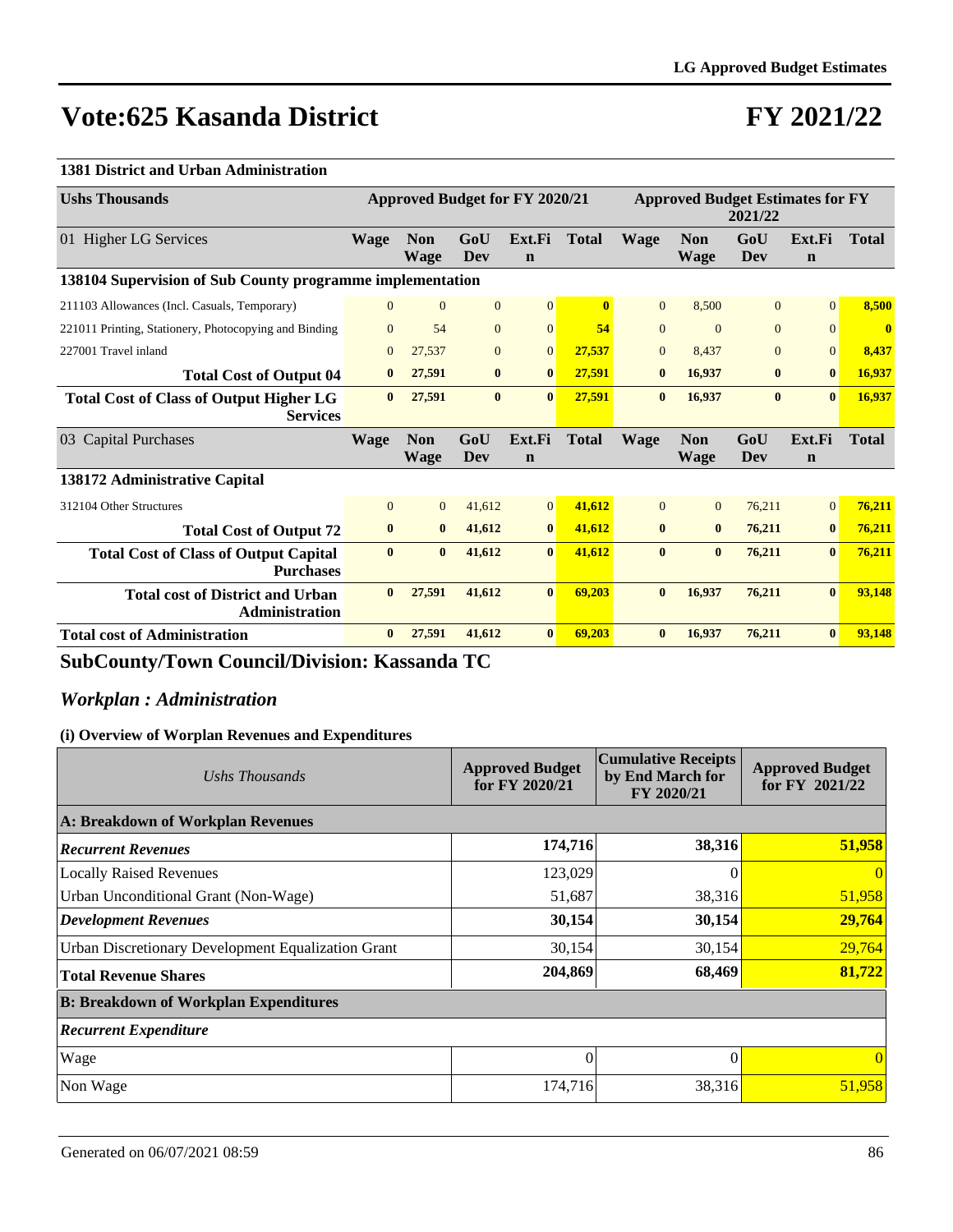# **FY 2021/22**

#### **1381 District and Urban Administration**

| <b>Ushs Thousands</b>                                             | <b>Approved Budget for FY 2020/21</b> |                           |                |                       | <b>Approved Budget Estimates for FY</b><br>2021/22 |                |                           |                |                       |              |
|-------------------------------------------------------------------|---------------------------------------|---------------------------|----------------|-----------------------|----------------------------------------------------|----------------|---------------------------|----------------|-----------------------|--------------|
| 01 Higher LG Services                                             | <b>Wage</b>                           | <b>Non</b><br><b>Wage</b> | GoU<br>Dev     | Ext.Fi<br>$\mathbf n$ | <b>Total</b>                                       | <b>Wage</b>    | <b>Non</b><br><b>Wage</b> | GoU<br>Dev     | Ext.Fi<br>$\mathbf n$ | <b>Total</b> |
| 138104 Supervision of Sub County programme implementation         |                                       |                           |                |                       |                                                    |                |                           |                |                       |              |
| 211103 Allowances (Incl. Casuals, Temporary)                      | $\Omega$                              | $\overline{0}$            | $\overline{0}$ | $\vert 0 \vert$       | 0                                                  | $\overline{0}$ | 8.500                     | $\overline{0}$ | $\Omega$              | 8,500        |
| 221011 Printing, Stationery, Photocopying and Binding             | $\theta$                              | 54                        | $\Omega$       | $\Omega$              | 54                                                 | $\Omega$       | $\Omega$                  | $\Omega$       | $\Omega$              | $\mathbf{0}$ |
| 227001 Travel inland                                              | $\Omega$                              | 27,537                    | $\overline{0}$ | $\mathbf{0}$          | 27,537                                             | $\mathbf{0}$   | 8.437                     | $\overline{0}$ | $\Omega$              | 8,437        |
| <b>Total Cost of Output 04</b>                                    | $\bf{0}$                              | 27,591                    | $\mathbf{0}$   | $\mathbf{0}$          | 27,591                                             | $\bf{0}$       | 16.937                    | $\bf{0}$       | $\mathbf{0}$          | 16,937       |
| <b>Total Cost of Class of Output Higher LG</b><br><b>Services</b> | $\mathbf{0}$                          | 27,591                    | $\bf{0}$       | $\mathbf{0}$          | 27,591                                             | $\bf{0}$       | 16,937                    | $\bf{0}$       | $\mathbf{0}$          | 16,937       |
| <b>Capital Purchases</b><br>0 <sup>3</sup>                        | <b>Wage</b>                           | <b>Non</b><br><b>Wage</b> | GoU<br>Dev     | Ext.Fi<br>$\mathbf n$ | <b>Total</b>                                       | <b>Wage</b>    | <b>Non</b><br><b>Wage</b> | GoU<br>Dev     | Ext.Fi<br>$\mathbf n$ | <b>Total</b> |
| 138172 Administrative Capital                                     |                                       |                           |                |                       |                                                    |                |                           |                |                       |              |
| 312104 Other Structures                                           | $\Omega$                              | $\Omega$                  | 41,612         | $\vert 0 \vert$       | 41,612                                             | $\Omega$       | $\Omega$                  | 76,211         | $\Omega$              | 76,211       |
| <b>Total Cost of Output 72</b>                                    | $\mathbf{0}$                          | $\bf{0}$                  | 41,612         | $\bf{0}$              | 41,612                                             | $\bf{0}$       | $\bf{0}$                  | 76,211         | $\bf{0}$              | 76,211       |
| <b>Total Cost of Class of Output Capital</b><br><b>Purchases</b>  | $\mathbf{0}$                          | $\bf{0}$                  | 41,612         | $\mathbf{0}$          | 41,612                                             | $\mathbf{0}$   | $\mathbf{0}$              | 76,211         | $\mathbf{0}$          | 76,211       |
| <b>Total cost of District and Urban</b><br><b>Administration</b>  | $\mathbf{0}$                          | 27,591                    | 41,612         | $\mathbf{0}$          | 69,203                                             | $\bf{0}$       | 16,937                    | 76,211         | $\mathbf{0}$          | 93,148       |
| <b>Total cost of Administration</b>                               | $\mathbf{0}$                          | 27,591                    | 41,612         | $\bf{0}$              | 69,203                                             | $\bf{0}$       | 16,937                    | 76,211         | $\bf{0}$              | 93,148       |

**SubCounty/Town Council/Division: Kassanda TC**

### *Workplan : Administration*

| Ushs Thousands                                     | <b>Approved Budget</b><br>for FY 2020/21 | <b>Cumulative Receipts</b><br>by End March for<br>FY 2020/21 | <b>Approved Budget</b><br>for FY 2021/22 |  |  |  |  |  |  |
|----------------------------------------------------|------------------------------------------|--------------------------------------------------------------|------------------------------------------|--|--|--|--|--|--|
| A: Breakdown of Workplan Revenues                  |                                          |                                                              |                                          |  |  |  |  |  |  |
| <b>Recurrent Revenues</b>                          | 174,716                                  | 38,316                                                       | 51,958                                   |  |  |  |  |  |  |
| <b>Locally Raised Revenues</b>                     | 123,029                                  | $\Omega$                                                     | $\left($                                 |  |  |  |  |  |  |
| Urban Unconditional Grant (Non-Wage)               | 51,687                                   | 38,316                                                       | 51,958                                   |  |  |  |  |  |  |
| Development Revenues                               | 30,154                                   | 30,154                                                       | 29,764                                   |  |  |  |  |  |  |
| Urban Discretionary Development Equalization Grant | 30,154                                   | 30,154                                                       | 29,764                                   |  |  |  |  |  |  |
| <b>Total Revenue Shares</b>                        | 204,869                                  | 68,469                                                       | 81,722                                   |  |  |  |  |  |  |
| <b>B: Breakdown of Workplan Expenditures</b>       |                                          |                                                              |                                          |  |  |  |  |  |  |
| <b>Recurrent Expenditure</b>                       |                                          |                                                              |                                          |  |  |  |  |  |  |
| Wage                                               | 0                                        |                                                              |                                          |  |  |  |  |  |  |
| Non Wage                                           | 174,716                                  | 38,316                                                       | 51,958                                   |  |  |  |  |  |  |